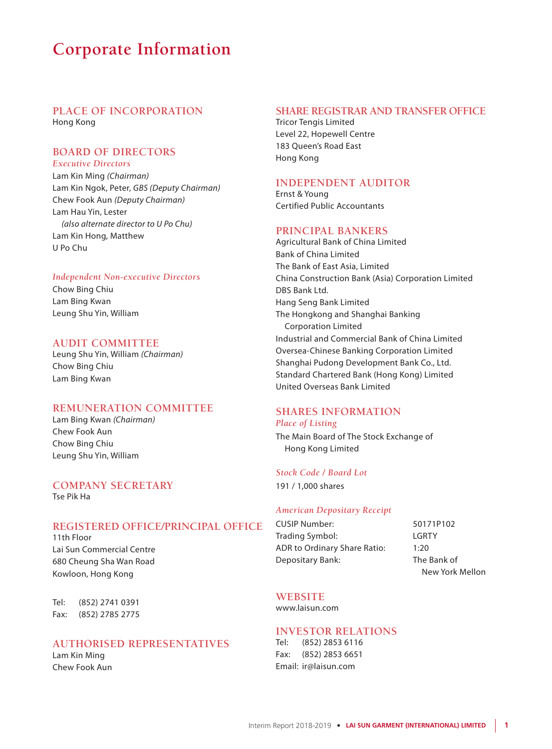# **Corporate Information**

# **PLACE OF INCORPORATION** Hong Kong

### **BOARD OF DIRECTORS** *Executive Directors*

Lam Kin Ming *(Chairman)* Lam Kin Ngok, Peter, *GBS (Deputy Chairman)* Chew Fook Aun *(Deputy Chairman)* Lam Hau Yin, Lester *(also alternate director to U Po Chu)* Lam Kin Hong, Matthew U Po Chu

### *Independent Non-executive Directors*

Chow Bing Chiu Lam Bing Kwan Leung Shu Yin, William

# **AUDIT COMMITTEE**

Leung Shu Yin, William *(Chairman)* Chow Bing Chiu Lam Bing Kwan

# **REMUNERATION COMMITTEE**

Lam Bing Kwan *(Chairman)* Chew Fook Aun Chow Bing Chiu Leung Shu Yin, William

### **COMPANY SECRETARY** Tse Pik Ha

# **REGISTERED OFFICE/PRINCIPAL OFFICE**

11th Floor Lai Sun Commercial Centre 680 Cheung Sha Wan Road Kowloon, Hong Kong

Tel: (852) 2741 0391 Fax: (852) 2785 2775

# **AUTHORISED REPRESENTATIVES**

Lam Kin Ming Chew Fook Aun

# **SHARE REGISTRAR AND TRANSFER OFFICE**

Tricor Tengis Limited Level 22, Hopewell Centre 183 Queen's Road East Hong Kong

# **INDEPENDENT AUDITOR**

Ernst & Young Certified Public Accountants

### **PRINCIPAL BANKERS**

Agricultural Bank of China Limited Bank of China Limited The Bank of East Asia, Limited China Construction Bank (Asia) Corporation Limited DBS Bank Ltd. Hang Seng Bank Limited The Hongkong and Shanghai Banking Corporation Limited Industrial and Commercial Bank of China Limited Oversea-Chinese Banking Corporation Limited Shanghai Pudong Development Bank Co., Ltd. Standard Chartered Bank (Hong Kong) Limited United Overseas Bank Limited

# **SHARES INFORMATION** *Place of Listing*

The Main Board of The Stock Exchange of Hong Kong Limited

## *Stock Code / Board Lot*

191 / 1,000 shares

### *American Depositary Receipt*

CUSIP Number: 50171P102 Trading Symbol: LGRTY ADR to Ordinary Share Ratio: 1:20 Depositary Bank: The Bank of

New York Mellon

# **WEBSITE**

www.laisun.com

# **INVESTOR RELATIONS**<br>Tel: (852) 2853 6116

(852) 2853 6116 Fax: (852) 2853 6651 Email: ir@laisun.com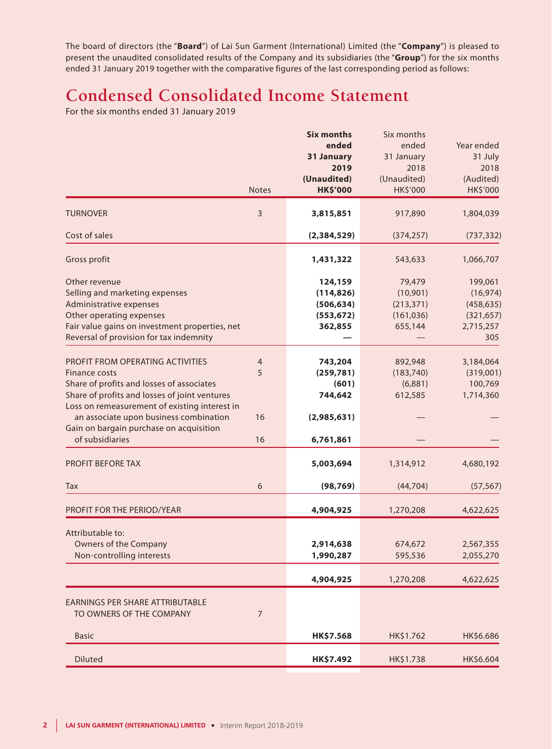The board of directors (the "**Board**") of Lai Sun Garment (International) Limited (the "**Company**") is pleased to present the unaudited consolidated results of the Company and its subsidiaries (the "**Group**") for the six months ended 31 January 2019 together with the comparative figures of the last corresponding period as follows:

# **Condensed Consolidated Income Statement**

For the six months ended 31 January 2019

|                | <b>Six months</b>   | Six months                                                                                                                                         |                                                                                                                                                   |
|----------------|---------------------|----------------------------------------------------------------------------------------------------------------------------------------------------|---------------------------------------------------------------------------------------------------------------------------------------------------|
|                | ended               | ended                                                                                                                                              | Year ended                                                                                                                                        |
|                | 31 January          | 31 January                                                                                                                                         | 31 July                                                                                                                                           |
|                | 2019                | 2018                                                                                                                                               | 2018                                                                                                                                              |
|                | (Unaudited)         |                                                                                                                                                    | (Audited)                                                                                                                                         |
| <b>Notes</b>   | <b>HK\$'000</b>     | HK\$'000                                                                                                                                           | <b>HK\$'000</b>                                                                                                                                   |
| 3              | 3,815,851           | 917,890                                                                                                                                            | 1,804,039                                                                                                                                         |
|                | (2,384,529)         | (374, 257)                                                                                                                                         | (737, 332)                                                                                                                                        |
|                | 1,431,322           | 543,633                                                                                                                                            | 1,066,707                                                                                                                                         |
|                | 124,159             | 79,479                                                                                                                                             | 199,061                                                                                                                                           |
|                |                     |                                                                                                                                                    | (16, 974)                                                                                                                                         |
|                |                     |                                                                                                                                                    | (458, 635)                                                                                                                                        |
|                |                     |                                                                                                                                                    | (321, 657)                                                                                                                                        |
|                |                     |                                                                                                                                                    | 2,715,257                                                                                                                                         |
|                |                     |                                                                                                                                                    | 305                                                                                                                                               |
|                |                     |                                                                                                                                                    | 3,184,064                                                                                                                                         |
|                |                     |                                                                                                                                                    | (319,001)                                                                                                                                         |
|                |                     |                                                                                                                                                    | 100,769                                                                                                                                           |
|                |                     |                                                                                                                                                    | 1,714,360                                                                                                                                         |
|                |                     |                                                                                                                                                    |                                                                                                                                                   |
| 16             | (2,985,631)         |                                                                                                                                                    |                                                                                                                                                   |
| 16             |                     |                                                                                                                                                    |                                                                                                                                                   |
|                |                     |                                                                                                                                                    |                                                                                                                                                   |
|                |                     |                                                                                                                                                    | 4,680,192                                                                                                                                         |
| 6              | (98, 769)           | (44, 704)                                                                                                                                          | (57, 567)                                                                                                                                         |
|                | 4,904,925           | 1,270,208                                                                                                                                          | 4,622,625                                                                                                                                         |
|                |                     |                                                                                                                                                    |                                                                                                                                                   |
|                |                     |                                                                                                                                                    | 2,567,355                                                                                                                                         |
|                |                     |                                                                                                                                                    | 2,055,270                                                                                                                                         |
|                |                     |                                                                                                                                                    |                                                                                                                                                   |
|                | 4,904,925           | 1,270,208                                                                                                                                          | 4,622,625                                                                                                                                         |
| $\overline{7}$ |                     |                                                                                                                                                    |                                                                                                                                                   |
|                | HK\$7.568           | HK\$1.762                                                                                                                                          | HK\$6.686                                                                                                                                         |
|                | HK\$7.492           | HK\$1.738                                                                                                                                          | HK\$6.604                                                                                                                                         |
|                | $\overline{4}$<br>5 | (114, 826)<br>(506, 634)<br>(553, 672)<br>362,855<br>743,204<br>(259, 781)<br>(601)<br>744,642<br>6,761,861<br>5,003,694<br>2,914,638<br>1,990,287 | (Unaudited)<br>(10, 901)<br>(213, 371)<br>(161, 036)<br>655,144<br>892,948<br>(183, 740)<br>(6,881)<br>612,585<br>1,314,912<br>674,672<br>595,536 |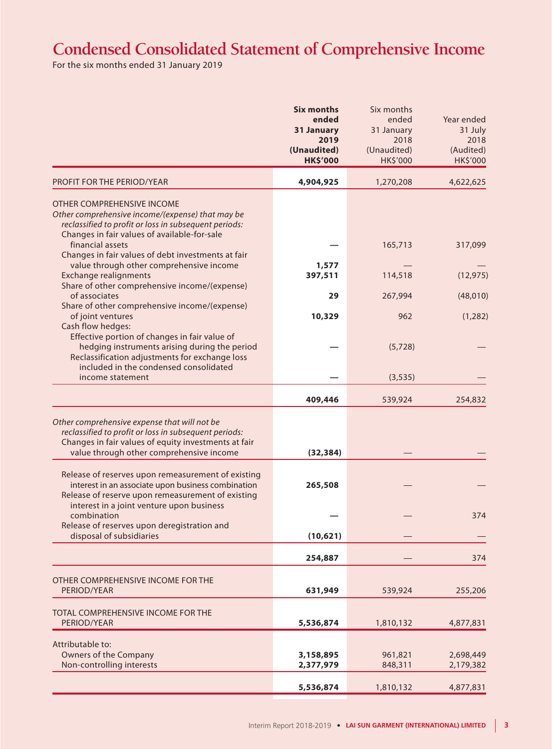# **Condensed Consolidated Statement of Comprehensive Income**

For the six months ended 31 January 2019

|                                                                                                                                                                                                           | <b>Six months</b><br>ended<br>31 January<br>2019<br>(Unaudited)<br><b>HK\$'000</b> | Six months<br>ended<br>31 January<br>2018<br>(Unaudited)<br>HK\$'000 | Year ended<br>31 July<br>2018<br>(Audited)<br>HK\$'000 |
|-----------------------------------------------------------------------------------------------------------------------------------------------------------------------------------------------------------|------------------------------------------------------------------------------------|----------------------------------------------------------------------|--------------------------------------------------------|
| PROFIT FOR THE PERIOD/YEAR                                                                                                                                                                                | 4,904,925                                                                          | 1,270,208                                                            | 4,622,625                                              |
| OTHER COMPREHENSIVE INCOME<br>Other comprehensive income/(expense) that may be<br>reclassified to profit or loss in subsequent periods:<br>Changes in fair values of available-for-sale                   |                                                                                    |                                                                      |                                                        |
| financial assets<br>Changes in fair values of debt investments at fair                                                                                                                                    |                                                                                    | 165,713                                                              | 317,099                                                |
| value through other comprehensive income<br><b>Exchange realignments</b><br>Share of other comprehensive income/(expense)                                                                                 | 1,577<br>397,511                                                                   | 114,518                                                              | (12, 975)                                              |
| of associates                                                                                                                                                                                             | 29                                                                                 | 267,994                                                              | (48, 010)                                              |
| Share of other comprehensive income/(expense)<br>of joint ventures<br>Cash flow hedges:                                                                                                                   | 10,329                                                                             | 962                                                                  | (1, 282)                                               |
| Effective portion of changes in fair value of<br>hedging instruments arising during the period<br>Reclassification adjustments for exchange loss<br>included in the condensed consolidated                |                                                                                    | (5,728)                                                              |                                                        |
| income statement                                                                                                                                                                                          |                                                                                    | (3, 535)                                                             |                                                        |
|                                                                                                                                                                                                           | 409,446                                                                            | 539,924                                                              | 254,832                                                |
| Other comprehensive expense that will not be<br>reclassified to profit or loss in subsequent periods:<br>Changes in fair values of equity investments at fair<br>value through other comprehensive income | (32, 384)                                                                          |                                                                      |                                                        |
| Release of reserves upon remeasurement of existing<br>interest in an associate upon business combination<br>Release of reserve upon remeasurement of existing                                             | 265,508                                                                            |                                                                      |                                                        |
| interest in a joint venture upon business<br>combination<br>Release of reserves upon deregistration and                                                                                                   |                                                                                    |                                                                      | 374                                                    |
| disposal of subsidiaries                                                                                                                                                                                  | (10,621)                                                                           |                                                                      |                                                        |
|                                                                                                                                                                                                           | 254,887                                                                            |                                                                      | 374                                                    |
| OTHER COMPREHENSIVE INCOME FOR THE<br>PERIOD/YEAR                                                                                                                                                         | 631,949                                                                            | 539,924                                                              | 255,206                                                |
| TOTAL COMPREHENSIVE INCOME FOR THE<br>PERIOD/YEAR                                                                                                                                                         | 5,536,874                                                                          | 1,810,132                                                            | 4,877,831                                              |
| Attributable to:<br>Owners of the Company<br>Non-controlling interests                                                                                                                                    | 3,158,895<br>2,377,979                                                             | 961,821<br>848,311                                                   | 2,698,449<br>2,179,382                                 |
|                                                                                                                                                                                                           | 5,536,874                                                                          | 1,810,132                                                            | 4,877,831                                              |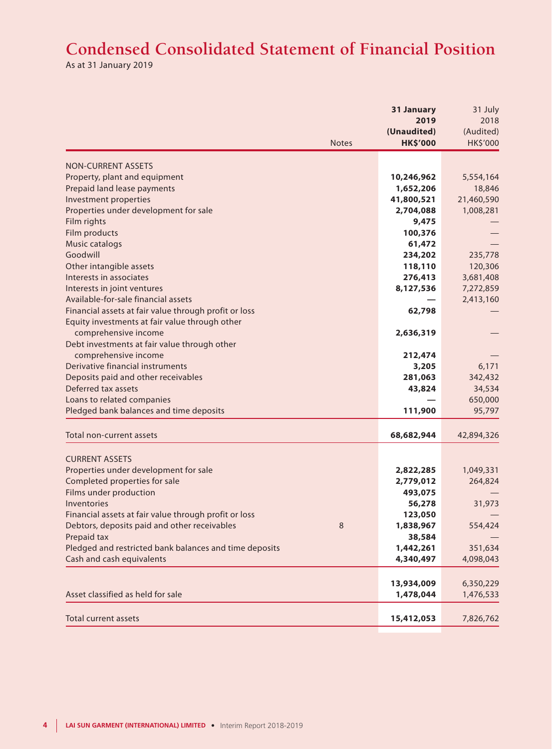# **Condensed Consolidated Statement of Financial Position**

As at 31 January 2019

|                                                         | 31 January      | 31 July    |
|---------------------------------------------------------|-----------------|------------|
|                                                         | 2019            | 2018       |
|                                                         | (Unaudited)     | (Audited)  |
| <b>Notes</b>                                            | <b>HK\$'000</b> | HK\$'000   |
| <b>NON-CURRENT ASSETS</b>                               |                 |            |
| Property, plant and equipment                           | 10,246,962      | 5,554,164  |
| Prepaid land lease payments                             | 1,652,206       | 18,846     |
| Investment properties                                   | 41,800,521      | 21,460,590 |
| Properties under development for sale                   | 2,704,088       | 1,008,281  |
| Film rights                                             | 9,475           |            |
| Film products                                           | 100,376         |            |
| Music catalogs                                          | 61,472          |            |
| Goodwill                                                | 234,202         | 235,778    |
| Other intangible assets                                 | 118,110         | 120,306    |
| Interests in associates                                 | 276,413         | 3,681,408  |
| Interests in joint ventures                             | 8,127,536       | 7,272,859  |
| Available-for-sale financial assets                     |                 | 2,413,160  |
| Financial assets at fair value through profit or loss   | 62,798          |            |
| Equity investments at fair value through other          |                 |            |
| comprehensive income                                    | 2,636,319       |            |
| Debt investments at fair value through other            |                 |            |
| comprehensive income                                    | 212,474         |            |
| Derivative financial instruments                        | 3,205           | 6,171      |
| Deposits paid and other receivables                     | 281,063         | 342,432    |
| Deferred tax assets                                     | 43,824          | 34,534     |
| Loans to related companies                              |                 | 650,000    |
| Pledged bank balances and time deposits                 | 111,900         | 95,797     |
|                                                         |                 |            |
| Total non-current assets                                | 68,682,944      | 42,894,326 |
|                                                         |                 |            |
| <b>CURRENT ASSETS</b>                                   |                 |            |
| Properties under development for sale                   | 2,822,285       | 1,049,331  |
| Completed properties for sale                           | 2,779,012       | 264,824    |
| Films under production                                  | 493,075         |            |
| Inventories                                             | 56,278          | 31,973     |
| Financial assets at fair value through profit or loss   | 123,050         |            |
| Debtors, deposits paid and other receivables<br>$\,8\,$ | 1,838,967       | 554,424    |
| Prepaid tax                                             | 38,584          |            |
| Pledged and restricted bank balances and time deposits  | 1,442,261       | 351,634    |
| Cash and cash equivalents                               | 4,340,497       | 4,098,043  |
|                                                         |                 |            |
|                                                         | 13,934,009      | 6,350,229  |
| Asset classified as held for sale                       | 1,478,044       | 1,476,533  |
|                                                         |                 |            |
| <b>Total current assets</b>                             | 15,412,053      | 7,826,762  |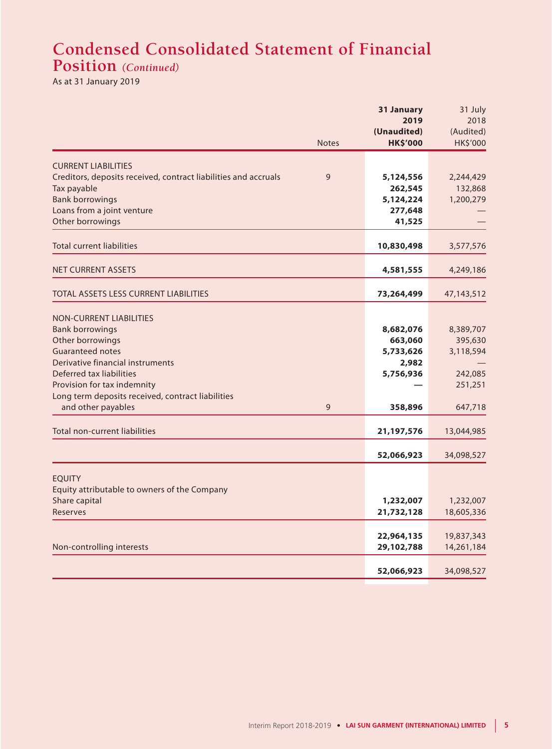# **Condensed Consolidated Statement of Financial Position** *(Continued)*

As at 31 January 2019

|                                                                                |              | 31 January               | 31 July                  |
|--------------------------------------------------------------------------------|--------------|--------------------------|--------------------------|
|                                                                                |              | 2019                     | 2018                     |
|                                                                                |              | (Unaudited)              | (Audited)                |
|                                                                                | <b>Notes</b> | <b>HK\$'000</b>          | HK\$'000                 |
|                                                                                |              |                          |                          |
| <b>CURRENT LIABILITIES</b>                                                     | 9            |                          |                          |
| Creditors, deposits received, contract liabilities and accruals<br>Tax payable |              | 5,124,556<br>262,545     | 2,244,429                |
| <b>Bank borrowings</b>                                                         |              | 5,124,224                | 132,868<br>1,200,279     |
| Loans from a joint venture                                                     |              | 277,648                  |                          |
| Other borrowings                                                               |              | 41,525                   |                          |
|                                                                                |              |                          |                          |
| <b>Total current liabilities</b>                                               |              | 10,830,498               | 3,577,576                |
|                                                                                |              |                          |                          |
| <b>NET CURRENT ASSETS</b>                                                      |              | 4,581,555                | 4,249,186                |
| <b>TOTAL ASSETS LESS CURRENT LIABILITIES</b>                                   |              | 73,264,499               | 47,143,512               |
|                                                                                |              |                          |                          |
| <b>NON-CURRENT LIABILITIES</b>                                                 |              |                          |                          |
| <b>Bank borrowings</b>                                                         |              | 8,682,076                | 8,389,707                |
| Other borrowings                                                               |              | 663,060                  | 395,630                  |
| <b>Guaranteed notes</b>                                                        |              | 5,733,626                | 3,118,594                |
| Derivative financial instruments                                               |              | 2,982                    |                          |
| Deferred tax liabilities<br>Provision for tax indemnity                        |              | 5,756,936                | 242,085<br>251,251       |
| Long term deposits received, contract liabilities                              |              |                          |                          |
| and other payables                                                             | 9            | 358,896                  | 647,718                  |
|                                                                                |              |                          |                          |
| <b>Total non-current liabilities</b>                                           |              | 21,197,576               | 13,044,985               |
|                                                                                |              | 52,066,923               | 34,098,527               |
|                                                                                |              |                          |                          |
| <b>EQUITY</b>                                                                  |              |                          |                          |
| Equity attributable to owners of the Company                                   |              |                          |                          |
| Share capital                                                                  |              | 1,232,007                | 1,232,007                |
| Reserves                                                                       |              | 21,732,128               | 18,605,336               |
|                                                                                |              |                          |                          |
| Non-controlling interests                                                      |              | 22,964,135<br>29,102,788 | 19,837,343<br>14,261,184 |
|                                                                                |              |                          |                          |
|                                                                                |              | 52,066,923               | 34,098,527               |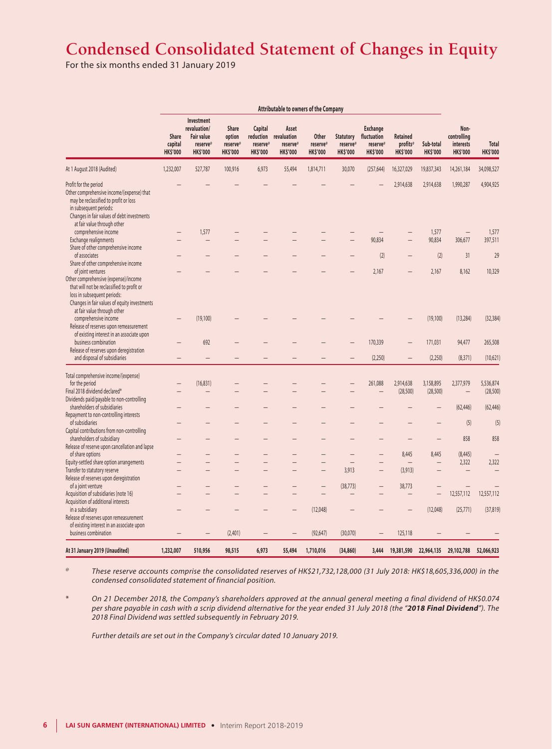# **Condensed Consolidated Statement of Changes in Equity**

For the six months ended 31 January 2019

|                                                                                                                                                                                                                    | Attributable to owners of the Company      |                                                                                |                                                       |                                                     |                                                     |                                      |                                                 |                                                               |                                                |                              |                                                     |                                 |
|--------------------------------------------------------------------------------------------------------------------------------------------------------------------------------------------------------------------|--------------------------------------------|--------------------------------------------------------------------------------|-------------------------------------------------------|-----------------------------------------------------|-----------------------------------------------------|--------------------------------------|-------------------------------------------------|---------------------------------------------------------------|------------------------------------------------|------------------------------|-----------------------------------------------------|---------------------------------|
|                                                                                                                                                                                                                    | <b>Share</b><br>capital<br><b>HK\$'000</b> | Investment<br>revaluation/<br><b>Fair value</b><br>reserve®<br><b>HK\$'000</b> | <b>Share</b><br>option<br>reserve®<br><b>HK\$'000</b> | Capital<br>reduction<br>reserve®<br><b>HK\$'000</b> | Asset<br>revaluation<br>reserve®<br><b>HK\$'000</b> | Other<br>reserve®<br><b>HK\$'000</b> | <b>Statutory</b><br>reserve®<br><b>HK\$'000</b> | <b>Exchange</b><br>fluctuation<br>reserve®<br><b>HK\$'000</b> | <b>Retained</b><br>profits®<br><b>HK\$'000</b> | Sub-total<br><b>HK\$'000</b> | Non-<br>controlling<br>interests<br><b>HK\$'000</b> | <b>Total</b><br><b>HK\$'000</b> |
| At 1 August 2018 (Audited)                                                                                                                                                                                         | 1,232,007                                  | 527,787                                                                        | 100,916                                               | 6,973                                               | 55,494                                              | 1,814,711                            | 30,070                                          | (257, 644)                                                    | 16,327,029                                     | 19,837,343                   | 14,261,184                                          | 34,098,527                      |
| Profit for the period<br>Other comprehensive income/(expense) that<br>may be reclassified to profit or loss<br>in subsequent periods:<br>Changes in fair values of debt investments<br>at fair value through other |                                            |                                                                                |                                                       |                                                     |                                                     |                                      |                                                 |                                                               | 2,914,638                                      | 2,914,638                    | 1,990,287                                           | 4,904,925                       |
| comprehensive income                                                                                                                                                                                               |                                            | 1,577                                                                          |                                                       |                                                     |                                                     |                                      |                                                 |                                                               |                                                | 1,577                        |                                                     | 1,577                           |
| Exchange realignments<br>Share of other comprehensive income                                                                                                                                                       |                                            |                                                                                |                                                       |                                                     |                                                     |                                      |                                                 | 90,834                                                        |                                                | 90,834                       | 306,677                                             | 397,511                         |
| of associates<br>Share of other comprehensive income                                                                                                                                                               |                                            |                                                                                |                                                       |                                                     |                                                     |                                      |                                                 | (2)                                                           |                                                | (2)                          | 31                                                  | 29                              |
| of joint ventures<br>Other comprehensive (expense)/income<br>that will not be reclassified to profit or<br>loss in subsequent periods:<br>Changes in fair values of equity investments                             |                                            |                                                                                |                                                       |                                                     |                                                     |                                      |                                                 | 2,167                                                         |                                                | 2,167                        | 8,162                                               | 10,329                          |
| at fair value through other<br>comprehensive income<br>Release of reserves upon remeasurement<br>of existing interest in an associate upon                                                                         |                                            | (19, 100)                                                                      |                                                       |                                                     |                                                     |                                      |                                                 |                                                               |                                                | (19, 100)                    | (13, 284)                                           | (32, 384)                       |
| business combination<br>Release of reserves upon deregistration                                                                                                                                                    |                                            | 692                                                                            |                                                       |                                                     |                                                     |                                      |                                                 | 170,339                                                       |                                                | 171,031                      | 94,477                                              | 265,508                         |
| and disposal of subsidiaries                                                                                                                                                                                       |                                            | -                                                                              |                                                       |                                                     |                                                     |                                      |                                                 | (2,250)                                                       |                                                | (2,250)                      | (8, 371)                                            | (10,621)                        |
| Total comprehensive income/(expense)                                                                                                                                                                               |                                            |                                                                                |                                                       |                                                     |                                                     |                                      |                                                 |                                                               |                                                |                              |                                                     |                                 |
| for the period                                                                                                                                                                                                     |                                            | (16, 831)                                                                      |                                                       |                                                     |                                                     |                                      |                                                 | 261,088                                                       | 2,914,638                                      | 3,158,895                    | 2,377,979                                           | 5,536,874                       |
| Final 2018 dividend declared*<br>Dividends paid/payable to non-controlling                                                                                                                                         |                                            |                                                                                |                                                       |                                                     |                                                     |                                      |                                                 |                                                               | (28, 500)                                      | (28, 500)                    |                                                     | (28, 500)                       |
| shareholders of subsidiaries<br>Repayment to non-controlling interests                                                                                                                                             |                                            |                                                                                |                                                       |                                                     |                                                     |                                      |                                                 |                                                               |                                                | -                            | (62, 446)                                           | (62, 446)                       |
| of subsidiaries<br>Capital contributions from non-controlling                                                                                                                                                      |                                            |                                                                                |                                                       |                                                     |                                                     |                                      |                                                 |                                                               |                                                |                              | (5)                                                 | (5)                             |
| shareholders of subsidiary                                                                                                                                                                                         |                                            |                                                                                |                                                       |                                                     |                                                     |                                      |                                                 |                                                               |                                                | —                            | 858                                                 | 858                             |
| Release of reserve upon cancellation and lapse                                                                                                                                                                     |                                            |                                                                                |                                                       |                                                     |                                                     |                                      |                                                 |                                                               |                                                |                              |                                                     |                                 |
| of share options                                                                                                                                                                                                   |                                            |                                                                                |                                                       |                                                     |                                                     |                                      |                                                 |                                                               | 8,445                                          | 8,445                        | (8, 445)                                            |                                 |
| Equity-settled share option arrangements                                                                                                                                                                           |                                            |                                                                                | $\overline{\phantom{0}}$                              |                                                     | $\overline{\phantom{0}}$                            |                                      | $\qquad \qquad$                                 |                                                               | -                                              | $\overline{\phantom{0}}$     | 2,322                                               | 2,322                           |
| Transfer to statutory reserve                                                                                                                                                                                      |                                            |                                                                                |                                                       |                                                     |                                                     |                                      | 3,913                                           |                                                               | (3, 913)                                       |                              |                                                     |                                 |
| Release of reserves upon deregistration<br>of a joint venture                                                                                                                                                      |                                            |                                                                                |                                                       |                                                     |                                                     |                                      |                                                 |                                                               |                                                |                              |                                                     |                                 |
| Acquisition of subsidiaries (note 16)                                                                                                                                                                              |                                            |                                                                                |                                                       |                                                     |                                                     | $\qquad \qquad -$                    | (38, 773)                                       | -                                                             | 38,773                                         | $\overline{\phantom{0}}$     | 12,557,112                                          | 12,557,112                      |
| Acquisition of additional interests                                                                                                                                                                                |                                            |                                                                                |                                                       |                                                     |                                                     |                                      |                                                 |                                                               |                                                |                              |                                                     |                                 |
| in a subsidiary                                                                                                                                                                                                    |                                            |                                                                                |                                                       |                                                     |                                                     | (12,048)                             |                                                 |                                                               |                                                | (12,048)                     | (25, 771)                                           | (37, 819)                       |
| Release of reserves upon remeasurement<br>of existing interest in an associate upon                                                                                                                                |                                            |                                                                                |                                                       |                                                     |                                                     |                                      |                                                 |                                                               |                                                |                              |                                                     |                                 |
| business combination                                                                                                                                                                                               |                                            |                                                                                | (2,401)                                               |                                                     |                                                     | (92, 647)                            | (30,070)                                        |                                                               | 125,118                                        |                              |                                                     |                                 |
| At 31 January 2019 (Unaudited)                                                                                                                                                                                     | 1,232,007                                  | 510,956                                                                        | 98,515                                                | 6,973                                               | 55,494                                              | 1,710,016                            | (34, 860)                                       | 3,444                                                         | 19,381,590                                     | 22,964,135                   | 29,102,788                                          | 52,066,923                      |

These reserve accounts comprise the consolidated reserves of HK\$21,732,128,000 (31 July 2018: HK\$18,605,336,000) in the *condensed consolidated statement of financial position.*

\* *On 21 December 2018, the Company's shareholders approved at the annual general meeting a final dividend of HK\$0.074 per share payable in cash with a scrip dividend alternative for the year ended 31 July 2018 (the "2018 Final Dividend"). The 2018 Final Dividend was settled subsequently in February 2019.*

*Further details are set out in the Company's circular dated 10 January 2019.*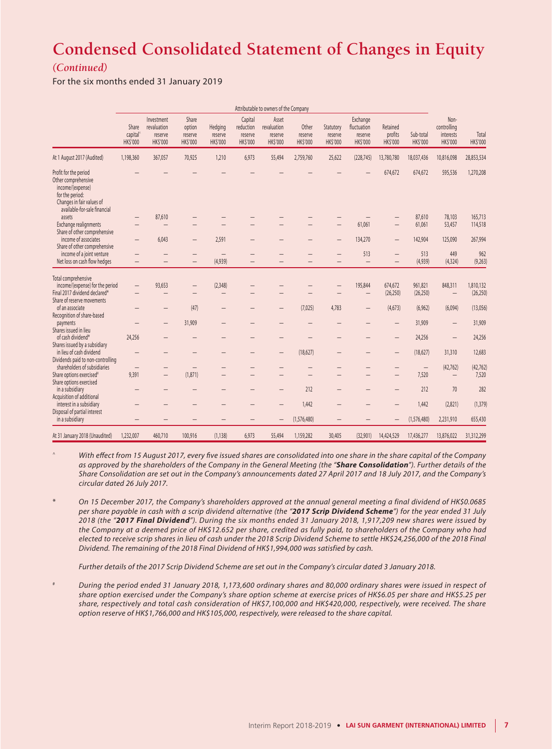# **Condensed Consolidated Statement of Changes in Equity**

# *(Continued)*

For the six months ended 31 January 2019

|                                                                                                                                                  | Attributable to owners of the Company     |                                                         |                                               |                                      |                                                   |                                                    |                                     |                                        |                                                       |                                        |                              |                                                    |                          |
|--------------------------------------------------------------------------------------------------------------------------------------------------|-------------------------------------------|---------------------------------------------------------|-----------------------------------------------|--------------------------------------|---------------------------------------------------|----------------------------------------------------|-------------------------------------|----------------------------------------|-------------------------------------------------------|----------------------------------------|------------------------------|----------------------------------------------------|--------------------------|
|                                                                                                                                                  | Share<br>capital <sup>'</sup><br>HK\$'000 | Investment<br>revaluation<br>reserve<br><b>HK\$'000</b> | Share<br>option<br>reserve<br><b>HK\$'000</b> | Hedging<br>reserve<br><b>HKS'000</b> | Capital<br>reduction<br>reserve<br><b>HKS'000</b> | Asset<br>revaluation<br>reserve<br><b>HK\$'000</b> | Other<br>reserve<br><b>HK\$'000</b> | Statutory<br>reserve<br><b>HKS'000</b> | Exchange<br>fluctuation<br>reserve<br><b>HK\$'000</b> | Retained<br>profits<br><b>HK\$'000</b> | Sub-total<br><b>HK\$'000</b> | Non-<br>controlling<br>interests<br><b>HKS'000</b> | Total<br><b>HK\$'000</b> |
| At 1 August 2017 (Audited)                                                                                                                       | 1,198,360                                 | 367,057                                                 | 70,925                                        | 1,210                                | 6,973                                             | 55,494                                             | 2,759,760                           | 25,622                                 | (228, 745)                                            | 13,780,780                             | 18,037,436                   | 10,816,098                                         | 28,853,534               |
| Profit for the period<br>Other comprehensive<br>income/(expense)<br>for the period:<br>Changes in fair values of<br>available-for-sale financial |                                           |                                                         |                                               |                                      |                                                   |                                                    |                                     |                                        |                                                       | 674,672                                | 674,672                      | 595,536                                            | 1,270,208                |
| assets<br>Exchange realignments<br>Share of other comprehensive                                                                                  |                                           | 87,610                                                  |                                               |                                      |                                                   |                                                    |                                     |                                        | 61,061                                                |                                        | 87,610<br>61,061             | 78,103<br>53,457                                   | 165,713<br>114,518       |
| income of associates<br>Share of other comprehensive                                                                                             | —                                         | 6,043                                                   | -                                             | 2,591                                |                                                   |                                                    |                                     |                                        | 134,270                                               |                                        | 142,904                      | 125,090                                            | 267,994                  |
| income of a joint venture<br>Net loss on cash flow hedges                                                                                        | —                                         |                                                         | -<br>$\overline{\phantom{0}}$                 | $\qquad \qquad -$<br>(4,939)         |                                                   |                                                    |                                     |                                        | 513<br>$\equiv$                                       |                                        | 513<br>(4,939)               | 449<br>(4, 324)                                    | 962<br>(9,263)           |
| Total comprehensive<br>income/(expense) for the period<br>Final 2017 dividend declared*                                                          | —                                         | 93,653                                                  | -                                             | (2,348)                              |                                                   |                                                    |                                     |                                        | 195,844<br>-                                          | 674,672<br>(26, 250)                   | 961,821<br>(26, 250)         | 848,311                                            | 1,810,132<br>(26, 250)   |
| Share of reserve movements<br>of an associate<br>Recognition of share-based                                                                      |                                           |                                                         | (47)                                          | -                                    |                                                   |                                                    | (7,025)                             | 4,783                                  | -                                                     | (4,673)                                | (6,962)                      | (6,094)                                            | (13,056)                 |
| payments<br>Shares issued in lieu                                                                                                                |                                           | -                                                       | 31,909                                        |                                      |                                                   |                                                    |                                     |                                        |                                                       |                                        | 31,909                       | $\qquad \qquad -$                                  | 31,909                   |
| of cash dividend*<br>Shares issued by a subsidiary                                                                                               | 24,256                                    |                                                         |                                               |                                      |                                                   |                                                    |                                     |                                        |                                                       |                                        | 24,256                       | $\qquad \qquad -$                                  | 24,256                   |
| in lieu of cash dividend<br>Dividends paid to non-controlling                                                                                    | -                                         |                                                         |                                               |                                      |                                                   |                                                    | (18,627)                            |                                        |                                                       |                                        | (18,627)                     | 31,310                                             | 12,683                   |
| shareholders of subsidiaries<br>Share options exercised <sup>#</sup>                                                                             | -<br>9,391                                | $\qquad \qquad -$<br>$\overline{\phantom{0}}$           | (1,871)                                       | —                                    |                                                   |                                                    | -                                   | —                                      |                                                       |                                        | $\qquad \qquad -$<br>7,520   | (42, 762)                                          | (42, 762)<br>7,520       |
| Share options exercised<br>in a subsidiary<br>Acquisition of additional                                                                          |                                           |                                                         |                                               |                                      |                                                   |                                                    | 212                                 |                                        |                                                       |                                        | 212                          | 70                                                 | 282                      |
| interest in a subsidiary<br>Disposal of partial interest                                                                                         | -                                         |                                                         |                                               |                                      |                                                   |                                                    | 1,442                               |                                        |                                                       |                                        | 1,442                        | (2,821)                                            | (1, 379)                 |
| in a subsidiary                                                                                                                                  |                                           |                                                         |                                               |                                      |                                                   | $\qquad \qquad -$                                  | (1,576,480)                         |                                        |                                                       | $\qquad \qquad -$                      | (1,576,480)                  | 2,231,910                                          | 655,430                  |
| At 31 January 2018 (Unaudited)                                                                                                                   | 1,232,007                                 | 460,710                                                 | 100,916                                       | (1, 138)                             | 6,973                                             | 55,494                                             | 1,159,282                           | 30,405                                 | (32,901)                                              | 14,424,529                             | 17,436,277                   | 13,876,022                                         | 31,312,299               |

^ *With effect from 15 August 2017, every five issued shares are consolidated into one share in the share capital of the Company as approved by the shareholders of the Company in the General Meeting (the "Share Consolidation"). Further details of the Share Consolidation are set out in the Company's announcements dated 27 April 2017 and 18 July 2017, and the Company's circular dated 26 July 2017.*

\* *On 15 December 2017, the Company's shareholders approved at the annual general meeting a final dividend of HK\$0.0685 per share payable in cash with a scrip dividend alternative (the "2017 Scrip Dividend Scheme") for the year ended 31 July 2018 (the "2017 Final Dividend"). During the six months ended 31 January 2018, 1,917,209 new shares were issued by the Company at a deemed price of HK\$12.652 per share, credited as fully paid, to shareholders of the Company who had elected to receive scrip shares in lieu of cash under the 2018 Scrip Dividend Scheme to settle HK\$24,256,000 of the 2018 Final Dividend. The remaining of the 2018 Final Dividend of HK\$1,994,000 was satisfied by cash.*

*Further details of the 2017 Scrip Dividend Scheme are set out in the Company's circular dated 3 January 2018.*

# *During the period ended 31 January 2018, 1,173,600 ordinary shares and 80,000 ordinary shares were issued in respect of share option exercised under the Company's share option scheme at exercise prices of HK\$6.05 per share and HK\$5.25 per share, respectively and total cash consideration of HK\$7,100,000 and HK\$420,000, respectively, were received. The share option reserve of HK\$1,766,000 and HK\$105,000, respectively, were released to the share capital.*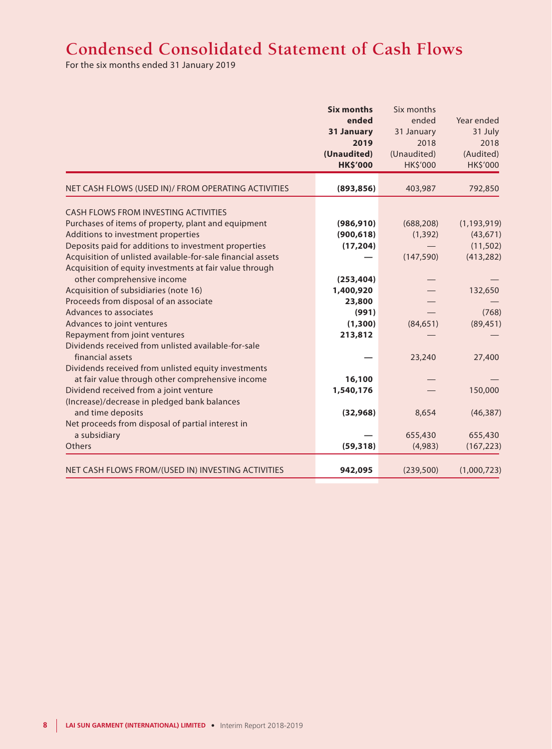# **Condensed Consolidated Statement of Cash Flows**

For the six months ended 31 January 2019

|                                                                         | <b>Six months</b> | Six months  |                 |
|-------------------------------------------------------------------------|-------------------|-------------|-----------------|
|                                                                         | ended             | ended       | Year ended      |
|                                                                         | 31 January        | 31 January  | 31 July         |
|                                                                         | 2019              | 2018        | 2018            |
|                                                                         | (Unaudited)       | (Unaudited) | (Audited)       |
|                                                                         | <b>HK\$'000</b>   | HK\$'000    | <b>HK\$'000</b> |
| NET CASH FLOWS (USED IN)/ FROM OPERATING ACTIVITIES                     | (893, 856)        | 403,987     | 792,850         |
|                                                                         |                   |             |                 |
| CASH FLOWS FROM INVESTING ACTIVITIES                                    |                   |             |                 |
| Purchases of items of property, plant and equipment                     | (986, 910)        | (688, 208)  | (1, 193, 919)   |
| Additions to investment properties                                      | (900, 618)        | (1, 392)    | (43, 671)       |
| Deposits paid for additions to investment properties                    | (17, 204)         |             | (11, 502)       |
| Acquisition of unlisted available-for-sale financial assets             |                   | (147, 590)  | (413, 282)      |
| Acquisition of equity investments at fair value through                 |                   |             |                 |
| other comprehensive income                                              | (253, 404)        |             |                 |
| Acquisition of subsidiaries (note 16)                                   | 1,400,920         |             | 132,650         |
| Proceeds from disposal of an associate                                  | 23,800            |             |                 |
| Advances to associates                                                  | (991)             |             | (768)           |
| Advances to joint ventures                                              | (1,300)           | (84, 651)   | (89, 451)       |
| Repayment from joint ventures                                           | 213,812           |             |                 |
| Dividends received from unlisted available-for-sale<br>financial assets |                   | 23,240      | 27,400          |
| Dividends received from unlisted equity investments                     |                   |             |                 |
| at fair value through other comprehensive income                        | 16,100            |             |                 |
| Dividend received from a joint venture                                  | 1,540,176         |             | 150,000         |
| (Increase)/decrease in pledged bank balances                            |                   |             |                 |
| and time deposits                                                       | (32, 968)         | 8,654       | (46, 387)       |
| Net proceeds from disposal of partial interest in                       |                   |             |                 |
| a subsidiary                                                            |                   | 655,430     | 655,430         |
| Others                                                                  | (59, 318)         | (4,983)     | (167, 223)      |
| NET CASH FLOWS FROM/(USED IN) INVESTING ACTIVITIES                      | 942,095           | (239, 500)  | (1,000,723)     |
|                                                                         |                   |             |                 |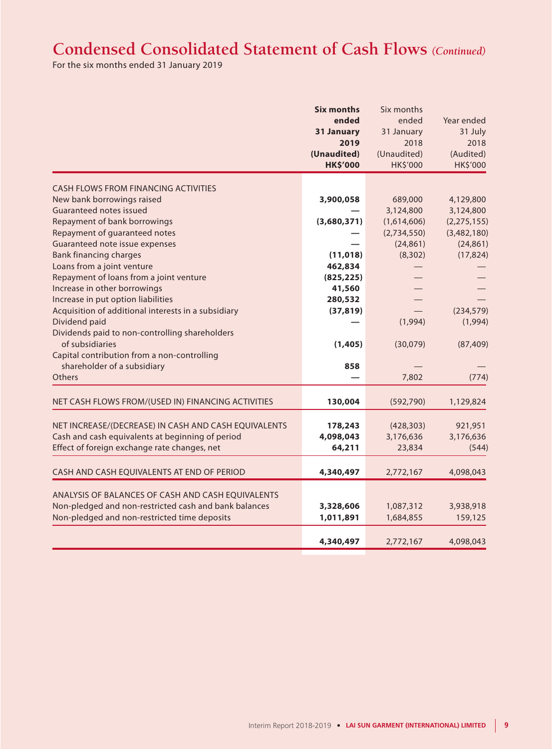# **Condensed Consolidated Statement of Cash Flows** *(Continued)*

For the six months ended 31 January 2019

|                                                       | <b>Six months</b> | Six months  |               |
|-------------------------------------------------------|-------------------|-------------|---------------|
|                                                       | ended             | ended       | Year ended    |
|                                                       | 31 January        | 31 January  | 31 July       |
|                                                       | 2019              | 2018        | 2018          |
|                                                       | (Unaudited)       | (Unaudited) | (Audited)     |
|                                                       | <b>HK\$'000</b>   | HK\$'000    | HK\$'000      |
| <b>CASH FLOWS FROM FINANCING ACTIVITIES</b>           |                   |             |               |
| New bank borrowings raised                            | 3,900,058         | 689,000     | 4,129,800     |
| Guaranteed notes issued                               |                   | 3,124,800   | 3,124,800     |
| Repayment of bank borrowings                          | (3,680,371)       | (1,614,606) | (2, 275, 155) |
| Repayment of guaranteed notes                         |                   | (2,734,550) | (3,482,180)   |
| Guaranteed note issue expenses                        |                   | (24, 861)   | (24, 861)     |
| <b>Bank financing charges</b>                         | (11, 018)         | (8, 302)    | (17, 824)     |
| Loans from a joint venture                            | 462,834           |             |               |
| Repayment of loans from a joint venture               | (825, 225)        |             |               |
| Increase in other borrowings                          | 41,560            |             |               |
| Increase in put option liabilities                    | 280,532           |             |               |
| Acquisition of additional interests in a subsidiary   | (37, 819)         |             | (234, 579)    |
| Dividend paid                                         |                   | (1,994)     | (1,994)       |
| Dividends paid to non-controlling shareholders        |                   |             |               |
| of subsidiaries                                       | (1,405)           | (30,079)    | (87, 409)     |
| Capital contribution from a non-controlling           |                   |             |               |
| shareholder of a subsidiary                           | 858               |             |               |
| Others                                                |                   | 7,802       | (774)         |
| NET CASH FLOWS FROM/(USED IN) FINANCING ACTIVITIES    | 130,004           | (592, 790)  | 1,129,824     |
|                                                       |                   |             |               |
| NET INCREASE/(DECREASE) IN CASH AND CASH EQUIVALENTS  | 178,243           | (428, 303)  | 921,951       |
| Cash and cash equivalents at beginning of period      | 4,098,043         | 3,176,636   | 3,176,636     |
| Effect of foreign exchange rate changes, net          | 64,211            | 23,834      | (544)         |
| CASH AND CASH EQUIVALENTS AT END OF PERIOD            | 4,340,497         | 2,772,167   | 4,098,043     |
| ANALYSIS OF BALANCES OF CASH AND CASH EQUIVALENTS     |                   |             |               |
| Non-pledged and non-restricted cash and bank balances | 3,328,606         | 1,087,312   | 3,938,918     |
| Non-pledged and non-restricted time deposits          | 1,011,891         | 1,684,855   | 159,125       |
|                                                       |                   |             |               |
|                                                       | 4,340,497         | 2,772,167   | 4,098,043     |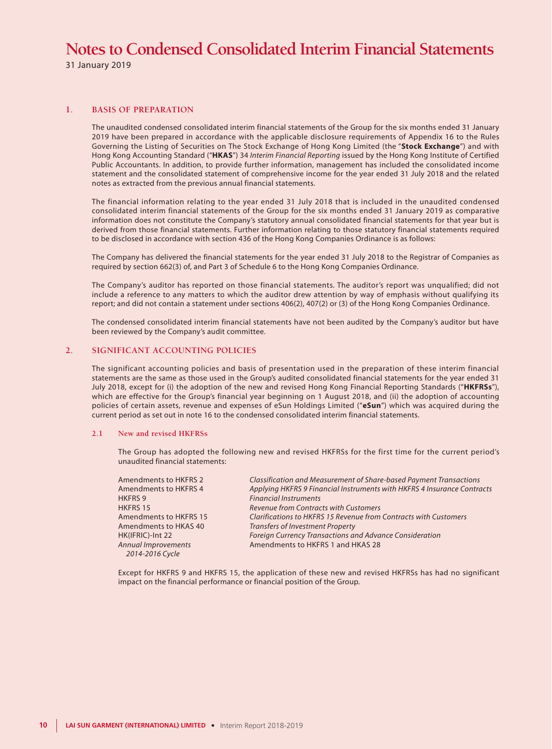31 January 2019

### **1. BASIS OF PREPARATION**

The unaudited condensed consolidated interim financial statements of the Group for the six months ended 31 January 2019 have been prepared in accordance with the applicable disclosure requirements of Appendix 16 to the Rules Governing the Listing of Securities on The Stock Exchange of Hong Kong Limited (the "**Stock Exchange**") and with Hong Kong Accounting Standard ("**HKAS**") 34 *Interim Financial Reporting* issued by the Hong Kong Institute of Certified Public Accountants. In addition, to provide further information, management has included the consolidated income statement and the consolidated statement of comprehensive income for the year ended 31 July 2018 and the related notes as extracted from the previous annual financial statements.

The financial information relating to the year ended 31 July 2018 that is included in the unaudited condensed consolidated interim financial statements of the Group for the six months ended 31 January 2019 as comparative information does not constitute the Company's statutory annual consolidated financial statements for that year but is derived from those financial statements. Further information relating to those statutory financial statements required to be disclosed in accordance with section 436 of the Hong Kong Companies Ordinance is as follows:

The Company has delivered the financial statements for the year ended 31 July 2018 to the Registrar of Companies as required by section 662(3) of, and Part 3 of Schedule 6 to the Hong Kong Companies Ordinance.

The Company's auditor has reported on those financial statements. The auditor's report was unqualified; did not include a reference to any matters to which the auditor drew attention by way of emphasis without qualifying its report; and did not contain a statement under sections 406(2), 407(2) or (3) of the Hong Kong Companies Ordinance.

The condensed consolidated interim financial statements have not been audited by the Company's auditor but have been reviewed by the Company's audit committee.

### **2. SIGNIFICANT ACCOUNTING POLICIES**

The significant accounting policies and basis of presentation used in the preparation of these interim financial statements are the same as those used in the Group's audited consolidated financial statements for the year ended 31 July 2018, except for (i) the adoption of the new and revised Hong Kong Financial Reporting Standards ("**HKFRSs**"), which are effective for the Group's financial year beginning on 1 August 2018, and (ii) the adoption of accounting policies of certain assets, revenue and expenses of eSun Holdings Limited ("**eSun**") which was acquired during the current period as set out in note 16 to the condensed consolidated interim financial statements.

#### **2.1 New and revised HKFRSs**

The Group has adopted the following new and revised HKFRSs for the first time for the current period's unaudited financial statements:

| <b>Amendments to HKFRS 2</b> | Classification and Measurement of Share-based Payment Transactions      |
|------------------------------|-------------------------------------------------------------------------|
| <b>Amendments to HKFRS 4</b> | Applying HKFRS 9 Financial Instruments with HKFRS 4 Insurance Contracts |
| <b>HKFRS 9</b>               | <b>Financial Instruments</b>                                            |
| <b>HKFRS 15</b>              | <b>Revenue from Contracts with Customers</b>                            |
| Amendments to HKFRS 15       | Clarifications to HKFRS 15 Revenue from Contracts with Customers        |
| Amendments to HKAS 40        | <b>Transfers of Investment Property</b>                                 |
| HK(IFRIC)-Int 22             | Foreign Currency Transactions and Advance Consideration                 |
| Annual Improvements          | Amendments to HKFRS 1 and HKAS 28                                       |
| 2014-2016 Cycle              |                                                                         |

Except for HKFRS 9 and HKFRS 15, the application of these new and revised HKFRSs has had no significant impact on the financial performance or financial position of the Group.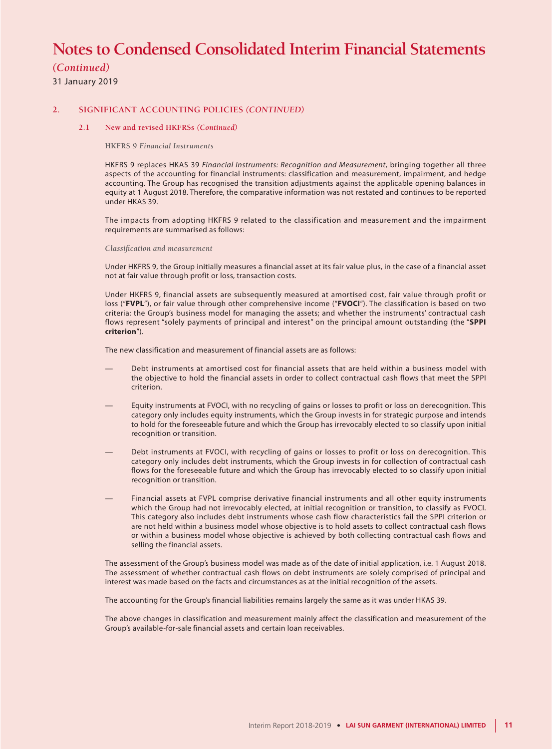# *(Continued)*

31 January 2019

### **2. SIGNIFICANT ACCOUNTING POLICIES** *(CONTINUED)*

### **2.1 New and revised HKFRSs** *(Continued)*

**HKFRS 9** *Financial Instruments*

HKFRS 9 replaces HKAS 39 *Financial Instruments: Recognition and Measurement*, bringing together all three aspects of the accounting for financial instruments: classification and measurement, impairment, and hedge accounting. The Group has recognised the transition adjustments against the applicable opening balances in equity at 1 August 2018. Therefore, the comparative information was not restated and continues to be reported under HKAS 39.

The impacts from adopting HKFRS 9 related to the classification and measurement and the impairment requirements are summarised as follows:

*Classification and measurement*

Under HKFRS 9, the Group initially measures a financial asset at its fair value plus, in the case of a financial asset not at fair value through profit or loss, transaction costs.

Under HKFRS 9, financial assets are subsequently measured at amortised cost, fair value through profit or loss ("**FVPL**"), or fair value through other comprehensive income ("**FVOCI**"). The classification is based on two criteria: the Group's business model for managing the assets; and whether the instruments' contractual cash flows represent "solely payments of principal and interest" on the principal amount outstanding (the "**SPPI criterion**").

The new classification and measurement of financial assets are as follows:

- Debt instruments at amortised cost for financial assets that are held within a business model with the objective to hold the financial assets in order to collect contractual cash flows that meet the SPPI criterion.
- Equity instruments at FVOCI, with no recycling of gains or losses to profit or loss on derecognition. This category only includes equity instruments, which the Group invests in for strategic purpose and intends to hold for the foreseeable future and which the Group has irrevocably elected to so classify upon initial recognition or transition.
- Debt instruments at FVOCI, with recycling of gains or losses to profit or loss on derecognition. This category only includes debt instruments, which the Group invests in for collection of contractual cash flows for the foreseeable future and which the Group has irrevocably elected to so classify upon initial recognition or transition.
- Financial assets at FVPL comprise derivative financial instruments and all other equity instruments which the Group had not irrevocably elected, at initial recognition or transition, to classify as FVOCI. This category also includes debt instruments whose cash flow characteristics fail the SPPI criterion or are not held within a business model whose objective is to hold assets to collect contractual cash flows or within a business model whose objective is achieved by both collecting contractual cash flows and selling the financial assets.

The assessment of the Group's business model was made as of the date of initial application, i.e. 1 August 2018. The assessment of whether contractual cash flows on debt instruments are solely comprised of principal and interest was made based on the facts and circumstances as at the initial recognition of the assets.

The accounting for the Group's financial liabilities remains largely the same as it was under HKAS 39.

The above changes in classification and measurement mainly affect the classification and measurement of the Group's available-for-sale financial assets and certain loan receivables.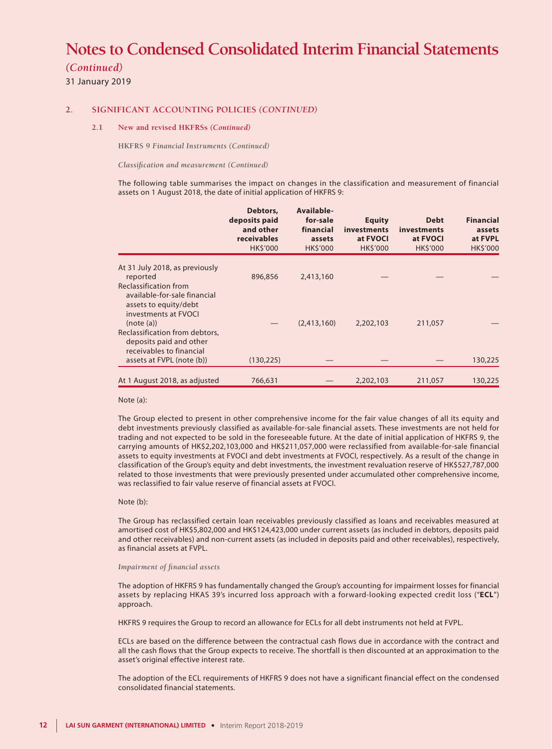## *(Continued)*

31 January 2019

### **2. SIGNIFICANT ACCOUNTING POLICIES** *(CONTINUED)*

### **2.1 New and revised HKFRSs** *(Continued)*

**HKFRS 9** *Financial Instruments (Continued)*

*Classification and measurement (Continued)*

The following table summarises the impact on changes in the classification and measurement of financial assets on 1 August 2018, the date of initial application of HKFRS 9:

|                                                                                                                     | Debtors,<br>deposits paid<br>and other<br>receivables<br><b>HKS'000</b> | Available-<br>for-sale<br>financial<br>assets<br><b>HKS'000</b> | <b>Equity</b><br>investments<br>at FVOCI<br><b>HKS'000</b> | <b>Debt</b><br>investments<br>at FVOCI<br><b>HK\$'000</b> | <b>Financial</b><br>assets<br>at FVPL<br><b>HK\$'000</b> |
|---------------------------------------------------------------------------------------------------------------------|-------------------------------------------------------------------------|-----------------------------------------------------------------|------------------------------------------------------------|-----------------------------------------------------------|----------------------------------------------------------|
| At 31 July 2018, as previously<br>reported                                                                          | 896,856                                                                 | 2,413,160                                                       |                                                            |                                                           |                                                          |
| Reclassification from<br>available-for-sale financial<br>assets to equity/debt<br>investments at FVOCI<br>(note(a)) |                                                                         | (2,413,160)                                                     | 2,202,103                                                  | 211,057                                                   |                                                          |
| Reclassification from debtors,<br>deposits paid and other<br>receivables to financial<br>assets at FVPL (note (b))  | (130, 225)                                                              |                                                                 |                                                            |                                                           | 130,225                                                  |
| At 1 August 2018, as adjusted                                                                                       | 766,631                                                                 |                                                                 | 2,202,103                                                  | 211,057                                                   | 130,225                                                  |

#### Note (a):

The Group elected to present in other comprehensive income for the fair value changes of all its equity and debt investments previously classified as available-for-sale financial assets. These investments are not held for trading and not expected to be sold in the foreseeable future. At the date of initial application of HKFRS 9, the carrying amounts of HK\$2,202,103,000 and HK\$211,057,000 were reclassified from available-for-sale financial assets to equity investments at FVOCI and debt investments at FVOCI, respectively. As a result of the change in classification of the Group's equity and debt investments, the investment revaluation reserve of HK\$527,787,000 related to those investments that were previously presented under accumulated other comprehensive income, was reclassified to fair value reserve of financial assets at FVOCI.

#### Note (b):

The Group has reclassified certain loan receivables previously classified as loans and receivables measured at amortised cost of HK\$5,802,000 and HK\$124,423,000 under current assets (as included in debtors, deposits paid and other receivables) and non-current assets (as included in deposits paid and other receivables), respectively, as financial assets at FVPL.

#### *Impairment of financial assets*

The adoption of HKFRS 9 has fundamentally changed the Group's accounting for impairment losses for financial assets by replacing HKAS 39's incurred loss approach with a forward-looking expected credit loss ("**ECL**") approach.

HKFRS 9 requires the Group to record an allowance for ECLs for all debt instruments not held at FVPL.

ECLs are based on the difference between the contractual cash flows due in accordance with the contract and all the cash flows that the Group expects to receive. The shortfall is then discounted at an approximation to the asset's original effective interest rate.

The adoption of the ECL requirements of HKFRS 9 does not have a significant financial effect on the condensed consolidated financial statements.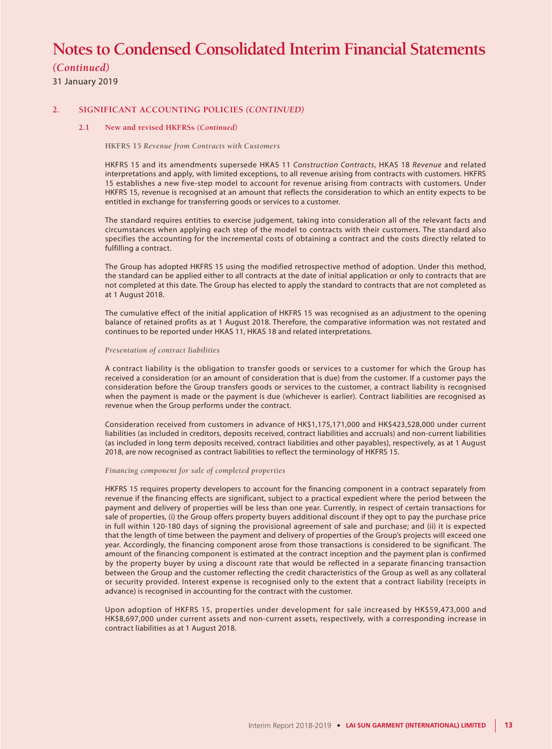# *(Continued)*

31 January 2019

### **2. SIGNIFICANT ACCOUNTING POLICIES** *(CONTINUED)*

### **2.1 New and revised HKFRSs** *(Continued)*

#### **HKFRS 15** *Revenue from Contracts with Customers*

HKFRS 15 and its amendments supersede HKAS 11 *Construction Contracts*, HKAS 18 *Revenue* and related interpretations and apply, with limited exceptions, to all revenue arising from contracts with customers. HKFRS 15 establishes a new five-step model to account for revenue arising from contracts with customers. Under HKFRS 15, revenue is recognised at an amount that reflects the consideration to which an entity expects to be entitled in exchange for transferring goods or services to a customer.

The standard requires entities to exercise judgement, taking into consideration all of the relevant facts and circumstances when applying each step of the model to contracts with their customers. The standard also specifies the accounting for the incremental costs of obtaining a contract and the costs directly related to fulfilling a contract.

The Group has adopted HKFRS 15 using the modified retrospective method of adoption. Under this method, the standard can be applied either to all contracts at the date of initial application or only to contracts that are not completed at this date. The Group has elected to apply the standard to contracts that are not completed as at 1 August 2018.

The cumulative effect of the initial application of HKFRS 15 was recognised as an adjustment to the opening balance of retained profits as at 1 August 2018. Therefore, the comparative information was not restated and continues to be reported under HKAS 11, HKAS 18 and related interpretations.

#### *Presentation of contract liabilities*

A contract liability is the obligation to transfer goods or services to a customer for which the Group has received a consideration (or an amount of consideration that is due) from the customer. If a customer pays the consideration before the Group transfers goods or services to the customer, a contract liability is recognised when the payment is made or the payment is due (whichever is earlier). Contract liabilities are recognised as revenue when the Group performs under the contract.

Consideration received from customers in advance of HK\$1,175,171,000 and HK\$423,528,000 under current liabilities (as included in creditors, deposits received, contract liabilities and accruals) and non-current liabilities (as included in long term deposits received, contract liabilities and other payables), respectively, as at 1 August 2018, are now recognised as contract liabilities to reflect the terminology of HKFRS 15.

#### *Financing component for sale of completed properties*

HKFRS 15 requires property developers to account for the financing component in a contract separately from revenue if the financing effects are significant, subject to a practical expedient where the period between the payment and delivery of properties will be less than one year. Currently, in respect of certain transactions for sale of properties, (i) the Group offers property buyers additional discount if they opt to pay the purchase price in full within 120-180 days of signing the provisional agreement of sale and purchase; and (ii) it is expected that the length of time between the payment and delivery of properties of the Group's projects will exceed one year. Accordingly, the financing component arose from those transactions is considered to be significant. The amount of the financing component is estimated at the contract inception and the payment plan is confirmed by the property buyer by using a discount rate that would be reflected in a separate financing transaction between the Group and the customer reflecting the credit characteristics of the Group as well as any collateral or security provided. Interest expense is recognised only to the extent that a contract liability (receipts in advance) is recognised in accounting for the contract with the customer.

Upon adoption of HKFRS 15, properties under development for sale increased by HK\$59,473,000 and HK\$8,697,000 under current assets and non-current assets, respectively, with a corresponding increase in contract liabilities as at 1 August 2018.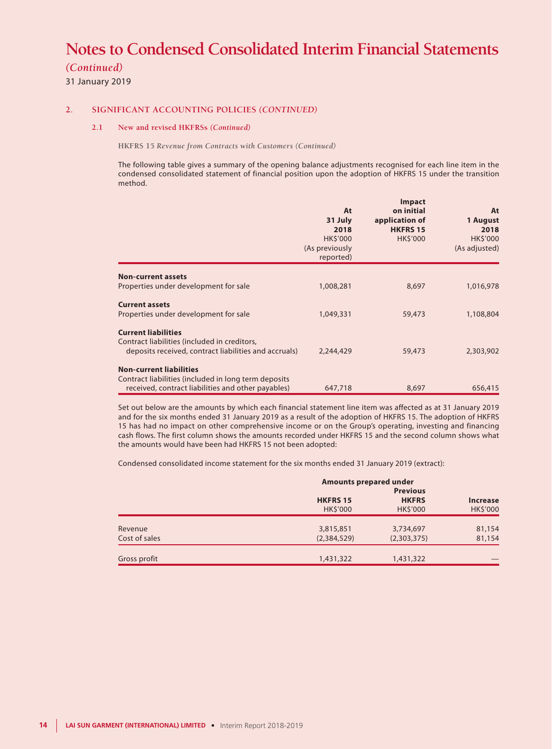*(Continued)*

31 January 2019

### **2. SIGNIFICANT ACCOUNTING POLICIES** *(CONTINUED)*

### **2.1 New and revised HKFRSs** *(Continued)*

**HKFRS 15** *Revenue from Contracts with Customers (Continued)*

The following table gives a summary of the opening balance adjustments recognised for each line item in the condensed consolidated statement of financial position upon the adoption of HKFRS 15 under the transition method.

|                                                                                                                                     | At<br>31 July<br>2018<br><b>HK\$'000</b><br>(As previously<br>reported) | <b>Impact</b><br>on initial<br>application of<br><b>HKFRS 15</b><br><b>HK\$'000</b> | At<br>1 August<br>2018<br>HK\$'000<br>(As adjusted) |
|-------------------------------------------------------------------------------------------------------------------------------------|-------------------------------------------------------------------------|-------------------------------------------------------------------------------------|-----------------------------------------------------|
| <b>Non-current assets</b><br>Properties under development for sale                                                                  | 1,008,281                                                               | 8,697                                                                               | 1,016,978                                           |
| <b>Current assets</b><br>Properties under development for sale                                                                      | 1,049,331                                                               | 59,473                                                                              | 1,108,804                                           |
| <b>Current liabilities</b><br>Contract liabilities (included in creditors,<br>deposits received, contract liabilities and accruals) | 2,244,429                                                               | 59,473                                                                              | 2,303,902                                           |
| <b>Non-current liabilities</b>                                                                                                      |                                                                         |                                                                                     |                                                     |
| Contract liabilities (included in long term deposits<br>received, contract liabilities and other payables)                          | 647,718                                                                 | 8,697                                                                               | 656,415                                             |

Set out below are the amounts by which each financial statement line item was affected as at 31 January 2019 and for the six months ended 31 January 2019 as a result of the adoption of HKFRS 15. The adoption of HKFRS 15 has had no impact on other comprehensive income or on the Group's operating, investing and financing cash flows. The first column shows the amounts recorded under HKFRS 15 and the second column shows what the amounts would have been had HKFRS 15 not been adopted:

Condensed consolidated income statement for the six months ended 31 January 2019 (extract):

|                          | <b>Amounts prepared under</b>      |                                                   |                                    |
|--------------------------|------------------------------------|---------------------------------------------------|------------------------------------|
|                          | <b>HKFRS 15</b><br><b>HK\$'000</b> | <b>Previous</b><br><b>HKFRS</b><br><b>HKS'000</b> | <b>Increase</b><br><b>HK\$'000</b> |
| Revenue<br>Cost of sales | 3,815,851<br>(2,384,529)           | 3,734,697<br>(2,303,375)                          | 81,154<br>81,154                   |
| Gross profit             | 1,431,322                          | 1,431,322                                         |                                    |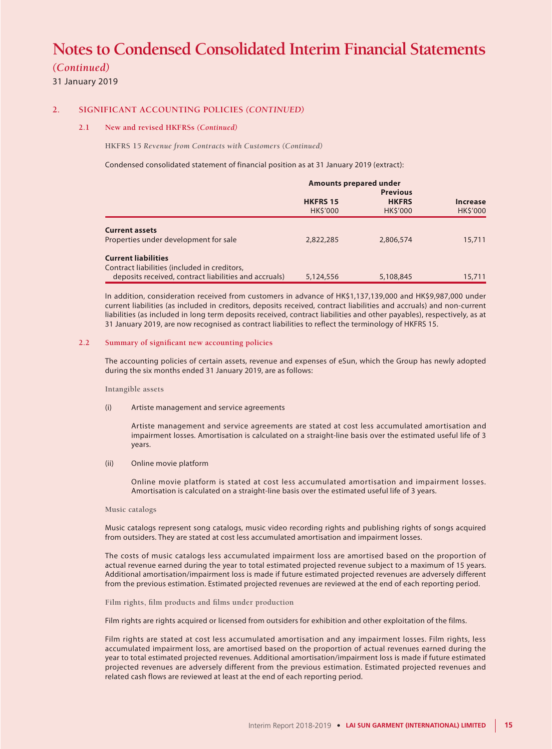*(Continued)*

31 January 2019

### **2. SIGNIFICANT ACCOUNTING POLICIES** *(CONTINUED)*

#### **2.1 New and revised HKFRSs** *(Continued)*

**HKFRS 15** *Revenue from Contracts with Customers (Continued)*

Condensed consolidated statement of financial position as at 31 January 2019 (extract):

|                                                                                                                                     | <b>Amounts prepared under</b>     |                                                   |                                    |  |
|-------------------------------------------------------------------------------------------------------------------------------------|-----------------------------------|---------------------------------------------------|------------------------------------|--|
|                                                                                                                                     | <b>HKFRS 15</b><br><b>HKS'000</b> | <b>Previous</b><br><b>HKFRS</b><br><b>HKS'000</b> | <b>Increase</b><br><b>HK\$'000</b> |  |
| <b>Current assets</b><br>Properties under development for sale                                                                      | 2,822,285                         | 2,806,574                                         | 15,711                             |  |
| <b>Current liabilities</b><br>Contract liabilities (included in creditors,<br>deposits received, contract liabilities and accruals) | 5,124,556                         | 5,108,845                                         | 15,711                             |  |

In addition, consideration received from customers in advance of HK\$1,137,139,000 and HK\$9,987,000 under current liabilities (as included in creditors, deposits received, contract liabilities and accruals) and non-current liabilities (as included in long term deposits received, contract liabilities and other payables), respectively, as at 31 January 2019, are now recognised as contract liabilities to reflect the terminology of HKFRS 15.

### **2.2 Summary of significant new accounting policies**

The accounting policies of certain assets, revenue and expenses of eSun, which the Group has newly adopted during the six months ended 31 January 2019, are as follows:

#### **Intangible assets**

(i) Artiste management and service agreements

Artiste management and service agreements are stated at cost less accumulated amortisation and impairment losses. Amortisation is calculated on a straight-line basis over the estimated useful life of 3 years.

(ii) Online movie platform

Online movie platform is stated at cost less accumulated amortisation and impairment losses. Amortisation is calculated on a straight-line basis over the estimated useful life of 3 years.

#### **Music catalogs**

Music catalogs represent song catalogs, music video recording rights and publishing rights of songs acquired from outsiders. They are stated at cost less accumulated amortisation and impairment losses.

The costs of music catalogs less accumulated impairment loss are amortised based on the proportion of actual revenue earned during the year to total estimated projected revenue subject to a maximum of 15 years. Additional amortisation/impairment loss is made if future estimated projected revenues are adversely different from the previous estimation. Estimated projected revenues are reviewed at the end of each reporting period.

**Film rights, film products and films under production**

Film rights are rights acquired or licensed from outsiders for exhibition and other exploitation of the films.

Film rights are stated at cost less accumulated amortisation and any impairment losses. Film rights, less accumulated impairment loss, are amortised based on the proportion of actual revenues earned during the year to total estimated projected revenues. Additional amortisation/impairment loss is made if future estimated projected revenues are adversely different from the previous estimation. Estimated projected revenues and related cash flows are reviewed at least at the end of each reporting period.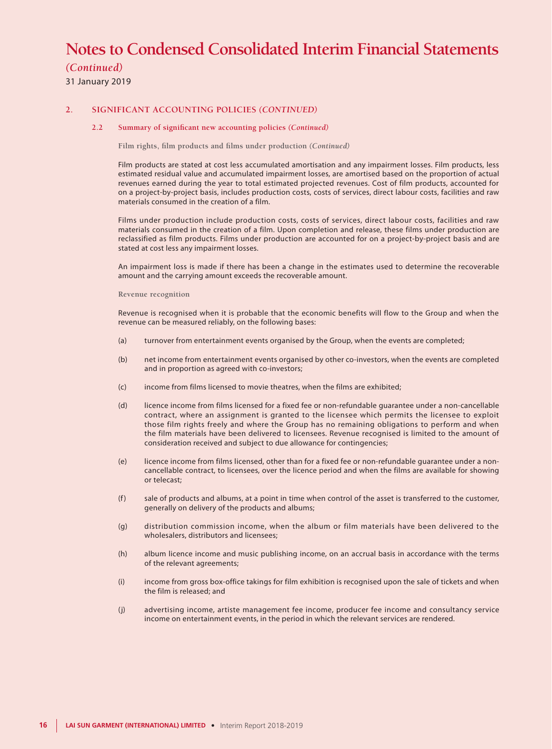# *(Continued)*

31 January 2019

### **2. SIGNIFICANT ACCOUNTING POLICIES** *(CONTINUED)*

#### **2.2 Summary of significant new accounting policies** *(Continued)*

**Film rights, film products and films under production** *(Continued)*

Film products are stated at cost less accumulated amortisation and any impairment losses. Film products, less estimated residual value and accumulated impairment losses, are amortised based on the proportion of actual revenues earned during the year to total estimated projected revenues. Cost of film products, accounted for on a project-by-project basis, includes production costs, costs of services, direct labour costs, facilities and raw materials consumed in the creation of a film.

Films under production include production costs, costs of services, direct labour costs, facilities and raw materials consumed in the creation of a film. Upon completion and release, these films under production are reclassified as film products. Films under production are accounted for on a project-by-project basis and are stated at cost less any impairment losses.

An impairment loss is made if there has been a change in the estimates used to determine the recoverable amount and the carrying amount exceeds the recoverable amount.

#### **Revenue recognition**

Revenue is recognised when it is probable that the economic benefits will flow to the Group and when the revenue can be measured reliably, on the following bases:

- (a) turnover from entertainment events organised by the Group, when the events are completed;
- (b) net income from entertainment events organised by other co-investors, when the events are completed and in proportion as agreed with co-investors;
- (c) income from films licensed to movie theatres, when the films are exhibited;
- (d) licence income from films licensed for a fixed fee or non-refundable guarantee under a non-cancellable contract, where an assignment is granted to the licensee which permits the licensee to exploit those film rights freely and where the Group has no remaining obligations to perform and when the film materials have been delivered to licensees. Revenue recognised is limited to the amount of consideration received and subject to due allowance for contingencies;
- (e) licence income from films licensed, other than for a fixed fee or non-refundable guarantee under a noncancellable contract, to licensees, over the licence period and when the films are available for showing or telecast;
- (f) sale of products and albums, at a point in time when control of the asset is transferred to the customer, generally on delivery of the products and albums;
- (g) distribution commission income, when the album or film materials have been delivered to the wholesalers, distributors and licensees;
- (h) album licence income and music publishing income, on an accrual basis in accordance with the terms of the relevant agreements;
- (i) income from gross box-office takings for film exhibition is recognised upon the sale of tickets and when the film is released; and
- (j) advertising income, artiste management fee income, producer fee income and consultancy service income on entertainment events, in the period in which the relevant services are rendered.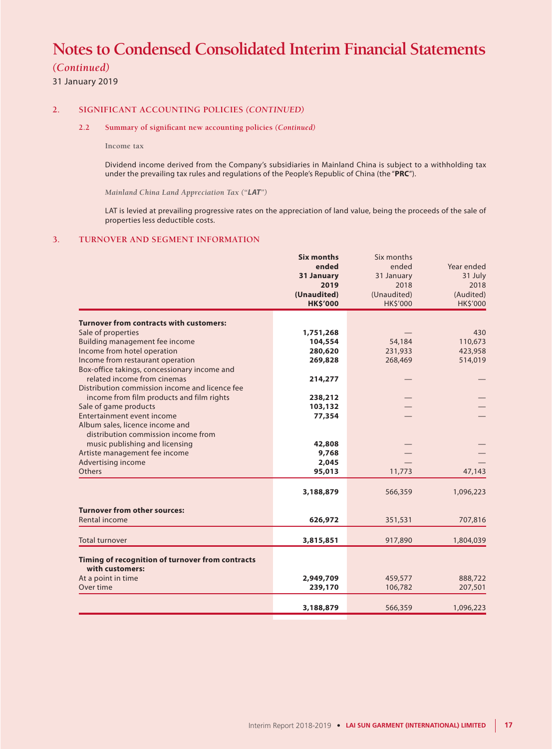# *(Continued)*

31 January 2019

### **2. SIGNIFICANT ACCOUNTING POLICIES** *(CONTINUED)*

### **2.2 Summary of significant new accounting policies** *(Continued)*

**Income tax**

Dividend income derived from the Company's subsidiaries in Mainland China is subject to a withholding tax under the prevailing tax rules and regulations of the People's Republic of China (the "**PRC**").

*Mainland China Land Appreciation Tax ("LAT")*

LAT is levied at prevailing progressive rates on the appreciation of land value, being the proceeds of the sale of properties less deductible costs.

### **3. TURNOVER AND SEGMENT INFORMATION**

|                                                  | <b>Six months</b> | Six months      |                 |
|--------------------------------------------------|-------------------|-----------------|-----------------|
|                                                  | ended             | ended           | Year ended      |
|                                                  | 31 January        | 31 January      | 31 July         |
|                                                  | 2019              | 2018            | 2018            |
|                                                  | (Unaudited)       | (Unaudited)     | (Audited)       |
|                                                  | <b>HK\$'000</b>   | <b>HK\$'000</b> | <b>HK\$'000</b> |
| <b>Turnover from contracts with customers:</b>   |                   |                 |                 |
| Sale of properties                               | 1,751,268         |                 | 430             |
| Building management fee income                   | 104,554           | 54,184          | 110,673         |
| Income from hotel operation                      | 280,620           | 231,933         | 423,958         |
| Income from restaurant operation                 | 269,828           | 268,469         | 514,019         |
| Box-office takings, concessionary income and     |                   |                 |                 |
| related income from cinemas                      | 214,277           |                 |                 |
| Distribution commission income and licence fee   |                   |                 |                 |
| income from film products and film rights        | 238,212           |                 |                 |
| Sale of game products                            | 103,132           |                 |                 |
| Entertainment event income                       | 77,354            |                 |                 |
| Album sales, licence income and                  |                   |                 |                 |
| distribution commission income from              |                   |                 |                 |
| music publishing and licensing                   | 42,808            |                 |                 |
| Artiste management fee income                    | 9,768             |                 |                 |
| Advertising income                               | 2,045             |                 |                 |
| Others                                           | 95,013            | 11,773          | 47,143          |
|                                                  | 3,188,879         | 566,359         | 1,096,223       |
|                                                  |                   |                 |                 |
| <b>Turnover from other sources:</b>              |                   |                 |                 |
| Rental income                                    | 626,972           | 351,531         | 707,816         |
|                                                  |                   |                 |                 |
| <b>Total turnover</b>                            | 3,815,851         | 917,890         | 1,804,039       |
|                                                  |                   |                 |                 |
| Timing of recognition of turnover from contracts |                   |                 |                 |
| with customers:                                  |                   |                 |                 |
| At a point in time                               | 2,949,709         | 459,577         | 888,722         |
| Over time                                        | 239,170           | 106,782         | 207,501         |
|                                                  |                   |                 |                 |
|                                                  | 3,188,879         | 566,359         | 1,096,223       |
|                                                  |                   |                 |                 |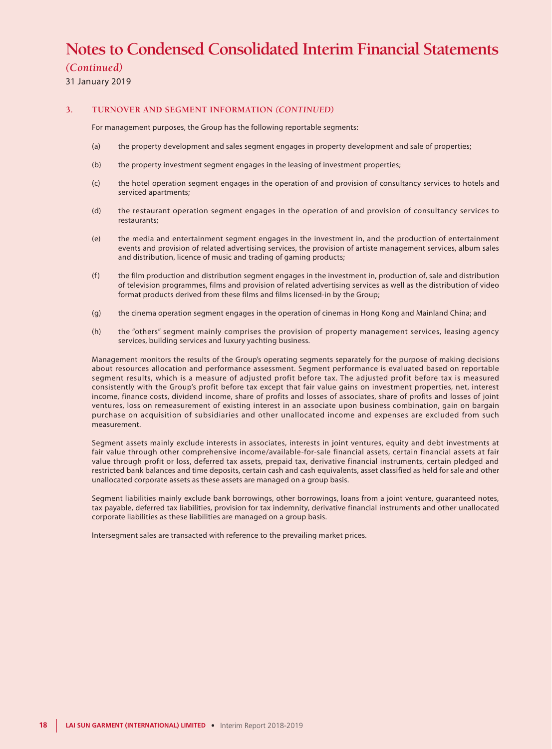# *(Continued)*

31 January 2019

### **3. TURNOVER AND SEGMENT INFORMATION** *(CONTINUED)*

For management purposes, the Group has the following reportable segments:

- (a) the property development and sales segment engages in property development and sale of properties;
- (b) the property investment segment engages in the leasing of investment properties;
- (c) the hotel operation segment engages in the operation of and provision of consultancy services to hotels and serviced apartments;
- (d) the restaurant operation segment engages in the operation of and provision of consultancy services to restaurants;
- (e) the media and entertainment segment engages in the investment in, and the production of entertainment events and provision of related advertising services, the provision of artiste management services, album sales and distribution, licence of music and trading of gaming products;
- (f) the film production and distribution segment engages in the investment in, production of, sale and distribution of television programmes, films and provision of related advertising services as well as the distribution of video format products derived from these films and films licensed-in by the Group;
- (g) the cinema operation segment engages in the operation of cinemas in Hong Kong and Mainland China; and
- (h) the "others" segment mainly comprises the provision of property management services, leasing agency services, building services and luxury yachting business.

Management monitors the results of the Group's operating segments separately for the purpose of making decisions about resources allocation and performance assessment. Segment performance is evaluated based on reportable segment results, which is a measure of adjusted profit before tax. The adjusted profit before tax is measured consistently with the Group's profit before tax except that fair value gains on investment properties, net, interest income, finance costs, dividend income, share of profits and losses of associates, share of profits and losses of joint ventures, loss on remeasurement of existing interest in an associate upon business combination, gain on bargain purchase on acquisition of subsidiaries and other unallocated income and expenses are excluded from such measurement.

Segment assets mainly exclude interests in associates, interests in joint ventures, equity and debt investments at fair value through other comprehensive income/available-for-sale financial assets, certain financial assets at fair value through profit or loss, deferred tax assets, prepaid tax, derivative financial instruments, certain pledged and restricted bank balances and time deposits, certain cash and cash equivalents, asset classified as held for sale and other unallocated corporate assets as these assets are managed on a group basis.

Segment liabilities mainly exclude bank borrowings, other borrowings, loans from a joint venture, guaranteed notes, tax payable, deferred tax liabilities, provision for tax indemnity, derivative financial instruments and other unallocated corporate liabilities as these liabilities are managed on a group basis.

Intersegment sales are transacted with reference to the prevailing market prices.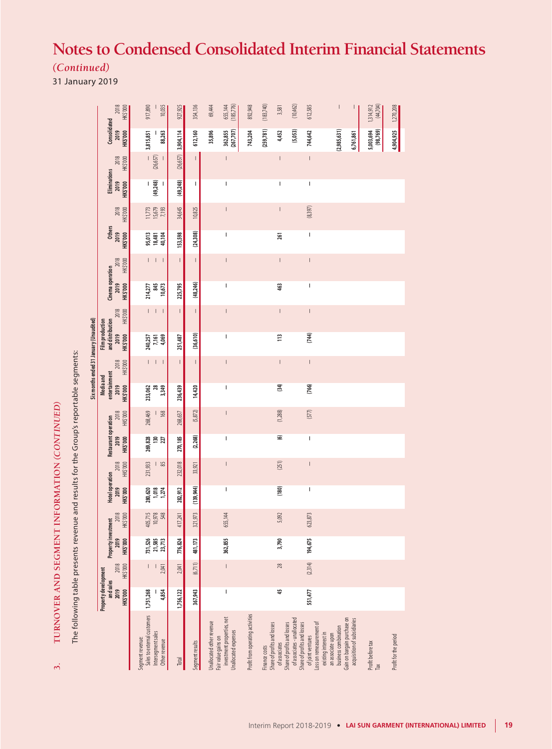*(Continued)*

31 January 2019

| Hotel operation Restaurant operation<br>2018<br>HK\$'000<br>2019<br>HK\$'000<br>2018<br>HK\$'000<br>Property investment<br>2019<br>HK\$'000<br>2018<br><b>HKS'000</b><br>Property development<br>and sales<br>2019<br>HK\$'000                                                                                                                                                                                                                                                                                                                                                                                                                                                                                                                                                                                                                     |
|----------------------------------------------------------------------------------------------------------------------------------------------------------------------------------------------------------------------------------------------------------------------------------------------------------------------------------------------------------------------------------------------------------------------------------------------------------------------------------------------------------------------------------------------------------------------------------------------------------------------------------------------------------------------------------------------------------------------------------------------------------------------------------------------------------------------------------------------------|
| 231,933<br>1 .83<br>1,018<br>280,620<br>1,274<br>405,715<br>10,978<br>548<br>731,526<br>21,585<br>23,713<br>2,041<br>4,854<br>1,751,268                                                                                                                                                                                                                                                                                                                                                                                                                                                                                                                                                                                                                                                                                                            |
| 232,018<br>282,912<br>417,241<br>776,824<br>2,041<br>1,756,122                                                                                                                                                                                                                                                                                                                                                                                                                                                                                                                                                                                                                                                                                                                                                                                     |
| 33,921<br>321,973 (139,944)<br>481,173<br>(6,711)<br>367,943                                                                                                                                                                                                                                                                                                                                                                                                                                                                                                                                                                                                                                                                                                                                                                                       |
| $\overline{\phantom{a}}$<br>$\begin{array}{c} \rule{0pt}{2.5ex} \rule{0pt}{2.5ex} \rule{0pt}{2.5ex} \rule{0pt}{2.5ex} \rule{0pt}{2.5ex} \rule{0pt}{2.5ex} \rule{0pt}{2.5ex} \rule{0pt}{2.5ex} \rule{0pt}{2.5ex} \rule{0pt}{2.5ex} \rule{0pt}{2.5ex} \rule{0pt}{2.5ex} \rule{0pt}{2.5ex} \rule{0pt}{2.5ex} \rule{0pt}{2.5ex} \rule{0pt}{2.5ex} \rule{0pt}{2.5ex} \rule{0pt}{2.5ex} \rule{0pt}{2.5ex} \rule{0$<br>655,144<br>362,855<br>$\overline{\phantom{a}}$<br>$\begin{array}{c} \rule{0pt}{2.5ex} \rule{0pt}{2.5ex} \rule{0pt}{2.5ex} \rule{0pt}{2.5ex} \rule{0pt}{2.5ex} \rule{0pt}{2.5ex} \rule{0pt}{2.5ex} \rule{0pt}{2.5ex} \rule{0pt}{2.5ex} \rule{0pt}{2.5ex} \rule{0pt}{2.5ex} \rule{0pt}{2.5ex} \rule{0pt}{2.5ex} \rule{0pt}{2.5ex} \rule{0pt}{2.5ex} \rule{0pt}{2.5ex} \rule{0pt}{2.5ex} \rule{0pt}{2.5ex} \rule{0pt}{2.5ex} \rule{0$ |
|                                                                                                                                                                                                                                                                                                                                                                                                                                                                                                                                                                                                                                                                                                                                                                                                                                                    |
|                                                                                                                                                                                                                                                                                                                                                                                                                                                                                                                                                                                                                                                                                                                                                                                                                                                    |
| (251)<br>(180)<br>5,092<br>3,790<br>28<br>45                                                                                                                                                                                                                                                                                                                                                                                                                                                                                                                                                                                                                                                                                                                                                                                                       |
|                                                                                                                                                                                                                                                                                                                                                                                                                                                                                                                                                                                                                                                                                                                                                                                                                                                    |
| $\overline{\phantom{a}}$<br>I<br>623,873<br>194,675<br>(2,314)<br>551,477                                                                                                                                                                                                                                                                                                                                                                                                                                                                                                                                                                                                                                                                                                                                                                          |
|                                                                                                                                                                                                                                                                                                                                                                                                                                                                                                                                                                                                                                                                                                                                                                                                                                                    |
|                                                                                                                                                                                                                                                                                                                                                                                                                                                                                                                                                                                                                                                                                                                                                                                                                                                    |
|                                                                                                                                                                                                                                                                                                                                                                                                                                                                                                                                                                                                                                                                                                                                                                                                                                                    |
|                                                                                                                                                                                                                                                                                                                                                                                                                                                                                                                                                                                                                                                                                                                                                                                                                                                    |

The following table presents revenue and results for the Group's reportable segments: The following table presents revenue and results for the Group's reportable segments:

**3. TURNOVER AND SEGMENT INFORMATION** *(CONTINUED)*

 $\vec{3}$ 

TURNOVER AND SEGMENT INFORMATION (CONTINUED)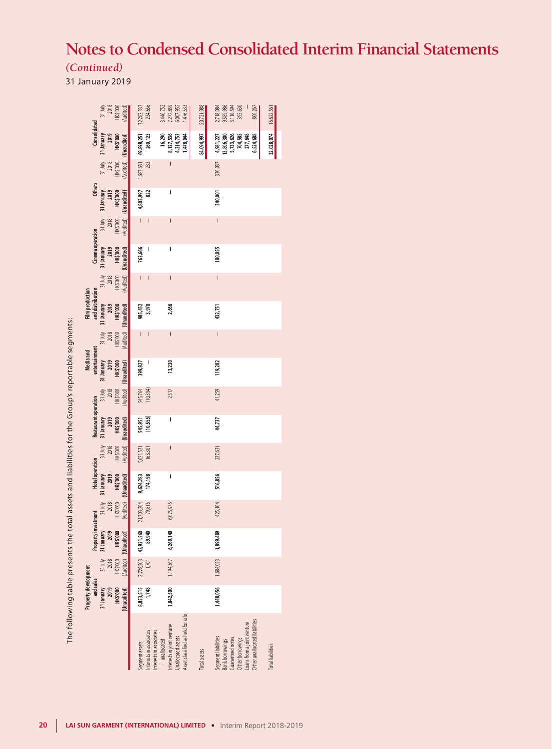# *(Continued)*

31 January 2019

|                                            | HK\$'000<br>31 July<br>2018                   | (Audited)<br>32,282,333<br>234,656            |                                                                     | 3,446,752<br>7,272,859<br>6,007,955<br>1,476,533                                                                                                                                                                                                                                                                                                                                 | 50,721,088          | 2,718,084<br>9,589,986<br>3,118,594<br>395,630<br>800,267                                                                                            | 16,622,561              |
|--------------------------------------------|-----------------------------------------------|-----------------------------------------------|---------------------------------------------------------------------|----------------------------------------------------------------------------------------------------------------------------------------------------------------------------------------------------------------------------------------------------------------------------------------------------------------------------------------------------------------------------------|---------------------|------------------------------------------------------------------------------------------------------------------------------------------------------|-------------------------|
| Consolidated                               | 31 July 31 January<br>2019<br>HK\$'000        | 69,898,251<br>260,123<br>Audited) (Unaudited) | 16,290                                                              | 8,127,536<br>4,314,753<br>1,478,044                                                                                                                                                                                                                                                                                                                                              | 84,094,997          | 4,981,227<br>5,733,626<br>704,585<br>277,648<br>13,806,300<br>6,524,688                                                                              | 32,028,074              |
|                                            | HK\$'000<br>2018                              | 1,683,631                                     | 233                                                                 | $\overline{\phantom{a}}$                                                                                                                                                                                                                                                                                                                                                         |                     | 330,037                                                                                                                                              |                         |
| <b>Others</b>                              | 31 July 31 January<br>2019<br><b>HK\$'000</b> | 4,803,997<br>822                              |                                                                     | I                                                                                                                                                                                                                                                                                                                                                                                |                     | 340,001                                                                                                                                              |                         |
|                                            | HK\$'000<br>2018                              | Audited) (Unaudited)                          | $\overline{\phantom{0}}$                                            | $\overline{\phantom{a}}$                                                                                                                                                                                                                                                                                                                                                         |                     | $\vert$                                                                                                                                              |                         |
| Cinema operation                           | 31 January<br>2019<br>HK\$'000                | 763,666                                       | I                                                                   | I                                                                                                                                                                                                                                                                                                                                                                                |                     | 180,055                                                                                                                                              |                         |
|                                            | $31$ July<br>HK\$'000<br>2018                 | (Audited) (Unaudited)                         | $\vert \ \ \vert$                                                   | $\overline{\phantom{a}}$                                                                                                                                                                                                                                                                                                                                                         |                     | $\overline{\phantom{a}}$                                                                                                                             |                         |
| <b>Film production</b><br>and distribution | 2019<br><b>HK\$'000</b><br>31 July 31 January | 985,452                                       | 3,970                                                               | 2,666                                                                                                                                                                                                                                                                                                                                                                            |                     | 432,751                                                                                                                                              |                         |
|                                            | HK\$'000<br>2018                              | (Audited) (Unaudited)                         | $\overline{\phantom{a}}$                                            | $\vert$                                                                                                                                                                                                                                                                                                                                                                          |                     | $\mid$                                                                                                                                               |                         |
| entertainment<br>Media and                 | 31 January<br>2019<br><b>HK\$'000</b>         | 399,827<br>(Audited) (Unaudited)              | $\overline{\phantom{a}}$                                            | 13,230                                                                                                                                                                                                                                                                                                                                                                           |                     | 119,282                                                                                                                                              |                         |
|                                            | 31 July<br>HK\$'000<br>2018                   | 545,764<br>(10,394)                           |                                                                     | 2,517                                                                                                                                                                                                                                                                                                                                                                            |                     | 41,259                                                                                                                                               |                         |
| Restaurant operation                       | 31 January<br>2019<br>HK\$'000                | 545,951<br>(10,555)<br>(Audited) (Unaudited)  |                                                                     | $\begin{array}{c} \rule{0pt}{2.5ex} \rule{0pt}{2.5ex} \rule{0pt}{2.5ex} \rule{0pt}{2.5ex} \rule{0pt}{2.5ex} \rule{0pt}{2.5ex} \rule{0pt}{2.5ex} \rule{0pt}{2.5ex} \rule{0pt}{2.5ex} \rule{0pt}{2.5ex} \rule{0pt}{2.5ex} \rule{0pt}{2.5ex} \rule{0pt}{2.5ex} \rule{0pt}{2.5ex} \rule{0pt}{2.5ex} \rule{0pt}{2.5ex} \rule{0pt}{2.5ex} \rule{0pt}{2.5ex} \rule{0pt}{2.5ex} \rule{0$ |                     | 44,737                                                                                                                                               |                         |
|                                            | 31 July<br>HK\$'000<br>2018                   | 5,621,531<br>163,301                          |                                                                     | $\vert$                                                                                                                                                                                                                                                                                                                                                                          |                     | 237,631                                                                                                                                              |                         |
| <b>Hotel operation</b>                     | 2019<br>31 January<br>HK\$'000                | 9,624,283<br>174,198<br>(Audited) (Unaudited) |                                                                     | I                                                                                                                                                                                                                                                                                                                                                                                |                     | 516,856                                                                                                                                              |                         |
|                                            | 31 July<br>HK\$'000<br>2018                   | 21,703,204                                    | 79,815                                                              | 6,075,975                                                                                                                                                                                                                                                                                                                                                                        |                     | 425,104                                                                                                                                              |                         |
| Property investment                        | 31 January<br>2019<br>HK\$'000                | 43,921,560<br>(Unaudited)                     | 89,940                                                              | 6,269,140                                                                                                                                                                                                                                                                                                                                                                        |                     | 1,899,489                                                                                                                                            |                         |
|                                            | 31 July<br>2018<br>HK\$'000                   | (Audited)<br>2,728,203                        |                                                                     | 1,194,367                                                                                                                                                                                                                                                                                                                                                                        |                     | 1,684,053                                                                                                                                            |                         |
| Property development<br>and sales          | 31 January<br>2019<br><b>HK\$'000</b>         | 8,853,515<br>(Unaudited)                      | 1,748                                                               | 1,842,500                                                                                                                                                                                                                                                                                                                                                                        |                     | 1,448,056                                                                                                                                            |                         |
|                                            |                                               | begment assets                                | Interests in associates<br>Interests in associates<br>- unallocated | Asset classified as held for sale<br>nterests in joint ventures<br>Jnallocated assets                                                                                                                                                                                                                                                                                            | <b>Total</b> assets | Other unallocated liabilities<br>-oans from a joint venture<br>Segment liabilities<br>Guaranteed notes<br>Other borrowings<br><b>Bank borrowings</b> | <b>Totalliabilities</b> |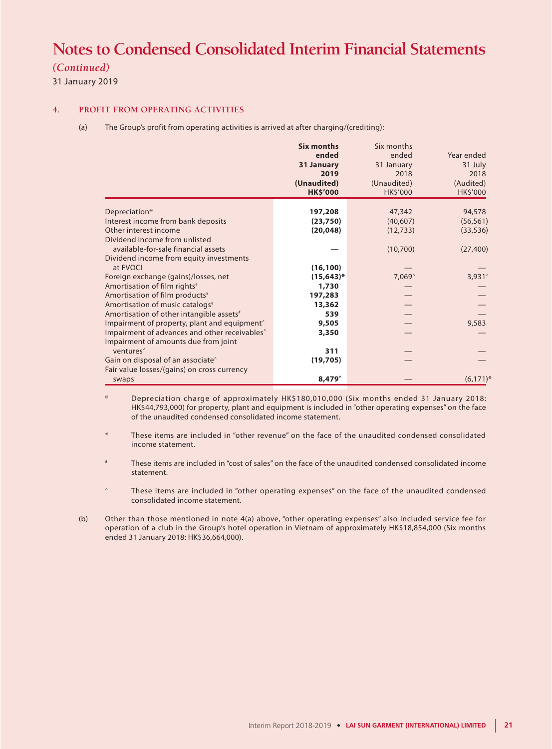# *(Continued)*

31 January 2019

### **4. PROFIT FROM OPERATING ACTIVITIES**

(a) The Group's profit from operating activities is arrived at after charging/(crediting):

|                                                                                                                                                                               | <b>Six months</b><br>ended<br>31 January<br>2019<br>(Unaudited) | Six months<br>ended<br>31 January<br>2018<br>(Unaudited) | Year ended<br>31 July<br>2018<br>(Audited) |
|-------------------------------------------------------------------------------------------------------------------------------------------------------------------------------|-----------------------------------------------------------------|----------------------------------------------------------|--------------------------------------------|
|                                                                                                                                                                               | <b>HK\$'000</b>                                                 | <b>HK\$'000</b>                                          | <b>HK\$'000</b>                            |
| Depreciation <sup>®</sup><br>Interest income from bank deposits<br>Other interest income                                                                                      | 197,208<br>(23,750)<br>(20, 048)                                | 47,342<br>(40,607)<br>(12, 733)                          | 94,578<br>(56, 561)<br>(33, 536)           |
| Dividend income from unlisted<br>available-for-sale financial assets<br>Dividend income from equity investments<br>at FVOCI                                                   | (16, 100)                                                       | (10,700)                                                 | (27, 400)                                  |
| Foreign exchange (gains)/losses, net<br>Amortisation of film rights <sup>#</sup>                                                                                              | $(15, 643)^*$<br>1,730                                          | 7,069^                                                   | 3,931^                                     |
| Amortisation of film products <sup>#</sup><br>Amortisation of music catalogs <sup>#</sup>                                                                                     | 197,283<br>13,362                                               |                                                          |                                            |
| Amortisation of other intangible assets <sup>#</sup><br>Impairment of property, plant and equipment <sup>^</sup><br>Impairment of advances and other receivables <sup>^</sup> | 539<br>9,505<br>3,350                                           |                                                          | 9,583                                      |
| Impairment of amounts due from joint<br>ventures <sup>^</sup><br>Gain on disposal of an associate <sup>^</sup>                                                                | 311<br>(19, 705)                                                |                                                          |                                            |
| Fair value losses/(gains) on cross currency<br>swaps                                                                                                                          | $8,479^{\circ}$                                                 |                                                          | $(6,171)^*$                                |

Depreciation charge of approximately HK\$180,010,000 (Six months ended 31 January 2018: HK\$44,793,000) for property, plant and equipment is included in "other operating expenses" on the face of the unaudited condensed consolidated income statement.

These items are included in "other revenue" on the face of the unaudited condensed consolidated income statement.

These items are included in "cost of sales" on the face of the unaudited condensed consolidated income statement.

These items are included in "other operating expenses" on the face of the unaudited condensed consolidated income statement.

(b) Other than those mentioned in note 4(a) above, "other operating expenses" also included service fee for operation of a club in the Group's hotel operation in Vietnam of approximately HK\$18,854,000 (Six months ended 31 January 2018: HK\$36,664,000).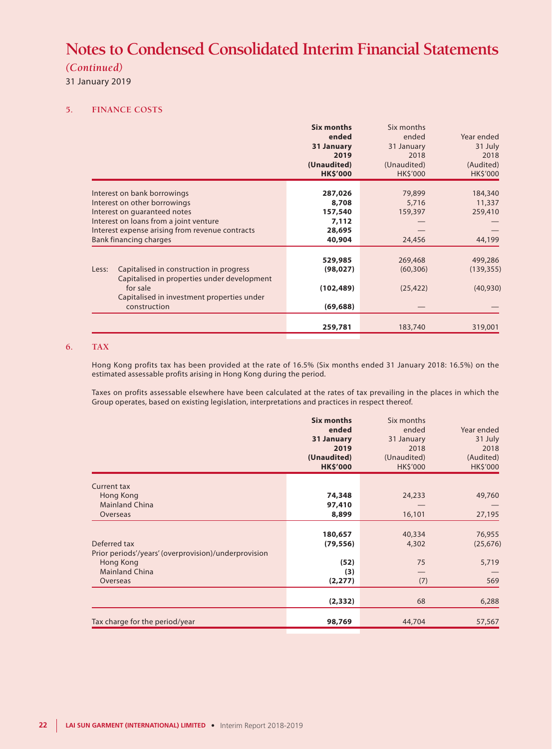# *(Continued)*

31 January 2019

### **5. FINANCE COSTS**

|       |                                                                                                                                                                                                                    | <b>Six months</b><br>ended<br>31 January<br>2019<br>(Unaudited)<br><b>HK\$'000</b> | Six months<br>ended<br>31 January<br>2018<br>(Unaudited)<br><b>HK\$'000</b> | Year ended<br>31 July<br>2018<br>(Audited)<br><b>HK\$'000</b> |
|-------|--------------------------------------------------------------------------------------------------------------------------------------------------------------------------------------------------------------------|------------------------------------------------------------------------------------|-----------------------------------------------------------------------------|---------------------------------------------------------------|
|       | Interest on bank borrowings<br>Interest on other borrowings<br>Interest on guaranteed notes<br>Interest on loans from a joint venture<br>Interest expense arising from revenue contracts<br>Bank financing charges | 287,026<br>8,708<br>157,540<br>7,112<br>28,695<br>40,904                           | 79,899<br>5,716<br>159,397<br>24,456                                        | 184,340<br>11,337<br>259,410<br>44,199                        |
| Less: | Capitalised in construction in progress<br>Capitalised in properties under development<br>for sale<br>Capitalised in investment properties under<br>construction                                                   | 529,985<br>(98, 027)<br>(102, 489)<br>(69, 688)                                    | 269,468<br>(60, 306)<br>(25, 422)                                           | 499,286<br>(139, 355)<br>(40, 930)                            |
|       |                                                                                                                                                                                                                    | 259,781                                                                            | 183,740                                                                     | 319,001                                                       |

### **6. TAX**

Hong Kong profits tax has been provided at the rate of 16.5% (Six months ended 31 January 2018: 16.5%) on the estimated assessable profits arising in Hong Kong during the period.

Taxes on profits assessable elsewhere have been calculated at the rates of tax prevailing in the places in which the Group operates, based on existing legislation, interpretations and practices in respect thereof.

|                                                      | <b>Six months</b><br>ended<br>31 January<br>2019<br>(Unaudited)<br><b>HK\$'000</b> | Six months<br>ended<br>31 January<br>2018<br>(Unaudited)<br><b>HK\$'000</b> | Year ended<br>31 July<br>2018<br>(Audited)<br>HK\$'000 |
|------------------------------------------------------|------------------------------------------------------------------------------------|-----------------------------------------------------------------------------|--------------------------------------------------------|
| <b>Current tax</b>                                   |                                                                                    |                                                                             |                                                        |
| Hong Kong                                            | 74,348                                                                             | 24,233                                                                      | 49,760                                                 |
| <b>Mainland China</b>                                | 97,410                                                                             |                                                                             |                                                        |
| Overseas                                             | 8,899                                                                              | 16,101                                                                      | 27,195                                                 |
|                                                      |                                                                                    |                                                                             |                                                        |
| Deferred tax                                         | 180,657                                                                            | 40,334                                                                      | 76,955                                                 |
| Prior periods'/years' (overprovision)/underprovision | (79, 556)                                                                          | 4,302                                                                       | (25, 676)                                              |
| Hong Kong                                            | (52)                                                                               | 75                                                                          | 5,719                                                  |
| <b>Mainland China</b>                                | (3)                                                                                |                                                                             |                                                        |
| Overseas                                             | (2, 277)                                                                           | (7)                                                                         | 569                                                    |
|                                                      |                                                                                    |                                                                             |                                                        |
|                                                      | (2, 332)                                                                           | 68                                                                          | 6,288                                                  |
|                                                      |                                                                                    |                                                                             |                                                        |
| Tax charge for the period/year                       | 98,769                                                                             | 44,704                                                                      | 57,567                                                 |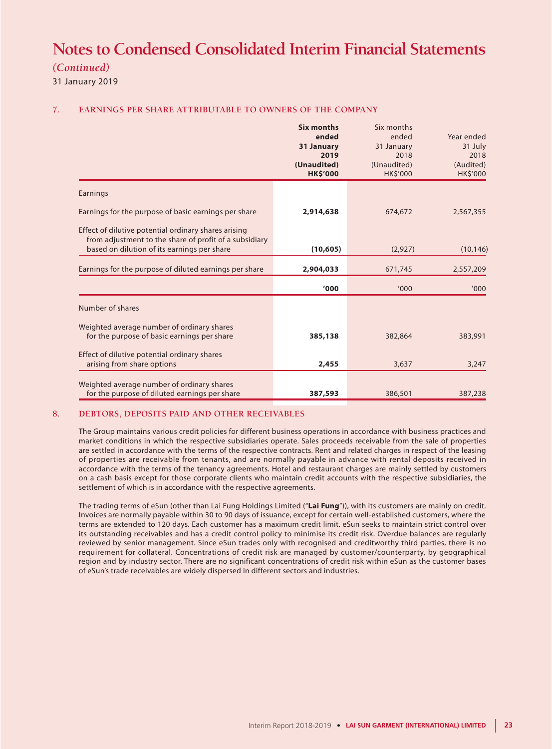# *(Continued)*

31 January 2019

### **7. EARNINGS PER SHARE ATTRIBUTABLE TO OWNERS OF THE COMPANY**

|                                                                                                                | <b>Six months</b><br>ended<br>31 January<br>2019<br>(Unaudited)<br><b>HK\$'000</b> | Six months<br>ended<br>31 January<br>2018<br>(Unaudited)<br><b>HK\$'000</b> | Year ended<br>31 July<br>2018<br>(Audited)<br><b>HK\$'000</b> |
|----------------------------------------------------------------------------------------------------------------|------------------------------------------------------------------------------------|-----------------------------------------------------------------------------|---------------------------------------------------------------|
| Earnings                                                                                                       |                                                                                    |                                                                             |                                                               |
| Earnings for the purpose of basic earnings per share                                                           | 2,914,638                                                                          | 674,672                                                                     | 2,567,355                                                     |
| Effect of dilutive potential ordinary shares arising<br>from adjustment to the share of profit of a subsidiary |                                                                                    |                                                                             |                                                               |
| based on dilution of its earnings per share                                                                    | (10, 605)                                                                          | (2,927)                                                                     | (10, 146)                                                     |
| Earnings for the purpose of diluted earnings per share                                                         | 2,904,033                                                                          | 671,745                                                                     | 2,557,209                                                     |
|                                                                                                                | '000                                                                               | '000                                                                        | '000                                                          |
| Number of shares                                                                                               |                                                                                    |                                                                             |                                                               |
| Weighted average number of ordinary shares<br>for the purpose of basic earnings per share                      | 385,138                                                                            | 382,864                                                                     | 383,991                                                       |
| Effect of dilutive potential ordinary shares<br>arising from share options                                     | 2,455                                                                              | 3,637                                                                       | 3,247                                                         |
| Weighted average number of ordinary shares                                                                     |                                                                                    |                                                                             |                                                               |
| for the purpose of diluted earnings per share                                                                  | 387,593                                                                            | 386,501                                                                     | 387,238                                                       |

### **8. DEBTORS, DEPOSITS PAID AND OTHER RECEIVABLES**

The Group maintains various credit policies for different business operations in accordance with business practices and market conditions in which the respective subsidiaries operate. Sales proceeds receivable from the sale of properties are settled in accordance with the terms of the respective contracts. Rent and related charges in respect of the leasing of properties are receivable from tenants, and are normally payable in advance with rental deposits received in accordance with the terms of the tenancy agreements. Hotel and restaurant charges are mainly settled by customers on a cash basis except for those corporate clients who maintain credit accounts with the respective subsidiaries, the settlement of which is in accordance with the respective agreements.

The trading terms of eSun (other than Lai Fung Holdings Limited ("**Lai Fung**")), with its customers are mainly on credit. Invoices are normally payable within 30 to 90 days of issuance, except for certain well-established customers, where the terms are extended to 120 days. Each customer has a maximum credit limit. eSun seeks to maintain strict control over its outstanding receivables and has a credit control policy to minimise its credit risk. Overdue balances are regularly reviewed by senior management. Since eSun trades only with recognised and creditworthy third parties, there is no requirement for collateral. Concentrations of credit risk are managed by customer/counterparty, by geographical region and by industry sector. There are no significant concentrations of credit risk within eSun as the customer bases of eSun's trade receivables are widely dispersed in different sectors and industries.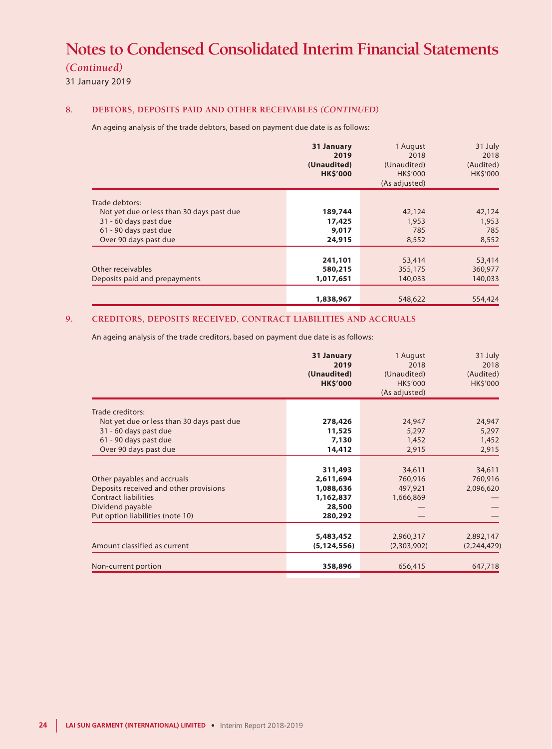# *(Continued)*

31 January 2019

## **8. DEBTORS, DEPOSITS PAID AND OTHER RECEIVABLES** *(CONTINUED)*

An ageing analysis of the trade debtors, based on payment due date is as follows:

|                                           | 31 January<br>2019<br>(Unaudited)<br><b>HK\$'000</b> | 1 August<br>2018<br>(Unaudited)<br><b>HKS'000</b><br>(As adjusted) | 31 July<br>2018<br>(Audited)<br>HK\$'000 |
|-------------------------------------------|------------------------------------------------------|--------------------------------------------------------------------|------------------------------------------|
| Trade debtors:                            |                                                      |                                                                    |                                          |
| Not yet due or less than 30 days past due | 189,744                                              | 42,124                                                             | 42,124                                   |
| 31 - 60 days past due                     | 17,425                                               | 1,953                                                              | 1,953                                    |
| 61 - 90 days past due                     | 9,017                                                | 785                                                                | 785                                      |
| Over 90 days past due                     | 24,915                                               | 8,552                                                              | 8,552                                    |
|                                           |                                                      |                                                                    |                                          |
|                                           | 241,101                                              | 53,414                                                             | 53,414                                   |
| Other receivables                         | 580,215                                              | 355,175                                                            | 360,977                                  |
| Deposits paid and prepayments             | 1,017,651                                            | 140,033                                                            | 140,033                                  |
|                                           |                                                      |                                                                    |                                          |
|                                           | 1,838,967                                            | 548,622                                                            | 554,424                                  |

# **9. CREDITORS, DEPOSITS RECEIVED, CONTRACT LIABILITIES AND ACCRUALS**

An ageing analysis of the trade creditors, based on payment due date is as follows:

|                                           | 31 January<br>2019<br>(Unaudited)<br><b>HK\$'000</b> | 1 August<br>2018<br>(Unaudited)<br><b>HKS'000</b><br>(As adjusted) | 31 July<br>2018<br>(Audited)<br>HK\$'000 |
|-------------------------------------------|------------------------------------------------------|--------------------------------------------------------------------|------------------------------------------|
| Trade creditors:                          |                                                      |                                                                    |                                          |
| Not yet due or less than 30 days past due | 278,426                                              | 24,947                                                             | 24,947                                   |
| 31 - 60 days past due                     | 11,525                                               | 5,297                                                              | 5,297                                    |
| 61 - 90 days past due                     | 7,130                                                | 1,452                                                              | 1,452                                    |
| Over 90 days past due                     | 14,412                                               | 2,915                                                              | 2,915                                    |
|                                           |                                                      |                                                                    |                                          |
|                                           | 311,493                                              | 34,611                                                             | 34,611                                   |
| Other payables and accruals               | 2,611,694                                            | 760,916                                                            | 760,916                                  |
| Deposits received and other provisions    | 1,088,636                                            | 497,921                                                            | 2,096,620                                |
| <b>Contract liabilities</b>               | 1,162,837                                            | 1,666,869                                                          |                                          |
| Dividend payable                          | 28,500                                               |                                                                    |                                          |
| Put option liabilities (note 10)          | 280,292                                              |                                                                    |                                          |
|                                           |                                                      |                                                                    |                                          |
|                                           | 5,483,452                                            | 2,960,317                                                          | 2,892,147                                |
| Amount classified as current              | (5, 124, 556)                                        | (2,303,902)                                                        | (2, 244, 429)                            |
|                                           |                                                      |                                                                    |                                          |
| Non-current portion                       | 358,896                                              | 656,415                                                            | 647,718                                  |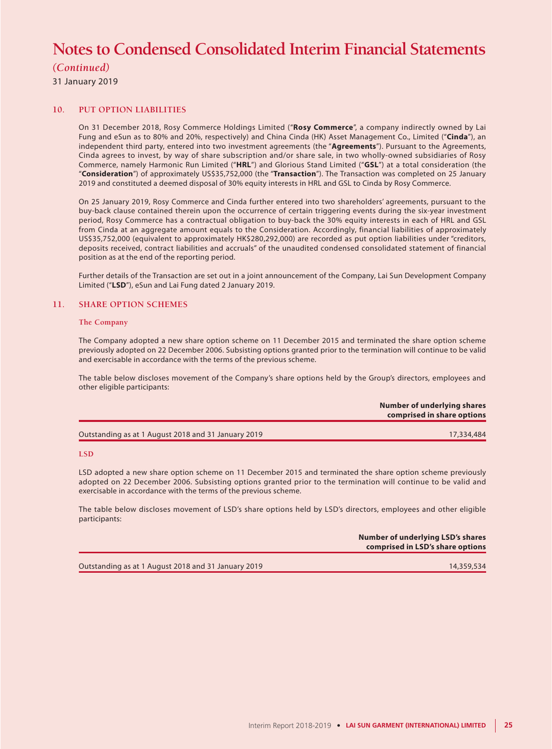# *(Continued)*

31 January 2019

### **10. PUT OPTION LIABILITIES**

On 31 December 2018, Rosy Commerce Holdings Limited ("**Rosy Commerce**", a company indirectly owned by Lai Fung and eSun as to 80% and 20%, respectively) and China Cinda (HK) Asset Management Co., Limited ("**Cinda**"), an independent third party, entered into two investment agreements (the "**Agreements**"). Pursuant to the Agreements, Cinda agrees to invest, by way of share subscription and/or share sale, in two wholly-owned subsidiaries of Rosy Commerce, namely Harmonic Run Limited ("**HRL**") and Glorious Stand Limited ("**GSL**") at a total consideration (the "**Consideration**") of approximately US\$35,752,000 (the "**Transaction**"). The Transaction was completed on 25 January 2019 and constituted a deemed disposal of 30% equity interests in HRL and GSL to Cinda by Rosy Commerce.

On 25 January 2019, Rosy Commerce and Cinda further entered into two shareholders' agreements, pursuant to the buy-back clause contained therein upon the occurrence of certain triggering events during the six-year investment period, Rosy Commerce has a contractual obligation to buy-back the 30% equity interests in each of HRL and GSL from Cinda at an aggregate amount equals to the Consideration. Accordingly, financial liabilities of approximately US\$35,752,000 (equivalent to approximately HK\$280,292,000) are recorded as put option liabilities under "creditors, deposits received, contract liabilities and accruals" of the unaudited condensed consolidated statement of financial position as at the end of the reporting period.

Further details of the Transaction are set out in a joint announcement of the Company, Lai Sun Development Company Limited ("**LSD**"), eSun and Lai Fung dated 2 January 2019.

### **11. SHARE OPTION SCHEMES**

#### **The Company**

The Company adopted a new share option scheme on 11 December 2015 and terminated the share option scheme previously adopted on 22 December 2006. Subsisting options granted prior to the termination will continue to be valid and exercisable in accordance with the terms of the previous scheme.

The table below discloses movement of the Company's share options held by the Group's directors, employees and other eligible participants:

|                                                     | Number of underlying shares<br>comprised in share options |
|-----------------------------------------------------|-----------------------------------------------------------|
| Outstanding as at 1 August 2018 and 31 January 2019 | 17,334,484                                                |

#### **LSD**

LSD adopted a new share option scheme on 11 December 2015 and terminated the share option scheme previously adopted on 22 December 2006. Subsisting options granted prior to the termination will continue to be valid and exercisable in accordance with the terms of the previous scheme.

The table below discloses movement of LSD's share options held by LSD's directors, employees and other eligible participants:

| Number of underlying LSD's shares<br>comprised in LSD's share options |
|-----------------------------------------------------------------------|
|                                                                       |

Outstanding as at 1 August 2018 and 31 January 2019 14,359,534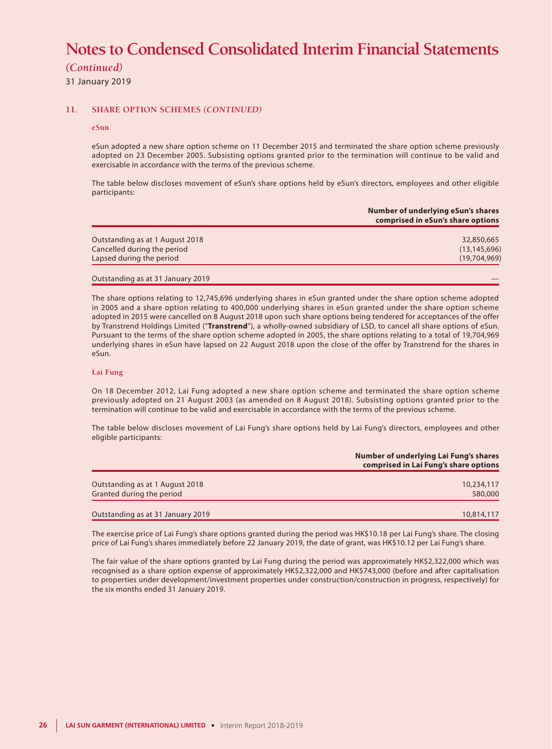*(Continued)*

31 January 2019

### **11. SHARE OPTION SCHEMES** *(CONTINUED)*

#### **eSun**

eSun adopted a new share option scheme on 11 December 2015 and terminated the share option scheme previously adopted on 23 December 2005. Subsisting options granted prior to the termination will continue to be valid and exercisable in accordance with the terms of the previous scheme.

The table below discloses movement of eSun's share options held by eSun's directors, employees and other eligible participants:

|                                 | Number of underlying eSun's shares<br>comprised in eSun's share options |
|---------------------------------|-------------------------------------------------------------------------|
| Outstanding as at 1 August 2018 | 32,850,665                                                              |
| Cancelled during the period     | (13, 145, 696)                                                          |
| Lapsed during the period        | (19,704,969)                                                            |

The share options relating to 12,745,696 underlying shares in eSun granted under the share option scheme adopted in 2005 and a share option relating to 400,000 underlying shares in eSun granted under the share option scheme adopted in 2015 were cancelled on 8 August 2018 upon such share options being tendered for acceptances of the offer by Transtrend Holdings Limited ("**Transtrend**"), a wholly-owned subsidiary of LSD, to cancel all share options of eSun. Pursuant to the terms of the share option scheme adopted in 2005, the share options relating to a total of 19,704,969 underlying shares in eSun have lapsed on 22 August 2018 upon the close of the offer by Transtrend for the shares in eSun.

#### **Lai Fung**

On 18 December 2012, Lai Fung adopted a new share option scheme and terminated the share option scheme previously adopted on 21 August 2003 (as amended on 8 August 2018). Subsisting options granted prior to the termination will continue to be valid and exercisable in accordance with the terms of the previous scheme.

The table below discloses movement of Lai Fung's share options held by Lai Fung's directors, employees and other eligible participants:

|                                                              | Number of underlying Lai Fung's shares<br>comprised in Lai Fung's share options |
|--------------------------------------------------------------|---------------------------------------------------------------------------------|
| Outstanding as at 1 August 2018<br>Granted during the period | 10,234,117<br>580,000                                                           |
| Outstanding as at 31 January 2019                            | 10,814,117                                                                      |

The exercise price of Lai Fung's share options granted during the period was HK\$10.18 per Lai Fung's share. The closing price of Lai Fung's shares immediately before 22 January 2019, the date of grant, was HK\$10.12 per Lai Fung's share.

The fair value of the share options granted by Lai Fung during the period was approximately HK\$2,322,000 which was recognised as a share option expense of approximately HK\$2,322,000 and HK\$743,000 (before and after capitalisation to properties under development/investment properties under construction/construction in progress, respectively) for the six months ended 31 January 2019.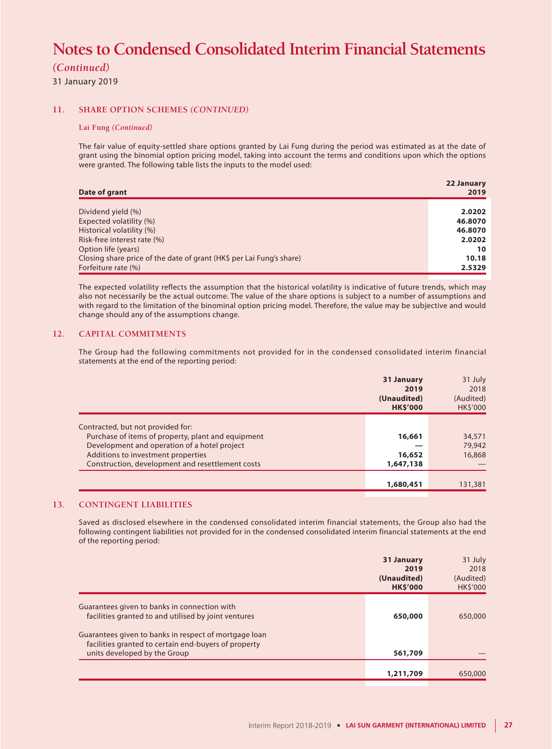## *(Continued)*

31 January 2019

### **11. SHARE OPTION SCHEMES** *(CONTINUED)*

#### **Lai Fung** *(Continued)*

The fair value of equity-settled share options granted by Lai Fung during the period was estimated as at the date of grant using the binomial option pricing model, taking into account the terms and conditions upon which the options were granted. The following table lists the inputs to the model used:

| Date of grant                                                        | 22 January<br>2019 |
|----------------------------------------------------------------------|--------------------|
|                                                                      |                    |
| Dividend yield (%)                                                   | 2.0202             |
| Expected volatility (%)                                              | 46.8070            |
| Historical volatility (%)                                            | 46.8070            |
| Risk-free interest rate (%)                                          | 2.0202             |
| Option life (years)                                                  | 10                 |
| Closing share price of the date of grant (HK\$ per Lai Fung's share) | 10.18              |
| Forfeiture rate (%)                                                  | 2.5329             |

The expected volatility reflects the assumption that the historical volatility is indicative of future trends, which may also not necessarily be the actual outcome. The value of the share options is subject to a number of assumptions and with regard to the limitation of the binominal option pricing model. Therefore, the value may be subjective and would change should any of the assumptions change.

### **12. CAPITAL COMMITMENTS**

The Group had the following commitments not provided for in the condensed consolidated interim financial statements at the end of the reporting period:

|                                                    | 31 January<br>2019<br>(Unaudited)<br><b>HK\$'000</b> | 31 July<br>2018<br>(Audited)<br><b>HK\$'000</b> |
|----------------------------------------------------|------------------------------------------------------|-------------------------------------------------|
| Contracted, but not provided for:                  |                                                      |                                                 |
| Purchase of items of property, plant and equipment | 16,661                                               | 34,571                                          |
| Development and operation of a hotel project       |                                                      | 79,942                                          |
| Additions to investment properties                 | 16,652                                               | 16,868                                          |
| Construction, development and resettlement costs   | 1,647,138                                            |                                                 |
|                                                    |                                                      |                                                 |
|                                                    | 1,680,451                                            | 131,381                                         |
|                                                    |                                                      |                                                 |

### **13. CONTINGENT LIABILITIES**

Saved as disclosed elsewhere in the condensed consolidated interim financial statements, the Group also had the following contingent liabilities not provided for in the condensed consolidated interim financial statements at the end of the reporting period:

|                                                                                                                                               | 31 January<br>2019<br>(Unaudited)<br><b>HK\$'000</b> | 31 July<br>2018<br>(Audited)<br><b>HK\$'000</b> |
|-----------------------------------------------------------------------------------------------------------------------------------------------|------------------------------------------------------|-------------------------------------------------|
| Guarantees given to banks in connection with<br>facilities granted to and utilised by joint ventures                                          | 650,000                                              | 650,000                                         |
| Guarantees given to banks in respect of mortgage loan<br>facilities granted to certain end-buyers of property<br>units developed by the Group | 561,709                                              |                                                 |
|                                                                                                                                               | 1,211,709                                            | 650,000                                         |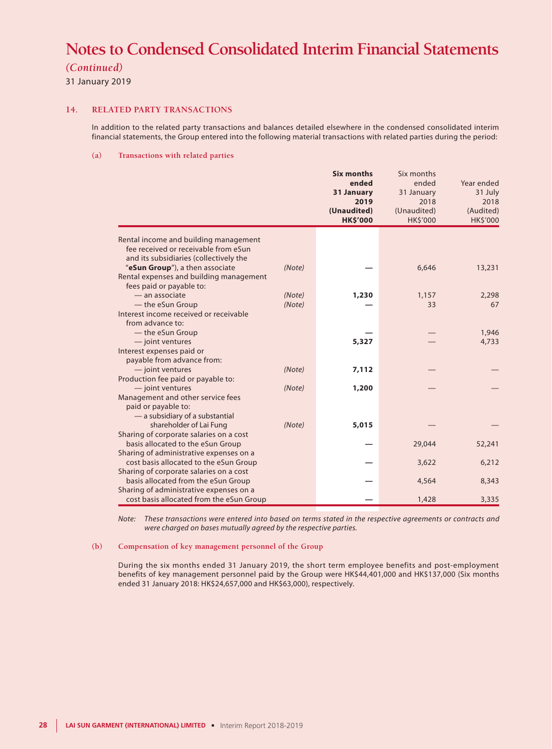*(Continued)*

31 January 2019

#### **14. RELATED PARTY TRANSACTIONS**

In addition to the related party transactions and balances detailed elsewhere in the condensed consolidated interim financial statements, the Group entered into the following material transactions with related parties during the period:

#### **(a) Transactions with related parties**

|                                                                               |        | <b>Six months</b> | Six months      |            |
|-------------------------------------------------------------------------------|--------|-------------------|-----------------|------------|
|                                                                               |        | ended             | ended           | Year ended |
|                                                                               |        | 31 January        | 31 January      | 31 July    |
|                                                                               |        | 2019              | 2018            | 2018       |
|                                                                               |        | (Unaudited)       | (Unaudited)     | (Audited)  |
|                                                                               |        | <b>HK\$'000</b>   | <b>HK\$'000</b> | HK\$'000   |
|                                                                               |        |                   |                 |            |
| Rental income and building management<br>fee received or receivable from eSun |        |                   |                 |            |
|                                                                               |        |                   |                 |            |
| and its subsidiaries (collectively the<br>"eSun Group"), a then associate     | (Note) |                   |                 |            |
| Rental expenses and building management                                       |        |                   | 6,646           | 13,231     |
| fees paid or payable to:                                                      |        |                   |                 |            |
| — an associate                                                                | (Note) | 1,230             | 1,157           | 2,298      |
| - the eSun Group                                                              | (Note) |                   | 33              | 67         |
| Interest income received or receivable                                        |        |                   |                 |            |
| from advance to:                                                              |        |                   |                 |            |
| - the eSun Group                                                              |        |                   |                 | 1,946      |
| - joint ventures                                                              |        | 5,327             |                 | 4,733      |
| Interest expenses paid or                                                     |        |                   |                 |            |
| payable from advance from:                                                    |        |                   |                 |            |
| - joint ventures                                                              | (Note) | 7,112             |                 |            |
| Production fee paid or payable to:                                            |        |                   |                 |            |
| - joint ventures                                                              | (Note) | 1,200             |                 |            |
| Management and other service fees                                             |        |                   |                 |            |
| paid or payable to:                                                           |        |                   |                 |            |
| - a subsidiary of a substantial                                               |        |                   |                 |            |
| shareholder of Lai Fung                                                       | (Note) | 5,015             |                 |            |
| Sharing of corporate salaries on a cost                                       |        |                   |                 |            |
| basis allocated to the eSun Group                                             |        |                   | 29,044          | 52,241     |
| Sharing of administrative expenses on a                                       |        |                   |                 |            |
| cost basis allocated to the eSun Group                                        |        |                   | 3,622           | 6,212      |
| Sharing of corporate salaries on a cost                                       |        |                   |                 |            |
| basis allocated from the eSun Group                                           |        |                   | 4,564           | 8,343      |
| Sharing of administrative expenses on a                                       |        |                   |                 |            |
| cost basis allocated from the eSun Group                                      |        |                   | 1,428           | 3,335      |

*Note: These transactions were entered into based on terms stated in the respective agreements or contracts and were charged on bases mutually agreed by the respective parties.*

### **(b) Compensation of key management personnel of the Group**

During the six months ended 31 January 2019, the short term employee benefits and post-employment benefits of key management personnel paid by the Group were HK\$44,401,000 and HK\$137,000 (Six months ended 31 January 2018: HK\$24,657,000 and HK\$63,000), respectively.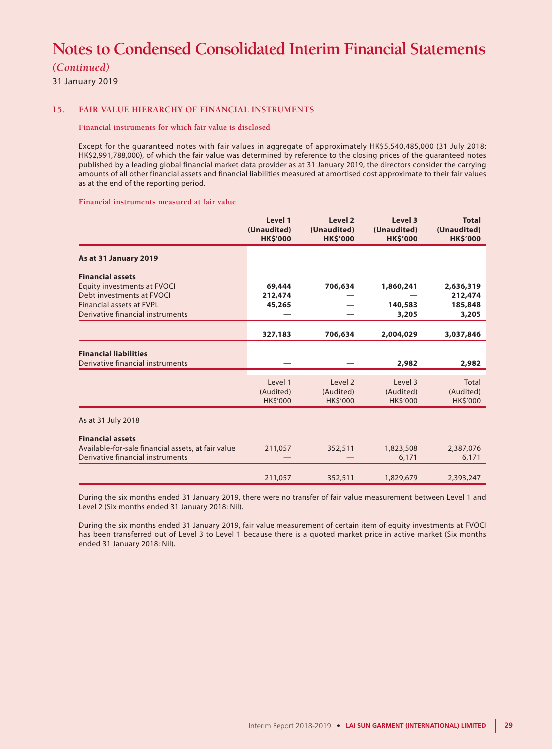*(Continued)*

31 January 2019

#### **15. FAIR VALUE HIERARCHY OF FINANCIAL INSTRUMENTS**

#### **Financial instruments for which fair value is disclosed**

Except for the guaranteed notes with fair values in aggregate of approximately HK\$5,540,485,000 (31 July 2018: HK\$2,991,788,000), of which the fair value was determined by reference to the closing prices of the guaranteed notes published by a leading global financial market data provider as at 31 January 2019, the directors consider the carrying amounts of all other financial assets and financial liabilities measured at amortised cost approximate to their fair values as at the end of the reporting period.

**Financial instruments measured at fair value**

|                                                                                                                                                            | Level 1<br>(Unaudited)<br><b>HK\$'000</b> | Level 2<br>(Unaudited)<br><b>HK\$'000</b> | Level 3<br>(Unaudited)<br><b>HK\$'000</b> | <b>Total</b><br>(Unaudited)<br><b>HK\$'000</b> |
|------------------------------------------------------------------------------------------------------------------------------------------------------------|-------------------------------------------|-------------------------------------------|-------------------------------------------|------------------------------------------------|
| As at 31 January 2019                                                                                                                                      |                                           |                                           |                                           |                                                |
| <b>Financial assets</b><br>Equity investments at FVOCI<br>Debt investments at FVOCI<br><b>Financial assets at FVPL</b><br>Derivative financial instruments | 69,444<br>212,474<br>45,265               | 706,634                                   | 1,860,241<br>140,583<br>3,205             | 2,636,319<br>212,474<br>185,848<br>3,205       |
|                                                                                                                                                            | 327,183                                   | 706,634                                   | 2,004,029                                 | 3,037,846                                      |
| <b>Financial liabilities</b><br>Derivative financial instruments                                                                                           |                                           |                                           | 2,982                                     | 2,982                                          |
|                                                                                                                                                            | Level 1<br>(Audited)<br><b>HK\$'000</b>   | Level 2<br>(Audited)<br><b>HK\$'000</b>   | Level 3<br>(Audited)<br><b>HK\$'000</b>   | <b>Total</b><br>(Audited)<br><b>HK\$'000</b>   |
| As at 31 July 2018                                                                                                                                         |                                           |                                           |                                           |                                                |
| <b>Financial assets</b><br>Available-for-sale financial assets, at fair value<br>Derivative financial instruments                                          | 211,057                                   | 352,511                                   | 1,823,508<br>6,171                        | 2,387,076<br>6,171                             |
|                                                                                                                                                            | 211,057                                   | 352,511                                   | 1,829,679                                 | 2,393,247                                      |

During the six months ended 31 January 2019, there were no transfer of fair value measurement between Level 1 and Level 2 (Six months ended 31 January 2018: Nil).

During the six months ended 31 January 2019, fair value measurement of certain item of equity investments at FVOCI has been transferred out of Level 3 to Level 1 because there is a quoted market price in active market (Six months ended 31 January 2018: Nil).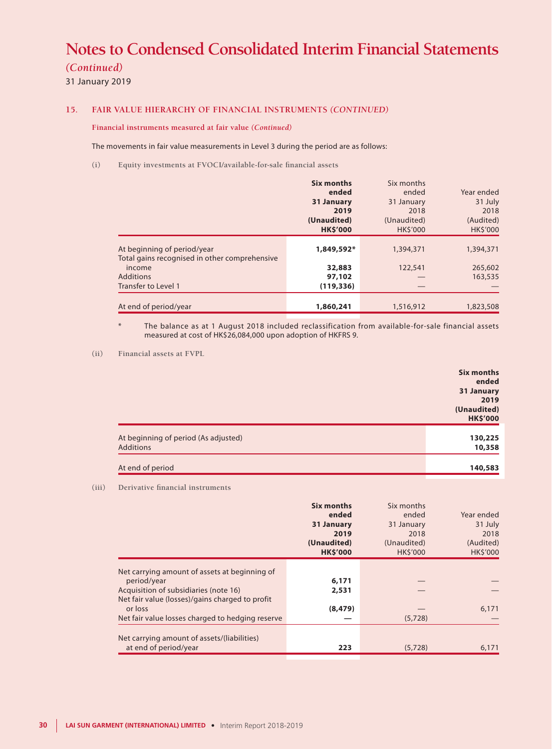*(Continued)*

31 January 2019

## **15. FAIR VALUE HIERARCHY OF FINANCIAL INSTRUMENTS** *(CONTINUED)*

**Financial instruments measured at fair value** *(Continued)*

The movements in fair value measurements in Level 3 during the period are as follows:

**(i) Equity investments at FVOCI/available-for-sale financial assets**

|                                                                              | Six months<br>ended<br>31 January<br>2019<br>(Unaudited)<br><b>HK\$'000</b> | Six months<br>ended<br>31 January<br>2018<br>(Unaudited)<br><b>HKS'000</b> | Year ended<br>31 July<br>2018<br>(Audited)<br>HK\$'000 |
|------------------------------------------------------------------------------|-----------------------------------------------------------------------------|----------------------------------------------------------------------------|--------------------------------------------------------|
| At beginning of period/year<br>Total gains recognised in other comprehensive | 1,849,592*                                                                  | 1,394,371                                                                  | 1,394,371                                              |
| income<br>Additions<br>Transfer to Level 1                                   | 32,883<br>97,102<br>(119, 336)                                              | 122,541                                                                    | 265,602<br>163,535                                     |
| At end of period/year                                                        | 1,860,241                                                                   | 1,516,912                                                                  | 1,823,508                                              |

The balance as at 1 August 2018 included reclassification from available-for-sale financial assets measured at cost of HK\$26,084,000 upon adoption of HKFRS 9.

**(ii) Financial assets at FVPL**

|                                      | Six months      |
|--------------------------------------|-----------------|
|                                      | ended           |
|                                      | 31 January      |
|                                      | 2019            |
|                                      | (Unaudited)     |
|                                      | <b>HK\$'000</b> |
| At beginning of period (As adjusted) | 130,225         |
| Additions                            | 10,358          |
| At end of period                     | 140,583         |

#### **(iii) Derivative financial instruments**

|                                                                      | Six months<br>ended<br>31 January<br>2019<br>(Unaudited)<br><b>HK\$'000</b> | Six months<br>ended<br>31 January<br>2018<br>(Unaudited)<br><b>HKS'000</b> | Year ended<br>31 July<br>2018<br>(Audited)<br><b>HK\$'000</b> |
|----------------------------------------------------------------------|-----------------------------------------------------------------------------|----------------------------------------------------------------------------|---------------------------------------------------------------|
|                                                                      |                                                                             |                                                                            |                                                               |
| Net carrying amount of assets at beginning of<br>period/year         | 6,171                                                                       |                                                                            |                                                               |
| Acquisition of subsidiaries (note 16)                                | 2,531                                                                       |                                                                            |                                                               |
| Net fair value (losses)/gains charged to profit                      |                                                                             |                                                                            |                                                               |
| or loss                                                              | (8, 479)                                                                    |                                                                            | 6,171                                                         |
| Net fair value losses charged to hedging reserve                     |                                                                             | (5,728)                                                                    |                                                               |
|                                                                      |                                                                             |                                                                            |                                                               |
| Net carrying amount of assets/(liabilities)<br>at end of period/year | 223                                                                         | (5,728)                                                                    | 6,171                                                         |
|                                                                      |                                                                             |                                                                            |                                                               |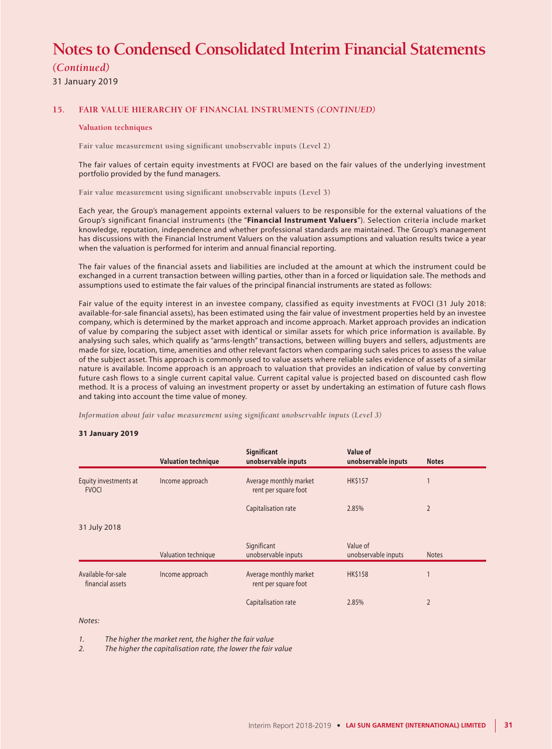*(Continued)*

31 January 2019

#### **15. FAIR VALUE HIERARCHY OF FINANCIAL INSTRUMENTS** *(CONTINUED)*

#### **Valuation techniques**

**Fair value measurement using significant unobservable inputs (Level 2)**

The fair values of certain equity investments at FVOCI are based on the fair values of the underlying investment portfolio provided by the fund managers.

**Fair value measurement using significant unobservable inputs (Level 3)**

Each year, the Group's management appoints external valuers to be responsible for the external valuations of the Group's significant financial instruments (the "**Financial Instrument Valuers**"). Selection criteria include market knowledge, reputation, independence and whether professional standards are maintained. The Group's management has discussions with the Financial Instrument Valuers on the valuation assumptions and valuation results twice a year when the valuation is performed for interim and annual financial reporting.

The fair values of the financial assets and liabilities are included at the amount at which the instrument could be exchanged in a current transaction between willing parties, other than in a forced or liquidation sale. The methods and assumptions used to estimate the fair values of the principal financial instruments are stated as follows:

Fair value of the equity interest in an investee company, classified as equity investments at FVOCI (31 July 2018: available-for-sale financial assets), has been estimated using the fair value of investment properties held by an investee company, which is determined by the market approach and income approach. Market approach provides an indication of value by comparing the subject asset with identical or similar assets for which price information is available. By analysing such sales, which qualify as "arms-length" transactions, between willing buyers and sellers, adjustments are made for size, location, time, amenities and other relevant factors when comparing such sales prices to assess the value of the subject asset. This approach is commonly used to value assets where reliable sales evidence of assets of a similar nature is available. Income approach is an approach to valuation that provides an indication of value by converting future cash flows to a single current capital value. Current capital value is projected based on discounted cash flow method. It is a process of valuing an investment property or asset by undertaking an estimation of future cash flows and taking into account the time value of money.

*Information about fair value measurement using significant unobservable inputs (Level 3)*

#### **31 January 2019**

|                                        | <b>Valuation technique</b> | <b>Significant</b><br>unobservable inputs      | Value of<br>unobservable inputs | <b>Notes</b>   |
|----------------------------------------|----------------------------|------------------------------------------------|---------------------------------|----------------|
| Equity investments at<br><b>FVOCI</b>  | Income approach            | Average monthly market<br>rent per square foot | <b>HK\$157</b>                  |                |
|                                        |                            | Capitalisation rate                            | 2.85%                           | $\overline{2}$ |
| 31 July 2018                           |                            |                                                |                                 |                |
|                                        | Valuation technique        | Significant<br>unobservable inputs             | Value of<br>unobservable inputs | <b>Notes</b>   |
| Available-for-sale<br>financial assets | Income approach            | Average monthly market<br>rent per square foot | <b>HK\$158</b>                  |                |
|                                        |                            | Capitalisation rate                            | 2.85%                           | $\overline{2}$ |

#### *Notes:*

*1. The higher the market rent, the higher the fair value*

*2. The higher the capitalisation rate, the lower the fair value*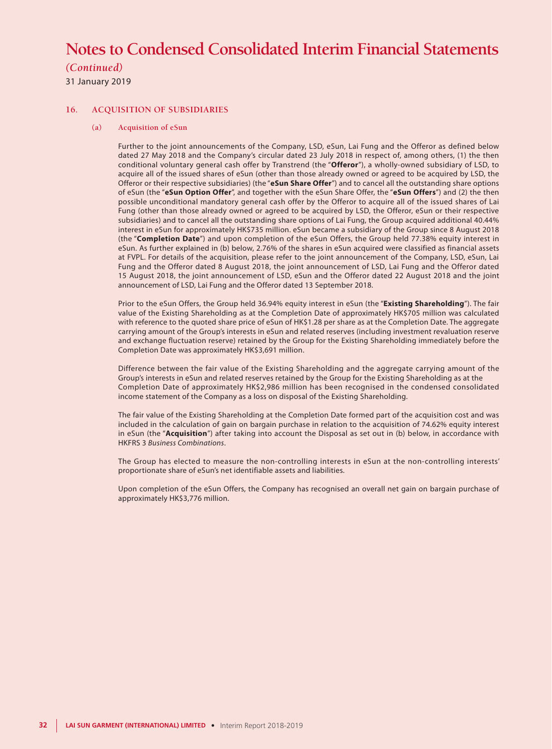# *(Continued)*

31 January 2019

### **16. ACQUISITION OF SUBSIDIARIES**

#### **(a) Acquisition of eSun**

Further to the joint announcements of the Company, LSD, eSun, Lai Fung and the Offeror as defined below dated 27 May 2018 and the Company's circular dated 23 July 2018 in respect of, among others, (1) the then conditional voluntary general cash offer by Transtrend (the "**Offeror**"), a wholly-owned subsidiary of LSD, to acquire all of the issued shares of eSun (other than those already owned or agreed to be acquired by LSD, the Offeror or their respective subsidiaries) (the "**eSun Share Offer**") and to cancel all the outstanding share options of eSun (the "**eSun Option Offer**", and together with the eSun Share Offer, the "**eSun Offers**") and (2) the then possible unconditional mandatory general cash offer by the Offeror to acquire all of the issued shares of Lai Fung (other than those already owned or agreed to be acquired by LSD, the Offeror, eSun or their respective subsidiaries) and to cancel all the outstanding share options of Lai Fung, the Group acquired additional 40.44% interest in eSun for approximately HK\$735 million. eSun became a subsidiary of the Group since 8 August 2018 (the "**Completion Date**") and upon completion of the eSun Offers, the Group held 77.38% equity interest in eSun. As further explained in (b) below, 2.76% of the shares in eSun acquired were classified as financial assets at FVPL. For details of the acquisition, please refer to the joint announcement of the Company, LSD, eSun, Lai Fung and the Offeror dated 8 August 2018, the joint announcement of LSD, Lai Fung and the Offeror dated 15 August 2018, the joint announcement of LSD, eSun and the Offeror dated 22 August 2018 and the joint announcement of LSD, Lai Fung and the Offeror dated 13 September 2018.

Prior to the eSun Offers, the Group held 36.94% equity interest in eSun (the "**Existing Shareholding**"). The fair value of the Existing Shareholding as at the Completion Date of approximately HK\$705 million was calculated with reference to the quoted share price of eSun of HK\$1.28 per share as at the Completion Date. The aggregate carrying amount of the Group's interests in eSun and related reserves (including investment revaluation reserve and exchange fluctuation reserve) retained by the Group for the Existing Shareholding immediately before the Completion Date was approximately HK\$3,691 million.

Difference between the fair value of the Existing Shareholding and the aggregate carrying amount of the Group's interests in eSun and related reserves retained by the Group for the Existing Shareholding as at the Completion Date of approximately HK\$2,986 million has been recognised in the condensed consolidated income statement of the Company as a loss on disposal of the Existing Shareholding.

The fair value of the Existing Shareholding at the Completion Date formed part of the acquisition cost and was included in the calculation of gain on bargain purchase in relation to the acquisition of 74.62% equity interest in eSun (the "**Acquisition**") after taking into account the Disposal as set out in (b) below, in accordance with HKFRS 3 *Business Combinations*.

The Group has elected to measure the non-controlling interests in eSun at the non-controlling interests' proportionate share of eSun's net identifiable assets and liabilities.

Upon completion of the eSun Offers, the Company has recognised an overall net gain on bargain purchase of approximately HK\$3,776 million.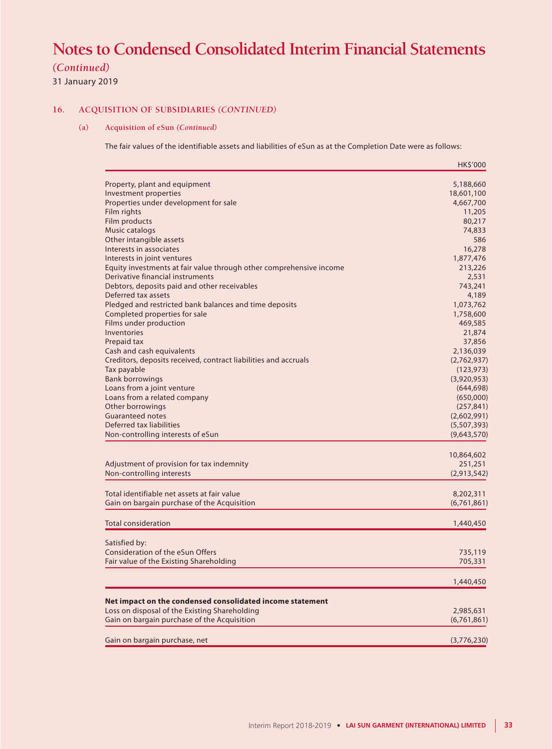# *(Continued)*

31 January 2019

# **16. ACQUISITION OF SUBSIDIARIES** *(CONTINUED)*

### **(a) Acquisition of eSun** *(Continued)*

The fair values of the identifiable assets and liabilities of eSun as at the Completion Date were as follows:

|                                                                     | HK\$'000                 |
|---------------------------------------------------------------------|--------------------------|
| Property, plant and equipment                                       | 5,188,660                |
| Investment properties                                               | 18,601,100               |
| Properties under development for sale                               | 4,667,700                |
| Film rights                                                         | 11,205                   |
| Film products                                                       | 80,217                   |
| Music catalogs                                                      | 74,833                   |
| Other intangible assets                                             | 586                      |
| Interests in associates                                             | 16,278                   |
| Interests in joint ventures                                         | 1,877,476                |
| Equity investments at fair value through other comprehensive income | 213,226                  |
| Derivative financial instruments                                    | 2,531                    |
| Debtors, deposits paid and other receivables                        | 743,241                  |
| Deferred tax assets                                                 | 4,189                    |
| Pledged and restricted bank balances and time deposits              | 1,073,762                |
| Completed properties for sale                                       | 1,758,600                |
| Films under production<br>Inventories                               | 469,585                  |
|                                                                     | 21,874<br>37,856         |
| Prepaid tax<br>Cash and cash equivalents                            |                          |
| Creditors, deposits received, contract liabilities and accruals     | 2,136,039<br>(2,762,937) |
| Tax payable                                                         | (123, 973)               |
| <b>Bank borrowings</b>                                              | (3,920,953)              |
| Loans from a joint venture                                          | (644, 698)               |
| Loans from a related company                                        | (650,000)                |
| Other borrowings                                                    | (257, 841)               |
| <b>Guaranteed notes</b>                                             | (2,602,991)              |
| Deferred tax liabilities                                            | (5,507,393)              |
| Non-controlling interests of eSun                                   | (9,643,570)              |
|                                                                     | 10,864,602               |
| Adjustment of provision for tax indemnity                           | 251,251                  |
| Non-controlling interests                                           | (2,913,542)              |
|                                                                     |                          |
| Total identifiable net assets at fair value                         | 8,202,311                |
| Gain on bargain purchase of the Acquisition                         | (6,761,861)              |
| <b>Total consideration</b>                                          | 1,440,450                |
| Satisfied by:                                                       |                          |
| Consideration of the eSun Offers                                    | 735,119                  |
| Fair value of the Existing Shareholding                             | 705,331                  |
|                                                                     |                          |
|                                                                     | 1,440,450                |
| Net impact on the condensed consolidated income statement           |                          |
| Loss on disposal of the Existing Shareholding                       | 2,985,631                |
| Gain on bargain purchase of the Acquisition                         | (6,761,861)              |
| Gain on bargain purchase, net                                       | (3,776,230)              |
|                                                                     |                          |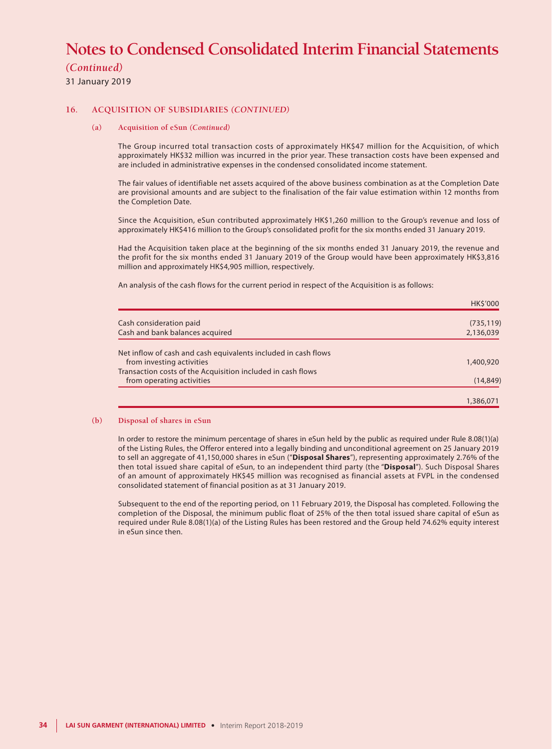*(Continued)*

31 January 2019

### **16. ACQUISITION OF SUBSIDIARIES** *(CONTINUED)*

#### **(a) Acquisition of eSun** *(Continued)*

The Group incurred total transaction costs of approximately HK\$47 million for the Acquisition, of which approximately HK\$32 million was incurred in the prior year. These transaction costs have been expensed and are included in administrative expenses in the condensed consolidated income statement.

The fair values of identifiable net assets acquired of the above business combination as at the Completion Date are provisional amounts and are subject to the finalisation of the fair value estimation within 12 months from the Completion Date.

Since the Acquisition, eSun contributed approximately HK\$1,260 million to the Group's revenue and loss of approximately HK\$416 million to the Group's consolidated profit for the six months ended 31 January 2019.

Had the Acquisition taken place at the beginning of the six months ended 31 January 2019, the revenue and the profit for the six months ended 31 January 2019 of the Group would have been approximately HK\$3,816 million and approximately HK\$4,905 million, respectively.

An analysis of the cash flows for the current period in respect of the Acquisition is as follows:

|                                                                | <b>HKS'000</b> |
|----------------------------------------------------------------|----------------|
| Cash consideration paid                                        | (735, 119)     |
| Cash and bank balances acquired                                | 2,136,039      |
| Net inflow of cash and cash equivalents included in cash flows |                |
| from investing activities                                      | 1,400,920      |
| Transaction costs of the Acquisition included in cash flows    |                |
| from operating activities                                      | (14, 849)      |
|                                                                | 1,386,071      |

#### **(b) Disposal of shares in eSun**

In order to restore the minimum percentage of shares in eSun held by the public as required under Rule 8.08(1)(a) of the Listing Rules, the Offeror entered into a legally binding and unconditional agreement on 25 January 2019 to sell an aggregate of 41,150,000 shares in eSun ("**Disposal Shares**"), representing approximately 2.76% of the then total issued share capital of eSun, to an independent third party (the "**Disposal**"). Such Disposal Shares of an amount of approximately HK\$45 million was recognised as financial assets at FVPL in the condensed consolidated statement of financial position as at 31 January 2019.

Subsequent to the end of the reporting period, on 11 February 2019, the Disposal has completed. Following the completion of the Disposal, the minimum public float of 25% of the then total issued share capital of eSun as required under Rule 8.08(1)(a) of the Listing Rules has been restored and the Group held 74.62% equity interest in eSun since then.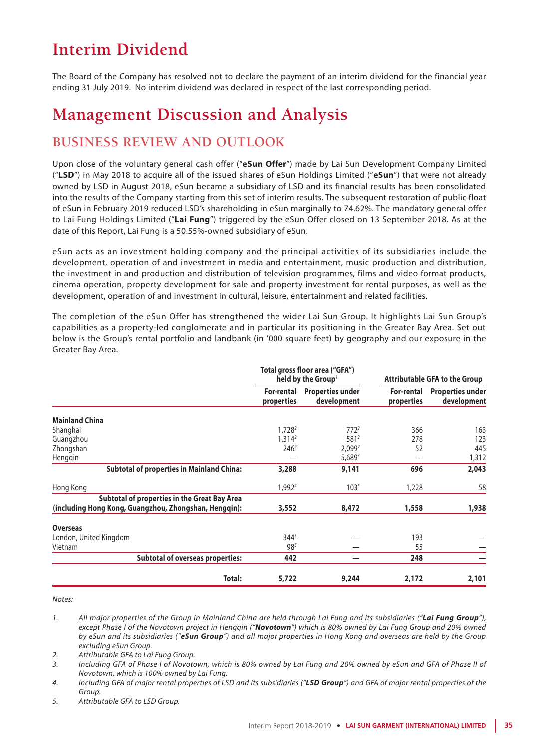# **Interim Dividend**

The Board of the Company has resolved not to declare the payment of an interim dividend for the financial year ending 31 July 2019. No interim dividend was declared in respect of the last corresponding period.

# **Management Discussion and Analysis**

# **BUSINESS REVIEW AND OUTLOOK**

Upon close of the voluntary general cash offer ("**eSun Offer**") made by Lai Sun Development Company Limited ("**LSD**") in May 2018 to acquire all of the issued shares of eSun Holdings Limited ("**eSun**") that were not already owned by LSD in August 2018, eSun became a subsidiary of LSD and its financial results has been consolidated into the results of the Company starting from this set of interim results. The subsequent restoration of public float of eSun in February 2019 reduced LSD's shareholding in eSun marginally to 74.62%. The mandatory general offer to Lai Fung Holdings Limited ("**Lai Fung**") triggered by the eSun Offer closed on 13 September 2018. As at the date of this Report, Lai Fung is a 50.55%-owned subsidiary of eSun.

eSun acts as an investment holding company and the principal activities of its subsidiaries include the development, operation of and investment in media and entertainment, music production and distribution, the investment in and production and distribution of television programmes, films and video format products, cinema operation, property development for sale and property investment for rental purposes, as well as the development, operation of and investment in cultural, leisure, entertainment and related facilities.

The completion of the eSun Offer has strengthened the wider Lai Sun Group. It highlights Lai Sun Group's capabilities as a property-led conglomerate and in particular its positioning in the Greater Bay Area. Set out below is the Group's rental portfolio and landbank (in '000 square feet) by geography and our exposure in the Greater Bay Area.

|                                                                                                       | Total gross floor area ("GFA")<br>held by the Group' |                                        | <b>Attributable GFA to the Group</b> |                                        |
|-------------------------------------------------------------------------------------------------------|------------------------------------------------------|----------------------------------------|--------------------------------------|----------------------------------------|
|                                                                                                       | For-rental<br>properties                             | <b>Properties under</b><br>development | For-rental<br>properties             | <b>Properties under</b><br>development |
| <b>Mainland China</b>                                                                                 |                                                      |                                        |                                      |                                        |
| Shanghai                                                                                              | 1.728 <sup>2</sup>                                   | $772^2$                                | 366                                  | 163                                    |
| Guangzhou                                                                                             | $1,314^2$                                            | $581^2$                                | 278                                  | 123                                    |
| Zhongshan                                                                                             | 246 <sup>2</sup>                                     | 2,099 <sup>2</sup>                     | 52                                   | 445                                    |
| Hengqin                                                                                               |                                                      | $5,689^3$                              |                                      | 1,312                                  |
| <b>Subtotal of properties in Mainland China:</b>                                                      | 3,288                                                | 9,141                                  | 696                                  | 2,043                                  |
| Hong Kong                                                                                             | 1,9924                                               | $103^{5}$                              | 1,228                                | 58                                     |
| Subtotal of properties in the Great Bay Area<br>(including Hong Kong, Guangzhou, Zhongshan, Hengqin): | 3,552                                                | 8,472                                  | 1,558                                | 1,938                                  |
| <b>Overseas</b>                                                                                       |                                                      |                                        |                                      |                                        |
| London, United Kingdom                                                                                | $344^{5}$                                            |                                        | 193                                  |                                        |
| Vietnam                                                                                               | $98^{5}$                                             |                                        | 55                                   |                                        |
| <b>Subtotal of overseas properties:</b>                                                               | 442                                                  |                                        | 248                                  |                                        |
| Total:                                                                                                | 5,722                                                | 9,244                                  | 2,172                                | 2,101                                  |

*Notes:*

*1. All major properties of the Group in Mainland China are held through Lai Fung and its subsidiaries ("Lai Fung Group"), except Phase I of the Novotown project in Hengqin ("Novotown") which is 80% owned by Lai Fung Group and 20% owned by eSun and its subsidiaries ("eSun Group") and all major properties in Hong Kong and overseas are held by the Group excluding eSun Group.*

*2. Attributable GFA to Lai Fung Group.*

*3. Including GFA of Phase I of Novotown, which is 80% owned by Lai Fung and 20% owned by eSun and GFA of Phase II of Novotown, which is 100% owned by Lai Fung.*

- *4. Including GFA of major rental properties of LSD and its subsidiaries ("LSD Group") and GFA of major rental properties of the Group.*
- *5. Attributable GFA to LSD Group.*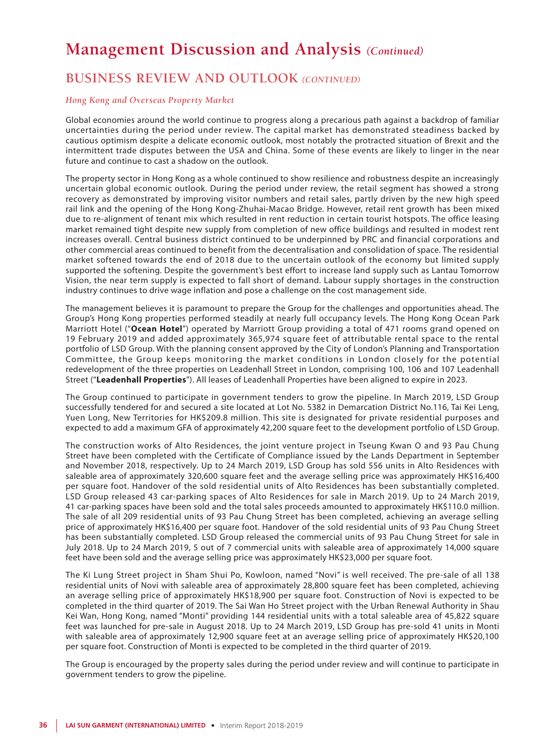# **Management Discussion and Analysis** *(Continued)*

# **BUSINESS REVIEW AND OUTLOOK** *(CONTINUED)*

### *Hong Kong and Overseas Property Market*

Global economies around the world continue to progress along a precarious path against a backdrop of familiar uncertainties during the period under review. The capital market has demonstrated steadiness backed by cautious optimism despite a delicate economic outlook, most notably the protracted situation of Brexit and the intermittent trade disputes between the USA and China. Some of these events are likely to linger in the near future and continue to cast a shadow on the outlook.

The property sector in Hong Kong as a whole continued to show resilience and robustness despite an increasingly uncertain global economic outlook. During the period under review, the retail segment has showed a strong recovery as demonstrated by improving visitor numbers and retail sales, partly driven by the new high speed rail link and the opening of the Hong Kong-Zhuhai-Macao Bridge. However, retail rent growth has been mixed due to re-alignment of tenant mix which resulted in rent reduction in certain tourist hotspots. The office leasing market remained tight despite new supply from completion of new office buildings and resulted in modest rent increases overall. Central business district continued to be underpinned by PRC and financial corporations and other commercial areas continued to benefit from the decentralisation and consolidation of space. The residential market softened towards the end of 2018 due to the uncertain outlook of the economy but limited supply supported the softening. Despite the government's best effort to increase land supply such as Lantau Tomorrow Vision, the near term supply is expected to fall short of demand. Labour supply shortages in the construction industry continues to drive wage inflation and pose a challenge on the cost management side.

The management believes it is paramount to prepare the Group for the challenges and opportunities ahead. The Group's Hong Kong properties performed steadily at nearly full occupancy levels. The Hong Kong Ocean Park Marriott Hotel ("**Ocean Hotel**") operated by Marriott Group providing a total of 471 rooms grand opened on 19 February 2019 and added approximately 365,974 square feet of attributable rental space to the rental portfolio of LSD Group. With the planning consent approved by the City of London's Planning and Transportation Committee, the Group keeps monitoring the market conditions in London closely for the potential redevelopment of the three properties on Leadenhall Street in London, comprising 100, 106 and 107 Leadenhall Street ("**Leadenhall Properties**"). All leases of Leadenhall Properties have been aligned to expire in 2023.

The Group continued to participate in government tenders to grow the pipeline. In March 2019, LSD Group successfully tendered for and secured a site located at Lot No. 5382 in Demarcation District No.116, Tai Kei Leng, Yuen Long, New Territories for HK\$209.8 million. This site is designated for private residential purposes and expected to add a maximum GFA of approximately 42,200 square feet to the development portfolio of LSD Group.

The construction works of Alto Residences, the joint venture project in Tseung Kwan O and 93 Pau Chung Street have been completed with the Certificate of Compliance issued by the Lands Department in September and November 2018, respectively. Up to 24 March 2019, LSD Group has sold 556 units in Alto Residences with saleable area of approximately 320,600 square feet and the average selling price was approximately HK\$16,400 per square foot. Handover of the sold residential units of Alto Residences has been substantially completed. LSD Group released 43 car-parking spaces of Alto Residences for sale in March 2019. Up to 24 March 2019, 41 car-parking spaces have been sold and the total sales proceeds amounted to approximately HK\$110.0 million. The sale of all 209 residential units of 93 Pau Chung Street has been completed, achieving an average selling price of approximately HK\$16,400 per square foot. Handover of the sold residential units of 93 Pau Chung Street has been substantially completed. LSD Group released the commercial units of 93 Pau Chung Street for sale in July 2018. Up to 24 March 2019, 5 out of 7 commercial units with saleable area of approximately 14,000 square feet have been sold and the average selling price was approximately HK\$23,000 per square foot.

The Ki Lung Street project in Sham Shui Po, Kowloon, named "Novi" is well received. The pre-sale of all 138 residential units of Novi with saleable area of approximately 28,800 square feet has been completed, achieving an average selling price of approximately HK\$18,900 per square foot. Construction of Novi is expected to be completed in the third quarter of 2019. The Sai Wan Ho Street project with the Urban Renewal Authority in Shau Kei Wan, Hong Kong, named "Monti" providing 144 residential units with a total saleable area of 45,822 square feet was launched for pre-sale in August 2018. Up to 24 March 2019, LSD Group has pre-sold 41 units in Monti with saleable area of approximately 12,900 square feet at an average selling price of approximately HK\$20,100 per square foot. Construction of Monti is expected to be completed in the third quarter of 2019.

The Group is encouraged by the property sales during the period under review and will continue to participate in government tenders to grow the pipeline.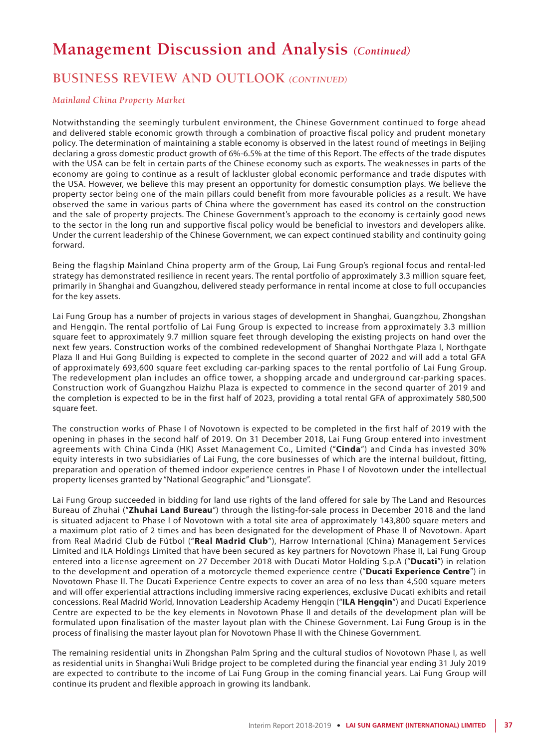## **BUSINESS REVIEW AND OUTLOOK** *(CONTINUED)*

#### *Mainland China Property Market*

Notwithstanding the seemingly turbulent environment, the Chinese Government continued to forge ahead and delivered stable economic growth through a combination of proactive fiscal policy and prudent monetary policy. The determination of maintaining a stable economy is observed in the latest round of meetings in Beijing declaring a gross domestic product growth of 6%-6.5% at the time of this Report. The effects of the trade disputes with the USA can be felt in certain parts of the Chinese economy such as exports. The weaknesses in parts of the economy are going to continue as a result of lackluster global economic performance and trade disputes with the USA. However, we believe this may present an opportunity for domestic consumption plays. We believe the property sector being one of the main pillars could benefit from more favourable policies as a result. We have observed the same in various parts of China where the government has eased its control on the construction and the sale of property projects. The Chinese Government's approach to the economy is certainly good news to the sector in the long run and supportive fiscal policy would be beneficial to investors and developers alike. Under the current leadership of the Chinese Government, we can expect continued stability and continuity going forward.

Being the flagship Mainland China property arm of the Group, Lai Fung Group's regional focus and rental-led strategy has demonstrated resilience in recent years. The rental portfolio of approximately 3.3 million square feet, primarily in Shanghai and Guangzhou, delivered steady performance in rental income at close to full occupancies for the key assets.

Lai Fung Group has a number of projects in various stages of development in Shanghai, Guangzhou, Zhongshan and Hengqin. The rental portfolio of Lai Fung Group is expected to increase from approximately 3.3 million square feet to approximately 9.7 million square feet through developing the existing projects on hand over the next few years. Construction works of the combined redevelopment of Shanghai Northgate Plaza I, Northgate Plaza II and Hui Gong Building is expected to complete in the second quarter of 2022 and will add a total GFA of approximately 693,600 square feet excluding car-parking spaces to the rental portfolio of Lai Fung Group. The redevelopment plan includes an office tower, a shopping arcade and underground car-parking spaces. Construction work of Guangzhou Haizhu Plaza is expected to commence in the second quarter of 2019 and the completion is expected to be in the first half of 2023, providing a total rental GFA of approximately 580,500 square feet.

The construction works of Phase I of Novotown is expected to be completed in the first half of 2019 with the opening in phases in the second half of 2019. On 31 December 2018, Lai Fung Group entered into investment agreements with China Cinda (HK) Asset Management Co., Limited ("**Cinda**") and Cinda has invested 30% equity interests in two subsidiaries of Lai Fung, the core businesses of which are the internal buildout, fitting, preparation and operation of themed indoor experience centres in Phase I of Novotown under the intellectual property licenses granted by "National Geographic" and "Lionsgate".

Lai Fung Group succeeded in bidding for land use rights of the land offered for sale by The Land and Resources Bureau of Zhuhai ("**Zhuhai Land Bureau**") through the listing-for-sale process in December 2018 and the land is situated adjacent to Phase I of Novotown with a total site area of approximately 143,800 square meters and a maximum plot ratio of 2 times and has been designated for the development of Phase II of Novotown. Apart from Real Madrid Club de Fútbol ("**Real Madrid Club**"), Harrow International (China) Management Services Limited and ILA Holdings Limited that have been secured as key partners for Novotown Phase II, Lai Fung Group entered into a license agreement on 27 December 2018 with Ducati Motor Holding S.p.A ("**Ducati**") in relation to the development and operation of a motorcycle themed experience centre ("**Ducati Experience Centre**") in Novotown Phase II. The Ducati Experience Centre expects to cover an area of no less than 4,500 square meters and will offer experiential attractions including immersive racing experiences, exclusive Ducati exhibits and retail concessions. Real Madrid World, Innovation Leadership Academy Hengqin ("**ILA Hengqin**") and Ducati Experience Centre are expected to be the key elements in Novotown Phase II and details of the development plan will be formulated upon finalisation of the master layout plan with the Chinese Government. Lai Fung Group is in the process of finalising the master layout plan for Novotown Phase II with the Chinese Government.

The remaining residential units in Zhongshan Palm Spring and the cultural studios of Novotown Phase I, as well as residential units in Shanghai Wuli Bridge project to be completed during the financial year ending 31 July 2019 are expected to contribute to the income of Lai Fung Group in the coming financial years. Lai Fung Group will continue its prudent and flexible approach in growing its landbank.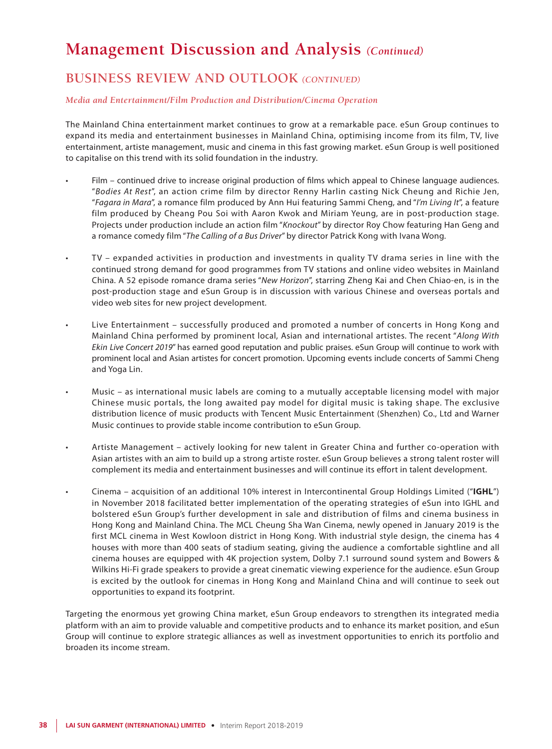## **BUSINESS REVIEW AND OUTLOOK** *(CONTINUED)*

#### *Media and Entertainment/Film Production and Distribution/Cinema Operation*

The Mainland China entertainment market continues to grow at a remarkable pace. eSun Group continues to expand its media and entertainment businesses in Mainland China, optimising income from its film, TV, live entertainment, artiste management, music and cinema in this fast growing market. eSun Group is well positioned to capitalise on this trend with its solid foundation in the industry.

- Film continued drive to increase original production of films which appeal to Chinese language audiences. "*Bodies At Rest*", an action crime film by director Renny Harlin casting Nick Cheung and Richie Jen, "*Fagara in Mara*", a romance film produced by Ann Hui featuring Sammi Cheng, and "*I'm Living It*", a feature film produced by Cheang Pou Soi with Aaron Kwok and Miriam Yeung, are in post-production stage. Projects under production include an action film "*Knockout*" by director Roy Chow featuring Han Geng and a romance comedy film "*The Calling of a Bus Driver*" by director Patrick Kong with Ivana Wong.
- TV expanded activities in production and investments in quality TV drama series in line with the continued strong demand for good programmes from TV stations and online video websites in Mainland China. A 52 episode romance drama series "*New Horizon*", starring Zheng Kai and Chen Chiao-en, is in the post-production stage and eSun Group is in discussion with various Chinese and overseas portals and video web sites for new project development.
- Live Entertainment successfully produced and promoted a number of concerts in Hong Kong and Mainland China performed by prominent local, Asian and international artistes. The recent "*Along With Ekin Live Concert 2019*" has earned good reputation and public praises. eSun Group will continue to work with prominent local and Asian artistes for concert promotion. Upcoming events include concerts of Sammi Cheng and Yoga Lin.
- Music as international music labels are coming to a mutually acceptable licensing model with major Chinese music portals, the long awaited pay model for digital music is taking shape. The exclusive distribution licence of music products with Tencent Music Entertainment (Shenzhen) Co., Ltd and Warner Music continues to provide stable income contribution to eSun Group.
- Artiste Management actively looking for new talent in Greater China and further co-operation with Asian artistes with an aim to build up a strong artiste roster. eSun Group believes a strong talent roster will complement its media and entertainment businesses and will continue its effort in talent development.
- • Cinema acquisition of an additional 10% interest in Intercontinental Group Holdings Limited ("**IGHL**") in November 2018 facilitated better implementation of the operating strategies of eSun into IGHL and bolstered eSun Group's further development in sale and distribution of films and cinema business in Hong Kong and Mainland China. The MCL Cheung Sha Wan Cinema, newly opened in January 2019 is the first MCL cinema in West Kowloon district in Hong Kong. With industrial style design, the cinema has 4 houses with more than 400 seats of stadium seating, giving the audience a comfortable sightline and all cinema houses are equipped with 4K projection system, Dolby 7.1 surround sound system and Bowers & Wilkins Hi-Fi grade speakers to provide a great cinematic viewing experience for the audience. eSun Group is excited by the outlook for cinemas in Hong Kong and Mainland China and will continue to seek out opportunities to expand its footprint.

Targeting the enormous yet growing China market, eSun Group endeavors to strengthen its integrated media platform with an aim to provide valuable and competitive products and to enhance its market position, and eSun Group will continue to explore strategic alliances as well as investment opportunities to enrich its portfolio and broaden its income stream.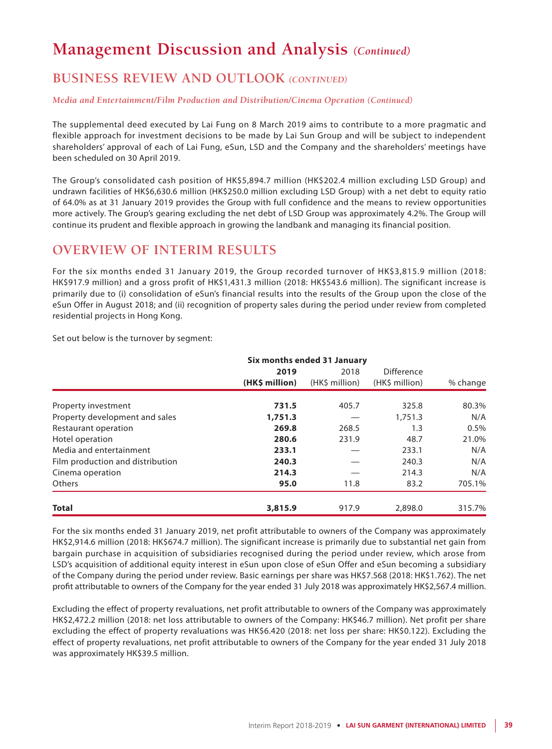## **BUSINESS REVIEW AND OUTLOOK** *(CONTINUED)*

#### *Media and Entertainment/Film Production and Distribution/Cinema Operation (Continued)*

The supplemental deed executed by Lai Fung on 8 March 2019 aims to contribute to a more pragmatic and flexible approach for investment decisions to be made by Lai Sun Group and will be subject to independent shareholders' approval of each of Lai Fung, eSun, LSD and the Company and the shareholders' meetings have been scheduled on 30 April 2019.

The Group's consolidated cash position of HK\$5,894.7 million (HK\$202.4 million excluding LSD Group) and undrawn facilities of HK\$6,630.6 million (HK\$250.0 million excluding LSD Group) with a net debt to equity ratio of 64.0% as at 31 January 2019 provides the Group with full confidence and the means to review opportunities more actively. The Group's gearing excluding the net debt of LSD Group was approximately 4.2%. The Group will continue its prudent and flexible approach in growing the landbank and managing its financial position.

## **OVERVIEW OF INTERIM RESULTS**

For the six months ended 31 January 2019, the Group recorded turnover of HK\$3,815.9 million (2018: HK\$917.9 million) and a gross profit of HK\$1,431.3 million (2018: HK\$543.6 million). The significant increase is primarily due to (i) consolidation of eSun's financial results into the results of the Group upon the close of the eSun Offer in August 2018; and (ii) recognition of property sales during the period under review from completed residential projects in Hong Kong.

Set out below is the turnover by segment:

|                                  | Six months ended 31 January |                |                |          |  |  |
|----------------------------------|-----------------------------|----------------|----------------|----------|--|--|
|                                  | 2019                        | 2018           | Difference     |          |  |  |
|                                  | (HK\$ million)              | (HK\$ million) | (HK\$ million) | % change |  |  |
| Property investment              | 731.5                       | 405.7          | 325.8          | 80.3%    |  |  |
| Property development and sales   | 1,751.3                     |                | 1.751.3        | N/A      |  |  |
| Restaurant operation             | 269.8                       | 268.5          | 1.3            | 0.5%     |  |  |
| Hotel operation                  | 280.6                       | 231.9          | 48.7           | 21.0%    |  |  |
| Media and entertainment          | 233.1                       |                | 233.1          | N/A      |  |  |
| Film production and distribution | 240.3                       |                | 240.3          | N/A      |  |  |
| Cinema operation                 | 214.3                       |                | 214.3          | N/A      |  |  |
| <b>Others</b>                    | 95.0                        | 11.8           | 83.2           | 705.1%   |  |  |
| <b>Total</b>                     | 3,815.9                     | 917.9          | 2,898.0        | 315.7%   |  |  |

For the six months ended 31 January 2019, net profit attributable to owners of the Company was approximately HK\$2,914.6 million (2018: HK\$674.7 million). The significant increase is primarily due to substantial net gain from bargain purchase in acquisition of subsidiaries recognised during the period under review, which arose from LSD's acquisition of additional equity interest in eSun upon close of eSun Offer and eSun becoming a subsidiary of the Company during the period under review. Basic earnings per share was HK\$7.568 (2018: HK\$1.762). The net profit attributable to owners of the Company for the year ended 31 July 2018 was approximately HK\$2,567.4 million.

Excluding the effect of property revaluations, net profit attributable to owners of the Company was approximately HK\$2,472.2 million (2018: net loss attributable to owners of the Company: HK\$46.7 million). Net profit per share excluding the effect of property revaluations was HK\$6.420 (2018: net loss per share: HK\$0.122). Excluding the effect of property revaluations, net profit attributable to owners of the Company for the year ended 31 July 2018 was approximately HK\$39.5 million.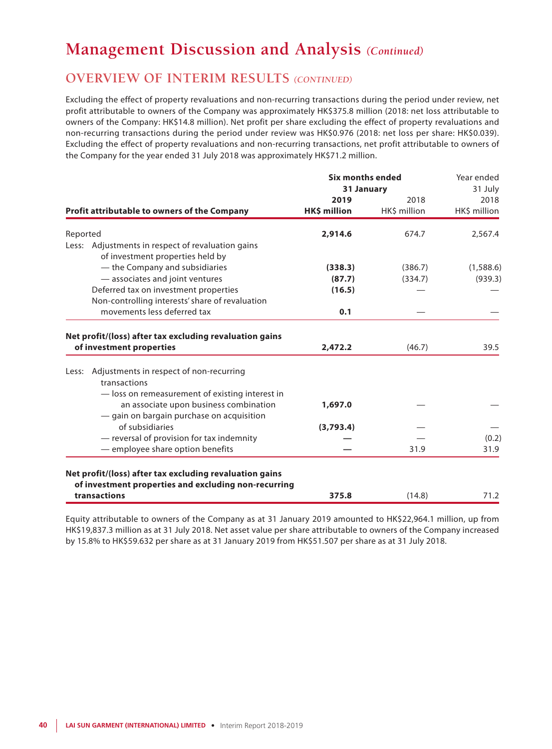### **OVERVIEW OF INTERIM RESULTS** *(CONTINUED)*

Excluding the effect of property revaluations and non-recurring transactions during the period under review, net profit attributable to owners of the Company was approximately HK\$375.8 million (2018: net loss attributable to owners of the Company: HK\$14.8 million). Net profit per share excluding the effect of property revaluations and non-recurring transactions during the period under review was HK\$0.976 (2018: net loss per share: HK\$0.039). Excluding the effect of property revaluations and non-recurring transactions, net profit attributable to owners of the Company for the year ended 31 July 2018 was approximately HK\$71.2 million.

|          |                                                                                                                                        | <b>Six months ended</b> | Year ended   |              |
|----------|----------------------------------------------------------------------------------------------------------------------------------------|-------------------------|--------------|--------------|
|          |                                                                                                                                        | 31 January              | 31 July      |              |
|          |                                                                                                                                        | 2019                    | 2018         | 2018         |
|          | Profit attributable to owners of the Company                                                                                           | HK\$ million            | HK\$ million | HK\$ million |
| Reported |                                                                                                                                        | 2,914.6                 | 674.7        | 2,567.4      |
| Less:    | Adjustments in respect of revaluation gains<br>of investment properties held by                                                        |                         |              |              |
|          | - the Company and subsidiaries                                                                                                         | (338.3)                 | (386.7)      | (1,588.6)    |
|          | - associates and joint ventures                                                                                                        | (87.7)                  | (334.7)      | (939.3)      |
|          | Deferred tax on investment properties<br>Non-controlling interests' share of revaluation                                               | (16.5)                  |              |              |
|          | movements less deferred tax                                                                                                            | 0.1                     |              |              |
| Less:    | Adjustments in respect of non-recurring                                                                                                |                         |              |              |
|          | transactions                                                                                                                           |                         |              |              |
|          | - loss on remeasurement of existing interest in<br>an associate upon business combination<br>- gain on bargain purchase on acquisition | 1,697.0                 |              |              |
|          | of subsidiaries                                                                                                                        | (3,793.4)               |              |              |
|          | - reversal of provision for tax indemnity                                                                                              |                         |              | (0.2)        |
|          | - employee share option benefits                                                                                                       |                         | 31.9         | 31.9         |
|          | Net profit/(loss) after tax excluding revaluation gains<br>of investment properties and excluding non-recurring                        |                         |              |              |
|          | transactions                                                                                                                           | 375.8                   | (14.8)       | 71.2         |

Equity attributable to owners of the Company as at 31 January 2019 amounted to HK\$22,964.1 million, up from HK\$19,837.3 million as at 31 July 2018. Net asset value per share attributable to owners of the Company increased by 15.8% to HK\$59.632 per share as at 31 January 2019 from HK\$51.507 per share as at 31 July 2018.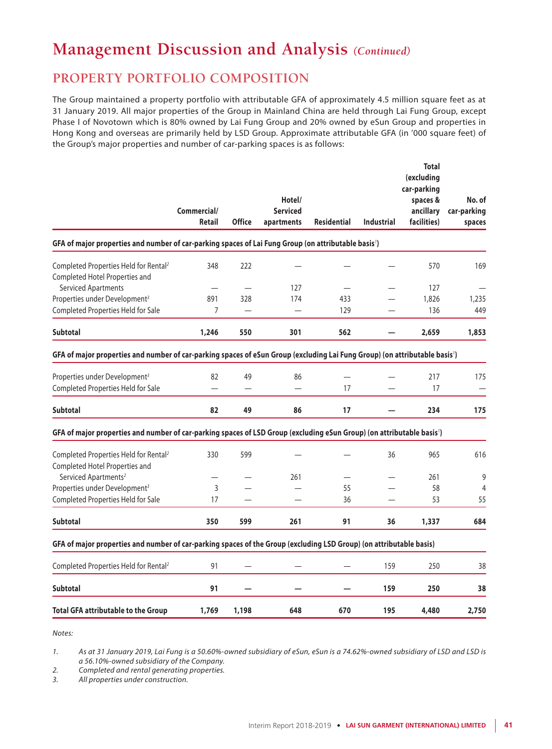## **PROPERTY PORTFOLIO COMPOSITION**

The Group maintained a property portfolio with attributable GFA of approximately 4.5 million square feet as at 31 January 2019. All major properties of the Group in Mainland China are held through Lai Fung Group, except Phase I of Novotown which is 80% owned by Lai Fung Group and 20% owned by eSun Group and properties in Hong Kong and overseas are primarily held by LSD Group. Approximate attributable GFA (in '000 square feet) of the Group's major properties and number of car-parking spaces is as follows:

|                                                                                                                            | Commercial/<br><b>Retail</b> | <b>Office</b> | Hotel/<br><b>Serviced</b><br>apartments | <b>Residential</b> | <b>Industrial</b> | <b>Total</b><br>(excluding<br>car-parking<br>spaces &<br>ancillary<br>facilities) | No. of<br>car-parking<br>spaces |
|----------------------------------------------------------------------------------------------------------------------------|------------------------------|---------------|-----------------------------------------|--------------------|-------------------|-----------------------------------------------------------------------------------|---------------------------------|
| GFA of major properties and number of car-parking spaces of Lai Fung Group (on attributable basis')                        |                              |               |                                         |                    |                   |                                                                                   |                                 |
| Completed Properties Held for Rental <sup>2</sup><br>Completed Hotel Properties and                                        | 348                          | 222           |                                         |                    |                   | 570                                                                               | 169                             |
| <b>Serviced Apartments</b>                                                                                                 |                              |               | 127                                     |                    |                   | 127                                                                               |                                 |
| Properties under Development <sup>3</sup>                                                                                  | 891                          | 328           | 174                                     | 433                |                   | 1,826                                                                             | 1,235                           |
| Completed Properties Held for Sale                                                                                         | 7                            |               |                                         | 129                |                   | 136                                                                               | 449                             |
| <b>Subtotal</b>                                                                                                            | 1,246                        | 550           | 301                                     | 562                |                   | 2,659                                                                             | 1,853                           |
| GFA of major properties and number of car-parking spaces of eSun Group (excluding Lai Fung Group) (on attributable basis') |                              |               |                                         |                    |                   |                                                                                   |                                 |
| Properties under Development <sup>3</sup>                                                                                  | 82                           | 49            | 86                                      |                    |                   | 217                                                                               | 175                             |
| Completed Properties Held for Sale                                                                                         |                              |               |                                         | 17                 |                   | 17                                                                                |                                 |
| <b>Subtotal</b>                                                                                                            | 82                           | 49            | 86                                      | 17                 |                   | 234                                                                               | 175                             |
| GFA of major properties and number of car-parking spaces of LSD Group (excluding eSun Group) (on attributable basis')      |                              |               |                                         |                    |                   |                                                                                   |                                 |
| Completed Properties Held for Rental <sup>2</sup><br>Completed Hotel Properties and                                        | 330                          | 599           |                                         |                    | 36                | 965                                                                               | 616                             |
| Serviced Apartments <sup>2</sup>                                                                                           |                              |               | 261                                     |                    |                   | 261                                                                               | 9                               |
| Properties under Development <sup>3</sup>                                                                                  | 3                            |               |                                         | 55                 |                   | 58                                                                                | 4                               |
| Completed Properties Held for Sale                                                                                         | 17                           |               |                                         | 36                 |                   | 53                                                                                | 55                              |
| <b>Subtotal</b>                                                                                                            | 350                          | 599           | 261                                     | 91                 | 36                | 1,337                                                                             | 684                             |
| GFA of major properties and number of car-parking spaces of the Group (excluding LSD Group) (on attributable basis)        |                              |               |                                         |                    |                   |                                                                                   |                                 |
| Completed Properties Held for Rental <sup>2</sup>                                                                          | 91                           |               |                                         |                    | 159               | 250                                                                               | 38                              |
| <b>Subtotal</b>                                                                                                            | 91                           |               |                                         |                    | 159               | 250                                                                               | 38                              |
| <b>Total GFA attributable to the Group</b>                                                                                 | 1,769                        | 1,198         | 648                                     | 670                | 195               | 4,480                                                                             | 2,750                           |
|                                                                                                                            |                              |               |                                         |                    |                   |                                                                                   |                                 |

*Notes:*

*1. As at 31 January 2019, Lai Fung is a 50.60%-owned subsidiary of eSun, eSun is a 74.62%-owned subsidiary of LSD and LSD is a 56.10%-owned subsidiary of the Company.*

*2. Completed and rental generating properties.*

*3. All properties under construction.*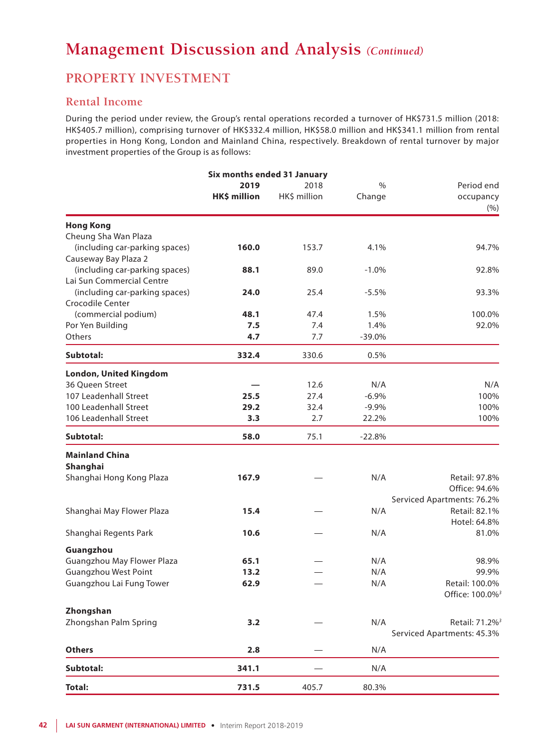## **PROPERTY INVESTMENT**

### **Rental Income**

During the period under review, the Group's rental operations recorded a turnover of HK\$731.5 million (2018: HK\$405.7 million), comprising turnover of HK\$332.4 million, HK\$58.0 million and HK\$341.1 million from rental properties in Hong Kong, London and Mainland China, respectively. Breakdown of rental turnover by major investment properties of the Group is as follows:

| Six months ended 31 January    |              |              |          |                             |  |
|--------------------------------|--------------|--------------|----------|-----------------------------|--|
|                                | 2019         | 2018         |          | Period end                  |  |
|                                | HK\$ million | HK\$ million | Change   | occupancy<br>(% )           |  |
| <b>Hong Kong</b>               |              |              |          |                             |  |
| Cheung Sha Wan Plaza           |              |              |          |                             |  |
| (including car-parking spaces) | 160.0        | 153.7        | 4.1%     | 94.7%                       |  |
| Causeway Bay Plaza 2           |              |              |          |                             |  |
| (including car-parking spaces) | 88.1         | 89.0         | $-1.0%$  | 92.8%                       |  |
| Lai Sun Commercial Centre      |              |              |          |                             |  |
| (including car-parking spaces) | 24.0         | 25.4         | $-5.5%$  | 93.3%                       |  |
| <b>Crocodile Center</b>        |              |              |          |                             |  |
| (commercial podium)            | 48.1         | 47.4         | 1.5%     | 100.0%                      |  |
| Por Yen Building               | 7.5          | 7.4          | 1.4%     | 92.0%                       |  |
| Others                         | 4.7          | 7.7          | $-39.0%$ |                             |  |
| Subtotal:                      | 332.4        | 330.6        | 0.5%     |                             |  |
| <b>London, United Kingdom</b>  |              |              |          |                             |  |
| 36 Queen Street                |              | 12.6         | N/A      | N/A                         |  |
| 107 Leadenhall Street          | 25.5         | 27.4         | $-6.9%$  | 100%                        |  |
| 100 Leadenhall Street          | 29.2         | 32.4         | $-9.9%$  | 100%                        |  |
| 106 Leadenhall Street          | 3.3          | 2.7          | 22.2%    | 100%                        |  |
| Subtotal:                      | 58.0         | 75.1         | $-22.8%$ |                             |  |
| <b>Mainland China</b>          |              |              |          |                             |  |
| Shanghai                       |              |              |          |                             |  |
| Shanghai Hong Kong Plaza       | 167.9        |              | N/A      | Retail: 97.8%               |  |
|                                |              |              |          | Office: 94.6%               |  |
|                                |              |              |          | Serviced Apartments: 76.2%  |  |
| Shanghai May Flower Plaza      | 15.4         |              | N/A      | Retail: 82.1%               |  |
|                                |              |              |          | Hotel: 64.8%                |  |
| Shanghai Regents Park          | 10.6         |              | N/A      | 81.0%                       |  |
| Guangzhou                      |              |              |          |                             |  |
| Guangzhou May Flower Plaza     | 65.1         |              | N/A      | 98.9%                       |  |
| <b>Guangzhou West Point</b>    | 13.2         |              | N/A      | 99.9%                       |  |
| Guangzhou Lai Fung Tower       | 62.9         |              | N/A      | Retail: 100.0%              |  |
|                                |              |              |          | Office: 100.0% <sup>3</sup> |  |
| Zhongshan                      |              |              |          |                             |  |
| Zhongshan Palm Spring          | 3.2          |              | N/A      | Retail: 71.2% <sup>3</sup>  |  |
|                                |              |              |          | Serviced Apartments: 45.3%  |  |
| <b>Others</b>                  | 2.8          |              | N/A      |                             |  |
| Subtotal:                      | 341.1        |              | N/A      |                             |  |
| <b>Total:</b>                  | 731.5        | 405.7        | 80.3%    |                             |  |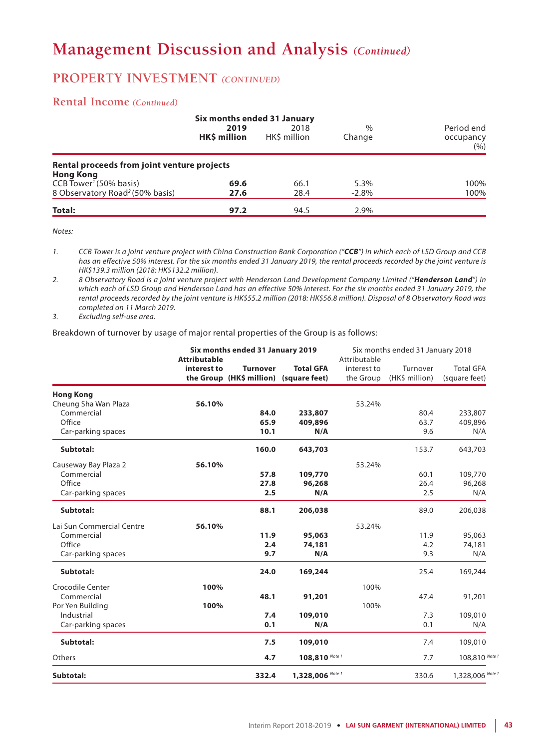## **PROPERTY INVESTMENT** *(CONTINUED)*

#### **Rental Income** *(Continued)*

|                                                                 | Six months ended 31 January |                     |                         |                                    |  |  |
|-----------------------------------------------------------------|-----------------------------|---------------------|-------------------------|------------------------------------|--|--|
|                                                                 | 2019<br><b>HKS million</b>  | 2018<br>HKS million | $\frac{0}{0}$<br>Change | Period end<br>occupancy<br>$(\% )$ |  |  |
| Rental proceeds from joint venture projects<br><b>Hong Kong</b> |                             |                     |                         |                                    |  |  |
| CCB Tower <sup>1</sup> (50% basis)                              | 69.6                        | 66.1                | 5.3%                    | 100%                               |  |  |
| 8 Observatory Road <sup>2</sup> (50% basis)                     | 27.6                        | 28.4                | $-2.8%$                 | 100%                               |  |  |
| Total:                                                          | 97.2                        | 94.5                | 2.9%                    |                                    |  |  |

*Notes:*

*1. CCB Tower is a joint venture project with China Construction Bank Corporation ("CCB") in which each of LSD Group and CCB has an effective 50% interest. For the six months ended 31 January 2019, the rental proceeds recorded by the joint venture is HK\$139.3 million (2018: HK\$132.2 million).*

*2. 8 Observatory Road is a joint venture project with Henderson Land Development Company Limited ("Henderson Land") in which each of LSD Group and Henderson Land has an effective 50% interest. For the six months ended 31 January 2019, the rental proceeds recorded by the joint venture is HK\$55.2 million (2018: HK\$56.8 million). Disposal of 8 Observatory Road was completed on 11 March 2019.*

*3. Excluding self-use area.*

Breakdown of turnover by usage of major rental properties of the Group is as follows:

|                           | Six months ended 31 January 2019<br><b>Attributable</b> |                                                           | Six months ended 31 January 2018<br>Attributable |                          |                            |                                   |
|---------------------------|---------------------------------------------------------|-----------------------------------------------------------|--------------------------------------------------|--------------------------|----------------------------|-----------------------------------|
|                           | interest to                                             | <b>Turnover</b><br>the Group (HK\$ million) (square feet) | <b>Total GFA</b>                                 | interest to<br>the Group | Turnover<br>(HK\$ million) | <b>Total GFA</b><br>(square feet) |
| <b>Hong Kong</b>          |                                                         |                                                           |                                                  |                          |                            |                                   |
| Cheung Sha Wan Plaza      | 56.10%                                                  |                                                           |                                                  | 53.24%                   |                            |                                   |
| Commercial<br>Office      |                                                         | 84.0<br>65.9                                              | 233,807                                          |                          | 80.4<br>63.7               | 233,807                           |
| Car-parking spaces        |                                                         | 10.1                                                      | 409,896<br>N/A                                   |                          | 9.6                        | 409,896<br>N/A                    |
| Subtotal:                 |                                                         | 160.0                                                     | 643,703                                          |                          | 153.7                      | 643,703                           |
| Causeway Bay Plaza 2      | 56.10%                                                  |                                                           |                                                  | 53.24%                   |                            |                                   |
| Commercial                |                                                         | 57.8                                                      | 109,770                                          |                          | 60.1                       | 109,770                           |
| Office                    |                                                         | 27.8                                                      | 96,268                                           |                          | 26.4                       | 96,268                            |
| Car-parking spaces        |                                                         | 2.5                                                       | N/A                                              |                          | 2.5                        | N/A                               |
| Subtotal:                 |                                                         | 88.1                                                      | 206,038                                          |                          | 89.0                       | 206,038                           |
| Lai Sun Commercial Centre | 56.10%                                                  |                                                           |                                                  | 53.24%                   |                            |                                   |
| Commercial                |                                                         | 11.9                                                      | 95,063                                           |                          | 11.9                       | 95,063                            |
| Office                    |                                                         | 2.4                                                       | 74,181                                           |                          | 4.2                        | 74,181                            |
| Car-parking spaces        |                                                         | 9.7                                                       | N/A                                              |                          | 9.3                        | N/A                               |
| Subtotal:                 |                                                         | 24.0                                                      | 169,244                                          |                          | 25.4                       | 169,244                           |
| Crocodile Center          | 100%                                                    |                                                           |                                                  | 100%                     |                            |                                   |
| Commercial                |                                                         | 48.1                                                      | 91,201                                           |                          | 47.4                       | 91,201                            |
| Por Yen Building          | 100%                                                    |                                                           |                                                  | 100%                     |                            |                                   |
| Industrial                |                                                         | 7.4                                                       | 109,010                                          |                          | 7.3                        | 109,010                           |
| Car-parking spaces        |                                                         | 0.1                                                       | N/A                                              |                          | 0.1                        | N/A                               |
| Subtotal:                 |                                                         | 7.5                                                       | 109,010                                          |                          | 7.4                        | 109,010                           |
| Others                    |                                                         | 4.7                                                       | 108,810 Note 1                                   |                          | 7.7                        | 108,810 Note 1                    |
| Subtotal:                 |                                                         | 332.4                                                     | 1,328,006 Note 1                                 |                          | 330.6                      | 1,328,006 Note 1                  |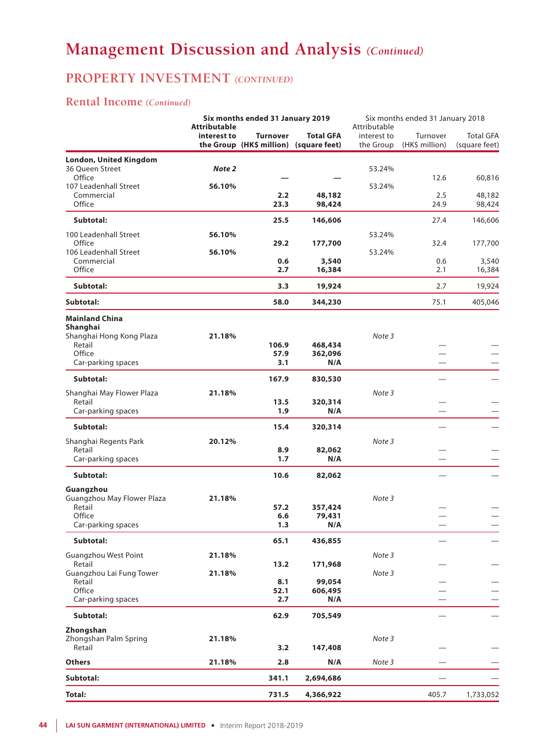## **PROPERTY INVESTMENT** *(CONTINUED)*

### **Rental Income** *(Continued)*

|                                         | <b>Attributable</b> | Six months ended 31 January 2019 |                                                            | Six months ended 31 January 2018<br>Attributable |                            |                                   |
|-----------------------------------------|---------------------|----------------------------------|------------------------------------------------------------|--------------------------------------------------|----------------------------|-----------------------------------|
|                                         | interest to         | <b>Turnover</b>                  | <b>Total GFA</b><br>the Group (HK\$ million) (square feet) | interest to<br>the Group                         | Turnover<br>(HK\$ million) | <b>Total GFA</b><br>(square feet) |
| <b>London, United Kingdom</b>           |                     |                                  |                                                            |                                                  |                            |                                   |
| 36 Queen Street                         | Note 2              |                                  |                                                            | 53.24%                                           |                            |                                   |
| Office                                  |                     |                                  |                                                            |                                                  | 12.6                       | 60,816                            |
| 107 Leadenhall Street<br>Commercial     | 56.10%              | 2.2                              | 48,182                                                     | 53.24%                                           | 2.5                        | 48,182                            |
| Office                                  |                     | 23.3                             | 98,424                                                     |                                                  | 24.9                       | 98,424                            |
| Subtotal:                               |                     | 25.5                             | 146,606                                                    |                                                  | 27.4                       | 146,606                           |
| 100 Leadenhall Street                   | 56.10%              |                                  |                                                            | 53.24%                                           |                            |                                   |
| Office                                  |                     | 29.2                             | 177,700                                                    |                                                  | 32.4                       | 177,700                           |
| 106 Leadenhall Street                   | 56.10%              |                                  |                                                            | 53.24%                                           |                            |                                   |
| Commercial<br>Office                    |                     | 0.6<br>2.7                       | 3,540<br>16,384                                            |                                                  | 0.6<br>2.1                 | 3,540                             |
|                                         |                     |                                  |                                                            |                                                  |                            | 16,384                            |
| Subtotal:                               |                     | 3.3                              | 19,924                                                     |                                                  | 2.7                        | 19,924                            |
| Subtotal:                               |                     | 58.0                             | 344,230                                                    |                                                  | 75.1                       | 405,046                           |
| <b>Mainland China</b>                   |                     |                                  |                                                            |                                                  |                            |                                   |
| Shanghai<br>Shanghai Hong Kong Plaza    | 21.18%              |                                  |                                                            | Note 3                                           |                            |                                   |
| Retail                                  |                     | 106.9                            | 468,434                                                    |                                                  |                            |                                   |
| Office                                  |                     | 57.9                             | 362,096                                                    |                                                  |                            |                                   |
| Car-parking spaces                      |                     | 3.1                              | N/A                                                        |                                                  |                            |                                   |
| Subtotal:                               |                     | 167.9                            | 830,530                                                    |                                                  |                            |                                   |
| Shanghai May Flower Plaza               | 21.18%              |                                  |                                                            | Note 3                                           |                            |                                   |
| Retail                                  |                     | 13.5                             | 320,314                                                    |                                                  |                            |                                   |
| Car-parking spaces                      |                     | 1.9                              | N/A                                                        |                                                  |                            |                                   |
| Subtotal:                               |                     | 15.4                             | 320,314                                                    |                                                  |                            |                                   |
| Shanghai Regents Park                   | 20.12%              |                                  |                                                            | Note 3                                           |                            |                                   |
| Retail                                  |                     | 8.9                              | 82,062                                                     |                                                  |                            |                                   |
| Car-parking spaces                      |                     | 1.7                              | N/A                                                        |                                                  | $\overline{\phantom{0}}$   |                                   |
| Subtotal:                               |                     | 10.6                             | 82,062                                                     |                                                  |                            |                                   |
| Guangzhou<br>Guangzhou May Flower Plaza | 21.18%              |                                  |                                                            | Note 3                                           |                            |                                   |
| Retail                                  |                     | 57.2                             | 357,424                                                    |                                                  |                            |                                   |
| Office                                  |                     | 6.6                              | 79,431                                                     |                                                  |                            |                                   |
| Car-parking spaces                      |                     | 1.3                              | N/A                                                        |                                                  |                            |                                   |
| Subtotal:                               |                     | 65.1                             | 436,855                                                    |                                                  |                            |                                   |
| <b>Guangzhou West Point</b>             | 21.18%              |                                  |                                                            | Note 3                                           |                            |                                   |
| Retail<br>Guangzhou Lai Fung Tower      | 21.18%              | 13.2                             | 171,968                                                    |                                                  |                            |                                   |
| Retail                                  |                     | 8.1                              | 99,054                                                     | Note 3                                           |                            |                                   |
| Office                                  |                     | 52.1                             | 606,495                                                    |                                                  |                            |                                   |
| Car-parking spaces                      |                     | 2.7                              | N/A                                                        |                                                  |                            |                                   |
| Subtotal:                               |                     | 62.9                             | 705,549                                                    |                                                  |                            |                                   |
| Zhongshan                               |                     |                                  |                                                            |                                                  |                            |                                   |
| Zhongshan Palm Spring                   | 21.18%              |                                  |                                                            | Note 3                                           |                            |                                   |
| Retail                                  |                     | 3.2                              | 147,408                                                    |                                                  |                            |                                   |
| <b>Others</b>                           | 21.18%              | 2.8                              | N/A                                                        | Note 3                                           |                            |                                   |
| Subtotal:                               |                     | 341.1                            | 2,694,686                                                  |                                                  |                            |                                   |
| <b>Total:</b>                           |                     | 731.5                            | 4,366,922                                                  |                                                  | 405.7                      | 1,733,052                         |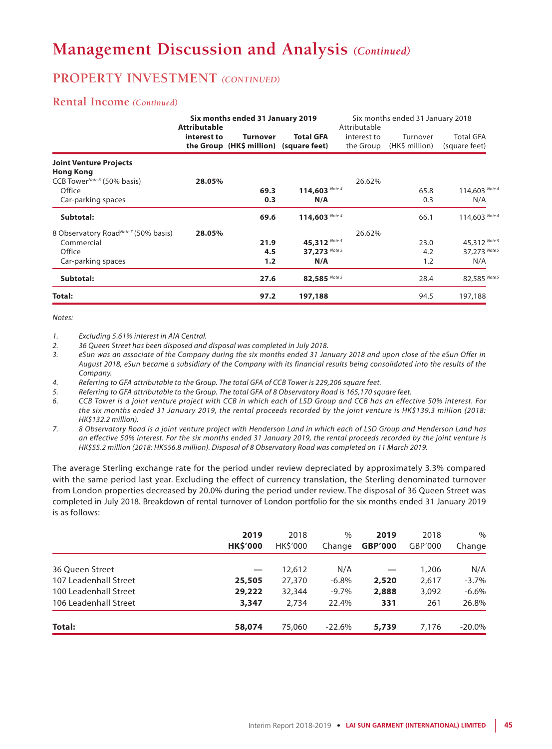## **PROPERTY INVESTMENT** *(CONTINUED)*

### **Rental Income** *(Continued)*

|                                                             | <b>Attributable</b> | Six months ended 31 January 2019                          |                  | Attributable             | Six months ended 31 January 2018 |                                   |
|-------------------------------------------------------------|---------------------|-----------------------------------------------------------|------------------|--------------------------|----------------------------------|-----------------------------------|
|                                                             | interest to         | <b>Turnover</b><br>the Group (HK\$ million) (square feet) | <b>Total GFA</b> | interest to<br>the Group | Turnover<br>(HK\$ million)       | <b>Total GFA</b><br>(square feet) |
| <b>Joint Venture Projects</b>                               |                     |                                                           |                  |                          |                                  |                                   |
| <b>Hong Kong</b><br>CCB Tower <sup>Note 6</sup> (50% basis) | 28.05%              |                                                           |                  | 26.62%                   |                                  |                                   |
| Office                                                      |                     | 69.3                                                      | 114,603 Note 4   |                          | 65.8                             | 114,603 Note 4                    |
| Car-parking spaces                                          |                     | 0.3                                                       | N/A              |                          | 0.3                              | N/A                               |
| Subtotal:                                                   |                     | 69.6                                                      | 114,603 Note 4   |                          | 66.1                             | 114,603 Note 4                    |
| 8 Observatory RoadNote 7 (50% basis)                        | 28.05%              |                                                           |                  | 26.62%                   |                                  |                                   |
| Commercial                                                  |                     | 21.9                                                      | 45,312 Note 5    |                          | 23.0                             | 45,312 Note 5                     |
| Office                                                      |                     | 4.5                                                       | 37,273 Note 5    |                          | 4.2                              | 37,273 Note 5                     |
| Car-parking spaces                                          |                     | 1.2                                                       | N/A              |                          | 1.2                              | N/A                               |
| Subtotal:                                                   |                     | 27.6                                                      | 82,585 Note 5    |                          | 28.4                             | 82,585 Note 5                     |
| Total:                                                      |                     | 97.2                                                      | 197,188          |                          | 94.5                             | 197,188                           |

*Notes:*

*1. Excluding 5.61% interest in AIA Central.*

- *2. 36 Queen Street has been disposed and disposal was completed in July 2018.*
- *3. eSun was an associate of the Company during the six months ended 31 January 2018 and upon close of the eSun Offer in August 2018, eSun became a subsidiary of the Company with its financial results being consolidated into the results of the Company.*

*4. Referring to GFA attributable to the Group. The total GFA of CCB Tower is 229,206 square feet.*

*5. Referring to GFA attributable to the Group. The total GFA of 8 Observatory Road is 165,170 square feet.*

- *6. CCB Tower is a joint venture project with CCB in which each of LSD Group and CCB has an effective 50% interest. For the six months ended 31 January 2019, the rental proceeds recorded by the joint venture is HK\$139.3 million (2018: HK\$132.2 million).*
- *7. 8 Observatory Road is a joint venture project with Henderson Land in which each of LSD Group and Henderson Land has an effective 50% interest. For the six months ended 31 January 2019, the rental proceeds recorded by the joint venture is HK\$55.2 million (2018: HK\$56.8 million). Disposal of 8 Observatory Road was completed on 11 March 2019.*

The average Sterling exchange rate for the period under review depreciated by approximately 3.3% compared with the same period last year. Excluding the effect of currency translation, the Sterling denominated turnover from London properties decreased by 20.0% during the period under review. The disposal of 36 Queen Street was completed in July 2018. Breakdown of rental turnover of London portfolio for the six months ended 31 January 2019 is as follows:

|                       | 2019<br><b>HK\$'000</b> | 2018<br><b>HKS'000</b> | $\frac{0}{0}$<br>Change | 2019<br><b>GBP'000</b> | 2018<br>GBP'000 | $\%$<br>Change |
|-----------------------|-------------------------|------------------------|-------------------------|------------------------|-----------------|----------------|
| 36 Oueen Street       |                         | 12,612                 | N/A                     |                        | 1,206           | N/A            |
| 107 Leadenhall Street | 25,505                  | 27,370                 | $-6.8%$                 | 2,520                  | 2,617           | $-3.7\%$       |
| 100 Leadenhall Street | 29,222                  | 32,344                 | $-9.7\%$                | 2,888                  | 3,092           | $-6.6%$        |
| 106 Leadenhall Street | 3,347                   | 2.734                  | 22.4%                   | 331                    | 261             | 26.8%          |
| Total:                | 58,074                  | 75,060                 | $-22.6%$                | 5,739                  | 7,176           | $-20.0\%$      |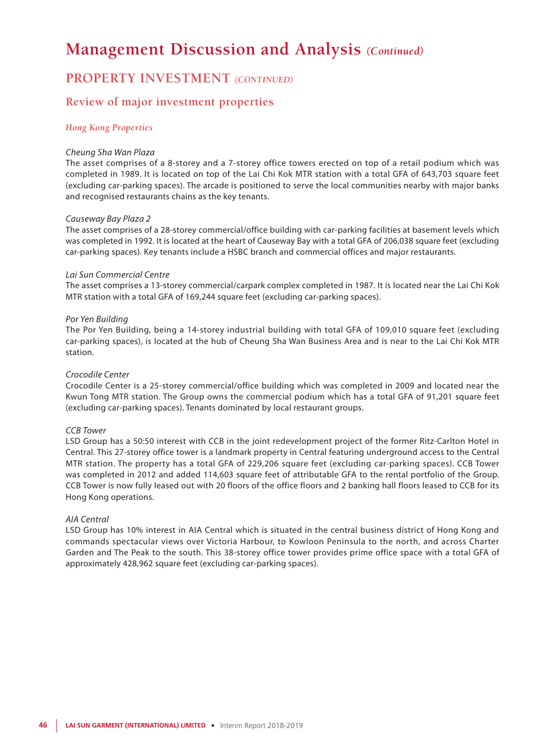### **PROPERTY INVESTMENT** *(CONTINUED)*

### **Review of major investment properties**

#### *Hong Kong Properties*

#### *Cheung Sha Wan Plaza*

The asset comprises of a 8-storey and a 7-storey office towers erected on top of a retail podium which was completed in 1989. It is located on top of the Lai Chi Kok MTR station with a total GFA of 643,703 square feet (excluding car-parking spaces). The arcade is positioned to serve the local communities nearby with major banks and recognised restaurants chains as the key tenants.

#### *Causeway Bay Plaza 2*

The asset comprises of a 28-storey commercial/office building with car-parking facilities at basement levels which was completed in 1992. It is located at the heart of Causeway Bay with a total GFA of 206,038 square feet (excluding car-parking spaces). Key tenants include a HSBC branch and commercial offices and major restaurants.

#### *Lai Sun Commercial Centre*

The asset comprises a 13-storey commercial/carpark complex completed in 1987. It is located near the Lai Chi Kok MTR station with a total GFA of 169,244 square feet (excluding car-parking spaces).

#### *Por Yen Building*

The Por Yen Building, being a 14-storey industrial building with total GFA of 109,010 square feet (excluding car-parking spaces), is located at the hub of Cheung Sha Wan Business Area and is near to the Lai Chi Kok MTR station.

#### *Crocodile Center*

Crocodile Center is a 25-storey commercial/office building which was completed in 2009 and located near the Kwun Tong MTR station. The Group owns the commercial podium which has a total GFA of 91,201 square feet (excluding car-parking spaces). Tenants dominated by local restaurant groups.

#### *CCB Tower*

LSD Group has a 50:50 interest with CCB in the joint redevelopment project of the former Ritz-Carlton Hotel in Central. This 27-storey office tower is a landmark property in Central featuring underground access to the Central MTR station. The property has a total GFA of 229,206 square feet (excluding car-parking spaces). CCB Tower was completed in 2012 and added 114,603 square feet of attributable GFA to the rental portfolio of the Group. CCB Tower is now fully leased out with 20 floors of the office floors and 2 banking hall floors leased to CCB for its Hong Kong operations.

#### *AIA Central*

LSD Group has 10% interest in AIA Central which is situated in the central business district of Hong Kong and commands spectacular views over Victoria Harbour, to Kowloon Peninsula to the north, and across Charter Garden and The Peak to the south. This 38-storey office tower provides prime office space with a total GFA of approximately 428,962 square feet (excluding car-parking spaces).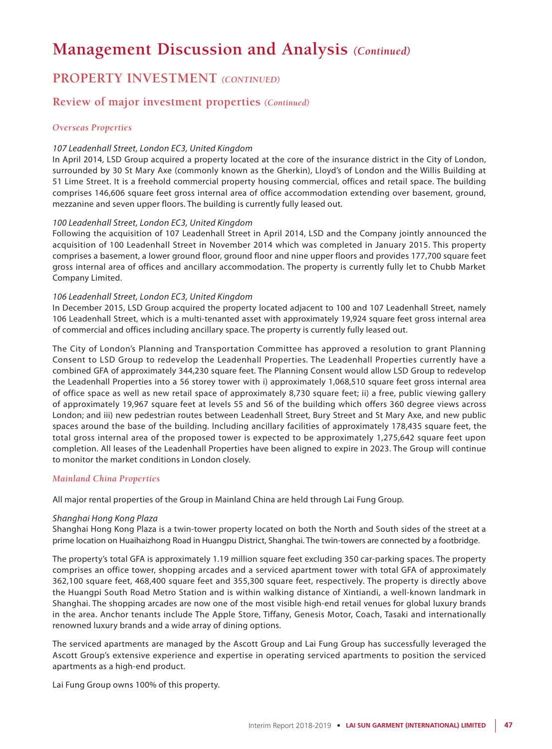## **PROPERTY INVESTMENT** *(CONTINUED)*

### **Review of major investment properties** *(Continued)*

#### *Overseas Properties*

#### *107 Leadenhall Street, London EC3, United Kingdom*

In April 2014, LSD Group acquired a property located at the core of the insurance district in the City of London, surrounded by 30 St Mary Axe (commonly known as the Gherkin), Lloyd's of London and the Willis Building at 51 Lime Street. It is a freehold commercial property housing commercial, offices and retail space. The building comprises 146,606 square feet gross internal area of office accommodation extending over basement, ground, mezzanine and seven upper floors. The building is currently fully leased out.

#### *100 Leadenhall Street, London EC3, United Kingdom*

Following the acquisition of 107 Leadenhall Street in April 2014, LSD and the Company jointly announced the acquisition of 100 Leadenhall Street in November 2014 which was completed in January 2015. This property comprises a basement, a lower ground floor, ground floor and nine upper floors and provides 177,700 square feet gross internal area of offices and ancillary accommodation. The property is currently fully let to Chubb Market Company Limited.

#### *106 Leadenhall Street, London EC3, United Kingdom*

In December 2015, LSD Group acquired the property located adjacent to 100 and 107 Leadenhall Street, namely 106 Leadenhall Street, which is a multi-tenanted asset with approximately 19,924 square feet gross internal area of commercial and offices including ancillary space. The property is currently fully leased out.

The City of London's Planning and Transportation Committee has approved a resolution to grant Planning Consent to LSD Group to redevelop the Leadenhall Properties. The Leadenhall Properties currently have a combined GFA of approximately 344,230 square feet. The Planning Consent would allow LSD Group to redevelop the Leadenhall Properties into a 56 storey tower with i) approximately 1,068,510 square feet gross internal area of office space as well as new retail space of approximately 8,730 square feet; ii) a free, public viewing gallery of approximately 19,967 square feet at levels 55 and 56 of the building which offers 360 degree views across London; and iii) new pedestrian routes between Leadenhall Street, Bury Street and St Mary Axe, and new public spaces around the base of the building. Including ancillary facilities of approximately 178,435 square feet, the total gross internal area of the proposed tower is expected to be approximately 1,275,642 square feet upon completion. All leases of the Leadenhall Properties have been aligned to expire in 2023. The Group will continue to monitor the market conditions in London closely.

#### *Mainland China Properties*

All major rental properties of the Group in Mainland China are held through Lai Fung Group.

#### *Shanghai Hong Kong Plaza*

Shanghai Hong Kong Plaza is a twin-tower property located on both the North and South sides of the street at a prime location on Huaihaizhong Road in Huangpu District, Shanghai. The twin-towers are connected by a footbridge.

The property's total GFA is approximately 1.19 million square feet excluding 350 car-parking spaces. The property comprises an office tower, shopping arcades and a serviced apartment tower with total GFA of approximately 362,100 square feet, 468,400 square feet and 355,300 square feet, respectively. The property is directly above the Huangpi South Road Metro Station and is within walking distance of Xintiandi, a well-known landmark in Shanghai. The shopping arcades are now one of the most visible high-end retail venues for global luxury brands in the area. Anchor tenants include The Apple Store, Tiffany, Genesis Motor, Coach, Tasaki and internationally renowned luxury brands and a wide array of dining options.

The serviced apartments are managed by the Ascott Group and Lai Fung Group has successfully leveraged the Ascott Group's extensive experience and expertise in operating serviced apartments to position the serviced apartments as a high-end product.

Lai Fung Group owns 100% of this property.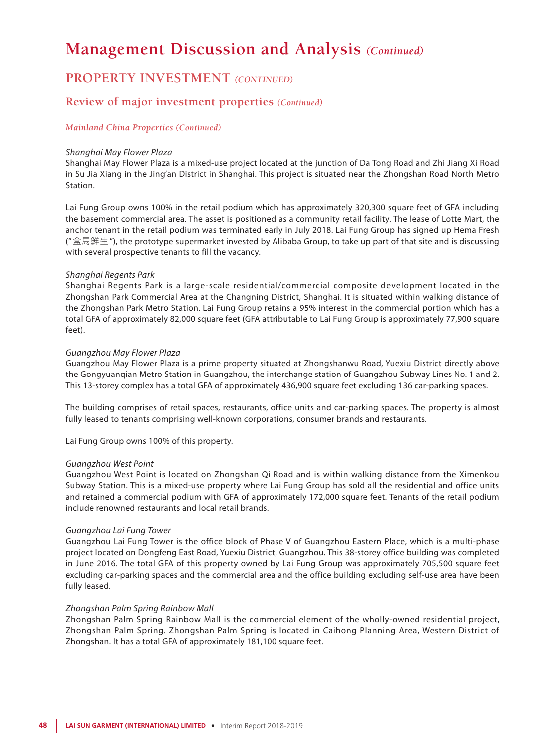### **PROPERTY INVESTMENT** *(CONTINUED)*

### **Review of major investment properties** *(Continued)*

#### *Mainland China Properties (Continued)*

#### *Shanghai May Flower Plaza*

Shanghai May Flower Plaza is a mixed-use project located at the junction of Da Tong Road and Zhi Jiang Xi Road in Su Jia Xiang in the Jing'an District in Shanghai. This project is situated near the Zhongshan Road North Metro Station.

Lai Fung Group owns 100% in the retail podium which has approximately 320,300 square feet of GFA including the basement commercial area. The asset is positioned as a community retail facility. The lease of Lotte Mart, the anchor tenant in the retail podium was terminated early in July 2018. Lai Fung Group has signed up Hema Fresh ("盒馬鮮生"), the prototype supermarket invested by Alibaba Group, to take up part of that site and is discussing with several prospective tenants to fill the vacancy.

#### *Shanghai Regents Park*

Shanghai Regents Park is a large-scale residential/commercial composite development located in the Zhongshan Park Commercial Area at the Changning District, Shanghai. It is situated within walking distance of the Zhongshan Park Metro Station. Lai Fung Group retains a 95% interest in the commercial portion which has a total GFA of approximately 82,000 square feet (GFA attributable to Lai Fung Group is approximately 77,900 square feet).

#### *Guangzhou May Flower Plaza*

Guangzhou May Flower Plaza is a prime property situated at Zhongshanwu Road, Yuexiu District directly above the Gongyuanqian Metro Station in Guangzhou, the interchange station of Guangzhou Subway Lines No. 1 and 2. This 13-storey complex has a total GFA of approximately 436,900 square feet excluding 136 car-parking spaces.

The building comprises of retail spaces, restaurants, office units and car-parking spaces. The property is almost fully leased to tenants comprising well-known corporations, consumer brands and restaurants.

Lai Fung Group owns 100% of this property.

#### *Guangzhou West Point*

Guangzhou West Point is located on Zhongshan Qi Road and is within walking distance from the Ximenkou Subway Station. This is a mixed-use property where Lai Fung Group has sold all the residential and office units and retained a commercial podium with GFA of approximately 172,000 square feet. Tenants of the retail podium include renowned restaurants and local retail brands.

#### *Guangzhou Lai Fung Tower*

Guangzhou Lai Fung Tower is the office block of Phase V of Guangzhou Eastern Place, which is a multi-phase project located on Dongfeng East Road, Yuexiu District, Guangzhou. This 38-storey office building was completed in June 2016. The total GFA of this property owned by Lai Fung Group was approximately 705,500 square feet excluding car-parking spaces and the commercial area and the office building excluding self-use area have been fully leased.

#### *Zhongshan Palm Spring Rainbow Mall*

Zhongshan Palm Spring Rainbow Mall is the commercial element of the wholly-owned residential project, Zhongshan Palm Spring. Zhongshan Palm Spring is located in Caihong Planning Area, Western District of Zhongshan. It has a total GFA of approximately 181,100 square feet.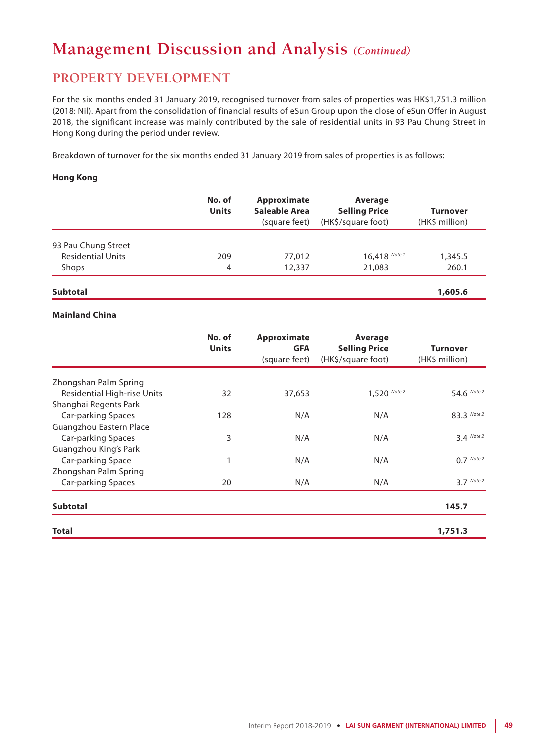## **PROPERTY DEVELOPMENT**

For the six months ended 31 January 2019, recognised turnover from sales of properties was HK\$1,751.3 million (2018: Nil). Apart from the consolidation of financial results of eSun Group upon the close of eSun Offer in August 2018, the significant increase was mainly contributed by the sale of residential units in 93 Pau Chung Street in Hong Kong during the period under review.

Breakdown of turnover for the six months ended 31 January 2019 from sales of properties is as follows:

#### **Hong Kong**

|                          | No. of<br><b>Units</b> | Approximate<br>Saleable Area<br>(square feet) | Average<br><b>Selling Price</b><br>(HK\$/square foot) | <b>Turnover</b><br>(HK\$ million) |
|--------------------------|------------------------|-----------------------------------------------|-------------------------------------------------------|-----------------------------------|
|                          |                        |                                               |                                                       |                                   |
| 93 Pau Chung Street      |                        |                                               |                                                       |                                   |
| <b>Residential Units</b> | 209                    | 77,012                                        | $16,418$ Note 1                                       | 1,345.5                           |
| Shops                    | 4                      | 12,337                                        | 21,083                                                | 260.1                             |
|                          |                        |                                               |                                                       |                                   |

### **Subtotal 1,605.6**

#### **Mainland China**

|                                    | No. of<br><b>Units</b> | Approximate<br><b>GFA</b><br>(square feet) | Average<br><b>Selling Price</b><br>(HK\$/square foot) | <b>Turnover</b><br>(HK\$ million) |
|------------------------------------|------------------------|--------------------------------------------|-------------------------------------------------------|-----------------------------------|
| Zhongshan Palm Spring              |                        |                                            |                                                       |                                   |
| <b>Residential High-rise Units</b> | 32                     | 37,653                                     | $1,520$ Note 2                                        | 54.6 Note 2                       |
| Shanghai Regents Park              |                        |                                            |                                                       |                                   |
| Car-parking Spaces                 | 128                    | N/A                                        | N/A                                                   | 83.3 Note 2                       |
| Guangzhou Eastern Place            |                        |                                            |                                                       |                                   |
| Car-parking Spaces                 | 3                      | N/A                                        | N/A                                                   | $3.4$ Note 2                      |
| Guangzhou King's Park              |                        |                                            |                                                       |                                   |
| Car-parking Space                  |                        | N/A                                        | N/A                                                   | $0.7$ Note 2                      |
| Zhongshan Palm Spring              |                        |                                            |                                                       |                                   |
| Car-parking Spaces                 | 20                     | N/A                                        | N/A                                                   | $3.7$ Note 2                      |
| <b>Subtotal</b>                    |                        |                                            |                                                       | 145.7                             |
| <b>Total</b>                       |                        |                                            |                                                       | 1,751.3                           |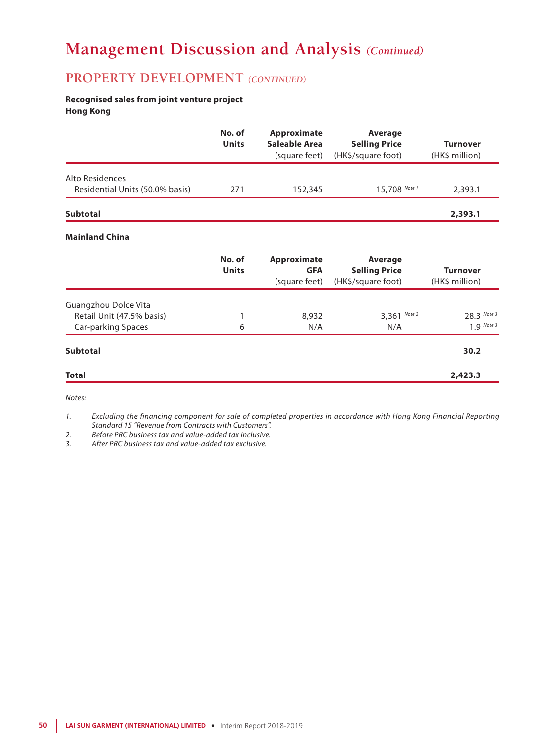### **PROPERTY DEVELOPMENT** *(CONTINUED)*

#### **Recognised sales from joint venture project Hong Kong**

|                                 | No. of<br><b>Units</b> | Approximate<br>Saleable Area<br>(square feet) | Average<br><b>Selling Price</b><br>(HK\$/square foot) | <b>Turnover</b><br>(HK\$ million) |
|---------------------------------|------------------------|-----------------------------------------------|-------------------------------------------------------|-----------------------------------|
| Alto Residences                 |                        |                                               |                                                       |                                   |
| Residential Units (50.0% basis) | 271                    | 152,345                                       | 15,708 Note 1                                         | 2,393.1                           |
| <b>Subtotal</b>                 |                        |                                               |                                                       | 2,393.1                           |
| <b>Mainland China</b>           |                        |                                               |                                                       |                                   |
|                                 | No. of<br><b>Units</b> | Approximate<br><b>GFA</b><br>(square feet)    | Average<br><b>Selling Price</b><br>(HK\$/square foot) | <b>Turnover</b><br>(HK\$ million) |
| Guangzhou Dolce Vita            |                        |                                               |                                                       |                                   |
| Retail Unit (47.5% basis)       | 1                      | 8,932                                         | 3,361 Note 2                                          | 28.3 Note 3                       |
| Car-parking Spaces              | 6                      | N/A                                           | N/A                                                   | $1.9$ Note 3                      |
| <b>Subtotal</b>                 |                        |                                               |                                                       | 30.2                              |

*Notes:*

*1. Excluding the financing component for sale of completed properties in accordance with Hong Kong Financial Reporting Standard 15 "Revenue from Contracts with Customers".*

**Total 2,423.3**

*2. Before PRC business tax and value-added tax inclusive.*

*3. After PRC business tax and value-added tax exclusive.*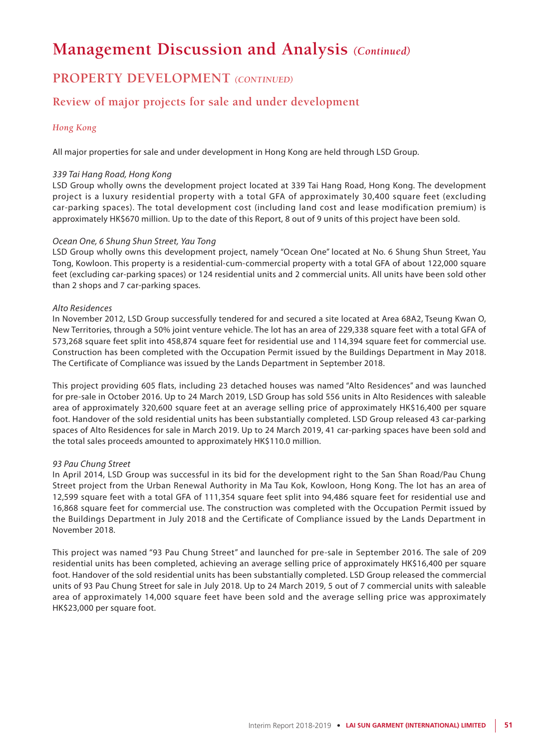## **PROPERTY DEVELOPMENT** *(CONTINUED)*

### **Review of major projects for sale and under development**

#### *Hong Kong*

All major properties for sale and under development in Hong Kong are held through LSD Group.

#### *339 Tai Hang Road, Hong Kong*

LSD Group wholly owns the development project located at 339 Tai Hang Road, Hong Kong. The development project is a luxury residential property with a total GFA of approximately 30,400 square feet (excluding car-parking spaces). The total development cost (including land cost and lease modification premium) is approximately HK\$670 million. Up to the date of this Report, 8 out of 9 units of this project have been sold.

#### *Ocean One, 6 Shung Shun Street, Yau Tong*

LSD Group wholly owns this development project, namely "Ocean One" located at No. 6 Shung Shun Street, Yau Tong, Kowloon. This property is a residential-cum-commercial property with a total GFA of about 122,000 square feet (excluding car-parking spaces) or 124 residential units and 2 commercial units. All units have been sold other than 2 shops and 7 car-parking spaces.

#### *Alto Residences*

In November 2012, LSD Group successfully tendered for and secured a site located at Area 68A2, Tseung Kwan O, New Territories, through a 50% joint venture vehicle. The lot has an area of 229,338 square feet with a total GFA of 573,268 square feet split into 458,874 square feet for residential use and 114,394 square feet for commercial use. Construction has been completed with the Occupation Permit issued by the Buildings Department in May 2018. The Certificate of Compliance was issued by the Lands Department in September 2018.

This project providing 605 flats, including 23 detached houses was named "Alto Residences" and was launched for pre-sale in October 2016. Up to 24 March 2019, LSD Group has sold 556 units in Alto Residences with saleable area of approximately 320,600 square feet at an average selling price of approximately HK\$16,400 per square foot. Handover of the sold residential units has been substantially completed. LSD Group released 43 car-parking spaces of Alto Residences for sale in March 2019. Up to 24 March 2019, 41 car-parking spaces have been sold and the total sales proceeds amounted to approximately HK\$110.0 million.

#### *93 Pau Chung Street*

In April 2014, LSD Group was successful in its bid for the development right to the San Shan Road/Pau Chung Street project from the Urban Renewal Authority in Ma Tau Kok, Kowloon, Hong Kong. The lot has an area of 12,599 square feet with a total GFA of 111,354 square feet split into 94,486 square feet for residential use and 16,868 square feet for commercial use. The construction was completed with the Occupation Permit issued by the Buildings Department in July 2018 and the Certificate of Compliance issued by the Lands Department in November 2018.

This project was named "93 Pau Chung Street" and launched for pre-sale in September 2016. The sale of 209 residential units has been completed, achieving an average selling price of approximately HK\$16,400 per square foot. Handover of the sold residential units has been substantially completed. LSD Group released the commercial units of 93 Pau Chung Street for sale in July 2018. Up to 24 March 2019, 5 out of 7 commercial units with saleable area of approximately 14,000 square feet have been sold and the average selling price was approximately HK\$23,000 per square foot.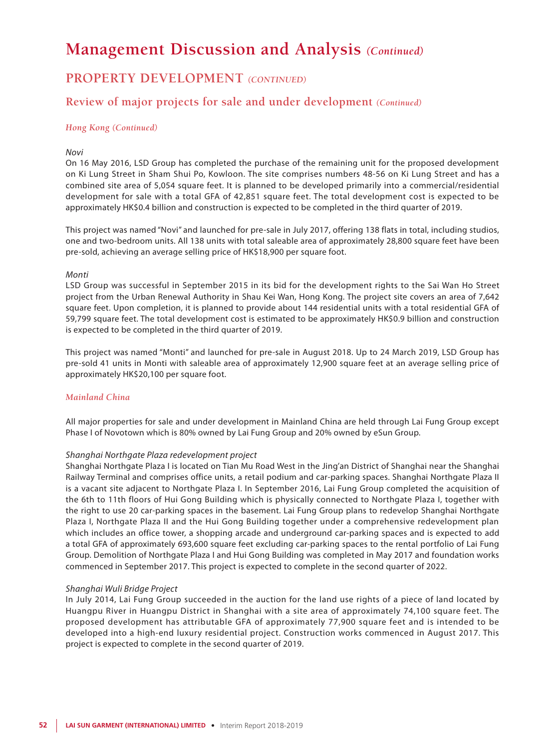## **PROPERTY DEVELOPMENT** *(CONTINUED)*

### **Review of major projects for sale and under development** *(Continued)*

#### *Hong Kong (Continued)*

#### *Novi*

On 16 May 2016, LSD Group has completed the purchase of the remaining unit for the proposed development on Ki Lung Street in Sham Shui Po, Kowloon. The site comprises numbers 48-56 on Ki Lung Street and has a combined site area of 5,054 square feet. It is planned to be developed primarily into a commercial/residential development for sale with a total GFA of 42,851 square feet. The total development cost is expected to be approximately HK\$0.4 billion and construction is expected to be completed in the third quarter of 2019.

This project was named "Novi" and launched for pre-sale in July 2017, offering 138 flats in total, including studios, one and two-bedroom units. All 138 units with total saleable area of approximately 28,800 square feet have been pre-sold, achieving an average selling price of HK\$18,900 per square foot.

#### *Monti*

LSD Group was successful in September 2015 in its bid for the development rights to the Sai Wan Ho Street project from the Urban Renewal Authority in Shau Kei Wan, Hong Kong. The project site covers an area of 7,642 square feet. Upon completion, it is planned to provide about 144 residential units with a total residential GFA of 59,799 square feet. The total development cost is estimated to be approximately HK\$0.9 billion and construction is expected to be completed in the third quarter of 2019.

This project was named "Monti" and launched for pre-sale in August 2018. Up to 24 March 2019, LSD Group has pre-sold 41 units in Monti with saleable area of approximately 12,900 square feet at an average selling price of approximately HK\$20,100 per square foot.

#### *Mainland China*

All major properties for sale and under development in Mainland China are held through Lai Fung Group except Phase I of Novotown which is 80% owned by Lai Fung Group and 20% owned by eSun Group.

#### *Shanghai Northgate Plaza redevelopment project*

Shanghai Northgate Plaza I is located on Tian Mu Road West in the Jing'an District of Shanghai near the Shanghai Railway Terminal and comprises office units, a retail podium and car-parking spaces. Shanghai Northgate Plaza II is a vacant site adjacent to Northgate Plaza I. In September 2016, Lai Fung Group completed the acquisition of the 6th to 11th floors of Hui Gong Building which is physically connected to Northgate Plaza I, together with the right to use 20 car-parking spaces in the basement. Lai Fung Group plans to redevelop Shanghai Northgate Plaza I, Northgate Plaza II and the Hui Gong Building together under a comprehensive redevelopment plan which includes an office tower, a shopping arcade and underground car-parking spaces and is expected to add a total GFA of approximately 693,600 square feet excluding car-parking spaces to the rental portfolio of Lai Fung Group. Demolition of Northgate Plaza I and Hui Gong Building was completed in May 2017 and foundation works commenced in September 2017. This project is expected to complete in the second quarter of 2022.

#### *Shanghai Wuli Bridge Project*

In July 2014, Lai Fung Group succeeded in the auction for the land use rights of a piece of land located by Huangpu River in Huangpu District in Shanghai with a site area of approximately 74,100 square feet. The proposed development has attributable GFA of approximately 77,900 square feet and is intended to be developed into a high-end luxury residential project. Construction works commenced in August 2017. This project is expected to complete in the second quarter of 2019.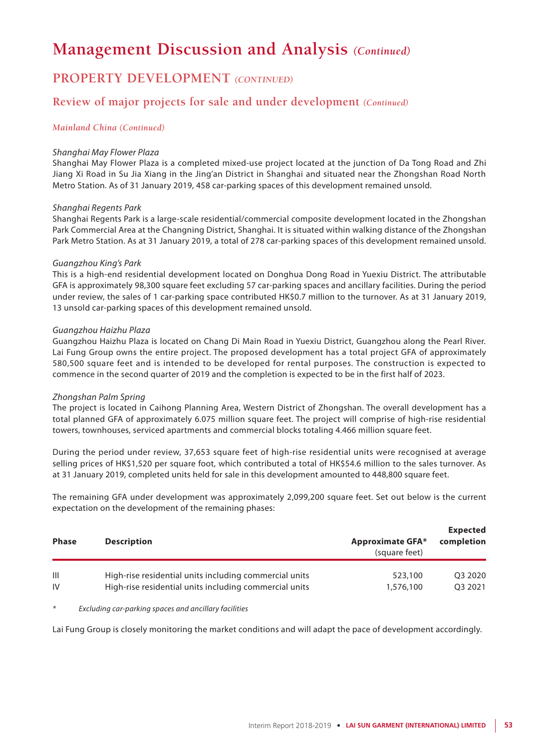### **PROPERTY DEVELOPMENT** *(CONTINUED)*

### **Review of major projects for sale and under development** *(Continued)*

#### *Mainland China (Continued)*

#### *Shanghai May Flower Plaza*

Shanghai May Flower Plaza is a completed mixed-use project located at the junction of Da Tong Road and Zhi Jiang Xi Road in Su Jia Xiang in the Jing'an District in Shanghai and situated near the Zhongshan Road North Metro Station. As of 31 January 2019, 458 car-parking spaces of this development remained unsold.

#### *Shanghai Regents Park*

Shanghai Regents Park is a large-scale residential/commercial composite development located in the Zhongshan Park Commercial Area at the Changning District, Shanghai. It is situated within walking distance of the Zhongshan Park Metro Station. As at 31 January 2019, a total of 278 car-parking spaces of this development remained unsold.

#### *Guangzhou King's Park*

This is a high-end residential development located on Donghua Dong Road in Yuexiu District. The attributable GFA is approximately 98,300 square feet excluding 57 car-parking spaces and ancillary facilities. During the period under review, the sales of 1 car-parking space contributed HK\$0.7 million to the turnover. As at 31 January 2019, 13 unsold car-parking spaces of this development remained unsold.

#### *Guangzhou Haizhu Plaza*

Guangzhou Haizhu Plaza is located on Chang Di Main Road in Yuexiu District, Guangzhou along the Pearl River. Lai Fung Group owns the entire project. The proposed development has a total project GFA of approximately 580,500 square feet and is intended to be developed for rental purposes. The construction is expected to commence in the second quarter of 2019 and the completion is expected to be in the first half of 2023.

#### *Zhongshan Palm Spring*

The project is located in Caihong Planning Area, Western District of Zhongshan. The overall development has a total planned GFA of approximately 6.075 million square feet. The project will comprise of high-rise residential towers, townhouses, serviced apartments and commercial blocks totaling 4.466 million square feet.

During the period under review, 37,653 square feet of high-rise residential units were recognised at average selling prices of HK\$1,520 per square foot, which contributed a total of HK\$54.6 million to the sales turnover. As at 31 January 2019, completed units held for sale in this development amounted to 448,800 square feet.

The remaining GFA under development was approximately 2,099,200 square feet. Set out below is the current expectation on the development of the remaining phases:

| <b>Phase</b> | <b>Description</b>                                     | <b>Approximate GFA*</b><br>(square feet) | <b>Expected</b><br>completion |
|--------------|--------------------------------------------------------|------------------------------------------|-------------------------------|
| Ш            | High-rise residential units including commercial units | 523,100                                  | O3 2020                       |
| IV           | High-rise residential units including commercial units | 1,576,100                                | O3 2021                       |

*\* Excluding car-parking spaces and ancillary facilities*

Lai Fung Group is closely monitoring the market conditions and will adapt the pace of development accordingly.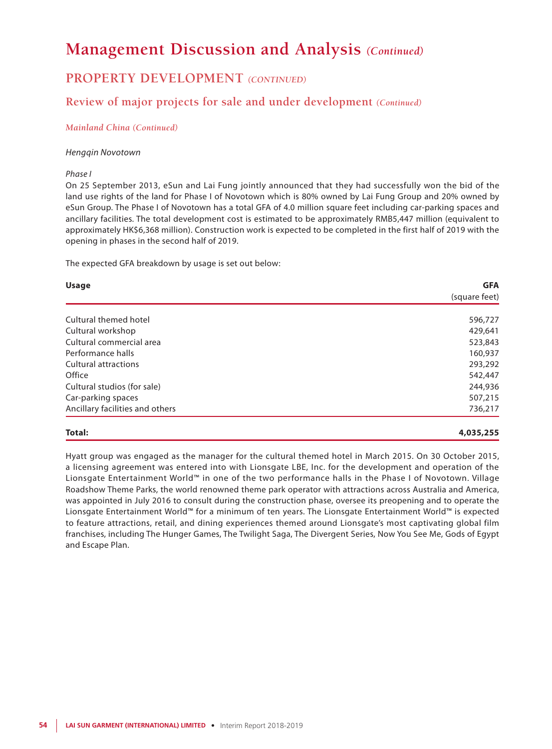## **PROPERTY DEVELOPMENT** *(CONTINUED)*

### **Review of major projects for sale and under development** *(Continued)*

#### *Mainland China (Continued)*

#### *Hengqin Novotown*

#### *Phase I*

On 25 September 2013, eSun and Lai Fung jointly announced that they had successfully won the bid of the land use rights of the land for Phase I of Novotown which is 80% owned by Lai Fung Group and 20% owned by eSun Group. The Phase I of Novotown has a total GFA of 4.0 million square feet including car-parking spaces and ancillary facilities. The total development cost is estimated to be approximately RMB5,447 million (equivalent to approximately HK\$6,368 million). Construction work is expected to be completed in the first half of 2019 with the opening in phases in the second half of 2019.

The expected GFA breakdown by usage is set out below:

| <b>Usage</b>                    | <b>GFA</b>    |
|---------------------------------|---------------|
|                                 | (square feet) |
|                                 |               |
| Cultural themed hotel           | 596,727       |
| Cultural workshop               | 429,641       |
| Cultural commercial area        | 523,843       |
| Performance halls               | 160,937       |
| <b>Cultural attractions</b>     | 293,292       |
| Office                          | 542,447       |
| Cultural studios (for sale)     | 244,936       |
| Car-parking spaces              | 507,215       |
| Ancillary facilities and others | 736,217       |

#### **Total: 4,035,255**

Hyatt group was engaged as the manager for the cultural themed hotel in March 2015. On 30 October 2015, a licensing agreement was entered into with Lionsgate LBE, Inc. for the development and operation of the Lionsgate Entertainment World™ in one of the two performance halls in the Phase I of Novotown. Village Roadshow Theme Parks, the world renowned theme park operator with attractions across Australia and America, was appointed in July 2016 to consult during the construction phase, oversee its preopening and to operate the Lionsgate Entertainment World™ for a minimum of ten years. The Lionsgate Entertainment World™ is expected to feature attractions, retail, and dining experiences themed around Lionsgate's most captivating global film franchises, including The Hunger Games, The Twilight Saga, The Divergent Series, Now You See Me, Gods of Egypt and Escape Plan.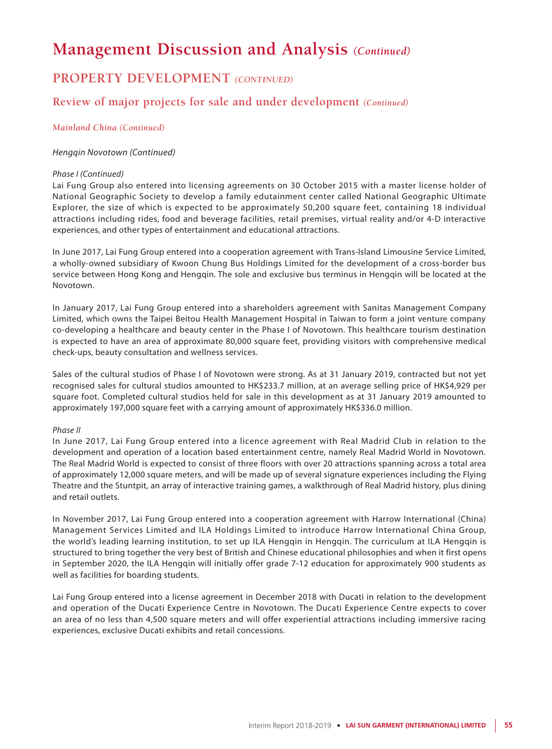## **PROPERTY DEVELOPMENT** *(CONTINUED)*

### **Review of major projects for sale and under development** *(Continued)*

#### *Mainland China (Continued)*

#### *Hengqin Novotown (Continued)*

#### *Phase I (Continued)*

Lai Fung Group also entered into licensing agreements on 30 October 2015 with a master license holder of National Geographic Society to develop a family edutainment center called National Geographic Ultimate Explorer, the size of which is expected to be approximately 50,200 square feet, containing 18 individual attractions including rides, food and beverage facilities, retail premises, virtual reality and/or 4-D interactive experiences, and other types of entertainment and educational attractions.

In June 2017, Lai Fung Group entered into a cooperation agreement with Trans-Island Limousine Service Limited, a wholly-owned subsidiary of Kwoon Chung Bus Holdings Limited for the development of a cross-border bus service between Hong Kong and Hengqin. The sole and exclusive bus terminus in Hengqin will be located at the Novotown.

In January 2017, Lai Fung Group entered into a shareholders agreement with Sanitas Management Company Limited, which owns the Taipei Beitou Health Management Hospital in Taiwan to form a joint venture company co-developing a healthcare and beauty center in the Phase I of Novotown. This healthcare tourism destination is expected to have an area of approximate 80,000 square feet, providing visitors with comprehensive medical check-ups, beauty consultation and wellness services.

Sales of the cultural studios of Phase I of Novotown were strong. As at 31 January 2019, contracted but not yet recognised sales for cultural studios amounted to HK\$233.7 million, at an average selling price of HK\$4,929 per square foot. Completed cultural studios held for sale in this development as at 31 January 2019 amounted to approximately 197,000 square feet with a carrying amount of approximately HK\$336.0 million.

#### *Phase II*

In June 2017, Lai Fung Group entered into a licence agreement with Real Madrid Club in relation to the development and operation of a location based entertainment centre, namely Real Madrid World in Novotown. The Real Madrid World is expected to consist of three floors with over 20 attractions spanning across a total area of approximately 12,000 square meters, and will be made up of several signature experiences including the Flying Theatre and the Stuntpit, an array of interactive training games, a walkthrough of Real Madrid history, plus dining and retail outlets.

In November 2017, Lai Fung Group entered into a cooperation agreement with Harrow International (China) Management Services Limited and ILA Holdings Limited to introduce Harrow International China Group, the world's leading learning institution, to set up ILA Hengqin in Hengqin. The curriculum at ILA Hengqin is structured to bring together the very best of British and Chinese educational philosophies and when it first opens in September 2020, the ILA Hengqin will initially offer grade 7-12 education for approximately 900 students as well as facilities for boarding students.

Lai Fung Group entered into a license agreement in December 2018 with Ducati in relation to the development and operation of the Ducati Experience Centre in Novotown. The Ducati Experience Centre expects to cover an area of no less than 4,500 square meters and will offer experiential attractions including immersive racing experiences, exclusive Ducati exhibits and retail concessions.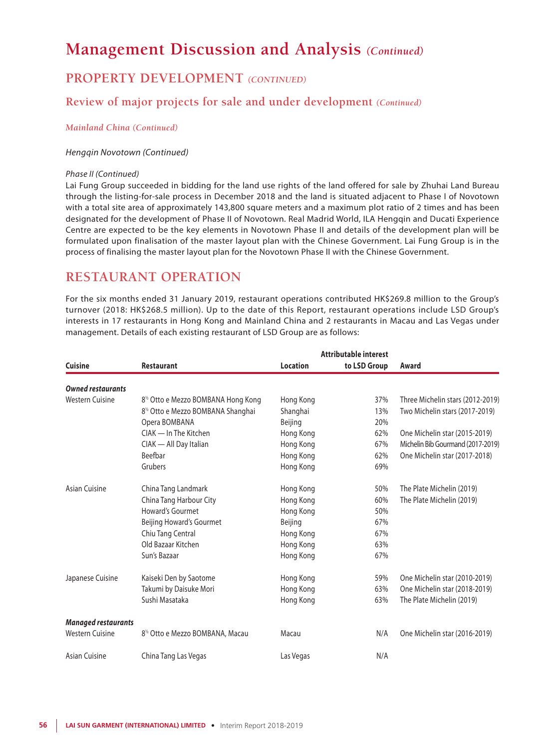## **PROPERTY DEVELOPMENT** *(CONTINUED)*

### **Review of major projects for sale and under development** *(Continued)*

#### *Mainland China (Continued)*

#### *Hengqin Novotown (Continued)*

#### *Phase II (Continued)*

Lai Fung Group succeeded in bidding for the land use rights of the land offered for sale by Zhuhai Land Bureau through the listing-for-sale process in December 2018 and the land is situated adjacent to Phase I of Novotown with a total site area of approximately 143,800 square meters and a maximum plot ratio of 2 times and has been designated for the development of Phase II of Novotown. Real Madrid World, ILA Hengqin and Ducati Experience Centre are expected to be the key elements in Novotown Phase II and details of the development plan will be formulated upon finalisation of the master layout plan with the Chinese Government. Lai Fung Group is in the process of finalising the master layout plan for the Novotown Phase II with the Chinese Government.

## **RESTAURANT OPERATION**

For the six months ended 31 January 2019, restaurant operations contributed HK\$269.8 million to the Group's turnover (2018: HK\$268.5 million). Up to the date of this Report, restaurant operations include LSD Group's interests in 17 restaurants in Hong Kong and Mainland China and 2 restaurants in Macau and Las Vegas under management. Details of each existing restaurant of LSD Group are as follows:

|                            |                                                 |                 | Attributable interest |                                   |  |
|----------------------------|-------------------------------------------------|-----------------|-----------------------|-----------------------------------|--|
| <b>Cuisine</b>             | <b>Restaurant</b>                               | <b>Location</b> | to LSD Group          | Award                             |  |
| <b>Owned restaurants</b>   |                                                 |                 |                       |                                   |  |
| <b>Western Cuisine</b>     | 8 <sup>1/2</sup> Otto e Mezzo BOMBANA Hong Kong | Hong Kong       | 37%                   | Three Michelin stars (2012-2019)  |  |
|                            | 8 <sup>1/2</sup> Otto e Mezzo BOMBANA Shanghai  | Shanghai        | 13%                   | Two Michelin stars (2017-2019)    |  |
|                            | Opera BOMBANA                                   | Beijing         | 20%                   |                                   |  |
|                            | CIAK - In The Kitchen                           | Hong Kong       | 62%                   | One Michelin star (2015-2019)     |  |
|                            | CIAK - All Day Italian                          | Hong Kong       | 67%                   | Michelin Bib Gourmand (2017-2019) |  |
|                            | Beefbar                                         | Hong Kong       | 62%                   | One Michelin star (2017-2018)     |  |
|                            | Grubers                                         | Hong Kong       | 69%                   |                                   |  |
| Asian Cuisine              | China Tang Landmark                             | Hong Kong       | 50%                   | The Plate Michelin (2019)         |  |
|                            | China Tang Harbour City                         | Hong Kong       | 60%                   | The Plate Michelin (2019)         |  |
|                            | Howard's Gourmet                                | Hong Kong       | 50%                   |                                   |  |
|                            | Beijing Howard's Gourmet                        | Beijing         | 67%                   |                                   |  |
|                            | Chiu Tang Central                               | Hong Kong       | 67%                   |                                   |  |
|                            | Old Bazaar Kitchen                              | Hong Kong       | 63%                   |                                   |  |
|                            | Sun's Bazaar                                    | Hong Kong       | 67%                   |                                   |  |
| Japanese Cuisine           | Kaiseki Den by Saotome                          | Hong Kong       | 59%                   | One Michelin star (2010-2019)     |  |
|                            | Takumi by Daisuke Mori                          | Hong Kong       | 63%                   | One Michelin star (2018-2019)     |  |
|                            | Sushi Masataka                                  | Hong Kong       | 63%                   | The Plate Michelin (2019)         |  |
| <b>Managed restaurants</b> |                                                 |                 |                       |                                   |  |
| <b>Western Cuisine</b>     | 8 <sup>1/2</sup> Otto e Mezzo BOMBANA, Macau    | Macau           | N/A                   | One Michelin star (2016-2019)     |  |
| Asian Cuisine              | China Tang Las Vegas                            | Las Vegas       | N/A                   |                                   |  |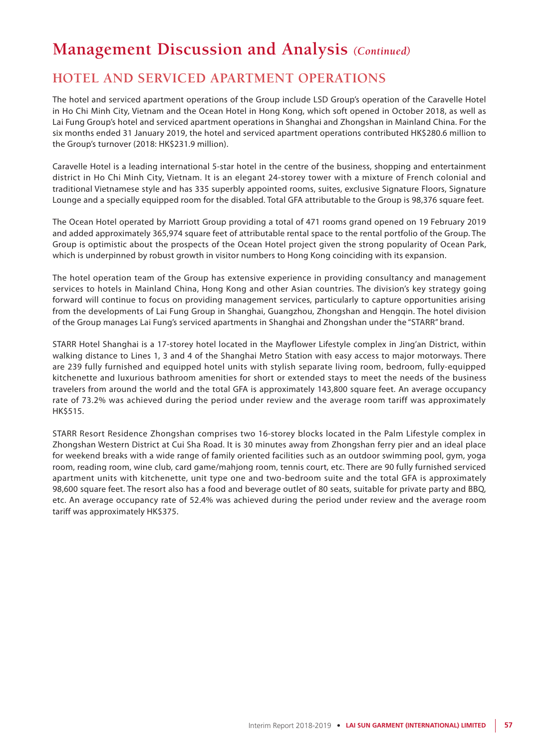## **HOTEL AND SERVICED APARTMENT OPERATIONS**

The hotel and serviced apartment operations of the Group include LSD Group's operation of the Caravelle Hotel in Ho Chi Minh City, Vietnam and the Ocean Hotel in Hong Kong, which soft opened in October 2018, as well as Lai Fung Group's hotel and serviced apartment operations in Shanghai and Zhongshan in Mainland China. For the six months ended 31 January 2019, the hotel and serviced apartment operations contributed HK\$280.6 million to the Group's turnover (2018: HK\$231.9 million).

Caravelle Hotel is a leading international 5-star hotel in the centre of the business, shopping and entertainment district in Ho Chi Minh City, Vietnam. It is an elegant 24-storey tower with a mixture of French colonial and traditional Vietnamese style and has 335 superbly appointed rooms, suites, exclusive Signature Floors, Signature Lounge and a specially equipped room for the disabled. Total GFA attributable to the Group is 98,376 square feet.

The Ocean Hotel operated by Marriott Group providing a total of 471 rooms grand opened on 19 February 2019 and added approximately 365,974 square feet of attributable rental space to the rental portfolio of the Group. The Group is optimistic about the prospects of the Ocean Hotel project given the strong popularity of Ocean Park, which is underpinned by robust growth in visitor numbers to Hong Kong coinciding with its expansion.

The hotel operation team of the Group has extensive experience in providing consultancy and management services to hotels in Mainland China, Hong Kong and other Asian countries. The division's key strategy going forward will continue to focus on providing management services, particularly to capture opportunities arising from the developments of Lai Fung Group in Shanghai, Guangzhou, Zhongshan and Hengqin. The hotel division of the Group manages Lai Fung's serviced apartments in Shanghai and Zhongshan under the "STARR" brand.

STARR Hotel Shanghai is a 17-storey hotel located in the Mayflower Lifestyle complex in Jing'an District, within walking distance to Lines 1, 3 and 4 of the Shanghai Metro Station with easy access to major motorways. There are 239 fully furnished and equipped hotel units with stylish separate living room, bedroom, fully-equipped kitchenette and luxurious bathroom amenities for short or extended stays to meet the needs of the business travelers from around the world and the total GFA is approximately 143,800 square feet. An average occupancy rate of 73.2% was achieved during the period under review and the average room tariff was approximately HK\$515.

STARR Resort Residence Zhongshan comprises two 16-storey blocks located in the Palm Lifestyle complex in Zhongshan Western District at Cui Sha Road. It is 30 minutes away from Zhongshan ferry pier and an ideal place for weekend breaks with a wide range of family oriented facilities such as an outdoor swimming pool, gym, yoga room, reading room, wine club, card game/mahjong room, tennis court, etc. There are 90 fully furnished serviced apartment units with kitchenette, unit type one and two-bedroom suite and the total GFA is approximately 98,600 square feet. The resort also has a food and beverage outlet of 80 seats, suitable for private party and BBQ, etc. An average occupancy rate of 52.4% was achieved during the period under review and the average room tariff was approximately HK\$375.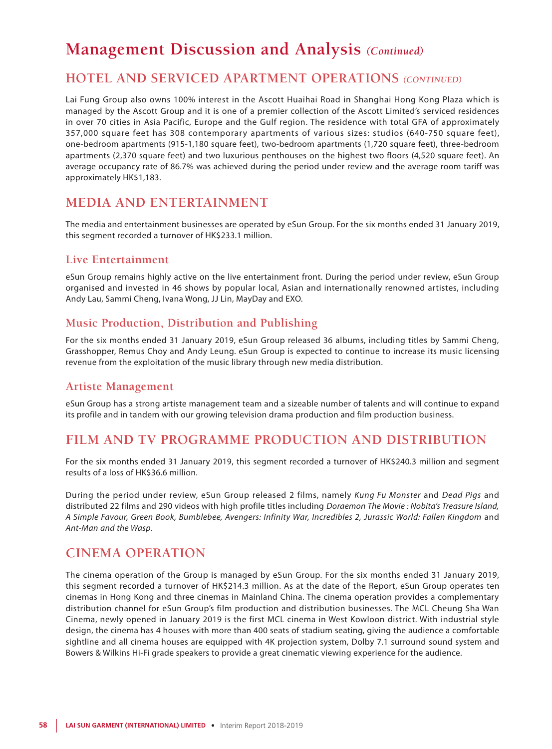### **HOTEL AND SERVICED APARTMENT OPERATIONS** *(CONTINUED)*

Lai Fung Group also owns 100% interest in the Ascott Huaihai Road in Shanghai Hong Kong Plaza which is managed by the Ascott Group and it is one of a premier collection of the Ascott Limited's serviced residences in over 70 cities in Asia Pacific, Europe and the Gulf region. The residence with total GFA of approximately 357,000 square feet has 308 contemporary apartments of various sizes: studios (640-750 square feet), one-bedroom apartments (915-1,180 square feet), two-bedroom apartments (1,720 square feet), three-bedroom apartments (2,370 square feet) and two luxurious penthouses on the highest two floors (4,520 square feet). An average occupancy rate of 86.7% was achieved during the period under review and the average room tariff was approximately HK\$1,183.

### **MEDIA AND ENTERTAINMENT**

The media and entertainment businesses are operated by eSun Group. For the six months ended 31 January 2019, this segment recorded a turnover of HK\$233.1 million.

### **Live Entertainment**

eSun Group remains highly active on the live entertainment front. During the period under review, eSun Group organised and invested in 46 shows by popular local, Asian and internationally renowned artistes, including Andy Lau, Sammi Cheng, Ivana Wong, JJ Lin, MayDay and EXO.

### **Music Production, Distribution and Publishing**

For the six months ended 31 January 2019, eSun Group released 36 albums, including titles by Sammi Cheng, Grasshopper, Remus Choy and Andy Leung. eSun Group is expected to continue to increase its music licensing revenue from the exploitation of the music library through new media distribution.

### **Artiste Management**

eSun Group has a strong artiste management team and a sizeable number of talents and will continue to expand its profile and in tandem with our growing television drama production and film production business.

## **FILM AND TV PROGRAMME PRODUCTION AND DISTRIBUTION**

For the six months ended 31 January 2019, this segment recorded a turnover of HK\$240.3 million and segment results of a loss of HK\$36.6 million.

During the period under review, eSun Group released 2 films, namely *Kung Fu Monster* and *Dead Pigs* and distributed 22 films and 290 videos with high profile titles including *Doraemon The Movie : Nobita's Treasure Island, A Simple Favour, Green Book, Bumblebee, Avengers: Infinity War, Incredibles 2, Jurassic World: Fallen Kingdom* and *Ant-Man and the Wasp*.

### **CINEMA OPERATION**

The cinema operation of the Group is managed by eSun Group. For the six months ended 31 January 2019, this segment recorded a turnover of HK\$214.3 million. As at the date of the Report, eSun Group operates ten cinemas in Hong Kong and three cinemas in Mainland China. The cinema operation provides a complementary distribution channel for eSun Group's film production and distribution businesses. The MCL Cheung Sha Wan Cinema, newly opened in January 2019 is the first MCL cinema in West Kowloon district. With industrial style design, the cinema has 4 houses with more than 400 seats of stadium seating, giving the audience a comfortable sightline and all cinema houses are equipped with 4K projection system, Dolby 7.1 surround sound system and Bowers & Wilkins Hi-Fi grade speakers to provide a great cinematic viewing experience for the audience.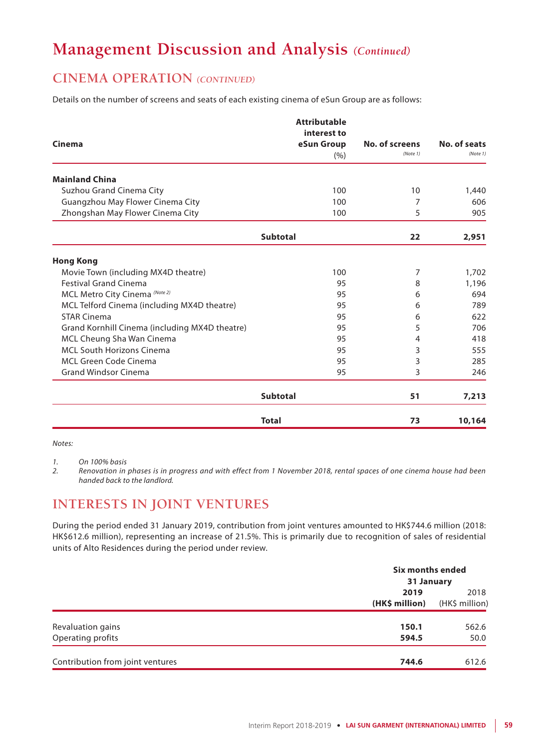## **CINEMA OPERATION** *(CONTINUED)*

Details on the number of screens and seats of each existing cinema of eSun Group are as follows:

|                                                | <b>Attributable</b> |                            |                          |
|------------------------------------------------|---------------------|----------------------------|--------------------------|
|                                                | interest to         |                            |                          |
| Cinema                                         | eSun Group          | No. of screens<br>(Note 1) | No. of seats<br>(Note 1) |
|                                                | (% )                |                            |                          |
| <b>Mainland China</b>                          |                     |                            |                          |
| Suzhou Grand Cinema City                       | 100                 | 10                         | 1,440                    |
| Guangzhou May Flower Cinema City               | 100                 | 7                          | 606                      |
| Zhongshan May Flower Cinema City               | 100                 | 5                          | 905                      |
|                                                | <b>Subtotal</b>     | 22                         | 2,951                    |
| <b>Hong Kong</b>                               |                     |                            |                          |
| Movie Town (including MX4D theatre)            | 100                 | 7                          | 1,702                    |
| <b>Festival Grand Cinema</b>                   | 95                  | 8                          | 1,196                    |
| MCL Metro City Cinema (Note 2)                 | 95                  | 6                          | 694                      |
| MCL Telford Cinema (including MX4D theatre)    | 95                  | 6                          | 789                      |
| <b>STAR Cinema</b>                             | 95                  | 6                          | 622                      |
| Grand Kornhill Cinema (including MX4D theatre) | 95                  | 5                          | 706                      |
| MCL Cheung Sha Wan Cinema                      | 95                  | 4                          | 418                      |
| <b>MCL South Horizons Cinema</b>               | 95                  | 3                          | 555                      |
| <b>MCL Green Code Cinema</b>                   | 95                  | 3                          | 285                      |
| <b>Grand Windsor Cinema</b>                    | 95                  | 3                          | 246                      |
|                                                | <b>Subtotal</b>     | 51                         | 7,213                    |
|                                                | <b>Total</b>        | 73                         | 10,164                   |

*Notes:*

*1. On 100% basis*

*2. Renovation in phases is in progress and with effect from 1 November 2018, rental spaces of one cinema house had been handed back to the landlord.*

## **INTERESTS IN JOINT VENTURES**

During the period ended 31 January 2019, contribution from joint ventures amounted to HK\$744.6 million (2018: HK\$612.6 million), representing an increase of 21.5%. This is primarily due to recognition of sales of residential units of Alto Residences during the period under review.

|                                  | Six months ended<br>31 January |                |
|----------------------------------|--------------------------------|----------------|
|                                  | 2019                           | 2018           |
|                                  | (HK\$ million)                 | (HK\$ million) |
| Revaluation gains                | 150.1                          | 562.6          |
| Operating profits                | 594.5                          | 50.0           |
| Contribution from joint ventures | 744.6                          | 612.6          |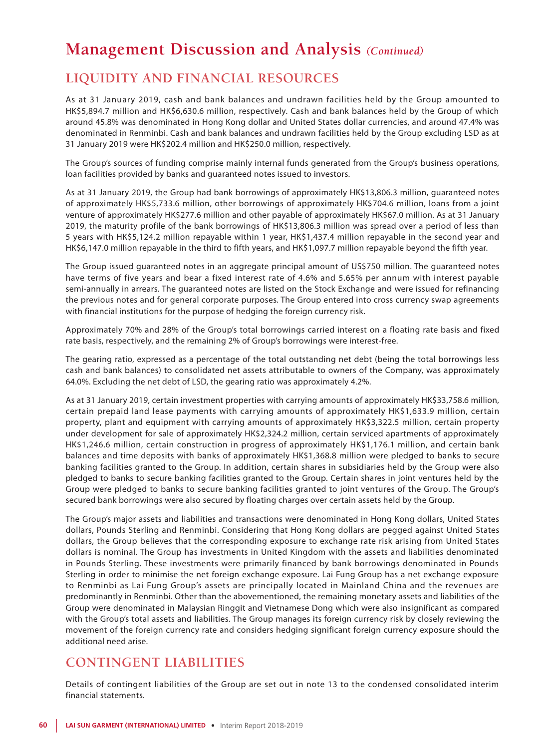## **LIQUIDITY AND FINANCIAL RESOURCES**

As at 31 January 2019, cash and bank balances and undrawn facilities held by the Group amounted to HK\$5,894.7 million and HK\$6,630.6 million, respectively. Cash and bank balances held by the Group of which around 45.8% was denominated in Hong Kong dollar and United States dollar currencies, and around 47.4% was denominated in Renminbi. Cash and bank balances and undrawn facilities held by the Group excluding LSD as at 31 January 2019 were HK\$202.4 million and HK\$250.0 million, respectively.

The Group's sources of funding comprise mainly internal funds generated from the Group's business operations, loan facilities provided by banks and guaranteed notes issued to investors.

As at 31 January 2019, the Group had bank borrowings of approximately HK\$13,806.3 million, guaranteed notes of approximately HK\$5,733.6 million, other borrowings of approximately HK\$704.6 million, loans from a joint venture of approximately HK\$277.6 million and other payable of approximately HK\$67.0 million. As at 31 January 2019, the maturity profile of the bank borrowings of HK\$13,806.3 million was spread over a period of less than 5 years with HK\$5,124.2 million repayable within 1 year, HK\$1,437.4 million repayable in the second year and HK\$6,147.0 million repayable in the third to fifth years, and HK\$1,097.7 million repayable beyond the fifth year.

The Group issued guaranteed notes in an aggregate principal amount of US\$750 million. The guaranteed notes have terms of five years and bear a fixed interest rate of 4.6% and 5.65% per annum with interest payable semi-annually in arrears. The guaranteed notes are listed on the Stock Exchange and were issued for refinancing the previous notes and for general corporate purposes. The Group entered into cross currency swap agreements with financial institutions for the purpose of hedging the foreign currency risk.

Approximately 70% and 28% of the Group's total borrowings carried interest on a floating rate basis and fixed rate basis, respectively, and the remaining 2% of Group's borrowings were interest-free.

The gearing ratio, expressed as a percentage of the total outstanding net debt (being the total borrowings less cash and bank balances) to consolidated net assets attributable to owners of the Company, was approximately 64.0%. Excluding the net debt of LSD, the gearing ratio was approximately 4.2%.

As at 31 January 2019, certain investment properties with carrying amounts of approximately HK\$33,758.6 million, certain prepaid land lease payments with carrying amounts of approximately HK\$1,633.9 million, certain property, plant and equipment with carrying amounts of approximately HK\$3,322.5 million, certain property under development for sale of approximately HK\$2,324.2 million, certain serviced apartments of approximately HK\$1,246.6 million, certain construction in progress of approximately HK\$1,176.1 million, and certain bank balances and time deposits with banks of approximately HK\$1,368.8 million were pledged to banks to secure banking facilities granted to the Group. In addition, certain shares in subsidiaries held by the Group were also pledged to banks to secure banking facilities granted to the Group. Certain shares in joint ventures held by the Group were pledged to banks to secure banking facilities granted to joint ventures of the Group. The Group's secured bank borrowings were also secured by floating charges over certain assets held by the Group.

The Group's major assets and liabilities and transactions were denominated in Hong Kong dollars, United States dollars, Pounds Sterling and Renminbi. Considering that Hong Kong dollars are pegged against United States dollars, the Group believes that the corresponding exposure to exchange rate risk arising from United States dollars is nominal. The Group has investments in United Kingdom with the assets and liabilities denominated in Pounds Sterling. These investments were primarily financed by bank borrowings denominated in Pounds Sterling in order to minimise the net foreign exchange exposure. Lai Fung Group has a net exchange exposure to Renminbi as Lai Fung Group's assets are principally located in Mainland China and the revenues are predominantly in Renminbi. Other than the abovementioned, the remaining monetary assets and liabilities of the Group were denominated in Malaysian Ringgit and Vietnamese Dong which were also insignificant as compared with the Group's total assets and liabilities. The Group manages its foreign currency risk by closely reviewing the movement of the foreign currency rate and considers hedging significant foreign currency exposure should the additional need arise.

## **CONTINGENT LIABILITIES**

Details of contingent liabilities of the Group are set out in note 13 to the condensed consolidated interim financial statements.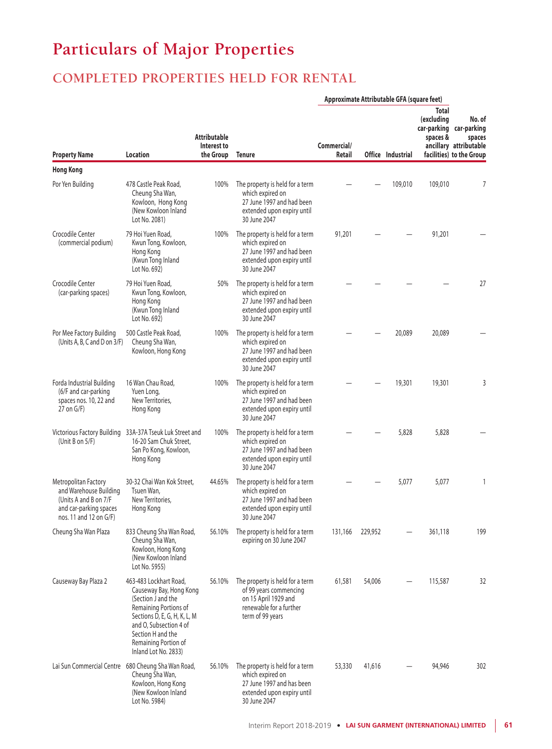# **Particulars of Major Properties**

## **COMPLETED PROPERTIES HELD FOR RENTAL**

|                                                                                                                             |                                                                                                                                                                                                                                 |                                                 |                                                                                                                                  | Approximate Attributable GFA (square feet) |         |                   |                                        |                                                                                                   |
|-----------------------------------------------------------------------------------------------------------------------------|---------------------------------------------------------------------------------------------------------------------------------------------------------------------------------------------------------------------------------|-------------------------------------------------|----------------------------------------------------------------------------------------------------------------------------------|--------------------------------------------|---------|-------------------|----------------------------------------|---------------------------------------------------------------------------------------------------|
| <b>Property Name</b>                                                                                                        | Location                                                                                                                                                                                                                        | <b>Attributable</b><br>Interest to<br>the Group | <b>Tenure</b>                                                                                                                    | Commercial/<br>Retail                      |         | Office Industrial | <b>Total</b><br>(excluding<br>spaces & | No. of<br>car-parking car-parking<br>spaces<br>ancillary attributable<br>facilities) to the Group |
| <b>Hong Kong</b>                                                                                                            |                                                                                                                                                                                                                                 |                                                 |                                                                                                                                  |                                            |         |                   |                                        |                                                                                                   |
| Por Yen Building                                                                                                            | 478 Castle Peak Road,<br>Cheung Sha Wan,<br>Kowloon, Hong Kong<br>(New Kowloon Inland<br>Lot No. 2081)                                                                                                                          | 100%                                            | The property is held for a term<br>which expired on<br>27 June 1997 and had been<br>extended upon expiry until<br>30 June 2047   |                                            |         | 109,010           | 109,010                                | 7                                                                                                 |
| Crocodile Center<br>(commercial podium)                                                                                     | 79 Hoi Yuen Road,<br>Kwun Tong, Kowloon,<br>Hong Kong<br>(Kwun Tong Inland<br>Lot No. 692)                                                                                                                                      | 100%                                            | The property is held for a term<br>which expired on<br>27 June 1997 and had been<br>extended upon expiry until<br>30 June 2047   | 91,201                                     |         |                   | 91,201                                 |                                                                                                   |
| Crocodile Center<br>(car-parking spaces)                                                                                    | 79 Hoi Yuen Road.<br>Kwun Tong, Kowloon,<br>Hong Kong<br>(Kwun Tong Inland<br>Lot No. 692)                                                                                                                                      | 50%                                             | The property is held for a term<br>which expired on<br>27 June 1997 and had been<br>extended upon expiry until<br>30 June 2047   |                                            |         |                   |                                        | 27                                                                                                |
| Por Mee Factory Building<br>(Units A, B, C and D on 3/F)                                                                    | 500 Castle Peak Road,<br>Cheung Sha Wan,<br>Kowloon, Hong Kong                                                                                                                                                                  | 100%                                            | The property is held for a term<br>which expired on<br>27 June 1997 and had been<br>extended upon expiry until<br>30 June 2047   |                                            |         | 20,089            | 20,089                                 |                                                                                                   |
| Forda Industrial Building<br>(6/F and car-parking<br>spaces nos. 10, 22 and<br>$27$ on $G/F$ )                              | 16 Wan Chau Road,<br>Yuen Long,<br>New Territories,<br>Hong Kong                                                                                                                                                                | 100%                                            | The property is held for a term<br>which expired on<br>27 June 1997 and had been<br>extended upon expiry until<br>30 June 2047   |                                            |         | 19,301            | 19,301                                 | 3                                                                                                 |
| (Unit B on $5/F$ )                                                                                                          | Victorious Factory Building 33A-37A Tseuk Luk Street and<br>16-20 Sam Chuk Street,<br>San Po Kong, Kowloon,<br>Hong Kong                                                                                                        | 100%                                            | The property is held for a term<br>which expired on<br>27 June 1997 and had been<br>extended upon expiry until<br>30 June 2047   |                                            |         | 5,828             | 5,828                                  |                                                                                                   |
| Metropolitan Factory<br>and Warehouse Building<br>(Units A and B on 7/F<br>and car-parking spaces<br>nos. 11 and 12 on G/F) | 30-32 Chai Wan Kok Street,<br>Tsuen Wan,<br>New Territories,<br>Hong Kong                                                                                                                                                       | 44.65%                                          | The property is held for a term<br>which expired on<br>27 June 1997 and had been<br>extended upon expiry until<br>30 June 2047   |                                            |         | 5,077             | 5,077                                  | $\mathbf{1}$                                                                                      |
| Cheung Sha Wan Plaza                                                                                                        | 833 Cheung Sha Wan Road,<br>Cheung Sha Wan,<br>Kowloon, Hong Kong<br>(New Kowloon Inland<br>Lot No. 5955)                                                                                                                       | 56.10%                                          | The property is held for a term<br>expiring on 30 June 2047                                                                      | 131,166                                    | 229,952 |                   | 361,118                                | 199                                                                                               |
| Causeway Bay Plaza 2                                                                                                        | 463-483 Lockhart Road,<br>Causeway Bay, Hong Kong<br>(Section J and the<br>Remaining Portions of<br>Sections D, E, G, H, K, L, M<br>and O, Subsection 4 of<br>Section H and the<br>Remaining Portion of<br>Inland Lot No. 2833) | 56.10%                                          | The property is held for a term<br>of 99 years commencing<br>on 15 April 1929 and<br>renewable for a further<br>term of 99 years | 61,581                                     | 54,006  |                   | 115,587                                | 32                                                                                                |
|                                                                                                                             | Lai Sun Commercial Centre 680 Cheung Sha Wan Road,<br>Cheung Sha Wan,<br>Kowloon, Hong Kong<br>(New Kowloon Inland<br>Lot No. 5984)                                                                                             | 56.10%                                          | The property is held for a term<br>which expired on<br>27 June 1997 and has been<br>extended upon expiry until<br>30 June 2047   | 53,330                                     | 41,616  |                   | 94,946                                 | 302                                                                                               |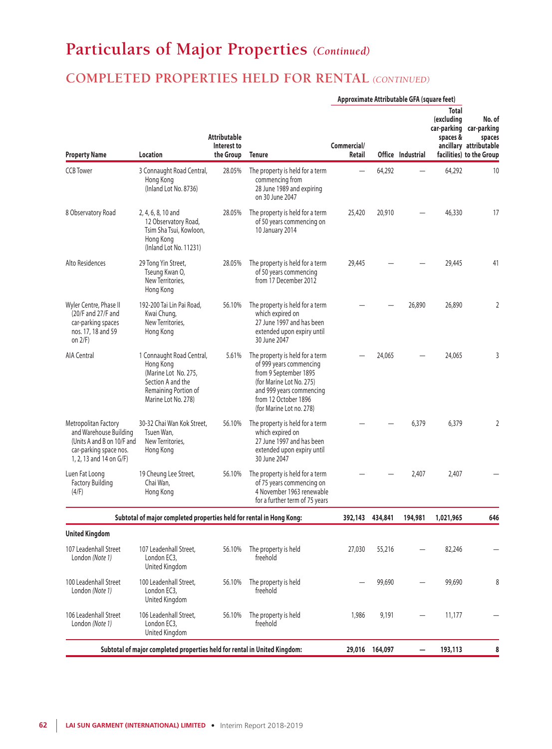## **COMPLETED PROPERTIES HELD FOR RENTAL** *(CONTINUED)*

|                                                                                                                                   |                                                                                                                                    |                                                 |                                                                                                                                                                                                 | Approximate Attributable GFA (square feet) |         |                   |                                 |                                                                                                   |
|-----------------------------------------------------------------------------------------------------------------------------------|------------------------------------------------------------------------------------------------------------------------------------|-------------------------------------------------|-------------------------------------------------------------------------------------------------------------------------------------------------------------------------------------------------|--------------------------------------------|---------|-------------------|---------------------------------|---------------------------------------------------------------------------------------------------|
| <b>Property Name</b>                                                                                                              | Location                                                                                                                           | <b>Attributable</b><br>Interest to<br>the Group | <b>Tenure</b>                                                                                                                                                                                   | Commercial/<br>Retail                      |         | Office Industrial | Total<br>(excluding<br>spaces & | No. of<br>car-parking car-parking<br>spaces<br>ancillary attributable<br>facilities) to the Group |
| <b>CCB</b> Tower                                                                                                                  | 3 Connaught Road Central,<br>Hong Kong<br>(Inland Lot No. 8736)                                                                    | 28.05%                                          | The property is held for a term<br>commencing from<br>28 June 1989 and expiring<br>on 30 June 2047                                                                                              |                                            | 64,292  |                   | 64,292                          | 10                                                                                                |
| 8 Observatory Road                                                                                                                | 2, 4, 6, 8, 10 and<br>12 Observatory Road,<br>Tsim Sha Tsui, Kowloon,<br>Hong Kong<br>(Inland Lot No. 11231)                       | 28.05%                                          | The property is held for a term<br>of 50 years commencing on<br>10 January 2014                                                                                                                 | 25,420                                     | 20,910  |                   | 46,330                          | 17                                                                                                |
| Alto Residences                                                                                                                   | 29 Tong Yin Street,<br>Tseung Kwan O,<br>New Territories.<br>Hong Kong                                                             | 28.05%                                          | The property is held for a term<br>of 50 years commencing<br>from 17 December 2012                                                                                                              | 29,445                                     |         |                   | 29,445                          | 41                                                                                                |
| Wyler Centre, Phase II<br>(20/F and 27/F and<br>car-parking spaces<br>nos. 17, 18 and 59<br>on $2/F$ )                            | 192-200 Tai Lin Pai Road,<br>Kwai Chung,<br>New Territories,<br>Hong Kong                                                          | 56.10%                                          | The property is held for a term<br>which expired on<br>27 June 1997 and has been<br>extended upon expiry until<br>30 June 2047                                                                  |                                            |         | 26,890            | 26,890                          | 2                                                                                                 |
| AIA Central                                                                                                                       | 1 Connaught Road Central,<br>Hong Kong<br>(Marine Lot No. 275,<br>Section A and the<br>Remaining Portion of<br>Marine Lot No. 278) | 5.61%                                           | The property is held for a term<br>of 999 years commencing<br>from 9 September 1895<br>(for Marine Lot No. 275)<br>and 999 years commencing<br>from 12 October 1896<br>(for Marine Lot no. 278) |                                            | 24,065  |                   | 24,065                          | 3                                                                                                 |
| Metropolitan Factory<br>and Warehouse Building<br>(Units A and B on 10/F and<br>car-parking space nos.<br>1, 2, 13 and 14 on G/F) | 30-32 Chai Wan Kok Street,<br>Tsuen Wan,<br>New Territories,<br>Hong Kong                                                          | 56.10%                                          | The property is held for a term<br>which expired on<br>27 June 1997 and has been<br>extended upon expiry until<br>30 June 2047                                                                  |                                            |         | 6,379             | 6,379                           | $\overline{2}$                                                                                    |
| Luen Fat Loong<br><b>Factory Building</b><br>(4/F)                                                                                | 19 Cheung Lee Street,<br>Chai Wan,<br>Hong Kong                                                                                    | 56.10%                                          | The property is held for a term<br>of 75 years commencing on<br>4 November 1963 renewable<br>for a further term of 75 years                                                                     |                                            |         | 2,407             | 2,407                           |                                                                                                   |
|                                                                                                                                   | Subtotal of major completed properties held for rental in Hong Kong:                                                               |                                                 |                                                                                                                                                                                                 | 392,143                                    | 434,841 | 194,981           | 1,021,965                       | 646                                                                                               |
| <b>United Kingdom</b>                                                                                                             |                                                                                                                                    |                                                 |                                                                                                                                                                                                 |                                            |         |                   |                                 |                                                                                                   |
| 107 Leadenhall Street<br>London (Note 1)                                                                                          | 107 Leadenhall Street,<br>London EC3,<br>United Kingdom                                                                            | 56.10%                                          | The property is held<br>freehold                                                                                                                                                                | 27,030                                     | 55,216  |                   | 82,246                          |                                                                                                   |
| 100 Leadenhall Street<br>London (Note 1)                                                                                          | 100 Leadenhall Street,<br>London EC3,<br>United Kingdom                                                                            | 56.10%                                          | The property is held<br>freehold                                                                                                                                                                |                                            | 99,690  |                   | 99,690                          | 8                                                                                                 |
| 106 Leadenhall Street<br>London (Note 1)                                                                                          | 106 Leadenhall Street,<br>London EC3,<br>United Kingdom                                                                            | 56.10%                                          | The property is held<br>freehold                                                                                                                                                                | 1,986                                      | 9,191   |                   | 11,177                          |                                                                                                   |
|                                                                                                                                   | Subtotal of major completed properties held for rental in United Kingdom:                                                          |                                                 |                                                                                                                                                                                                 | 29,016                                     | 164,097 | —                 | 193,113                         | 8                                                                                                 |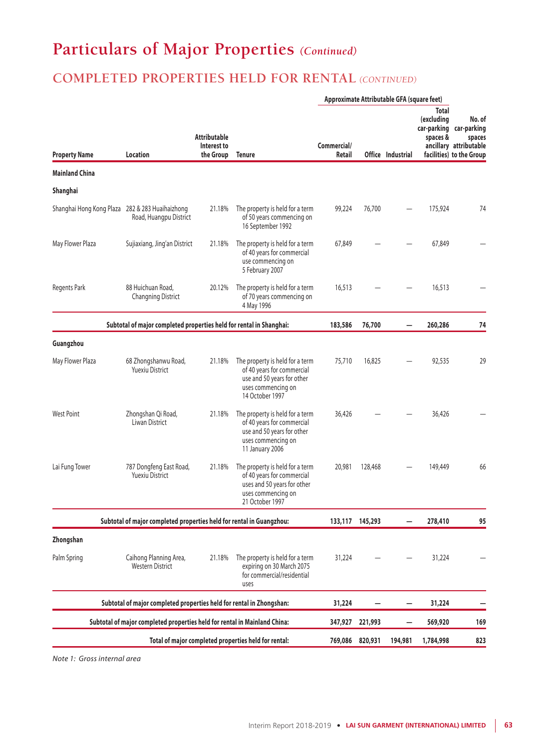## **COMPLETED PROPERTIES HELD FOR RENTAL** *(CONTINUED)*

|                                                 |                                                                           |                                                 | Approximate Attributable GFA (square feet)                                                                                            |                       |                 |                   |                                        |                                                                                                   |
|-------------------------------------------------|---------------------------------------------------------------------------|-------------------------------------------------|---------------------------------------------------------------------------------------------------------------------------------------|-----------------------|-----------------|-------------------|----------------------------------------|---------------------------------------------------------------------------------------------------|
| <b>Property Name</b>                            | Location                                                                  | <b>Attributable</b><br>Interest to<br>the Group | <b>Tenure</b>                                                                                                                         | Commercial/<br>Retail |                 | Office Industrial | <b>Total</b><br>(excluding<br>spaces & | No. of<br>car-parking car-parking<br>spaces<br>ancillary attributable<br>facilities) to the Group |
| <b>Mainland China</b>                           |                                                                           |                                                 |                                                                                                                                       |                       |                 |                   |                                        |                                                                                                   |
| Shanghai                                        |                                                                           |                                                 |                                                                                                                                       |                       |                 |                   |                                        |                                                                                                   |
| Shanghai Hong Kong Plaza 282 & 283 Huaihaizhong | Road, Huangpu District                                                    | 21.18%                                          | The property is held for a term<br>of 50 years commencing on<br>16 September 1992                                                     | 99,224                | 76,700          |                   | 175,924                                | 74                                                                                                |
| May Flower Plaza                                | Sujiaxiang, Jing'an District                                              | 21.18%                                          | The property is held for a term<br>of 40 years for commercial<br>use commencing on<br>5 February 2007                                 | 67,849                |                 |                   | 67,849                                 |                                                                                                   |
| Regents Park                                    | 88 Huichuan Road,<br><b>Changning District</b>                            | 20.12%                                          | The property is held for a term<br>of 70 years commencing on<br>4 May 1996                                                            | 16,513                |                 |                   | 16,513                                 |                                                                                                   |
|                                                 | Subtotal of major completed properties held for rental in Shanghai:       |                                                 |                                                                                                                                       | 183,586               | 76,700          |                   | 260,286                                | 74                                                                                                |
| Guangzhou                                       |                                                                           |                                                 |                                                                                                                                       |                       |                 |                   |                                        |                                                                                                   |
| May Flower Plaza                                | 68 Zhongshanwu Road,<br><b>Yuexiu District</b>                            | 21.18%                                          | The property is held for a term<br>of 40 years for commercial<br>use and 50 years for other<br>uses commencing on<br>14 October 1997  | 75,710                | 16,825          |                   | 92,535                                 | 29                                                                                                |
| <b>West Point</b>                               | Zhongshan Qi Road,<br>Liwan District                                      | 21.18%                                          | The property is held for a term<br>of 40 years for commercial<br>use and 50 years for other<br>uses commencing on<br>11 January 2006  | 36,426                |                 |                   | 36,426                                 |                                                                                                   |
| Lai Fung Tower                                  | 787 Dongfeng East Road,<br><b>Yuexiu District</b>                         | 21.18%                                          | The property is held for a term<br>of 40 years for commercial<br>uses and 50 years for other<br>uses commencing on<br>21 October 1997 | 20,981                | 128,468         |                   | 149,449                                | 66                                                                                                |
|                                                 | Subtotal of major completed properties held for rental in Guangzhou:      |                                                 |                                                                                                                                       |                       | 133,117 145,293 |                   | 278,410                                | 95                                                                                                |
| Zhongshan                                       |                                                                           |                                                 |                                                                                                                                       |                       |                 |                   |                                        |                                                                                                   |
| Palm Spring                                     | Caihong Planning Area,<br><b>Western District</b>                         | 21.18%                                          | The property is held for a term<br>expiring on 30 March 2075<br>for commercial/residential<br>uses                                    | 31,224                |                 |                   | 31,224                                 |                                                                                                   |
|                                                 | Subtotal of major completed properties held for rental in Zhongshan:      |                                                 |                                                                                                                                       | 31,224                |                 |                   | 31,224                                 |                                                                                                   |
|                                                 | Subtotal of major completed properties held for rental in Mainland China: |                                                 |                                                                                                                                       | 347,927               | 221,993         |                   | 569,920                                | 169                                                                                               |
|                                                 |                                                                           |                                                 | Total of major completed properties held for rental:                                                                                  | 769,086               | 820,931         | 194,981           | 1,784,998                              | 823                                                                                               |

*Note 1: Gross internal area*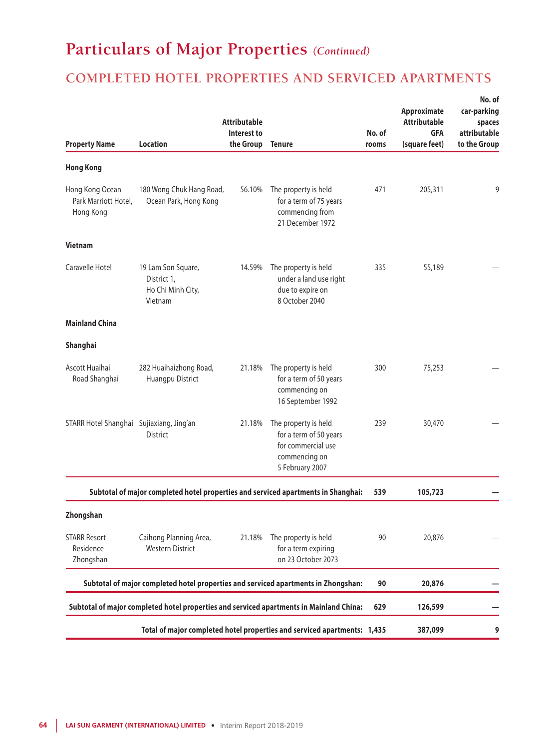## **COMPLETED HOTEL PROPERTIES AND SERVICED APARTMENTS**

|                                                      |                                                                   | <b>Attributable</b><br>Interest to |                                                                                                          | No. of | Approximate<br><b>Attributable</b><br><b>GFA</b> | No. of<br>car-parking<br>spaces<br>attributable |
|------------------------------------------------------|-------------------------------------------------------------------|------------------------------------|----------------------------------------------------------------------------------------------------------|--------|--------------------------------------------------|-------------------------------------------------|
| <b>Property Name</b>                                 | <b>Location</b>                                                   | the Group                          | <b>Tenure</b>                                                                                            | rooms  | (square feet)                                    | to the Group                                    |
| <b>Hong Kong</b>                                     |                                                                   |                                    |                                                                                                          |        |                                                  |                                                 |
| Hong Kong Ocean<br>Park Marriott Hotel,<br>Hong Kong | 180 Wong Chuk Hang Road,<br>Ocean Park, Hong Kong                 | 56.10%                             | The property is held<br>for a term of 75 years<br>commencing from<br>21 December 1972                    | 471    | 205,311                                          | 9                                               |
| <b>Vietnam</b>                                       |                                                                   |                                    |                                                                                                          |        |                                                  |                                                 |
| Caravelle Hotel                                      | 19 Lam Son Square,<br>District 1,<br>Ho Chi Minh City,<br>Vietnam | 14.59%                             | The property is held<br>under a land use right<br>due to expire on<br>8 October 2040                     | 335    | 55,189                                           |                                                 |
| <b>Mainland China</b>                                |                                                                   |                                    |                                                                                                          |        |                                                  |                                                 |
| Shanghai                                             |                                                                   |                                    |                                                                                                          |        |                                                  |                                                 |
| Ascott Huaihai<br>Road Shanghai                      | 282 Huaihaizhong Road,<br>Huangpu District                        | 21.18%                             | The property is held<br>for a term of 50 years<br>commencing on<br>16 September 1992                     | 300    | 75,253                                           |                                                 |
| STARR Hotel Shanghai Sujiaxiang, Jing'an             | <b>District</b>                                                   | 21.18%                             | The property is held<br>for a term of 50 years<br>for commercial use<br>commencing on<br>5 February 2007 | 239    | 30,470                                           |                                                 |
|                                                      |                                                                   |                                    | Subtotal of major completed hotel properties and serviced apartments in Shanghai:                        | 539    | 105,723                                          |                                                 |
| Zhongshan                                            |                                                                   |                                    |                                                                                                          |        |                                                  |                                                 |
| <b>STARR Resort</b><br>Residence<br>Zhongshan        | Caihong Planning Area,<br><b>Western District</b>                 | 21.18%                             | The property is held<br>for a term expiring<br>on 23 October 2073                                        | 90     | 20,876                                           |                                                 |
|                                                      |                                                                   |                                    | Subtotal of major completed hotel properties and serviced apartments in Zhongshan:                       | 90     | 20,876                                           |                                                 |
|                                                      |                                                                   |                                    | Subtotal of major completed hotel properties and serviced apartments in Mainland China:                  | 629    | 126,599                                          |                                                 |
|                                                      |                                                                   |                                    | Total of major completed hotel properties and serviced apartments: 1,435                                 |        | 387,099                                          | 9                                               |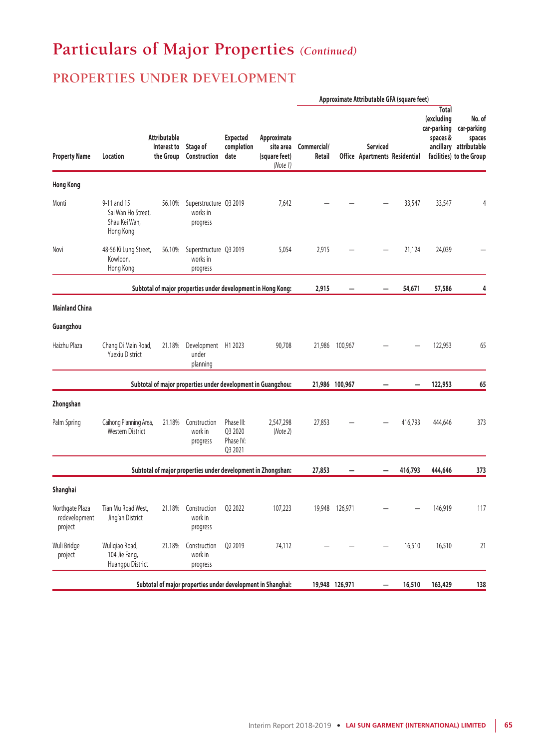## **PROPERTIES UNDER DEVELOPMENT**

|                                             |                                                                 | Attributable<br>Interest to<br>the Group | Stage of<br>Construction                                     | Approximate<br><b>Expected</b><br>completion<br>site area<br>date<br>(square feet)<br>(Note 1) | Approximate Attributable GFA (square feet) |                       |                |                                                  |         |                                                       |                                                                                       |
|---------------------------------------------|-----------------------------------------------------------------|------------------------------------------|--------------------------------------------------------------|------------------------------------------------------------------------------------------------|--------------------------------------------|-----------------------|----------------|--------------------------------------------------|---------|-------------------------------------------------------|---------------------------------------------------------------------------------------|
| <b>Property Name</b>                        | Location                                                        |                                          |                                                              |                                                                                                |                                            | Commercial/<br>Retail |                | <b>Serviced</b><br>Office Apartments Residential |         | <b>Total</b><br>(excluding<br>car-parking<br>spaces & | No. of<br>car-parking<br>spaces<br>ancillary attributable<br>facilities) to the Group |
| <b>Hong Kong</b>                            |                                                                 |                                          |                                                              |                                                                                                |                                            |                       |                |                                                  |         |                                                       |                                                                                       |
| Monti                                       | 9-11 and 15<br>Sai Wan Ho Street.<br>Shau Kei Wan,<br>Hong Kong | 56.10%                                   | Superstructure Q3 2019<br>works in<br>progress               |                                                                                                | 7,642                                      |                       |                |                                                  | 33,547  | 33,547                                                | 4                                                                                     |
| Novi                                        | 48-56 Ki Lung Street,<br>Kowloon,<br>Hong Kong                  | 56.10%                                   | Superstructure Q3 2019<br>works in<br>progress               |                                                                                                | 5,054                                      | 2,915                 |                |                                                  | 21,124  | 24,039                                                |                                                                                       |
|                                             |                                                                 |                                          | Subtotal of major properties under development in Hong Kong: |                                                                                                |                                            | 2,915                 |                |                                                  | 54,671  | 57,586                                                | 4                                                                                     |
| <b>Mainland China</b>                       |                                                                 |                                          |                                                              |                                                                                                |                                            |                       |                |                                                  |         |                                                       |                                                                                       |
| Guangzhou                                   |                                                                 |                                          |                                                              |                                                                                                |                                            |                       |                |                                                  |         |                                                       |                                                                                       |
| Haizhu Plaza                                | Chang Di Main Road,<br><b>Yuexiu District</b>                   | 21.18%                                   | Development H1 2023<br>under<br>planning                     |                                                                                                | 90,708                                     |                       | 21,986 100,967 |                                                  |         | 122,953                                               | 65                                                                                    |
|                                             |                                                                 |                                          | Subtotal of major properties under development in Guangzhou: |                                                                                                |                                            |                       | 21,986 100,967 |                                                  |         | 122,953                                               | 65                                                                                    |
| Zhongshan                                   |                                                                 |                                          |                                                              |                                                                                                |                                            |                       |                |                                                  |         |                                                       |                                                                                       |
| Palm Spring                                 | Caihong Planning Area,<br>Western District                      | 21.18%                                   | Construction<br>work in<br>progress                          | Phase III:<br>Q3 2020<br>Phase IV:<br>Q3 2021                                                  | 2,547,298<br>(Note 2)                      | 27,853                |                |                                                  | 416,793 | 444,646                                               | 373                                                                                   |
|                                             |                                                                 |                                          | Subtotal of major properties under development in Zhongshan: |                                                                                                |                                            | 27,853                |                |                                                  | 416,793 | 444,646                                               | 373                                                                                   |
| Shanghai                                    |                                                                 |                                          |                                                              |                                                                                                |                                            |                       |                |                                                  |         |                                                       |                                                                                       |
| Northgate Plaza<br>redevelopment<br>project | Tian Mu Road West,<br>Jing'an District                          |                                          | 21.18% Construction Q2 2022<br>work in<br>progress           |                                                                                                | 107,223                                    |                       | 19,948 126,971 |                                                  |         | 146,919                                               | 117                                                                                   |
| Wuli Bridge<br>project                      | Wuliqiao Road,<br>104 Jie Fang,<br>Huangpu District             | 21.18%                                   | Construction<br>work in<br>progress                          | Q2 2019                                                                                        | 74,112                                     |                       |                |                                                  | 16,510  | 16,510                                                | 21                                                                                    |
|                                             |                                                                 |                                          | Subtotal of major properties under development in Shanghai:  |                                                                                                |                                            |                       | 19,948 126,971 |                                                  | 16,510  | 163,429                                               | 138                                                                                   |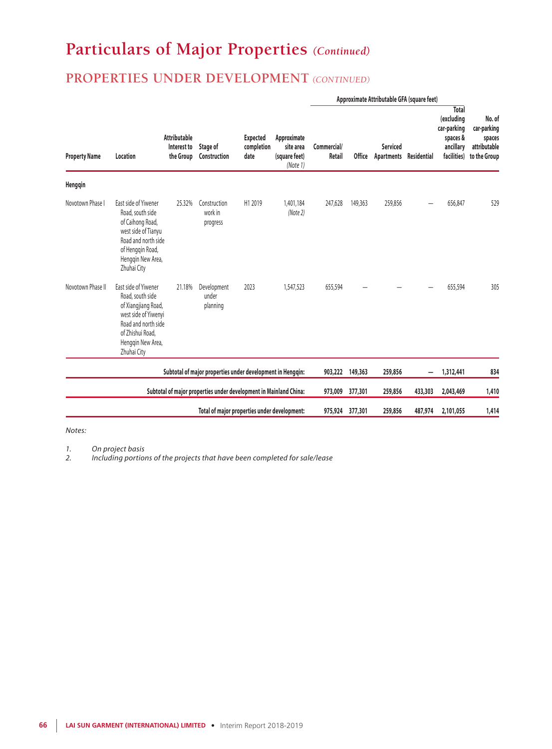## **PROPERTIES UNDER DEVELOPMENT** *(CONTINUED)*

|                      |                                                                                                                                                                        |                                                 |                                                                   |                                       |                                                       | Approximate Attributable GFA (square feet) |               |                                      |             |                                                                            |                                                                 |
|----------------------|------------------------------------------------------------------------------------------------------------------------------------------------------------------------|-------------------------------------------------|-------------------------------------------------------------------|---------------------------------------|-------------------------------------------------------|--------------------------------------------|---------------|--------------------------------------|-------------|----------------------------------------------------------------------------|-----------------------------------------------------------------|
| <b>Property Name</b> | Location                                                                                                                                                               | <b>Attributable</b><br>Interest to<br>the Group | Stage of<br>Construction                                          | <b>Expected</b><br>completion<br>date | Approximate<br>site area<br>(square feet)<br>(Note 1) | Commercial/<br>Retail                      | <b>Office</b> | <b>Serviced</b><br><b>Apartments</b> | Residential | Total<br>(excluding<br>car-parking<br>spaces &<br>ancillary<br>facilities) | No. of<br>car-parking<br>spaces<br>attributable<br>to the Group |
| Henggin              |                                                                                                                                                                        |                                                 |                                                                   |                                       |                                                       |                                            |               |                                      |             |                                                                            |                                                                 |
| Novotown Phase       | East side of Yiwener<br>Road, south side<br>of Caihong Road,<br>west side of Tianyu<br>Road and north side<br>of Hengqin Road,<br>Hengqin New Area,<br>Zhuhai City     | 25.32%                                          | Construction<br>work in<br>progress                               | H1 2019                               | 1,401,184<br>(Note 2)                                 | 247,628                                    | 149,363       | 259,856                              |             | 656,847                                                                    | 529                                                             |
| Novotown Phase II    | East side of Yiwener<br>Road, south side<br>of Xiangjiang Road,<br>west side of Yiwenyi<br>Road and north side<br>of Zhishui Road.<br>Henggin New Area,<br>Zhuhai City | 21.18%                                          | Development<br>under<br>planning                                  | 2023                                  | 1,547,523                                             | 655,594                                    |               |                                      |             | 655,594                                                                    | 305                                                             |
|                      |                                                                                                                                                                        |                                                 | Subtotal of major properties under development in Hengqin:        |                                       |                                                       | 903,222                                    | 149,363       | 259,856                              | —           | 1,312,441                                                                  | 834                                                             |
|                      |                                                                                                                                                                        |                                                 | Subtotal of major properties under development in Mainland China: |                                       |                                                       | 973,009                                    | 377,301       | 259,856                              | 433,303     | 2,043,469                                                                  | 1,410                                                           |
|                      |                                                                                                                                                                        |                                                 | Total of major properties under development:                      |                                       |                                                       | 975,924                                    | 377,301       | 259,856                              | 487,974     | 2,101,055                                                                  | 1,414                                                           |

#### *Notes:*

*1. On project basis*

*2. Including portions of the projects that have been completed for sale/lease*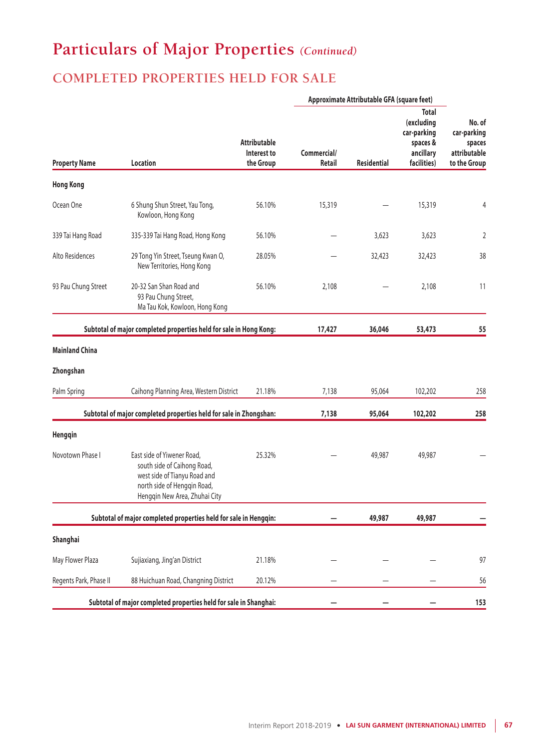## **COMPLETED PROPERTIES HELD FOR SALE**

|                        |                                                                                                                                                           |                                                 | Approximate Attributable GFA (square feet) |                    |                                                                                   |                                                                 |
|------------------------|-----------------------------------------------------------------------------------------------------------------------------------------------------------|-------------------------------------------------|--------------------------------------------|--------------------|-----------------------------------------------------------------------------------|-----------------------------------------------------------------|
| <b>Property Name</b>   | <b>Location</b>                                                                                                                                           | <b>Attributable</b><br>Interest to<br>the Group | Commercial/<br><b>Retail</b>               | <b>Residential</b> | <b>Total</b><br>(excluding<br>car-parking<br>spaces &<br>ancillary<br>facilities) | No. of<br>car-parking<br>spaces<br>attributable<br>to the Group |
| <b>Hong Kong</b>       |                                                                                                                                                           |                                                 |                                            |                    |                                                                                   |                                                                 |
| Ocean One              | 6 Shung Shun Street, Yau Tong,<br>Kowloon, Hong Kong                                                                                                      | 56.10%                                          | 15,319                                     |                    | 15,319                                                                            | 4                                                               |
| 339 Tai Hang Road      | 335-339 Tai Hang Road, Hong Kong                                                                                                                          | 56.10%                                          |                                            | 3,623              | 3,623                                                                             | $\overline{2}$                                                  |
| Alto Residences        | 29 Tong Yin Street, Tseung Kwan O,<br>New Territories, Hong Kong                                                                                          | 28.05%                                          |                                            | 32,423             | 32,423                                                                            | 38                                                              |
| 93 Pau Chung Street    | 20-32 San Shan Road and<br>93 Pau Chung Street,<br>Ma Tau Kok, Kowloon, Hong Kong                                                                         | 56.10%                                          | 2,108                                      |                    | 2,108                                                                             | 11                                                              |
|                        | Subtotal of major completed properties held for sale in Hong Kong:                                                                                        |                                                 | 17,427                                     | 36,046             | 53,473                                                                            | 55                                                              |
| <b>Mainland China</b>  |                                                                                                                                                           |                                                 |                                            |                    |                                                                                   |                                                                 |
| Zhongshan              |                                                                                                                                                           |                                                 |                                            |                    |                                                                                   |                                                                 |
| Palm Spring            | Caihong Planning Area, Western District                                                                                                                   | 21.18%                                          | 7,138                                      | 95,064             | 102,202                                                                           | 258                                                             |
|                        | Subtotal of major completed properties held for sale in Zhongshan:                                                                                        |                                                 | 7,138                                      | 95,064             | 102,202                                                                           | 258                                                             |
| Hengqin                |                                                                                                                                                           |                                                 |                                            |                    |                                                                                   |                                                                 |
| Novotown Phase I       | East side of Yiwener Road,<br>south side of Caihong Road,<br>west side of Tianyu Road and<br>north side of Hengqin Road,<br>Hengqin New Area, Zhuhai City | 25.32%                                          |                                            | 49,987             | 49,987                                                                            |                                                                 |
|                        | Subtotal of major completed properties held for sale in Hengqin:                                                                                          |                                                 |                                            | 49,987             | 49,987                                                                            |                                                                 |
| Shanghai               |                                                                                                                                                           |                                                 |                                            |                    |                                                                                   |                                                                 |
| May Flower Plaza       | Sujiaxiang, Jing'an District                                                                                                                              | 21.18%                                          |                                            |                    |                                                                                   | 97                                                              |
| Regents Park, Phase II | 88 Huichuan Road, Changning District                                                                                                                      | 20.12%                                          |                                            |                    |                                                                                   | 56                                                              |
|                        | Subtotal of major completed properties held for sale in Shanghai:                                                                                         |                                                 |                                            |                    |                                                                                   | 153                                                             |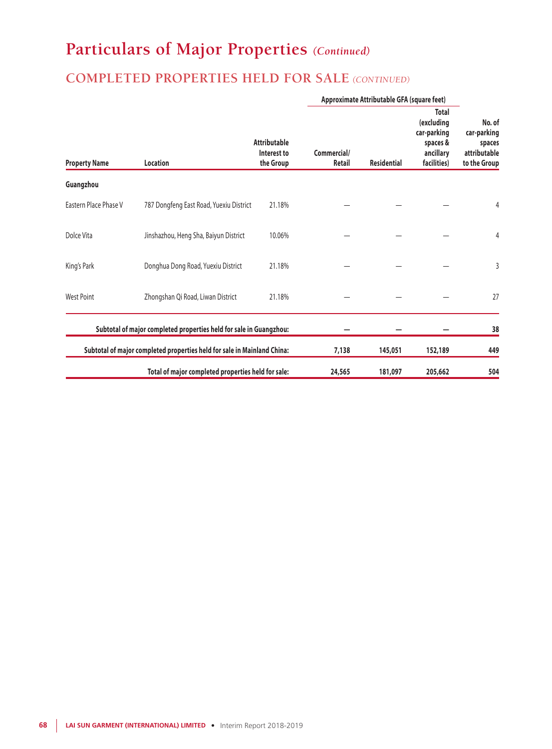## **COMPLETED PROPERTIES HELD FOR SALE** *(CONTINUED)*

|                       |                                                                         |                                                 | Approximate Attributable GFA (square feet) |                    |                                                                                   |                                                                 |
|-----------------------|-------------------------------------------------------------------------|-------------------------------------------------|--------------------------------------------|--------------------|-----------------------------------------------------------------------------------|-----------------------------------------------------------------|
| <b>Property Name</b>  | Location                                                                | <b>Attributable</b><br>Interest to<br>the Group | Commercial/<br><b>Retail</b>               | <b>Residential</b> | <b>Total</b><br>(excluding<br>car-parking<br>spaces &<br>ancillary<br>facilities) | No. of<br>car-parking<br>spaces<br>attributable<br>to the Group |
| Guangzhou             |                                                                         |                                                 |                                            |                    |                                                                                   |                                                                 |
| Eastern Place Phase V | 787 Dongfeng East Road, Yuexiu District                                 | 21.18%                                          |                                            |                    |                                                                                   | 4                                                               |
| Dolce Vita            | Jinshazhou, Heng Sha, Baiyun District                                   | 10.06%                                          |                                            |                    |                                                                                   | 4                                                               |
| King's Park           | Donghua Dong Road, Yuexiu District                                      | 21.18%                                          |                                            |                    |                                                                                   | 3                                                               |
| <b>West Point</b>     | Zhongshan Qi Road, Liwan District                                       | 21.18%                                          |                                            |                    |                                                                                   | 27                                                              |
|                       | Subtotal of major completed properties held for sale in Guangzhou:      |                                                 |                                            |                    |                                                                                   | 38                                                              |
|                       | Subtotal of major completed properties held for sale in Mainland China: |                                                 | 7,138                                      | 145,051            | 152,189                                                                           | 449                                                             |
|                       | Total of major completed properties held for sale:                      |                                                 | 24,565                                     | 181,097            | 205,662                                                                           | 504                                                             |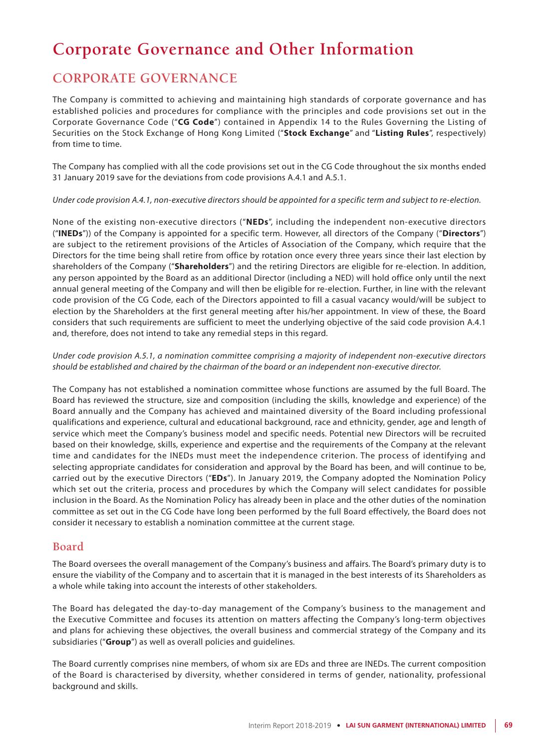# **Corporate Governance and Other Information**

## **CORPORATE GOVERNANCE**

The Company is committed to achieving and maintaining high standards of corporate governance and has established policies and procedures for compliance with the principles and code provisions set out in the Corporate Governance Code ("**CG Code**") contained in Appendix 14 to the Rules Governing the Listing of Securities on the Stock Exchange of Hong Kong Limited ("**Stock Exchange**" and "**Listing Rules**", respectively) from time to time.

The Company has complied with all the code provisions set out in the CG Code throughout the six months ended 31 January 2019 save for the deviations from code provisions A.4.1 and A.5.1.

#### *Under code provision A.4.1, non-executive directors should be appointed for a specific term and subject to re-election.*

None of the existing non-executive directors ("**NEDs**", including the independent non-executive directors ("**INEDs**")) of the Company is appointed for a specific term. However, all directors of the Company ("**Directors**") are subject to the retirement provisions of the Articles of Association of the Company, which require that the Directors for the time being shall retire from office by rotation once every three years since their last election by shareholders of the Company ("**Shareholders**") and the retiring Directors are eligible for re-election. In addition, any person appointed by the Board as an additional Director (including a NED) will hold office only until the next annual general meeting of the Company and will then be eligible for re-election. Further, in line with the relevant code provision of the CG Code, each of the Directors appointed to fill a casual vacancy would/will be subject to election by the Shareholders at the first general meeting after his/her appointment. In view of these, the Board considers that such requirements are sufficient to meet the underlying objective of the said code provision A.4.1 and, therefore, does not intend to take any remedial steps in this regard.

*Under code provision A.5.1, a nomination committee comprising a majority of independent non-executive directors should be established and chaired by the chairman of the board or an independent non-executive director.*

The Company has not established a nomination committee whose functions are assumed by the full Board. The Board has reviewed the structure, size and composition (including the skills, knowledge and experience) of the Board annually and the Company has achieved and maintained diversity of the Board including professional qualifications and experience, cultural and educational background, race and ethnicity, gender, age and length of service which meet the Company's business model and specific needs. Potential new Directors will be recruited based on their knowledge, skills, experience and expertise and the requirements of the Company at the relevant time and candidates for the INEDs must meet the independence criterion. The process of identifying and selecting appropriate candidates for consideration and approval by the Board has been, and will continue to be, carried out by the executive Directors ("**EDs**"). In January 2019, the Company adopted the Nomination Policy which set out the criteria, process and procedures by which the Company will select candidates for possible inclusion in the Board. As the Nomination Policy has already been in place and the other duties of the nomination committee as set out in the CG Code have long been performed by the full Board effectively, the Board does not consider it necessary to establish a nomination committee at the current stage.

### **Board**

The Board oversees the overall management of the Company's business and affairs. The Board's primary duty is to ensure the viability of the Company and to ascertain that it is managed in the best interests of its Shareholders as a whole while taking into account the interests of other stakeholders.

The Board has delegated the day-to-day management of the Company's business to the management and the Executive Committee and focuses its attention on matters affecting the Company's long-term objectives and plans for achieving these objectives, the overall business and commercial strategy of the Company and its subsidiaries ("**Group**") as well as overall policies and guidelines.

The Board currently comprises nine members, of whom six are EDs and three are INEDs. The current composition of the Board is characterised by diversity, whether considered in terms of gender, nationality, professional background and skills.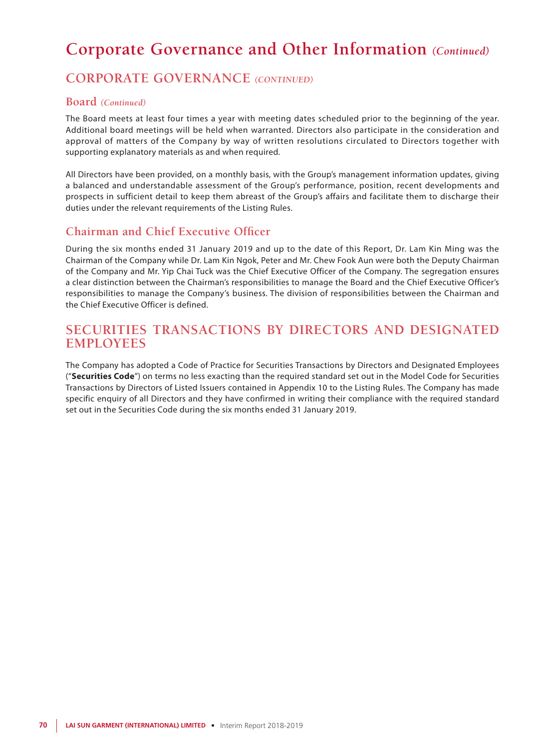# **Corporate Governance and Other Information** *(Continued)*

## **CORPORATE GOVERNANCE** *(CONTINUED)*

### **Board** *(Continued)*

The Board meets at least four times a year with meeting dates scheduled prior to the beginning of the year. Additional board meetings will be held when warranted. Directors also participate in the consideration and approval of matters of the Company by way of written resolutions circulated to Directors together with supporting explanatory materials as and when required.

All Directors have been provided, on a monthly basis, with the Group's management information updates, giving a balanced and understandable assessment of the Group's performance, position, recent developments and prospects in sufficient detail to keep them abreast of the Group's affairs and facilitate them to discharge their duties under the relevant requirements of the Listing Rules.

### **Chairman and Chief Executive Officer**

During the six months ended 31 January 2019 and up to the date of this Report, Dr. Lam Kin Ming was the Chairman of the Company while Dr. Lam Kin Ngok, Peter and Mr. Chew Fook Aun were both the Deputy Chairman of the Company and Mr. Yip Chai Tuck was the Chief Executive Officer of the Company. The segregation ensures a clear distinction between the Chairman's responsibilities to manage the Board and the Chief Executive Officer's responsibilities to manage the Company's business. The division of responsibilities between the Chairman and the Chief Executive Officer is defined.

### **SECURITIES TRANSACTIONS BY DIRECTORS AND DESIGNATED EMPLOYEES**

The Company has adopted a Code of Practice for Securities Transactions by Directors and Designated Employees ("**Securities Code**") on terms no less exacting than the required standard set out in the Model Code for Securities Transactions by Directors of Listed Issuers contained in Appendix 10 to the Listing Rules. The Company has made specific enquiry of all Directors and they have confirmed in writing their compliance with the required standard set out in the Securities Code during the six months ended 31 January 2019.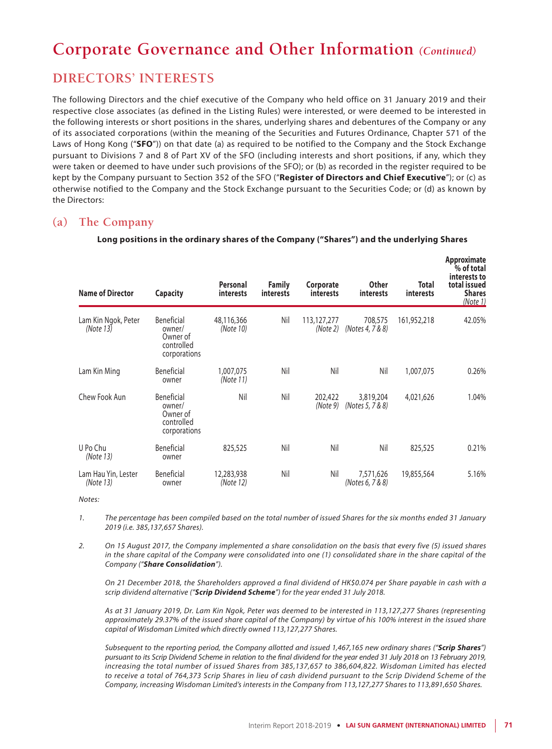# **Corporate Governance and Other Information** *(Continued)*

## **DIRECTORS' INTERESTS**

The following Directors and the chief executive of the Company who held office on 31 January 2019 and their respective close associates (as defined in the Listing Rules) were interested, or were deemed to be interested in the following interests or short positions in the shares, underlying shares and debentures of the Company or any of its associated corporations (within the meaning of the Securities and Futures Ordinance, Chapter 571 of the Laws of Hong Kong ("**SFO**")) on that date (a) as required to be notified to the Company and the Stock Exchange pursuant to Divisions 7 and 8 of Part XV of the SFO (including interests and short positions, if any, which they were taken or deemed to have under such provisions of the SFO); or (b) as recorded in the register required to be kept by the Company pursuant to Section 352 of the SFO ("**Register of Directors and Chief Executive**"); or (c) as otherwise notified to the Company and the Stock Exchange pursuant to the Securities Code; or (d) as known by the Directors:

### **(a) The Company**

| <b>Name of Director</b>          | <b>Capacity</b>                                                | Personal<br>interests   | <b>Family</b><br><i>interests</i> | Corporate<br><i>interests</i> | <b>Other</b><br><i>interests</i> | Total<br><b>interests</b> | <b>Approximate</b><br>% of total<br>interests to<br>total issued<br><b>Shares</b><br>(Note 1) |
|----------------------------------|----------------------------------------------------------------|-------------------------|-----------------------------------|-------------------------------|----------------------------------|---------------------------|-----------------------------------------------------------------------------------------------|
| Lam Kin Ngok, Peter<br>(Note 13) | Beneficial<br>owner/<br>Owner of<br>controlled<br>corporations | 48,116,366<br>(Note 10) | Nil                               | 113,127,277<br>(Note 2)       | 708,575<br>(Notes 4, 7 & 8)      | 161,952,218               | 42.05%                                                                                        |
| Lam Kin Ming                     | Beneficial<br>owner                                            | 1,007,075<br>(Note 11)  | Nil                               | Nil                           | Nil                              | 1,007,075                 | 0.26%                                                                                         |
| Chew Fook Aun                    | Beneficial<br>owner/<br>Owner of<br>controlled<br>corporations | Nil                     | Nil                               | 202,422<br>(Note 9)           | 3,819,204<br>(Notes 5, 7 & 8)    | 4,021,626                 | 1.04%                                                                                         |
| U Po Chu<br>(Note 13)            | Beneficial<br>owner                                            | 825,525                 | Nil                               | Nil                           | Nil                              | 825,525                   | 0.21%                                                                                         |
| Lam Hau Yin, Lester<br>(Note 13) | Beneficial<br>owner                                            | 12,283,938<br>(Note 12) | Nil                               | Nil                           | 7,571,626<br>(Notes 6, 7 & 8)    | 19,855,564                | 5.16%                                                                                         |

#### **Long positions in the ordinary shares of the Company ("Shares") and the underlying Shares**

*Notes:*

*1. The percentage has been compiled based on the total number of issued Shares for the six months ended 31 January 2019 (i.e. 385,137,657 Shares).*

*2. On 15 August 2017, the Company implemented a share consolidation on the basis that every five (5) issued shares in the share capital of the Company were consolidated into one (1) consolidated share in the share capital of the Company ("Share Consolidation").*

*On 21 December 2018, the Shareholders approved a final dividend of HK\$0.074 per Share payable in cash with a scrip dividend alternative ("Scrip Dividend Scheme") for the year ended 31 July 2018.*

*As at 31 January 2019, Dr. Lam Kin Ngok, Peter was deemed to be interested in 113,127,277 Shares (representing approximately 29.37% of the issued share capital of the Company) by virtue of his 100% interest in the issued share capital of Wisdoman Limited which directly owned 113,127,277 Shares.*

*Subsequent to the reporting period, the Company allotted and issued 1,467,165 new ordinary shares ("Scrip Shares") pursuant to its Scrip Dividend Scheme in relation to the final dividend for the year ended 31 July 2018 on 13 February 2019, increasing the total number of issued Shares from 385,137,657 to 386,604,822. Wisdoman Limited has elected*  to receive a total of 764,373 Scrip Shares in lieu of cash dividend pursuant to the Scrip Dividend Scheme of the *Company, increasing Wisdoman Limited's interests in the Company from 113,127,277 Shares to 113,891,650 Shares.*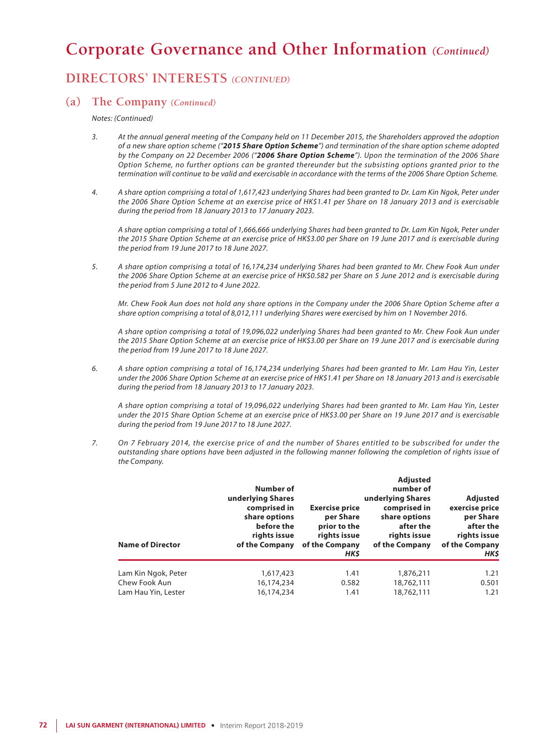## **Corporate Governance and Other Information** *(Continued)*

### **DIRECTORS' INTERESTS** *(CONTINUED)*

#### **(a) The Company** *(Continued)*

*Notes: (Continued)*

- *3. At the annual general meeting of the Company held on 11 December 2015, the Shareholders approved the adoption of a new share option scheme ("2015 Share Option Scheme") and termination of the share option scheme adopted by the Company on 22 December 2006 ("2006 Share Option Scheme"). Upon the termination of the 2006 Share Option Scheme, no further options can be granted thereunder but the subsisting options granted prior to the termination will continue to be valid and exercisable in accordance with the terms of the 2006 Share Option Scheme.*
- *4. A share option comprising a total of 1,617,423 underlying Shares had been granted to Dr. Lam Kin Ngok, Peter under the 2006 Share Option Scheme at an exercise price of HK\$1.41 per Share on 18 January 2013 and is exercisable during the period from 18 January 2013 to 17 January 2023.*

*A share option comprising a total of 1,666,666 underlying Shares had been granted to Dr. Lam Kin Ngok, Peter under the 2015 Share Option Scheme at an exercise price of HK\$3.00 per Share on 19 June 2017 and is exercisable during the period from 19 June 2017 to 18 June 2027.*

*5. A share option comprising a total of 16,174,234 underlying Shares had been granted to Mr. Chew Fook Aun under the 2006 Share Option Scheme at an exercise price of HK\$0.582 per Share on 5 June 2012 and is exercisable during the period from 5 June 2012 to 4 June 2022.*

*Mr. Chew Fook Aun does not hold any share options in the Company under the 2006 Share Option Scheme after a share option comprising a total of 8,012,111 underlying Shares were exercised by him on 1 November 2016.*

*A share option comprising a total of 19,096,022 underlying Shares had been granted to Mr. Chew Fook Aun under the 2015 Share Option Scheme at an exercise price of HK\$3.00 per Share on 19 June 2017 and is exercisable during the period from 19 June 2017 to 18 June 2027.*

*6. A share option comprising a total of 16,174,234 underlying Shares had been granted to Mr. Lam Hau Yin, Lester under the 2006 Share Option Scheme at an exercise price of HK\$1.41 per Share on 18 January 2013 and is exercisable during the period from 18 January 2013 to 17 January 2023.*

*A share option comprising a total of 19,096,022 underlying Shares had been granted to Mr. Lam Hau Yin, Lester under the 2015 Share Option Scheme at an exercise price of HK\$3.00 per Share on 19 June 2017 and is exercisable during the period from 19 June 2017 to 18 June 2027.*

*7. On 7 February 2014, the exercise price of and the number of Shares entitled to be subscribed for under the outstanding share options have been adjusted in the following manner following the completion of rights issue of the Company.*

| <b>Name of Director</b> | Number of<br>underlying Shares<br>comprised in<br>share options<br>before the<br>rights issue<br>of the Company | <b>Exercise price</b><br>per Share<br>prior to the<br>rights issue<br>of the Company<br>HK\$ | <b>Adjusted</b><br>number of<br>underlying Shares<br>comprised in<br>share options<br>after the<br>rights issue<br>of the Company | Adjusted<br>exercise price<br>per Share<br>after the<br>rights issue<br>of the Company<br>HK\$ |
|-------------------------|-----------------------------------------------------------------------------------------------------------------|----------------------------------------------------------------------------------------------|-----------------------------------------------------------------------------------------------------------------------------------|------------------------------------------------------------------------------------------------|
| Lam Kin Ngok, Peter     | 1,617,423                                                                                                       | 1.41                                                                                         | 1,876,211                                                                                                                         | 1.21                                                                                           |
| Chew Fook Aun           | 16,174,234                                                                                                      | 0.582                                                                                        | 18,762,111                                                                                                                        | 0.501                                                                                          |
| Lam Hau Yin, Lester     | 16,174,234                                                                                                      | 1.41                                                                                         | 18,762,111                                                                                                                        | 1.21                                                                                           |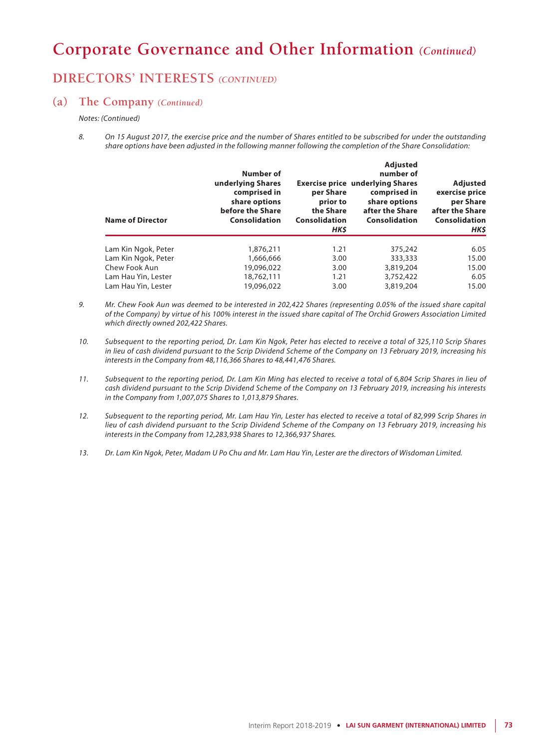## **DIRECTORS' INTERESTS** *(CONTINUED)*

#### **(a) The Company** *(Continued)*

#### *Notes: (Continued)*

*8. On 15 August 2017, the exercise price and the number of Shares entitled to be subscribed for under the outstanding share options have been adjusted in the following manner following the completion of the Share Consolidation:*

| <b>Name of Director</b> | Number of<br>underlying Shares<br>comprised in<br>share options<br>before the Share<br>Consolidation | per Share<br>prior to<br>the Share<br>Consolidation<br>HK\$ | <b>Adjusted</b><br>number of<br><b>Exercise price underlying Shares</b><br>comprised in<br>share options<br>after the Share<br>Consolidation | Adjusted<br>exercise price<br>per Share<br>after the Share<br>Consolidation<br>HK\$ |
|-------------------------|------------------------------------------------------------------------------------------------------|-------------------------------------------------------------|----------------------------------------------------------------------------------------------------------------------------------------------|-------------------------------------------------------------------------------------|
| Lam Kin Ngok, Peter     | 1,876,211                                                                                            | 1.21                                                        | 375,242                                                                                                                                      | 6.05                                                                                |
| Lam Kin Ngok, Peter     | 1,666,666                                                                                            | 3.00                                                        | 333,333                                                                                                                                      | 15.00                                                                               |
| Chew Fook Aun           | 19,096,022                                                                                           | 3.00                                                        | 3,819,204                                                                                                                                    | 15.00                                                                               |
| Lam Hau Yin, Lester     | 18,762,111                                                                                           | 1.21                                                        | 3,752,422                                                                                                                                    | 6.05                                                                                |
| Lam Hau Yin, Lester     | 19,096,022                                                                                           | 3.00                                                        | 3,819,204                                                                                                                                    | 15.00                                                                               |

- *9. Mr. Chew Fook Aun was deemed to be interested in 202,422 Shares (representing 0.05% of the issued share capital of the Company) by virtue of his 100% interest in the issued share capital of The Orchid Growers Association Limited which directly owned 202,422 Shares.*
- *10. Subsequent to the reporting period, Dr. Lam Kin Ngok, Peter has elected to receive a total of 325,110 Scrip Shares in lieu of cash dividend pursuant to the Scrip Dividend Scheme of the Company on 13 February 2019, increasing his interests in the Company from 48,116,366 Shares to 48,441,476 Shares.*
- 11. Subsequent to the reporting period, Dr. Lam Kin Ming has elected to receive a total of 6,804 Scrip Shares in lieu of *cash dividend pursuant to the Scrip Dividend Scheme of the Company on 13 February 2019, increasing his interests in the Company from 1,007,075 Shares to 1,013,879 Shares.*
- *12. Subsequent to the reporting period, Mr. Lam Hau Yin, Lester has elected to receive a total of 82,999 Scrip Shares in lieu of cash dividend pursuant to the Scrip Dividend Scheme of the Company on 13 February 2019, increasing his interests in the Company from 12,283,938 Shares to 12,366,937 Shares.*
- *13. Dr. Lam Kin Ngok, Peter, Madam U Po Chu and Mr. Lam Hau Yin, Lester are the directors of Wisdoman Limited.*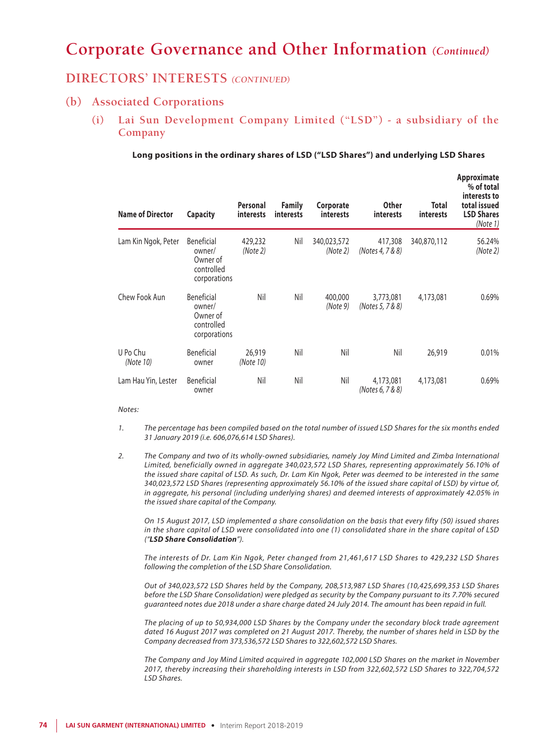### **DIRECTORS' INTERESTS** *(CONTINUED)*

### **(b) Associated Corporations**

**(i) Lai Sun Development Company Limited ("LSD") - a subsidiary of the Company**

**Long positions in the ordinary shares of LSD ("LSD Shares") and underlying LSD Shares**

| <b>Name of Director</b> | <b>Capacity</b>                                                       | Personal<br><i>interests</i> | <b>Family</b><br><i>interests</i> | Corporate<br><b>interests</b> | <b>Other</b><br><i>interests</i> | Total<br><i>interests</i> | Approximate<br>% of total<br>interests to<br>total issued<br><b>LSD Shares</b><br>(Note 1) |
|-------------------------|-----------------------------------------------------------------------|------------------------------|-----------------------------------|-------------------------------|----------------------------------|---------------------------|--------------------------------------------------------------------------------------------|
| Lam Kin Ngok, Peter     | <b>Beneficial</b><br>owner/<br>Owner of<br>controlled<br>corporations | 429,232<br>(Note 2)          | Nil                               | 340,023,572<br>(Note 2)       | 417,308<br>(Notes 4, 7 & 8)      | 340,870,112               | 56.24%<br>(Note 2)                                                                         |
| Chew Fook Aun           | Beneficial<br>owner/<br>Owner of<br>controlled<br>corporations        | Nil                          | Nil                               | 400,000<br>(Note 9)           | 3,773,081<br>(Notes 5, 7 & 8)    | 4,173,081                 | 0.69%                                                                                      |
| U Po Chu<br>(Note 10)   | Beneficial<br>owner                                                   | 26,919<br>(Note 10)          | Nil                               | Nil                           | Nil                              | 26,919                    | 0.01%                                                                                      |
| Lam Hau Yin, Lester     | <b>Beneficial</b><br>owner                                            | Nil                          | Nil                               | Nil                           | 4,173,081<br>(Notes 6, 7 & 8)    | 4,173,081                 | 0.69%                                                                                      |

#### *Notes:*

- *1. The percentage has been compiled based on the total number of issued LSD Shares for the six months ended 31 January 2019 (i.e. 606,076,614 LSD Shares).*
- *2. The Company and two of its wholly-owned subsidiaries, namely Joy Mind Limited and Zimba International Limited, beneficially owned in aggregate 340,023,572 LSD Shares, representing approximately 56.10% of the issued share capital of LSD. As such, Dr. Lam Kin Ngok, Peter was deemed to be interested in the same 340,023,572 LSD Shares (representing approximately 56.10% of the issued share capital of LSD) by virtue of, in aggregate, his personal (including underlying shares) and deemed interests of approximately 42.05% in the issued share capital of the Company.*

*On 15 August 2017, LSD implemented a share consolidation on the basis that every fifty (50) issued shares in the share capital of LSD were consolidated into one (1) consolidated share in the share capital of LSD ("LSD Share Consolidation").*

*The interests of Dr. Lam Kin Ngok, Peter changed from 21,461,617 LSD Shares to 429,232 LSD Shares following the completion of the LSD Share Consolidation.*

*Out of 340,023,572 LSD Shares held by the Company, 208,513,987 LSD Shares (10,425,699,353 LSD Shares before the LSD Share Consolidation) were pledged as security by the Company pursuant to its 7.70% secured guaranteed notes due 2018 under a share charge dated 24 July 2014. The amount has been repaid in full.*

*The placing of up to 50,934,000 LSD Shares by the Company under the secondary block trade agreement dated 16 August 2017 was completed on 21 August 2017. Thereby, the number of shares held in LSD by the Company decreased from 373,536,572 LSD Shares to 322,602,572 LSD Shares.*

*The Company and Joy Mind Limited acquired in aggregate 102,000 LSD Shares on the market in November 2017, thereby increasing their shareholding interests in LSD from 322,602,572 LSD Shares to 322,704,572 LSD Shares.*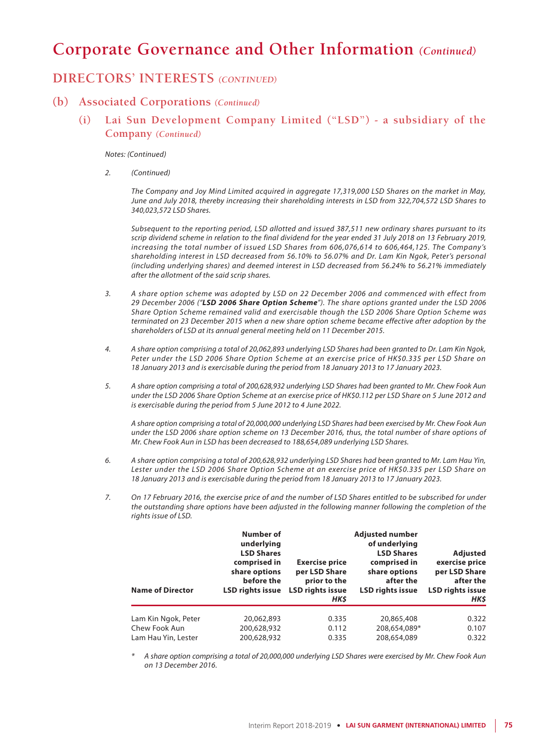### **DIRECTORS' INTERESTS** *(CONTINUED)*

### **(b) Associated Corporations** *(Continued)*

**(i) Lai Sun Development Company Limited ("LSD") - a subsidiary of the Company** *(Continued)*

#### *Notes: (Continued)*

*2. (Continued)*

*The Company and Joy Mind Limited acquired in aggregate 17,319,000 LSD Shares on the market in May, June and July 2018, thereby increasing their shareholding interests in LSD from 322,704,572 LSD Shares to 340,023,572 LSD Shares.*

*Subsequent to the reporting period, LSD allotted and issued 387,511 new ordinary shares pursuant to its scrip dividend scheme in relation to the final dividend for the year ended 31 July 2018 on 13 February 2019, increasing the total number of issued LSD Shares from 606,076,614 to 606,464,125. The Company's shareholding interest in LSD decreased from 56.10% to 56.07% and Dr. Lam Kin Ngok, Peter's personal (including underlying shares) and deemed interest in LSD decreased from 56.24% to 56.21% immediately after the allotment of the said scrip shares.*

- *3. A share option scheme was adopted by LSD on 22 December 2006 and commenced with effect from 29 December 2006 ("LSD 2006 Share Option Scheme"). The share options granted under the LSD 2006 Share Option Scheme remained valid and exercisable though the LSD 2006 Share Option Scheme was terminated on 23 December 2015 when a new share option scheme became effective after adoption by the shareholders of LSD at its annual general meeting held on 11 December 2015.*
- *4. A share option comprising a total of 20,062,893 underlying LSD Shares had been granted to Dr. Lam Kin Ngok, Peter under the LSD 2006 Share Option Scheme at an exercise price of HK\$0.335 per LSD Share on 18 January 2013 and is exercisable during the period from 18 January 2013 to 17 January 2023.*
- *5. A share option comprising a total of 200,628,932 underlying LSD Shares had been granted to Mr. Chew Fook Aun under the LSD 2006 Share Option Scheme at an exercise price of HK\$0.112 per LSD Share on 5 June 2012 and is exercisable during the period from 5 June 2012 to 4 June 2022.*

*A share option comprising a total of 20,000,000 underlying LSD Shares had been exercised by Mr. Chew Fook Aun under the LSD 2006 share option scheme on 13 December 2016, thus, the total number of share options of Mr. Chew Fook Aun in LSD has been decreased to 188,654,089 underlying LSD Shares.*

- *6. A share option comprising a total of 200,628,932 underlying LSD Shares had been granted to Mr. Lam Hau Yin, Lester under the LSD 2006 Share Option Scheme at an exercise price of HK\$0.335 per LSD Share on 18 January 2013 and is exercisable during the period from 18 January 2013 to 17 January 2023.*
- *7. On 17 February 2016, the exercise price of and the number of LSD Shares entitled to be subscribed for under the outstanding share options have been adjusted in the following manner following the completion of the rights issue of LSD.*

| <b>Name of Director</b> | Number of<br>underlying<br><b>LSD Shares</b><br>comprised in<br>share options<br>before the<br><b>LSD rights issue</b> | <b>Exercise price</b><br>per LSD Share<br>prior to the<br><b>LSD rights issue</b><br>HK\$ | <b>Adjusted number</b><br>of underlying<br><b>LSD Shares</b><br>comprised in<br>share options<br>after the<br><b>LSD rights issue</b> | <b>Adjusted</b><br>exercise price<br>per LSD Share<br>after the<br><b>LSD rights issue</b><br>HK\$ |
|-------------------------|------------------------------------------------------------------------------------------------------------------------|-------------------------------------------------------------------------------------------|---------------------------------------------------------------------------------------------------------------------------------------|----------------------------------------------------------------------------------------------------|
| Lam Kin Ngok, Peter     | 20,062,893                                                                                                             | 0.335                                                                                     | 20,865,408                                                                                                                            | 0.322                                                                                              |
| Chew Fook Aun           | 200,628,932                                                                                                            | 0.112                                                                                     | 208,654,089*                                                                                                                          | 0.107                                                                                              |
| Lam Hau Yin, Lester     | 200,628,932                                                                                                            | 0.335                                                                                     | 208,654,089                                                                                                                           | 0.322                                                                                              |

*\* A share option comprising a total of 20,000,000 underlying LSD Shares were exercised by Mr. Chew Fook Aun on 13 December 2016.*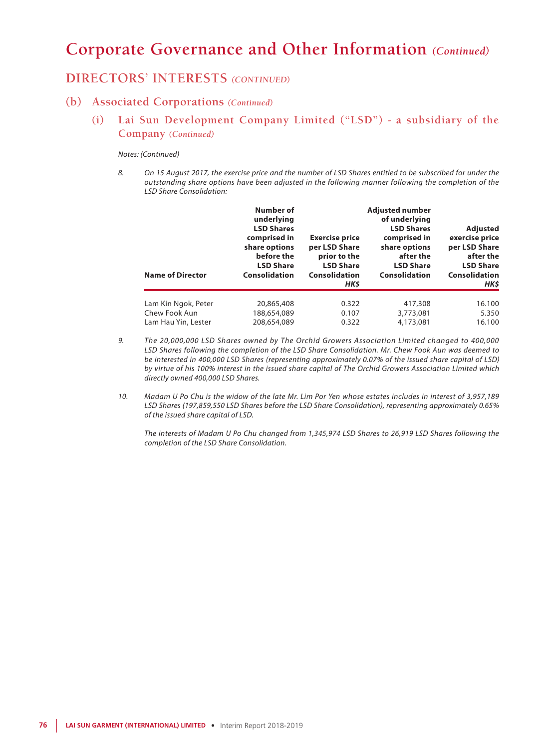### **DIRECTORS' INTERESTS** *(CONTINUED)*

#### **(b) Associated Corporations** *(Continued)*

**(i) Lai Sun Development Company Limited ("LSD") - a subsidiary of the Company** *(Continued)*

#### *Notes: (Continued)*

*8. On 15 August 2017, the exercise price and the number of LSD Shares entitled to be subscribed for under the outstanding share options have been adjusted in the following manner following the completion of the LSD Share Consolidation:*

| <b>Name of Director</b> | Number of<br>underlying<br><b>LSD Shares</b><br>comprised in<br>share options<br>before the<br><b>LSD Share</b><br>Consolidation | <b>Exercise price</b><br>per LSD Share<br>prior to the<br><b>LSD Share</b><br>Consolidation<br>HK\$ | <b>Adjusted number</b><br>of underlying<br><b>LSD Shares</b><br>comprised in<br>share options<br>after the<br><b>LSD Share</b><br>Consolidation | Adjusted<br>exercise price<br>per LSD Share<br>after the<br><b>LSD Share</b><br>Consolidation<br>HK\$ |
|-------------------------|----------------------------------------------------------------------------------------------------------------------------------|-----------------------------------------------------------------------------------------------------|-------------------------------------------------------------------------------------------------------------------------------------------------|-------------------------------------------------------------------------------------------------------|
| Lam Kin Ngok, Peter     | 20,865,408                                                                                                                       | 0.322                                                                                               | 417,308                                                                                                                                         | 16.100                                                                                                |
| Chew Fook Aun           | 188,654,089                                                                                                                      | 0.107                                                                                               | 3,773,081                                                                                                                                       | 5.350                                                                                                 |
| Lam Hau Yin, Lester     | 208,654,089                                                                                                                      | 0.322                                                                                               | 4,173,081                                                                                                                                       | 16.100                                                                                                |

- *9. The 20,000,000 LSD Shares owned by The Orchid Growers Association Limited changed to 400,000 LSD Shares following the completion of the LSD Share Consolidation. Mr. Chew Fook Aun was deemed to be interested in 400,000 LSD Shares (representing approximately 0.07% of the issued share capital of LSD) by virtue of his 100% interest in the issued share capital of The Orchid Growers Association Limited which directly owned 400,000 LSD Shares.*
- *10. Madam U Po Chu is the widow of the late Mr. Lim Por Yen whose estates includes in interest of 3,957,189 LSD Shares (197,859,550 LSD Shares before the LSD Share Consolidation), representing approximately 0.65% of the issued share capital of LSD.*

*The interests of Madam U Po Chu changed from 1,345,974 LSD Shares to 26,919 LSD Shares following the completion of the LSD Share Consolidation.*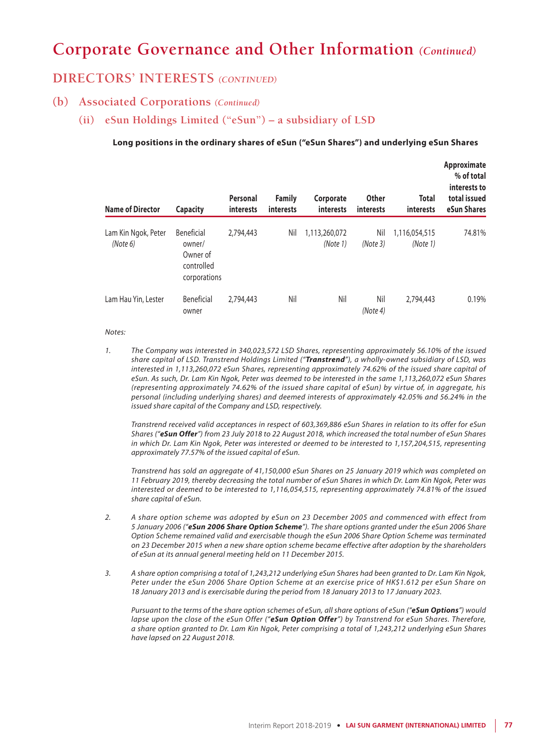### **DIRECTORS' INTERESTS** *(CONTINUED)*

### **(b) Associated Corporations** *(Continued)*

#### **(ii) eSun Holdings Limited ("eSun") – a subsidiary of LSD**

#### **Long positions in the ordinary shares of eSun ("eSun Shares") and underlying eSun Shares**

| <b>Name of Director</b>         | <b>Capacity</b>                                                | Personal<br>interests | <b>Family</b><br>interests | Corporate<br>interests    | <b>Other</b><br>interests | Total<br><i>interests</i> | Approximate<br>% of total<br>interests to<br>total issued<br>eSun Shares |
|---------------------------------|----------------------------------------------------------------|-----------------------|----------------------------|---------------------------|---------------------------|---------------------------|--------------------------------------------------------------------------|
| Lam Kin Ngok, Peter<br>(Note 6) | Beneficial<br>owner/<br>Owner of<br>controlled<br>corporations | 2,794,443             | Nil                        | 1,113,260,072<br>(Note 1) | Nil<br>(Note 3)           | 1,116,054,515<br>(Note 1) | 74.81%                                                                   |
| Lam Hau Yin, Lester             | Beneficial<br>owner                                            | 2,794,443             | Nil                        | Nil                       | Nil<br>(Note 4)           | 2,794,443                 | 0.19%                                                                    |

*Notes:*

*1. The Company was interested in 340,023,572 LSD Shares, representing approximately 56.10% of the issued share capital of LSD. Transtrend Holdings Limited ("Transtrend"), a wholly-owned subsidiary of LSD, was interested in 1,113,260,072 eSun Shares, representing approximately 74.62% of the issued share capital of eSun. As such, Dr. Lam Kin Ngok, Peter was deemed to be interested in the same 1,113,260,072 eSun Shares (representing approximately 74.62% of the issued share capital of eSun) by virtue of, in aggregate, his personal (including underlying shares) and deemed interests of approximately 42.05% and 56.24% in the issued share capital of the Company and LSD, respectively.*

*Transtrend received valid acceptances in respect of 603,369,886 eSun Shares in relation to its offer for eSun Shares ("eSun Offer") from 23 July 2018 to 22 August 2018, which increased the total number of eSun Shares in which Dr. Lam Kin Ngok, Peter was interested or deemed to be interested to 1,157,204,515, representing approximately 77.57% of the issued capital of eSun.*

*Transtrend has sold an aggregate of 41,150,000 eSun Shares on 25 January 2019 which was completed on 11 February 2019, thereby decreasing the total number of eSun Shares in which Dr. Lam Kin Ngok, Peter was interested or deemed to be interested to 1,116,054,515, representing approximately 74.81% of the issued share capital of eSun.*

- *2. A share option scheme was adopted by eSun on 23 December 2005 and commenced with effect from 5 January 2006 ("eSun 2006 Share Option Scheme"). The share options granted under the eSun 2006 Share Option Scheme remained valid and exercisable though the eSun 2006 Share Option Scheme was terminated on 23 December 2015 when a new share option scheme became effective after adoption by the shareholders of eSun at its annual general meeting held on 11 December 2015.*
- *3. A share option comprising a total of 1,243,212 underlying eSun Shares had been granted to Dr. Lam Kin Ngok, Peter under the eSun 2006 Share Option Scheme at an exercise price of HK\$1.612 per eSun Share on 18 January 2013 and is exercisable during the period from 18 January 2013 to 17 January 2023.*

*Pursuant to the terms of the share option schemes of eSun, all share options of eSun ("eSun Options") would lapse upon the close of the eSun Offer ("eSun Option Offer") by Transtrend for eSun Shares. Therefore, a share option granted to Dr. Lam Kin Ngok, Peter comprising a total of 1,243,212 underlying eSun Shares have lapsed on 22 August 2018.*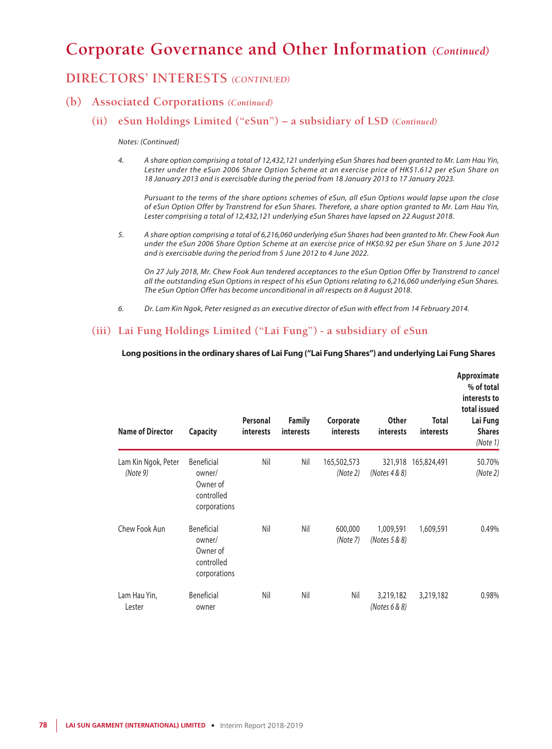### **DIRECTORS' INTERESTS** *(CONTINUED)*

### **(b) Associated Corporations** *(Continued)*

#### **(ii) eSun Holdings Limited ("eSun") – a subsidiary of LSD** *(Continued)*

#### *Notes: (Continued)*

*4. A share option comprising a total of 12,432,121 underlying eSun Shares had been granted to Mr. Lam Hau Yin, Lester under the eSun 2006 Share Option Scheme at an exercise price of HK\$1.612 per eSun Share on 18 January 2013 and is exercisable during the period from 18 January 2013 to 17 January 2023.*

*Pursuant to the terms of the share options schemes of eSun, all eSun Options would lapse upon the close of eSun Option Offer by Transtrend for eSun Shares. Therefore, a share option granted to Mr. Lam Hau Yin, Lester comprising a total of 12,432,121 underlying eSun Shares have lapsed on 22 August 2018.*

*5. A share option comprising a total of 6,216,060 underlying eSun Shares had been granted to Mr. Chew Fook Aun under the eSun 2006 Share Option Scheme at an exercise price of HK\$0.92 per eSun Share on 5 June 2012 and is exercisable during the period from 5 June 2012 to 4 June 2022.*

*On 27 July 2018, Mr. Chew Fook Aun tendered acceptances to the eSun Option Offer by Transtrend to cancel all the outstanding eSun Options in respect of his eSun Options relating to 6,216,060 underlying eSun Shares. The eSun Option Offer has become unconditional in all respects on 8 August 2018.*

*6. Dr. Lam Kin Ngok, Peter resigned as an executive director of eSun with effect from 14 February 2014.*

### **(iii) Lai Fung Holdings Limited ("Lai Fung") - a subsidiary of eSun**

#### **Long positions in the ordinary shares of Lai Fung ("Lai Fung Shares") and underlying Lai Fung Shares**

| <b>Name of Director</b>         | <b>Capacity</b>                                                | Personal<br>interests | <b>Family</b><br>interests | Corporate<br><i>interests</i> | <b>Other</b><br><b>interests</b> | <b>Total</b><br>interests | Approximate<br>% of total<br>interests to<br>total issued<br>Lai Fung<br><b>Shares</b><br>(Note 1) |
|---------------------------------|----------------------------------------------------------------|-----------------------|----------------------------|-------------------------------|----------------------------------|---------------------------|----------------------------------------------------------------------------------------------------|
| Lam Kin Ngok, Peter<br>(Note 9) | Beneficial<br>owner/<br>Owner of<br>controlled<br>corporations | Nil                   | Nil                        | 165,502,573<br>(Note 2)       | (Notes 4 & 8)                    | 321,918 165,824,491       | 50.70%<br>(Note2)                                                                                  |
| Chew Fook Aun                   | Beneficial<br>owner/<br>Owner of<br>controlled<br>corporations | Nil                   | Nil                        | 600,000<br>(Note 7)           | 1,009,591<br>(Notes 5 & 8)       | 1,609,591                 | 0.49%                                                                                              |
| Lam Hau Yin,<br>Lester          | Beneficial<br>owner                                            | Nil                   | Nil                        | Nil                           | 3,219,182<br>(Notes $6 & 8$ )    | 3,219,182                 | 0.98%                                                                                              |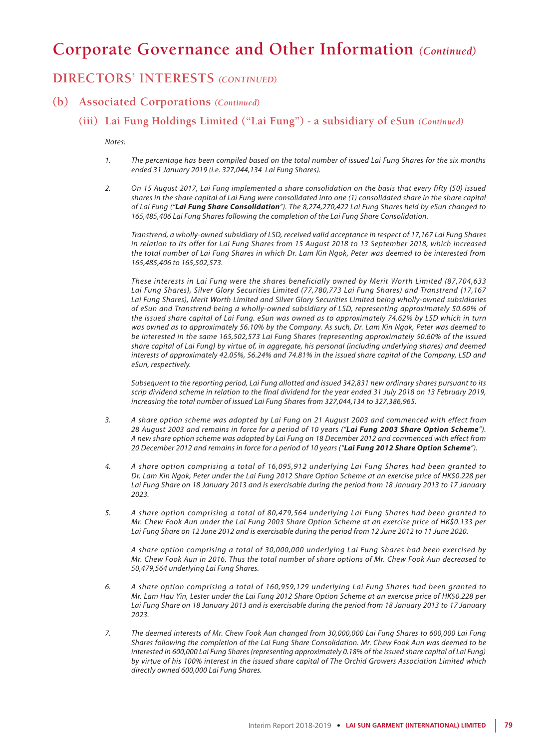### **DIRECTORS' INTERESTS** *(CONTINUED)*

### **(b) Associated Corporations** *(Continued)*

### **(iii) Lai Fung Holdings Limited ("Lai Fung") - a subsidiary of eSun** *(Continued)*

*Notes:*

- *1. The percentage has been compiled based on the total number of issued Lai Fung Shares for the six months ended 31 January 2019 (i.e. 327,044,134 Lai Fung Shares).*
- *2. On 15 August 2017, Lai Fung implemented a share consolidation on the basis that every fifty (50) issued shares in the share capital of Lai Fung were consolidated into one (1) consolidated share in the share capital of Lai Fung ("Lai Fung Share Consolidation"). The 8,274,270,422 Lai Fung Shares held by eSun changed to 165,485,406 Lai Fung Shares following the completion of the Lai Fung Share Consolidation.*

*Transtrend, a wholly-owned subsidiary of LSD, received valid acceptance in respect of 17,167 Lai Fung Shares in relation to its offer for Lai Fung Shares from 15 August 2018 to 13 September 2018, which increased the total number of Lai Fung Shares in which Dr. Lam Kin Ngok, Peter was deemed to be interested from 165,485,406 to 165,502,573.*

*These interests in Lai Fung were the shares beneficially owned by Merit Worth Limited (87,704,633 Lai Fung Shares), Silver Glory Securities Limited (77,780,773 Lai Fung Shares) and Transtrend (17,167 Lai Fung Shares), Merit Worth Limited and Silver Glory Securities Limited being wholly-owned subsidiaries of eSun and Transtrend being a wholly-owned subsidiary of LSD, representing approximately 50.60% of the issued share capital of Lai Fung. eSun was owned as to approximately 74.62% by LSD which in turn was owned as to approximately 56.10% by the Company. As such, Dr. Lam Kin Ngok, Peter was deemed to be interested in the same 165,502,573 Lai Fung Shares (representing approximately 50.60% of the issued share capital of Lai Fung) by virtue of, in aggregate, his personal (including underlying shares) and deemed interests of approximately 42.05%, 56.24% and 74.81% in the issued share capital of the Company, LSD and eSun, respectively.*

*Subsequent to the reporting period, Lai Fung allotted and issued 342,831 new ordinary shares pursuant to its scrip dividend scheme in relation to the final dividend for the year ended 31 July 2018 on 13 February 2019, increasing the total number of issued Lai Fung Shares from 327,044,134 to 327,386,965.*

- *3. A share option scheme was adopted by Lai Fung on 21 August 2003 and commenced with effect from 28 August 2003 and remains in force for a period of 10 years ("Lai Fung 2003 Share Option Scheme"). A new share option scheme was adopted by Lai Fung on 18 December 2012 and commenced with effect from 20 December 2012 and remains in force for a period of 10 years ("Lai Fung 2012 Share Option Scheme").*
- *4. A share option comprising a total of 16,095,912 underlying Lai Fung Shares had been granted to Dr. Lam Kin Ngok, Peter under the Lai Fung 2012 Share Option Scheme at an exercise price of HK\$0.228 per Lai Fung Share on 18 January 2013 and is exercisable during the period from 18 January 2013 to 17 January 2023.*
- *5. A share option comprising a total of 80,479,564 underlying Lai Fung Shares had been granted to Mr. Chew Fook Aun under the Lai Fung 2003 Share Option Scheme at an exercise price of HK\$0.133 per Lai Fung Share on 12 June 2012 and is exercisable during the period from 12 June 2012 to 11 June 2020.*

*A share option comprising a total of 30,000,000 underlying Lai Fung Shares had been exercised by Mr. Chew Fook Aun in 2016. Thus the total number of share options of Mr. Chew Fook Aun decreased to 50,479,564 underlying Lai Fung Shares.*

- *6. A share option comprising a total of 160,959,129 underlying Lai Fung Shares had been granted to Mr. Lam Hau Yin, Lester under the Lai Fung 2012 Share Option Scheme at an exercise price of HK\$0.228 per Lai Fung Share on 18 January 2013 and is exercisable during the period from 18 January 2013 to 17 January 2023.*
- *7. The deemed interests of Mr. Chew Fook Aun changed from 30,000,000 Lai Fung Shares to 600,000 Lai Fung Shares following the completion of the Lai Fung Share Consolidation. Mr. Chew Fook Aun was deemed to be interested in 600,000 Lai Fung Shares (representing approximately 0.18% of the issued share capital of Lai Fung) by virtue of his 100% interest in the issued share capital of The Orchid Growers Association Limited which directly owned 600,000 Lai Fung Shares.*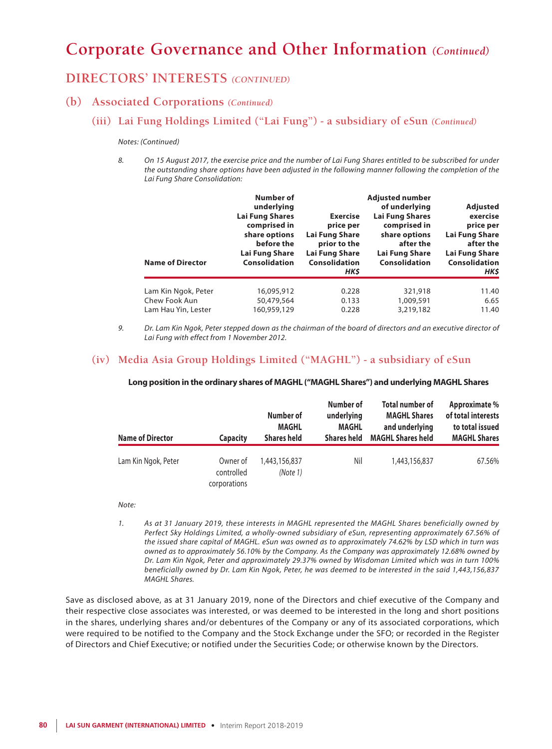## **DIRECTORS' INTERESTS** *(CONTINUED)*

### **(b) Associated Corporations** *(Continued)*

### **(iii) Lai Fung Holdings Limited ("Lai Fung") - a subsidiary of eSun** *(Continued)*

#### *Notes: (Continued)*

*8. On 15 August 2017, the exercise price and the number of Lai Fung Shares entitled to be subscribed for under the outstanding share options have been adjusted in the following manner following the completion of the Lai Fung Share Consolidation:*

| <b>Name of Director</b> | Number of<br>underlying<br><b>Lai Fung Shares</b><br>comprised in<br>share options<br>before the<br>Lai Fung Share<br>Consolidation | <b>Exercise</b><br>price per<br>Lai Fung Share<br>prior to the<br>Lai Fung Share<br><b>Consolidation</b><br>HK\$ | <b>Adjusted number</b><br>of underlying<br><b>Lai Fung Shares</b><br>comprised in<br>share options<br>after the<br>Lai Fung Share<br><b>Consolidation</b> | Adjusted<br>exercise<br>price per<br>Lai Fung Share<br>after the<br>Lai Fung Share<br><b>Consolidation</b><br>HK\$ |
|-------------------------|-------------------------------------------------------------------------------------------------------------------------------------|------------------------------------------------------------------------------------------------------------------|-----------------------------------------------------------------------------------------------------------------------------------------------------------|--------------------------------------------------------------------------------------------------------------------|
| Lam Kin Ngok, Peter     | 16,095,912                                                                                                                          | 0.228                                                                                                            | 321,918                                                                                                                                                   | 11.40                                                                                                              |
| Chew Fook Aun           | 50,479,564                                                                                                                          | 0.133                                                                                                            | 1,009,591                                                                                                                                                 | 6.65                                                                                                               |
| Lam Hau Yin, Lester     | 160,959,129                                                                                                                         | 0.228                                                                                                            | 3,219,182                                                                                                                                                 | 11.40                                                                                                              |

*9. Dr. Lam Kin Ngok, Peter stepped down as the chairman of the board of directors and an executive director of Lai Fung with effect from 1 November 2012.*

#### **(iv) Media Asia Group Holdings Limited ("MAGHL") - a subsidiary of eSun**

### **Long position in the ordinary shares of MAGHL ("MAGHL Shares") and underlying MAGHL Shares**

| <b>Name of Director</b> | <b>Capacity</b>                        | Number of<br><b>MAGHL</b><br><b>Shares held</b> | Number of<br>underlying<br><b>MAGHL</b><br><b>Shares held</b> | <b>Total number of</b><br><b>MAGHL Shares</b><br>and underlying<br><b>MAGHL Shares held</b> | Approximate %<br>of total interests<br>to total issued<br><b>MAGHL Shares</b> |
|-------------------------|----------------------------------------|-------------------------------------------------|---------------------------------------------------------------|---------------------------------------------------------------------------------------------|-------------------------------------------------------------------------------|
| Lam Kin Ngok, Peter     | Owner of<br>controlled<br>corporations | 1,443,156,837<br>(Note 1)                       | Nil                                                           | 1,443,156,837                                                                               | 67.56%                                                                        |

#### *Note:*

*1. As at 31 January 2019, these interests in MAGHL represented the MAGHL Shares beneficially owned by Perfect Sky Holdings Limited, a wholly-owned subsidiary of eSun, representing approximately 67.56% of the issued share capital of MAGHL. eSun was owned as to approximately 74.62% by LSD which in turn was owned as to approximately 56.10% by the Company. As the Company was approximately 12.68% owned by Dr. Lam Kin Ngok, Peter and approximately 29.37% owned by Wisdoman Limited which was in turn 100% beneficially owned by Dr. Lam Kin Ngok, Peter, he was deemed to be interested in the said 1,443,156,837 MAGHL Shares.*

Save as disclosed above, as at 31 January 2019, none of the Directors and chief executive of the Company and their respective close associates was interested, or was deemed to be interested in the long and short positions in the shares, underlying shares and/or debentures of the Company or any of its associated corporations, which were required to be notified to the Company and the Stock Exchange under the SFO; or recorded in the Register of Directors and Chief Executive; or notified under the Securities Code; or otherwise known by the Directors.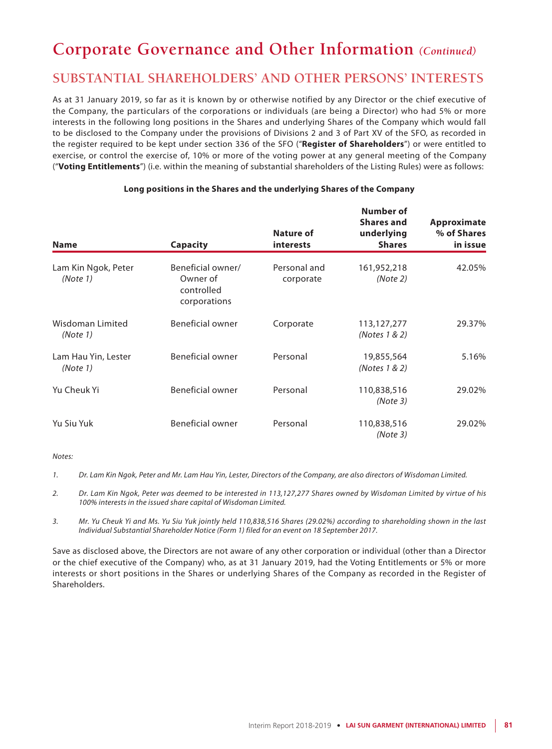# **SUBSTANTIAL SHAREHOLDERS' AND OTHER PERSONS' INTERESTS**

As at 31 January 2019, so far as it is known by or otherwise notified by any Director or the chief executive of the Company, the particulars of the corporations or individuals (are being a Director) who had 5% or more interests in the following long positions in the Shares and underlying Shares of the Company which would fall to be disclosed to the Company under the provisions of Divisions 2 and 3 of Part XV of the SFO, as recorded in the register required to be kept under section 336 of the SFO ("**Register of Shareholders**") or were entitled to exercise, or control the exercise of, 10% or more of the voting power at any general meeting of the Company ("**Voting Entitlements**") (i.e. within the meaning of substantial shareholders of the Listing Rules) were as follows:

| <b>Name</b>                     | Capacity                                                    | Nature of<br><b>interests</b> | Number of<br><b>Shares and</b><br>underlying<br><b>Shares</b> | Approximate<br>% of Shares<br>in issue |
|---------------------------------|-------------------------------------------------------------|-------------------------------|---------------------------------------------------------------|----------------------------------------|
| Lam Kin Ngok, Peter<br>(Note 1) | Beneficial owner/<br>Owner of<br>controlled<br>corporations | Personal and<br>corporate     | 161,952,218<br>(Note 2)                                       | 42.05%                                 |
| Wisdoman Limited<br>(Note 1)    | Beneficial owner                                            | Corporate                     | 113,127,277<br>(Notes 1 & 2)                                  | 29.37%                                 |
| Lam Hau Yin, Lester<br>(Note 1) | Beneficial owner                                            | Personal                      | 19,855,564<br>(Notes 1 & 2)                                   | 5.16%                                  |
| Yu Cheuk Yi                     | Beneficial owner                                            | Personal                      | 110,838,516<br>(Note3)                                        | 29.02%                                 |
| Yu Siu Yuk                      | Beneficial owner                                            | Personal                      | 110,838,516<br>(Note3)                                        | 29.02%                                 |

#### **Long positions in the Shares and the underlying Shares of the Company**

*Notes:*

*1. Dr. Lam Kin Ngok, Peter and Mr. Lam Hau Yin, Lester, Directors of the Company, are also directors of Wisdoman Limited.*

- *2. Dr. Lam Kin Ngok, Peter was deemed to be interested in 113,127,277 Shares owned by Wisdoman Limited by virtue of his 100% interests in the issued share capital of Wisdoman Limited.*
- *3. Mr. Yu Cheuk Yi and Ms. Yu Siu Yuk jointly held 110,838,516 Shares (29.02%) according to shareholding shown in the last Individual Substantial Shareholder Notice (Form 1) filed for an event on 18 September 2017.*

Save as disclosed above, the Directors are not aware of any other corporation or individual (other than a Director or the chief executive of the Company) who, as at 31 January 2019, had the Voting Entitlements or 5% or more interests or short positions in the Shares or underlying Shares of the Company as recorded in the Register of Shareholders.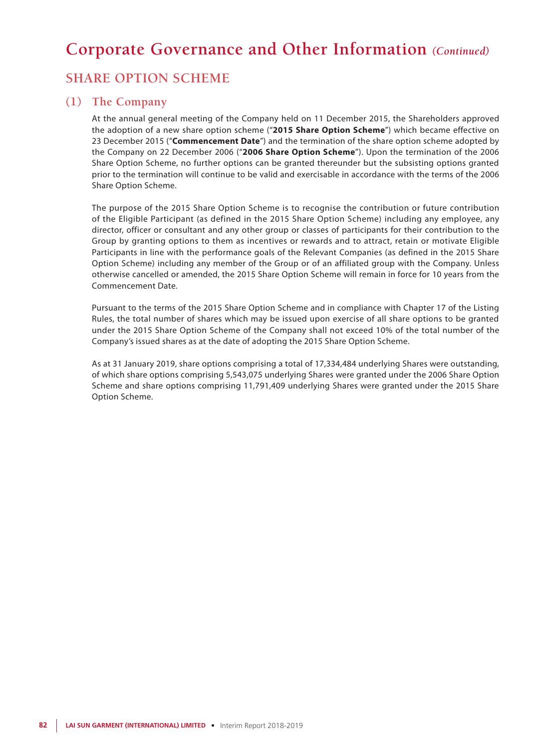# **SHARE OPTION SCHEME**

### **(1) The Company**

At the annual general meeting of the Company held on 11 December 2015, the Shareholders approved the adoption of a new share option scheme ("**2015 Share Option Scheme**") which became effective on 23 December 2015 ("**Commencement Date**") and the termination of the share option scheme adopted by the Company on 22 December 2006 ("**2006 Share Option Scheme**"). Upon the termination of the 2006 Share Option Scheme, no further options can be granted thereunder but the subsisting options granted prior to the termination will continue to be valid and exercisable in accordance with the terms of the 2006 Share Option Scheme.

The purpose of the 2015 Share Option Scheme is to recognise the contribution or future contribution of the Eligible Participant (as defined in the 2015 Share Option Scheme) including any employee, any director, officer or consultant and any other group or classes of participants for their contribution to the Group by granting options to them as incentives or rewards and to attract, retain or motivate Eligible Participants in line with the performance goals of the Relevant Companies (as defined in the 2015 Share Option Scheme) including any member of the Group or of an affiliated group with the Company. Unless otherwise cancelled or amended, the 2015 Share Option Scheme will remain in force for 10 years from the Commencement Date.

Pursuant to the terms of the 2015 Share Option Scheme and in compliance with Chapter 17 of the Listing Rules, the total number of shares which may be issued upon exercise of all share options to be granted under the 2015 Share Option Scheme of the Company shall not exceed 10% of the total number of the Company's issued shares as at the date of adopting the 2015 Share Option Scheme.

As at 31 January 2019, share options comprising a total of 17,334,484 underlying Shares were outstanding, of which share options comprising 5,543,075 underlying Shares were granted under the 2006 Share Option Scheme and share options comprising 11,791,409 underlying Shares were granted under the 2015 Share Option Scheme.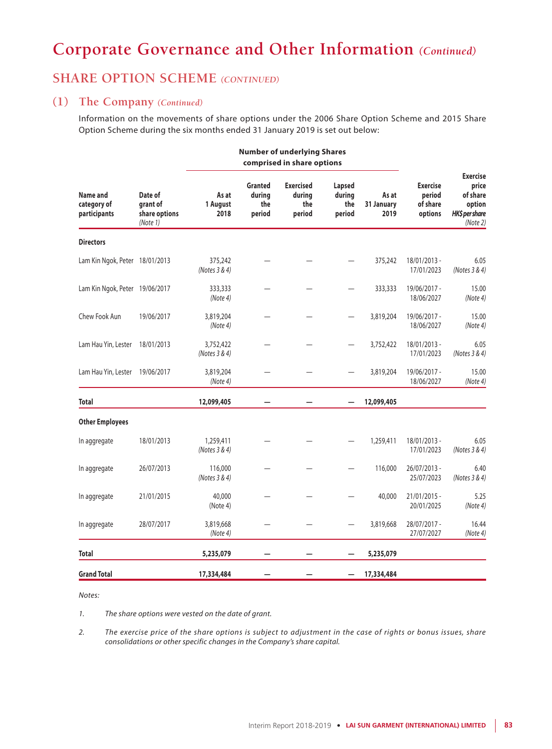## **SHARE OPTION SCHEME** *(CONTINUED)*

#### **(1) The Company** *(Continued)*

Information on the movements of share options under the 2006 Share Option Scheme and 2015 Share Option Scheme during the six months ended 31 January 2019 is set out below:

**Number of underlying Shares**

| comprised in share options              |                                                  |                            |                                           |                                             |                                   |                             |                                                  |                                                                              |
|-----------------------------------------|--------------------------------------------------|----------------------------|-------------------------------------------|---------------------------------------------|-----------------------------------|-----------------------------|--------------------------------------------------|------------------------------------------------------------------------------|
| Name and<br>category of<br>participants | Date of<br>grant of<br>share options<br>(Note 1) | As at<br>1 August<br>2018  | <b>Granted</b><br>durina<br>the<br>period | <b>Exercised</b><br>during<br>the<br>period | Lapsed<br>during<br>the<br>period | As at<br>31 January<br>2019 | <b>Exercise</b><br>period<br>of share<br>options | <b>Exercise</b><br>price<br>of share<br>option<br>HK\$ per share<br>(Note 2) |
| <b>Directors</b>                        |                                                  |                            |                                           |                                             |                                   |                             |                                                  |                                                                              |
| Lam Kin Ngok, Peter 18/01/2013          |                                                  | 375,242<br>(Notes 3 & 4)   |                                           |                                             |                                   | 375,242                     | 18/01/2013 -<br>17/01/2023                       | 6.05<br>(Notes 3 & 4)                                                        |
| Lam Kin Ngok, Peter 19/06/2017          |                                                  | 333,333<br>(Note 4)        |                                           |                                             |                                   | 333,333                     | 19/06/2017 -<br>18/06/2027                       | 15.00<br>(Note4)                                                             |
| Chew Fook Aun                           | 19/06/2017                                       | 3,819,204<br>(Note 4)      |                                           |                                             |                                   | 3,819,204                   | 19/06/2017 -<br>18/06/2027                       | 15.00<br>(Note4)                                                             |
| Lam Hau Yin, Lester                     | 18/01/2013                                       | 3,752,422<br>(Notes 3 & 4) |                                           |                                             |                                   | 3,752,422                   | 18/01/2013 -<br>17/01/2023                       | 6.05<br>(Notes 3 & 4)                                                        |
| Lam Hau Yin, Lester                     | 19/06/2017                                       | 3,819,204<br>(Note 4)      |                                           |                                             |                                   | 3,819,204                   | 19/06/2017 -<br>18/06/2027                       | 15.00<br>(Note 4)                                                            |
| <b>Total</b>                            |                                                  | 12,099,405                 |                                           |                                             |                                   | 12,099,405                  |                                                  |                                                                              |
| <b>Other Employees</b>                  |                                                  |                            |                                           |                                             |                                   |                             |                                                  |                                                                              |
| In aggregate                            | 18/01/2013                                       | 1,259,411<br>(Notes 3 & 4) |                                           |                                             |                                   | 1,259,411                   | 18/01/2013 -<br>17/01/2023                       | 6.05<br>(Notes 3 & 4)                                                        |
| In aggregate                            | 26/07/2013                                       | 116,000<br>(Notes 3 & 4)   |                                           |                                             |                                   | 116,000                     | 26/07/2013 -<br>25/07/2023                       | 6.40<br>(Notes 3 & 4)                                                        |
| In aggregate                            | 21/01/2015                                       | 40,000<br>(Note 4)         |                                           |                                             |                                   | 40,000                      | 21/01/2015 -<br>20/01/2025                       | 5.25<br>(Note 4)                                                             |
| In aggregate                            | 28/07/2017                                       | 3,819,668<br>(Note 4)      |                                           |                                             |                                   | 3,819,668                   | 28/07/2017 -<br>27/07/2027                       | 16.44<br>(Note 4)                                                            |
| <b>Total</b>                            |                                                  | 5,235,079                  |                                           |                                             |                                   | 5,235,079                   |                                                  |                                                                              |
| <b>Grand Total</b>                      |                                                  | 17,334,484                 |                                           |                                             |                                   | 17,334,484                  |                                                  |                                                                              |

*Notes:*

*1. The share options were vested on the date of grant.*

*2. The exercise price of the share options is subject to adjustment in the case of rights or bonus issues, share consolidations or other specific changes in the Company's share capital.*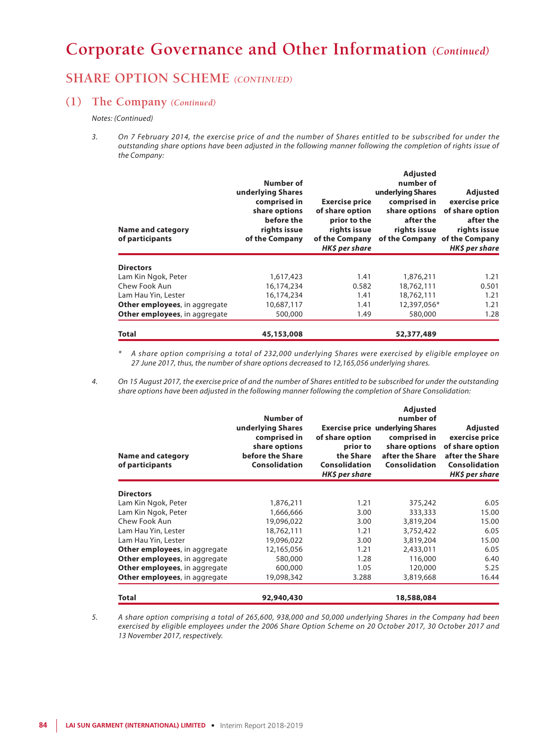### **SHARE OPTION SCHEME** *(CONTINUED)*

### **(1) The Company** *(Continued)*

*Notes: (Continued)*

*3. On 7 February 2014, the exercise price of and the number of Shares entitled to be subscribed for under the outstanding share options have been adjusted in the following manner following the completion of rights issue of the Company:*

| <b>Name and category</b><br>of participants | Number of<br>underlying Shares<br>comprised in<br>share options<br>before the<br>rights issue<br>of the Company | <b>Exercise price</b><br>of share option<br>prior to the<br>rights issue<br>of the Company<br>HK\$ per share | <b>Adjusted</b><br>number of<br>underlying Shares<br>comprised in<br>share options<br>after the<br>rights issue<br>of the Company of the Company | <b>Adjusted</b><br>exercise price<br>of share option<br>after the<br>rights issue<br>HK\$ per share |
|---------------------------------------------|-----------------------------------------------------------------------------------------------------------------|--------------------------------------------------------------------------------------------------------------|--------------------------------------------------------------------------------------------------------------------------------------------------|-----------------------------------------------------------------------------------------------------|
| <b>Directors</b>                            |                                                                                                                 |                                                                                                              |                                                                                                                                                  |                                                                                                     |
| Lam Kin Ngok, Peter                         | 1,617,423                                                                                                       | 1.41                                                                                                         | 1,876,211                                                                                                                                        | 1.21                                                                                                |
| Chew Fook Aun                               | 16,174,234                                                                                                      | 0.582                                                                                                        | 18,762,111                                                                                                                                       | 0.501                                                                                               |
| Lam Hau Yin, Lester                         | 16,174,234                                                                                                      | 1.41                                                                                                         | 18,762,111                                                                                                                                       | 1.21                                                                                                |
| <b>Other employees, in aggregate</b>        | 10,687,117                                                                                                      | 1.41                                                                                                         | 12,397,056*                                                                                                                                      | 1.21                                                                                                |
| <b>Other employees, in aggregate</b>        | 500,000                                                                                                         | 1.49                                                                                                         | 580,000                                                                                                                                          | 1.28                                                                                                |
| Total                                       | 45,153,008                                                                                                      |                                                                                                              | 52,377,489                                                                                                                                       |                                                                                                     |

*\* A share option comprising a total of 232,000 underlying Shares were exercised by eligible employee on 27 June 2017, thus, the number of share options decreased to 12,165,056 underlying shares.*

*4. On 15 August 2017, the exercise price of and the number of Shares entitled to be subscribed for under the outstanding share options have been adjusted in the following manner following the completion of Share Consolidation:*

| <b>Name and category</b><br>of participants | Number of<br>underlying Shares<br>comprised in<br>share options<br>before the Share<br><b>Consolidation</b> | of share option<br>prior to<br>the Share<br><b>Consolidation</b><br>HK\$ per share | <b>Adjusted</b><br>number of<br><b>Exercise price underlying Shares</b><br>comprised in<br>share options<br>after the Share<br><b>Consolidation</b> | Adjusted<br>exercise price<br>of share option<br>after the Share<br><b>Consolidation</b><br>HK\$ per share |
|---------------------------------------------|-------------------------------------------------------------------------------------------------------------|------------------------------------------------------------------------------------|-----------------------------------------------------------------------------------------------------------------------------------------------------|------------------------------------------------------------------------------------------------------------|
| <b>Directors</b>                            |                                                                                                             |                                                                                    |                                                                                                                                                     |                                                                                                            |
| Lam Kin Ngok, Peter                         | 1,876,211                                                                                                   | 1.21                                                                               | 375,242                                                                                                                                             | 6.05                                                                                                       |
| Lam Kin Ngok, Peter                         | 1,666,666                                                                                                   | 3.00                                                                               | 333,333                                                                                                                                             | 15.00                                                                                                      |
| Chew Fook Aun                               | 19,096,022                                                                                                  | 3.00                                                                               | 3,819,204                                                                                                                                           | 15.00                                                                                                      |
| Lam Hau Yin, Lester                         | 18,762,111                                                                                                  | 1.21                                                                               | 3,752,422                                                                                                                                           | 6.05                                                                                                       |
| Lam Hau Yin, Lester                         | 19,096,022                                                                                                  | 3.00                                                                               | 3,819,204                                                                                                                                           | 15.00                                                                                                      |
| <b>Other employees, in aggregate</b>        | 12,165,056                                                                                                  | 1.21                                                                               | 2,433,011                                                                                                                                           | 6.05                                                                                                       |
| Other employees, in aggregate               | 580,000                                                                                                     | 1.28                                                                               | 116,000                                                                                                                                             | 6.40                                                                                                       |
| Other employees, in aggregate               | 600,000                                                                                                     | 1.05                                                                               | 120,000                                                                                                                                             | 5.25                                                                                                       |
| Other employees, in aggregate               | 19,098,342                                                                                                  | 3.288                                                                              | 3,819,668                                                                                                                                           | 16.44                                                                                                      |
| <b>Total</b>                                | 92,940,430                                                                                                  |                                                                                    | 18,588,084                                                                                                                                          |                                                                                                            |

*5. A share option comprising a total of 265,600, 938,000 and 50,000 underlying Shares in the Company had been exercised by eligible employees under the 2006 Share Option Scheme on 20 October 2017, 30 October 2017 and 13 November 2017, respectively.*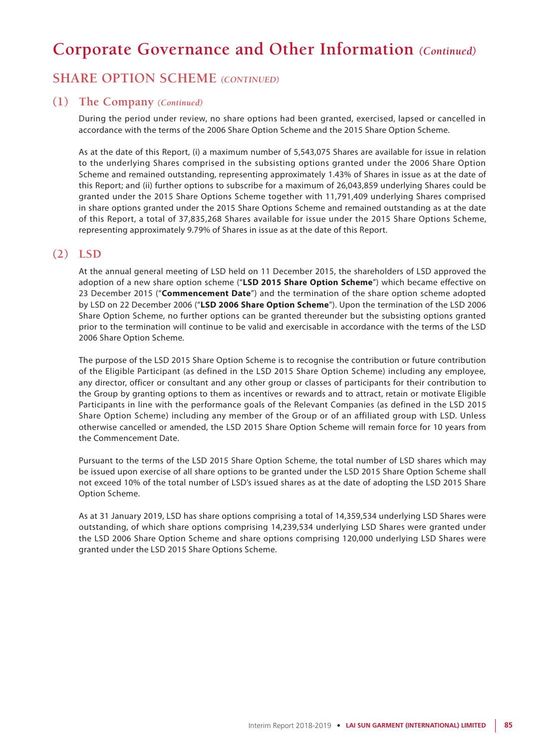### **SHARE OPTION SCHEME** *(CONTINUED)*

#### **(1) The Company** *(Continued)*

During the period under review, no share options had been granted, exercised, lapsed or cancelled in accordance with the terms of the 2006 Share Option Scheme and the 2015 Share Option Scheme.

As at the date of this Report, (i) a maximum number of 5,543,075 Shares are available for issue in relation to the underlying Shares comprised in the subsisting options granted under the 2006 Share Option Scheme and remained outstanding, representing approximately 1.43% of Shares in issue as at the date of this Report; and (ii) further options to subscribe for a maximum of 26,043,859 underlying Shares could be granted under the 2015 Share Options Scheme together with 11,791,409 underlying Shares comprised in share options granted under the 2015 Share Options Scheme and remained outstanding as at the date of this Report, a total of 37,835,268 Shares available for issue under the 2015 Share Options Scheme, representing approximately 9.79% of Shares in issue as at the date of this Report.

### **(2) LSD**

At the annual general meeting of LSD held on 11 December 2015, the shareholders of LSD approved the adoption of a new share option scheme ("**LSD 2015 Share Option Scheme**") which became effective on 23 December 2015 ("**Commencement Date**") and the termination of the share option scheme adopted by LSD on 22 December 2006 ("**LSD 2006 Share Option Scheme**"). Upon the termination of the LSD 2006 Share Option Scheme, no further options can be granted thereunder but the subsisting options granted prior to the termination will continue to be valid and exercisable in accordance with the terms of the LSD 2006 Share Option Scheme.

The purpose of the LSD 2015 Share Option Scheme is to recognise the contribution or future contribution of the Eligible Participant (as defined in the LSD 2015 Share Option Scheme) including any employee, any director, officer or consultant and any other group or classes of participants for their contribution to the Group by granting options to them as incentives or rewards and to attract, retain or motivate Eligible Participants in line with the performance goals of the Relevant Companies (as defined in the LSD 2015 Share Option Scheme) including any member of the Group or of an affiliated group with LSD. Unless otherwise cancelled or amended, the LSD 2015 Share Option Scheme will remain force for 10 years from the Commencement Date.

Pursuant to the terms of the LSD 2015 Share Option Scheme, the total number of LSD shares which may be issued upon exercise of all share options to be granted under the LSD 2015 Share Option Scheme shall not exceed 10% of the total number of LSD's issued shares as at the date of adopting the LSD 2015 Share Option Scheme.

As at 31 January 2019, LSD has share options comprising a total of 14,359,534 underlying LSD Shares were outstanding, of which share options comprising 14,239,534 underlying LSD Shares were granted under the LSD 2006 Share Option Scheme and share options comprising 120,000 underlying LSD Shares were granted under the LSD 2015 Share Options Scheme.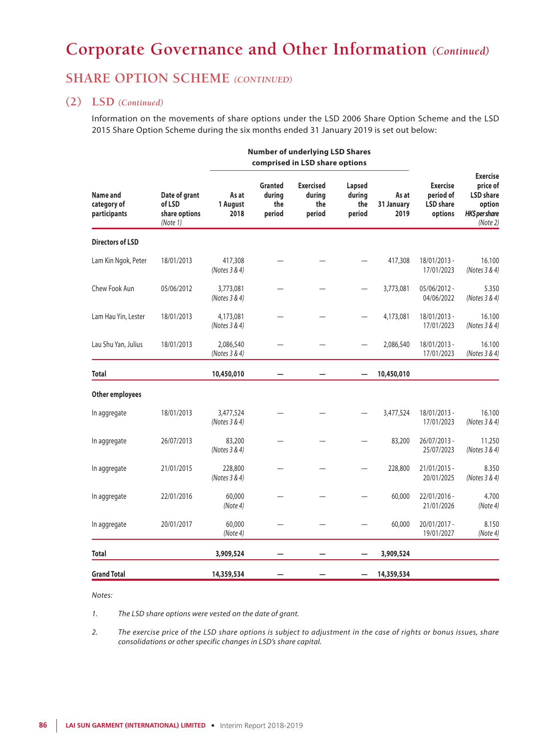## **SHARE OPTION SCHEME** *(CONTINUED)*

#### **(2) LSD** *(Continued)*

Information on the movements of share options under the LSD 2006 Share Option Scheme and the LSD 2015 Share Option Scheme during the six months ended 31 January 2019 is set out below:

**Number of underlying LSD Shares**

|                                         |                                                      |                            | comprised in LSD share options            |                                             |                                   |                             |                                                             |                                                                                         |
|-----------------------------------------|------------------------------------------------------|----------------------------|-------------------------------------------|---------------------------------------------|-----------------------------------|-----------------------------|-------------------------------------------------------------|-----------------------------------------------------------------------------------------|
| Name and<br>category of<br>participants | Date of grant<br>of LSD<br>share options<br>(Note 1) | As at<br>1 August<br>2018  | <b>Granted</b><br>during<br>the<br>period | <b>Exercised</b><br>during<br>the<br>period | Lapsed<br>during<br>the<br>period | As at<br>31 January<br>2019 | <b>Exercise</b><br>period of<br><b>LSD</b> share<br>options | <b>Exercise</b><br>price of<br><b>LSD</b> share<br>option<br>HK\$ per share<br>(Note 2) |
| <b>Directors of LSD</b>                 |                                                      |                            |                                           |                                             |                                   |                             |                                                             |                                                                                         |
| Lam Kin Ngok, Peter                     | 18/01/2013                                           | 417,308<br>(Notes 3 & 4)   |                                           |                                             |                                   | 417,308                     | 18/01/2013 -<br>17/01/2023                                  | 16.100<br>(Notes 3 & 4)                                                                 |
| Chew Fook Aun                           | 05/06/2012                                           | 3,773,081<br>(Notes 3 & 4) |                                           |                                             | $\overline{\phantom{0}}$          | 3,773,081                   | $05/06/2012 -$<br>04/06/2022                                | 5.350<br>(Notes 3 & 4)                                                                  |
| Lam Hau Yin, Lester                     | 18/01/2013                                           | 4,173,081<br>(Notes 3 & 4) |                                           |                                             |                                   | 4,173,081                   | 18/01/2013 -<br>17/01/2023                                  | 16.100<br>(Notes 3 & 4)                                                                 |
| Lau Shu Yan, Julius                     | 18/01/2013                                           | 2,086,540<br>(Notes 3 & 4) |                                           |                                             |                                   | 2,086,540                   | 18/01/2013 -<br>17/01/2023                                  | 16.100<br>(Notes 3 & 4)                                                                 |
| <b>Total</b>                            |                                                      | 10,450,010                 |                                           |                                             |                                   | 10,450,010                  |                                                             |                                                                                         |
| Other employees                         |                                                      |                            |                                           |                                             |                                   |                             |                                                             |                                                                                         |
| In aggregate                            | 18/01/2013                                           | 3,477,524<br>(Notes 3 & 4) |                                           |                                             |                                   | 3,477,524                   | 18/01/2013 -<br>17/01/2023                                  | 16.100<br>(Notes 3 & 4)                                                                 |
| In aggregate                            | 26/07/2013                                           | 83,200<br>(Notes 3 & 4)    |                                           |                                             |                                   | 83,200                      | 26/07/2013 -<br>25/07/2023                                  | 11.250<br>(Notes 3 & 4)                                                                 |
| In aggregate                            | 21/01/2015                                           | 228,800<br>(Notes 3 & 4)   |                                           |                                             |                                   | 228,800                     | 21/01/2015 -<br>20/01/2025                                  | 8.350<br>(Notes 3 & 4)                                                                  |
| In aggregate                            | 22/01/2016                                           | 60,000<br>(Note 4)         |                                           |                                             |                                   | 60,000                      | 22/01/2016 -<br>21/01/2026                                  | 4.700<br>(Note 4)                                                                       |
| In aggregate                            | 20/01/2017                                           | 60,000<br>(Note 4)         |                                           |                                             |                                   | 60,000                      | 20/01/2017 -<br>19/01/2027                                  | 8.150<br>(Note4)                                                                        |
| <b>Total</b>                            |                                                      | 3,909,524                  |                                           |                                             |                                   | 3,909,524                   |                                                             |                                                                                         |
| <b>Grand Total</b>                      |                                                      | 14,359,534                 |                                           |                                             |                                   | 14,359,534                  |                                                             |                                                                                         |

#### *Notes:*

*1. The LSD share options were vested on the date of grant.*

*2. The exercise price of the LSD share options is subject to adjustment in the case of rights or bonus issues, share consolidations or other specific changes in LSD's share capital.*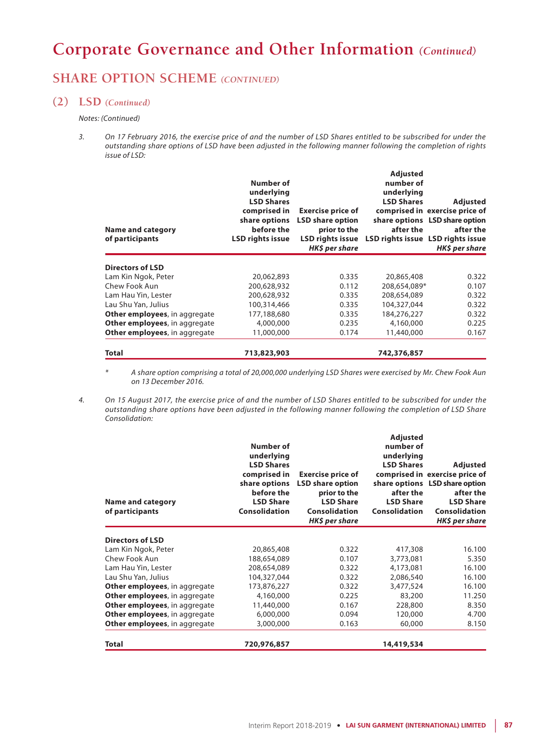## **SHARE OPTION SCHEME** *(CONTINUED)*

#### **(2) LSD** *(Continued)*

#### *Notes: (Continued)*

*3. On 17 February 2016, the exercise price of and the number of LSD Shares entitled to be subscribed for under the outstanding share options of LSD have been adjusted in the following manner following the completion of rights issue of LSD:*

| Name and category<br>of participants | Number of<br>underlying<br><b>LSD Shares</b><br>comprised in<br>share options<br>before the<br><b>LSD rights issue</b> | <b>Exercise price of</b><br><b>LSD share option</b><br>prior to the<br><b>LSD rights issue</b><br>HK\$ per share | <b>Adjusted</b><br>number of<br>underlying<br><b>LSD Shares</b><br>after the | <b>Adjusted</b><br>comprised in exercise price of<br>share options LSD share option<br>after the<br>LSD rights issue LSD rights issue<br>HK\$ per share |
|--------------------------------------|------------------------------------------------------------------------------------------------------------------------|------------------------------------------------------------------------------------------------------------------|------------------------------------------------------------------------------|---------------------------------------------------------------------------------------------------------------------------------------------------------|
| Directors of LSD                     |                                                                                                                        |                                                                                                                  |                                                                              |                                                                                                                                                         |
| Lam Kin Ngok, Peter                  | 20,062,893                                                                                                             | 0.335                                                                                                            | 20,865,408                                                                   | 0.322                                                                                                                                                   |
| Chew Fook Aun                        | 200,628,932                                                                                                            | 0.112                                                                                                            | 208,654,089*                                                                 | 0.107                                                                                                                                                   |
| Lam Hau Yin, Lester                  | 200,628,932                                                                                                            | 0.335                                                                                                            | 208,654,089                                                                  | 0.322                                                                                                                                                   |
| Lau Shu Yan, Julius                  | 100,314,466                                                                                                            | 0.335                                                                                                            | 104,327,044                                                                  | 0.322                                                                                                                                                   |
| Other employees, in aggregate        | 177,188,680                                                                                                            | 0.335                                                                                                            | 184,276,227                                                                  | 0.322                                                                                                                                                   |
| Other employees, in aggregate        | 4,000,000                                                                                                              | 0.235                                                                                                            | 4,160,000                                                                    | 0.225                                                                                                                                                   |
| Other employees, in aggregate        | 11,000,000                                                                                                             | 0.174                                                                                                            | 11,440,000                                                                   | 0.167                                                                                                                                                   |
| <b>Total</b>                         | 713,823,903                                                                                                            |                                                                                                                  | 742,376,857                                                                  |                                                                                                                                                         |

*\* A share option comprising a total of 20,000,000 underlying LSD Shares were exercised by Mr. Chew Fook Aun on 13 December 2016.*

*4. On 15 August 2017, the exercise price of and the number of LSD Shares entitled to be subscribed for under the outstanding share options have been adjusted in the following manner following the completion of LSD Share Consolidation:*

| <b>Name and category</b><br>of participants | Number of<br>underlying<br><b>LSD Shares</b><br>comprised in<br>share options<br>before the<br><b>LSD Share</b><br>Consolidation | <b>Exercise price of</b><br><b>LSD share option</b><br>prior to the<br><b>LSD Share</b><br>Consolidation<br>HK\$ per share | <b>Adjusted</b><br>number of<br>underlying<br><b>LSD Shares</b><br>after the<br><b>LSD Share</b><br>Consolidation | <b>Adjusted</b><br>comprised in exercise price of<br>share options LSD share option<br>after the<br><b>LSD Share</b><br><b>Consolidation</b><br>HK\$ per share |
|---------------------------------------------|----------------------------------------------------------------------------------------------------------------------------------|----------------------------------------------------------------------------------------------------------------------------|-------------------------------------------------------------------------------------------------------------------|----------------------------------------------------------------------------------------------------------------------------------------------------------------|
| <b>Directors of LSD</b>                     |                                                                                                                                  |                                                                                                                            |                                                                                                                   |                                                                                                                                                                |
| Lam Kin Ngok, Peter                         | 20,865,408                                                                                                                       | 0.322                                                                                                                      | 417,308                                                                                                           | 16.100                                                                                                                                                         |
| Chew Fook Aun                               | 188,654,089                                                                                                                      | 0.107                                                                                                                      | 3,773,081                                                                                                         | 5.350                                                                                                                                                          |
| Lam Hau Yin, Lester                         | 208,654,089                                                                                                                      | 0.322                                                                                                                      | 4,173,081                                                                                                         | 16.100                                                                                                                                                         |
| Lau Shu Yan, Julius                         | 104,327,044                                                                                                                      | 0.322                                                                                                                      | 2,086,540                                                                                                         | 16.100                                                                                                                                                         |
| <b>Other employees, in aggregate</b>        | 173,876,227                                                                                                                      | 0.322                                                                                                                      | 3,477,524                                                                                                         | 16.100                                                                                                                                                         |
| <b>Other employees, in aggregate</b>        | 4,160,000                                                                                                                        | 0.225                                                                                                                      | 83,200                                                                                                            | 11.250                                                                                                                                                         |
| Other employees, in aggregate               | 11,440,000                                                                                                                       | 0.167                                                                                                                      | 228,800                                                                                                           | 8.350                                                                                                                                                          |
| Other employees, in aggregate               | 6,000,000                                                                                                                        | 0.094                                                                                                                      | 120,000                                                                                                           | 4.700                                                                                                                                                          |
| <b>Other employees, in aggregate</b>        | 3,000,000                                                                                                                        | 0.163                                                                                                                      | 60,000                                                                                                            | 8.150                                                                                                                                                          |
| <b>Total</b>                                | 720,976,857                                                                                                                      |                                                                                                                            | 14,419,534                                                                                                        |                                                                                                                                                                |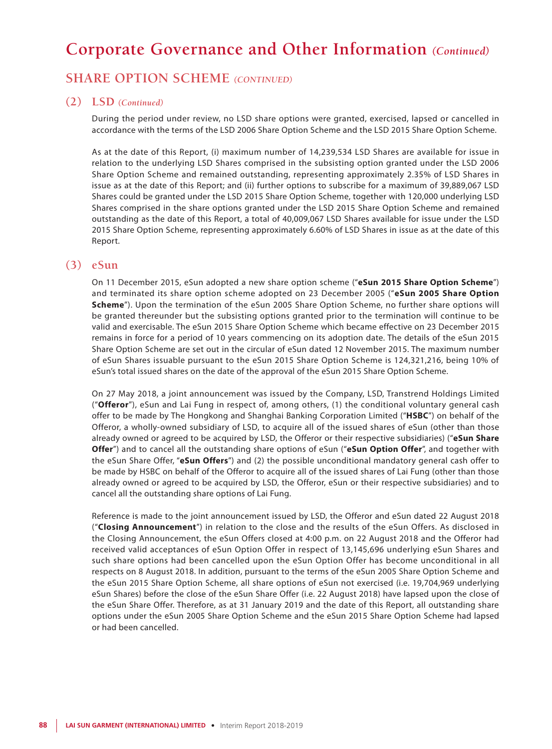### **SHARE OPTION SCHEME** *(CONTINUED)*

#### **(2) LSD** *(Continued)*

During the period under review, no LSD share options were granted, exercised, lapsed or cancelled in accordance with the terms of the LSD 2006 Share Option Scheme and the LSD 2015 Share Option Scheme.

As at the date of this Report, (i) maximum number of 14,239,534 LSD Shares are available for issue in relation to the underlying LSD Shares comprised in the subsisting option granted under the LSD 2006 Share Option Scheme and remained outstanding, representing approximately 2.35% of LSD Shares in issue as at the date of this Report; and (ii) further options to subscribe for a maximum of 39,889,067 LSD Shares could be granted under the LSD 2015 Share Option Scheme, together with 120,000 underlying LSD Shares comprised in the share options granted under the LSD 2015 Share Option Scheme and remained outstanding as the date of this Report, a total of 40,009,067 LSD Shares available for issue under the LSD 2015 Share Option Scheme, representing approximately 6.60% of LSD Shares in issue as at the date of this Report.

### **(3) eSun**

On 11 December 2015, eSun adopted a new share option scheme ("**eSun 2015 Share Option Scheme**") and terminated its share option scheme adopted on 23 December 2005 ("**eSun 2005 Share Option Scheme**"). Upon the termination of the eSun 2005 Share Option Scheme, no further share options will be granted thereunder but the subsisting options granted prior to the termination will continue to be valid and exercisable. The eSun 2015 Share Option Scheme which became effective on 23 December 2015 remains in force for a period of 10 years commencing on its adoption date. The details of the eSun 2015 Share Option Scheme are set out in the circular of eSun dated 12 November 2015. The maximum number of eSun Shares issuable pursuant to the eSun 2015 Share Option Scheme is 124,321,216, being 10% of eSun's total issued shares on the date of the approval of the eSun 2015 Share Option Scheme.

On 27 May 2018, a joint announcement was issued by the Company, LSD, Transtrend Holdings Limited ("**Offeror**"), eSun and Lai Fung in respect of, among others, (1) the conditional voluntary general cash offer to be made by The Hongkong and Shanghai Banking Corporation Limited ("**HSBC**") on behalf of the Offeror, a wholly-owned subsidiary of LSD, to acquire all of the issued shares of eSun (other than those already owned or agreed to be acquired by LSD, the Offeror or their respective subsidiaries) ("**eSun Share Offer**") and to cancel all the outstanding share options of eSun ("**eSun Option Offer**", and together with the eSun Share Offer, "**eSun Offers**") and (2) the possible unconditional mandatory general cash offer to be made by HSBC on behalf of the Offeror to acquire all of the issued shares of Lai Fung (other than those already owned or agreed to be acquired by LSD, the Offeror, eSun or their respective subsidiaries) and to cancel all the outstanding share options of Lai Fung.

Reference is made to the joint announcement issued by LSD, the Offeror and eSun dated 22 August 2018 ("**Closing Announcement**") in relation to the close and the results of the eSun Offers. As disclosed in the Closing Announcement, the eSun Offers closed at 4:00 p.m. on 22 August 2018 and the Offeror had received valid acceptances of eSun Option Offer in respect of 13,145,696 underlying eSun Shares and such share options had been cancelled upon the eSun Option Offer has become unconditional in all respects on 8 August 2018. In addition, pursuant to the terms of the eSun 2005 Share Option Scheme and the eSun 2015 Share Option Scheme, all share options of eSun not exercised (i.e. 19,704,969 underlying eSun Shares) before the close of the eSun Share Offer (i.e. 22 August 2018) have lapsed upon the close of the eSun Share Offer. Therefore, as at 31 January 2019 and the date of this Report, all outstanding share options under the eSun 2005 Share Option Scheme and the eSun 2015 Share Option Scheme had lapsed or had been cancelled.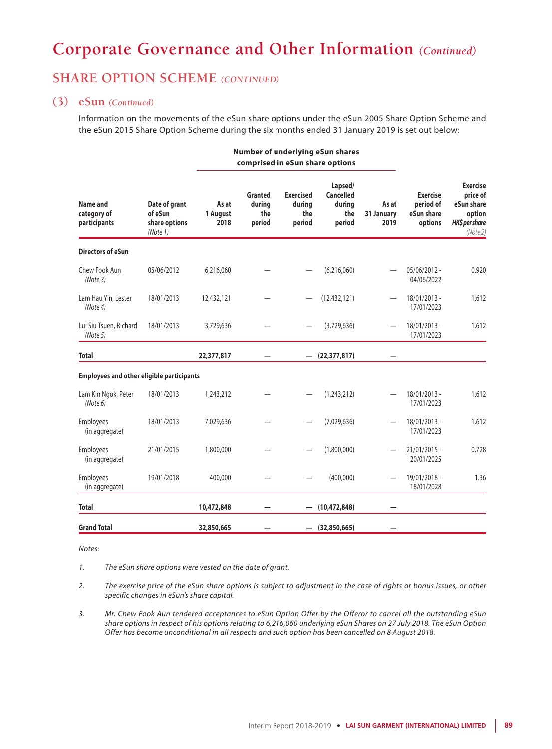## **SHARE OPTION SCHEME** *(CONTINUED)*

#### **(3) eSun** *(Continued)*

Information on the movements of the eSun share options under the eSun 2005 Share Option Scheme and the eSun 2015 Share Option Scheme during the six months ended 31 January 2019 is set out below:

**Number of underlying eSun shares**

|                                                  |                                                       |                           | comprised in eSun share options    |                                             |                                                 |                             |                                                       |                                                                                   |
|--------------------------------------------------|-------------------------------------------------------|---------------------------|------------------------------------|---------------------------------------------|-------------------------------------------------|-----------------------------|-------------------------------------------------------|-----------------------------------------------------------------------------------|
| Name and<br>category of<br>participants          | Date of grant<br>of eSun<br>share options<br>(Note 1) | As at<br>1 August<br>2018 | Granted<br>durina<br>the<br>period | <b>Exercised</b><br>durina<br>the<br>period | Lapsed/<br>Cancelled<br>durina<br>the<br>period | As at<br>31 January<br>2019 | <b>Exercise</b><br>period of<br>eSun share<br>options | <b>Exercise</b><br>price of<br>eSun share<br>option<br>HK\$ per share<br>(Note 2) |
| <b>Directors of eSun</b>                         |                                                       |                           |                                    |                                             |                                                 |                             |                                                       |                                                                                   |
| Chew Fook Aun<br>(Note3)                         | 05/06/2012                                            | 6,216,060                 |                                    |                                             | (6,216,060)                                     |                             | 05/06/2012 -<br>04/06/2022                            | 0.920                                                                             |
| Lam Hau Yin, Lester<br>(Note 4)                  | 18/01/2013                                            | 12,432,121                |                                    |                                             | (12, 432, 121)                                  |                             | 18/01/2013 -<br>17/01/2023                            | 1.612                                                                             |
| Lui Siu Tsuen, Richard<br>(Note 5)               | 18/01/2013                                            | 3,729,636                 |                                    |                                             | (3,729,636)                                     |                             | 18/01/2013 -<br>17/01/2023                            | 1.612                                                                             |
| <b>Total</b>                                     |                                                       | 22,377,817                |                                    |                                             | (22, 377, 817)                                  |                             |                                                       |                                                                                   |
| <b>Employees and other eligible participants</b> |                                                       |                           |                                    |                                             |                                                 |                             |                                                       |                                                                                   |
| Lam Kin Ngok, Peter<br>(Note 6)                  | 18/01/2013                                            | 1,243,212                 |                                    |                                             | (1, 243, 212)                                   |                             | 18/01/2013 -<br>17/01/2023                            | 1.612                                                                             |
| <b>Employees</b><br>(in aggregate)               | 18/01/2013                                            | 7,029,636                 |                                    |                                             | (7,029,636)                                     |                             | 18/01/2013 -<br>17/01/2023                            | 1.612                                                                             |
| <b>Employees</b><br>(in aggregate)               | 21/01/2015                                            | 1,800,000                 |                                    |                                             | (1,800,000)                                     |                             | $21/01/2015 -$<br>20/01/2025                          | 0.728                                                                             |
| <b>Employees</b><br>(in aggregate)               | 19/01/2018                                            | 400,000                   |                                    |                                             | (400,000)                                       |                             | 19/01/2018 -<br>18/01/2028                            | 1.36                                                                              |
| <b>Total</b>                                     |                                                       | 10,472,848                |                                    |                                             | (10, 472, 848)                                  |                             |                                                       |                                                                                   |
| <b>Grand Total</b>                               |                                                       | 32,850,665                |                                    |                                             | $-$ (32,850,665)                                |                             |                                                       |                                                                                   |

*Notes:*

*1. The eSun share options were vested on the date of grant.*

*2. The exercise price of the eSun share options is subject to adjustment in the case of rights or bonus issues, or other specific changes in eSun's share capital.*

*3. Mr. Chew Fook Aun tendered acceptances to eSun Option Offer by the Offeror to cancel all the outstanding eSun share options in respect of his options relating to 6,216,060 underlying eSun Shares on 27 July 2018. The eSun Option Offer has become unconditional in all respects and such option has been cancelled on 8 August 2018.*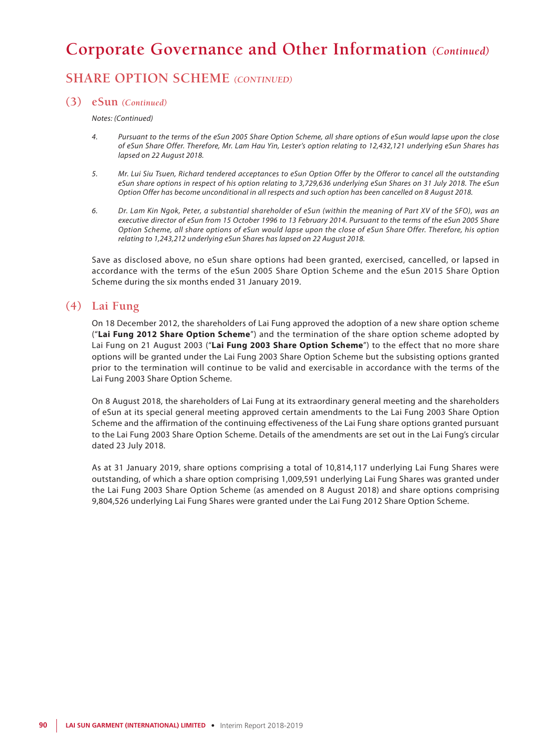# **SHARE OPTION SCHEME** *(CONTINUED)*

#### **(3) eSun** *(Continued)*

*Notes: (Continued)*

- *4. Pursuant to the terms of the eSun 2005 Share Option Scheme, all share options of eSun would lapse upon the close of eSun Share Offer. Therefore, Mr. Lam Hau Yin, Lester's option relating to 12,432,121 underlying eSun Shares has lapsed on 22 August 2018.*
- *5. Mr. Lui Siu Tsuen, Richard tendered acceptances to eSun Option Offer by the Offeror to cancel all the outstanding eSun share options in respect of his option relating to 3,729,636 underlying eSun Shares on 31 July 2018. The eSun Option Offer has become unconditional in all respects and such option has been cancelled on 8 August 2018.*
- *6. Dr. Lam Kin Ngok, Peter, a substantial shareholder of eSun (within the meaning of Part XV of the SFO), was an executive director of eSun from 15 October 1996 to 13 February 2014. Pursuant to the terms of the eSun 2005 Share Option Scheme, all share options of eSun would lapse upon the close of eSun Share Offer. Therefore, his option relating to 1,243,212 underlying eSun Shares has lapsed on 22 August 2018.*

Save as disclosed above, no eSun share options had been granted, exercised, cancelled, or lapsed in accordance with the terms of the eSun 2005 Share Option Scheme and the eSun 2015 Share Option Scheme during the six months ended 31 January 2019.

### **(4) Lai Fung**

On 18 December 2012, the shareholders of Lai Fung approved the adoption of a new share option scheme ("**Lai Fung 2012 Share Option Scheme**") and the termination of the share option scheme adopted by Lai Fung on 21 August 2003 ("**Lai Fung 2003 Share Option Scheme**") to the effect that no more share options will be granted under the Lai Fung 2003 Share Option Scheme but the subsisting options granted prior to the termination will continue to be valid and exercisable in accordance with the terms of the Lai Fung 2003 Share Option Scheme.

On 8 August 2018, the shareholders of Lai Fung at its extraordinary general meeting and the shareholders of eSun at its special general meeting approved certain amendments to the Lai Fung 2003 Share Option Scheme and the affirmation of the continuing effectiveness of the Lai Fung share options granted pursuant to the Lai Fung 2003 Share Option Scheme. Details of the amendments are set out in the Lai Fung's circular dated 23 July 2018.

As at 31 January 2019, share options comprising a total of 10,814,117 underlying Lai Fung Shares were outstanding, of which a share option comprising 1,009,591 underlying Lai Fung Shares was granted under the Lai Fung 2003 Share Option Scheme (as amended on 8 August 2018) and share options comprising 9,804,526 underlying Lai Fung Shares were granted under the Lai Fung 2012 Share Option Scheme.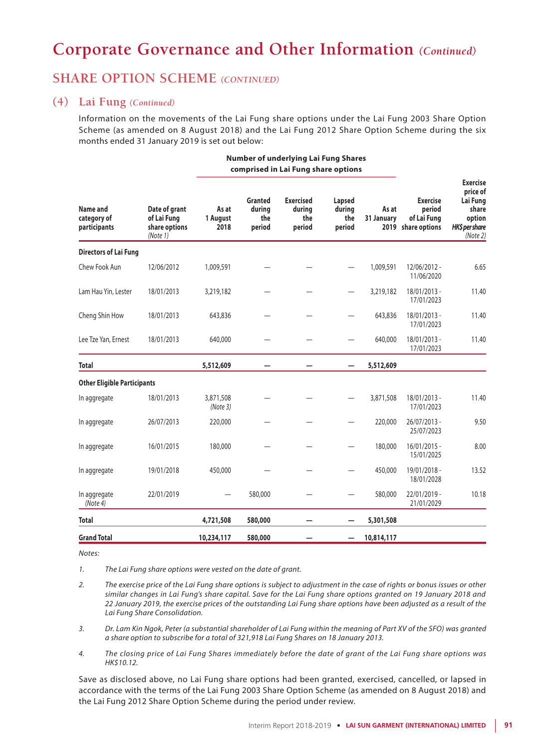## **SHARE OPTION SCHEME** *(CONTINUED)*

### **(4) Lai Fung** *(Continued)*

Information on the movements of the Lai Fung share options under the Lai Fung 2003 Share Option Scheme (as amended on 8 August 2018) and the Lai Fung 2012 Share Option Scheme during the six months ended 31 January 2019 is set out below:

**Number of underlying Lai Fung Shares**

|                                         | Date of grant<br>of Lai Fung<br>share options<br>(Note 1) |                           | comprised in Lai Fung share options |                                             |                                   |                     |                                                                |                                                                                          |
|-----------------------------------------|-----------------------------------------------------------|---------------------------|-------------------------------------|---------------------------------------------|-----------------------------------|---------------------|----------------------------------------------------------------|------------------------------------------------------------------------------------------|
| Name and<br>category of<br>participants |                                                           | As at<br>1 August<br>2018 | Granted<br>durina<br>the<br>period  | <b>Exercised</b><br>during<br>the<br>period | Lapsed<br>during<br>the<br>period | As at<br>31 January | <b>Exercise</b><br>period<br>of Lai Fung<br>2019 share options | <b>Exercise</b><br>price of<br>Lai Fung<br>share<br>option<br>HK\$ per share<br>(Note 2) |
| <b>Directors of Lai Fung</b>            |                                                           |                           |                                     |                                             |                                   |                     |                                                                |                                                                                          |
| Chew Fook Aun                           | 12/06/2012                                                | 1,009,591                 |                                     |                                             |                                   | 1,009,591           | 12/06/2012 -<br>11/06/2020                                     | 6.65                                                                                     |
| Lam Hau Yin, Lester                     | 18/01/2013                                                | 3,219,182                 |                                     |                                             |                                   | 3,219,182           | 18/01/2013 -<br>17/01/2023                                     | 11.40                                                                                    |
| Cheng Shin How                          | 18/01/2013                                                | 643,836                   |                                     |                                             |                                   | 643,836             | 18/01/2013 -<br>17/01/2023                                     | 11.40                                                                                    |
| Lee Tze Yan, Ernest                     | 18/01/2013                                                | 640,000                   |                                     |                                             |                                   | 640,000             | 18/01/2013 -<br>17/01/2023                                     | 11.40                                                                                    |
| <b>Total</b>                            |                                                           | 5,512,609                 |                                     |                                             |                                   | 5,512,609           |                                                                |                                                                                          |
| <b>Other Eligible Participants</b>      |                                                           |                           |                                     |                                             |                                   |                     |                                                                |                                                                                          |
| In aggregate                            | 18/01/2013                                                | 3,871,508<br>(Note3)      |                                     |                                             |                                   | 3,871,508           | 18/01/2013 -<br>17/01/2023                                     | 11.40                                                                                    |
| In aggregate                            | 26/07/2013                                                | 220,000                   |                                     |                                             |                                   | 220,000             | 26/07/2013 -<br>25/07/2023                                     | 9.50                                                                                     |
| In aggregate                            | 16/01/2015                                                | 180,000                   |                                     |                                             |                                   | 180,000             | $16/01/2015 -$<br>15/01/2025                                   | 8.00                                                                                     |
| In aggregate                            | 19/01/2018                                                | 450,000                   |                                     |                                             |                                   | 450,000             | 19/01/2018 -<br>18/01/2028                                     | 13.52                                                                                    |
| In aggregate<br>(Note 4)                | 22/01/2019                                                |                           | 580,000                             |                                             |                                   | 580,000             | 22/01/2019 -<br>21/01/2029                                     | 10.18                                                                                    |
| <b>Total</b>                            |                                                           | 4,721,508                 | 580,000                             |                                             |                                   | 5,301,508           |                                                                |                                                                                          |
| <b>Grand Total</b>                      |                                                           | 10,234,117                | 580,000                             |                                             |                                   | 10,814,117          |                                                                |                                                                                          |

*Notes:*

*1. The Lai Fung share options were vested on the date of grant.*

- *2. The exercise price of the Lai Fung share options is subject to adjustment in the case of rights or bonus issues or other similar changes in Lai Fung's share capital. Save for the Lai Fung share options granted on 19 January 2018 and 22 January 2019, the exercise prices of the outstanding Lai Fung share options have been adjusted as a result of the Lai Fung Share Consolidation.*
- *3. Dr. Lam Kin Ngok, Peter (a substantial shareholder of Lai Fung within the meaning of Part XV of the SFO) was granted a share option to subscribe for a total of 321,918 Lai Fung Shares on 18 January 2013.*
- *4. The closing price of Lai Fung Shares immediately before the date of grant of the Lai Fung share options was HK\$10.12.*

Save as disclosed above, no Lai Fung share options had been granted, exercised, cancelled, or lapsed in accordance with the terms of the Lai Fung 2003 Share Option Scheme (as amended on 8 August 2018) and the Lai Fung 2012 Share Option Scheme during the period under review.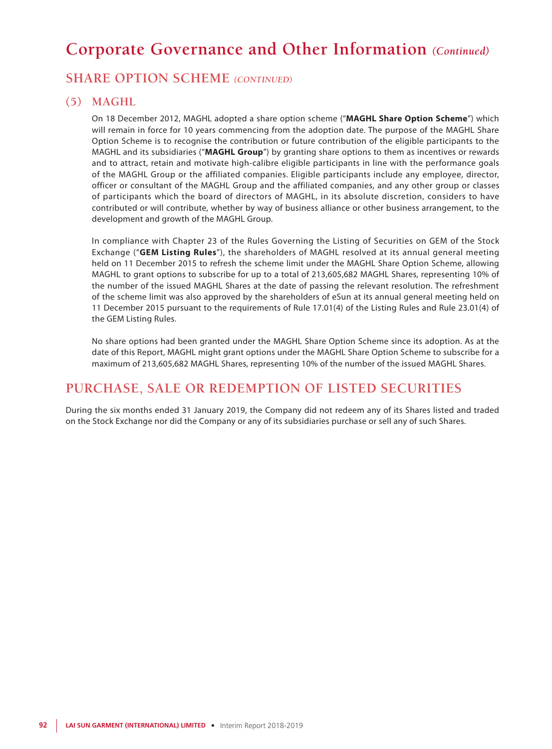## **SHARE OPTION SCHEME** *(CONTINUED)*

### **(5) MAGHL**

On 18 December 2012, MAGHL adopted a share option scheme ("**MAGHL Share Option Scheme**") which will remain in force for 10 years commencing from the adoption date. The purpose of the MAGHL Share Option Scheme is to recognise the contribution or future contribution of the eligible participants to the MAGHL and its subsidiaries ("**MAGHL Group**") by granting share options to them as incentives or rewards and to attract, retain and motivate high-calibre eligible participants in line with the performance goals of the MAGHL Group or the affiliated companies. Eligible participants include any employee, director, officer or consultant of the MAGHL Group and the affiliated companies, and any other group or classes of participants which the board of directors of MAGHL, in its absolute discretion, considers to have contributed or will contribute, whether by way of business alliance or other business arrangement, to the development and growth of the MAGHL Group.

In compliance with Chapter 23 of the Rules Governing the Listing of Securities on GEM of the Stock Exchange ("**GEM Listing Rules**"), the shareholders of MAGHL resolved at its annual general meeting held on 11 December 2015 to refresh the scheme limit under the MAGHL Share Option Scheme, allowing MAGHL to grant options to subscribe for up to a total of 213,605,682 MAGHL Shares, representing 10% of the number of the issued MAGHL Shares at the date of passing the relevant resolution. The refreshment of the scheme limit was also approved by the shareholders of eSun at its annual general meeting held on 11 December 2015 pursuant to the requirements of Rule 17.01(4) of the Listing Rules and Rule 23.01(4) of the GEM Listing Rules.

No share options had been granted under the MAGHL Share Option Scheme since its adoption. As at the date of this Report, MAGHL might grant options under the MAGHL Share Option Scheme to subscribe for a maximum of 213,605,682 MAGHL Shares, representing 10% of the number of the issued MAGHL Shares.

## **PURCHASE, SALE OR REDEMPTION OF LISTED SECURITIES**

During the six months ended 31 January 2019, the Company did not redeem any of its Shares listed and traded on the Stock Exchange nor did the Company or any of its subsidiaries purchase or sell any of such Shares.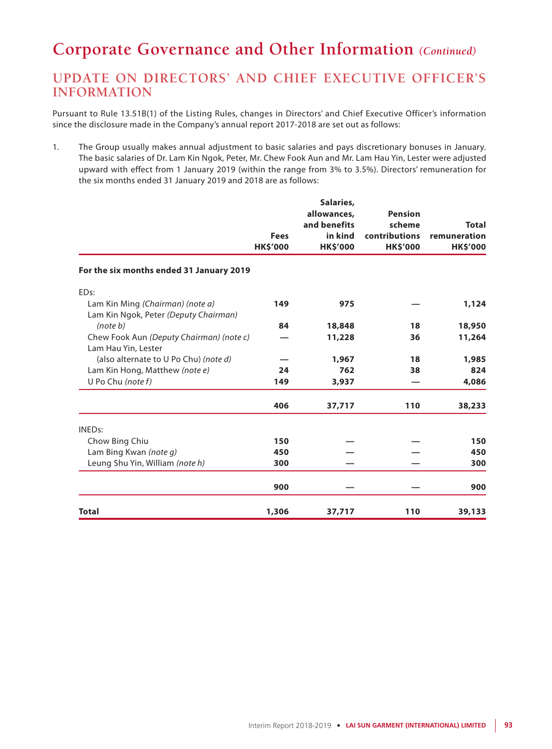# **UPDATE ON DIRECTORS' AND CHIEF EXECUTIVE OFFICER'S INFORMATION**

Pursuant to Rule 13.51B(1) of the Listing Rules, changes in Directors' and Chief Executive Officer's information since the disclosure made in the Company's annual report 2017-2018 are set out as follows:

1. The Group usually makes annual adjustment to basic salaries and pays discretionary bonuses in January. The basic salaries of Dr. Lam Kin Ngok, Peter, Mr. Chew Fook Aun and Mr. Lam Hau Yin, Lester were adjusted upward with effect from 1 January 2019 (within the range from 3% to 3.5%). Directors' remuneration for the six months ended 31 January 2019 and 2018 are as follows:

|                                                                           | <b>Fees</b><br><b>HK\$'000</b> | Salaries,<br>allowances,<br>and benefits<br>in kind<br><b>HK\$'000</b> | <b>Pension</b><br>scheme<br>contributions<br><b>HK\$'000</b> | <b>Total</b><br>remuneration<br><b>HK\$'000</b> |
|---------------------------------------------------------------------------|--------------------------------|------------------------------------------------------------------------|--------------------------------------------------------------|-------------------------------------------------|
| For the six months ended 31 January 2019                                  |                                |                                                                        |                                                              |                                                 |
| EDs:                                                                      |                                |                                                                        |                                                              |                                                 |
| Lam Kin Ming (Chairman) (note a)<br>Lam Kin Ngok, Peter (Deputy Chairman) | 149                            | 975                                                                    |                                                              | 1,124                                           |
| (note b)                                                                  | 84                             | 18,848                                                                 | 18                                                           | 18,950                                          |
| Chew Fook Aun (Deputy Chairman) (note c)<br>Lam Hau Yin, Lester           |                                | 11,228                                                                 | 36                                                           | 11,264                                          |
| (also alternate to U Po Chu) (note d)                                     |                                | 1,967                                                                  | 18                                                           | 1,985                                           |
| Lam Kin Hong, Matthew (note e)                                            | 24                             | 762                                                                    | 38                                                           | 824                                             |
| U Po Chu (note $f$ )                                                      | 149                            | 3,937                                                                  |                                                              | 4,086                                           |
|                                                                           | 406                            | 37,717                                                                 | 110                                                          | 38,233                                          |
| <b>INEDs:</b>                                                             |                                |                                                                        |                                                              |                                                 |
| Chow Bing Chiu                                                            | 150                            |                                                                        |                                                              | 150                                             |
| Lam Bing Kwan (note q)                                                    | 450                            |                                                                        |                                                              | 450                                             |
| Leung Shu Yin, William (note h)                                           | 300                            |                                                                        |                                                              | 300                                             |
|                                                                           | 900                            |                                                                        |                                                              | 900                                             |
| <b>Total</b>                                                              | 1,306                          | 37,717                                                                 | 110                                                          | 39,133                                          |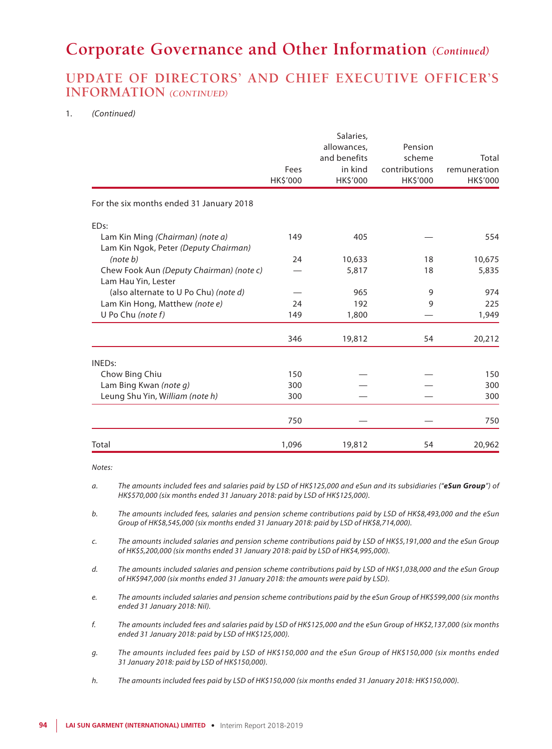## **UPDATE OF DIRECTORS' AND CHIEF EXECUTIVE OFFICER'S INFORMATION** *(CONTINUED)*

#### 1. *(Continued)*

|                                                                           |          | Salaries,    |               |              |
|---------------------------------------------------------------------------|----------|--------------|---------------|--------------|
|                                                                           |          | allowances,  | Pension       |              |
|                                                                           |          | and benefits | scheme        | Total        |
|                                                                           | Fees     | in kind      | contributions | remuneration |
|                                                                           | HK\$'000 | HK\$'000     | HK\$'000      | HK\$'000     |
| For the six months ended 31 January 2018                                  |          |              |               |              |
| ED <sub>s:</sub>                                                          |          |              |               |              |
| Lam Kin Ming (Chairman) (note a)<br>Lam Kin Ngok, Peter (Deputy Chairman) | 149      | 405          |               | 554          |
| (note b)                                                                  | 24       | 10,633       | 18            | 10,675       |
| Chew Fook Aun (Deputy Chairman) (note c)                                  |          | 5,817        | 18            | 5,835        |
| Lam Hau Yin, Lester                                                       |          |              |               |              |
| (also alternate to U Po Chu) (note d)                                     |          | 965          | 9             | 974          |
| Lam Kin Hong, Matthew (note e)                                            | 24       | 192          | 9             | 225          |
| U Po Chu (note f)                                                         | 149      | 1,800        |               | 1,949        |
|                                                                           | 346      | 19,812       | 54            | 20,212       |
| <b>INEDs:</b>                                                             |          |              |               |              |
| Chow Bing Chiu                                                            | 150      |              |               | 150          |
| Lam Bing Kwan (note q)                                                    | 300      |              |               | 300          |
| Leung Shu Yin, William (note h)                                           | 300      |              |               | 300          |
|                                                                           | 750      |              |               | 750          |
| Total                                                                     | 1,096    | 19,812       | 54            | 20,962       |

*Notes:*

- *b. The amounts included fees, salaries and pension scheme contributions paid by LSD of HK\$8,493,000 and the eSun Group of HK\$8,545,000 (six months ended 31 January 2018: paid by LSD of HK\$8,714,000).*
- *c. The amounts included salaries and pension scheme contributions paid by LSD of HK\$5,191,000 and the eSun Group of HK\$5,200,000 (six months ended 31 January 2018: paid by LSD of HK\$4,995,000).*
- *d. The amounts included salaries and pension scheme contributions paid by LSD of HK\$1,038,000 and the eSun Group of HK\$947,000 (six months ended 31 January 2018: the amounts were paid by LSD).*
- *e. The amounts included salaries and pension scheme contributions paid by the eSun Group of HK\$599,000 (six months ended 31 January 2018: Nil).*
- *f. The amounts included fees and salaries paid by LSD of HK\$125,000 and the eSun Group of HK\$2,137,000 (six months ended 31 January 2018: paid by LSD of HK\$125,000).*
- *g. The amounts included fees paid by LSD of HK\$150,000 and the eSun Group of HK\$150,000 (six months ended 31 January 2018: paid by LSD of HK\$150,000).*
- *h. The amounts included fees paid by LSD of HK\$150,000 (six months ended 31 January 2018: HK\$150,000).*

*a. The amounts included fees and salaries paid by LSD of HK\$125,000 and eSun and its subsidiaries ("eSun Group") of HK\$570,000 (six months ended 31 January 2018: paid by LSD of HK\$125,000).*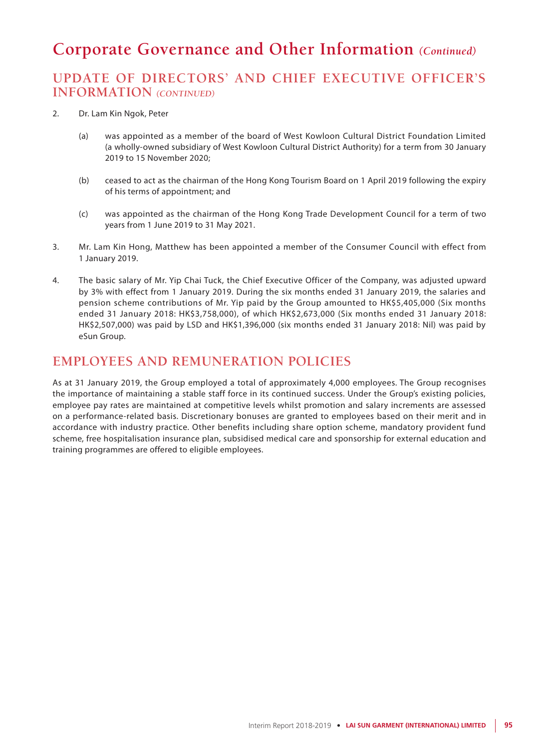# **UPDATE OF DIRECTORS' AND CHIEF EXECUTIVE OFFICER'S INFORMATION** *(CONTINUED)*

- 2. Dr. Lam Kin Ngok, Peter
	- (a) was appointed as a member of the board of West Kowloon Cultural District Foundation Limited (a wholly-owned subsidiary of West Kowloon Cultural District Authority) for a term from 30 January 2019 to 15 November 2020;
	- (b) ceased to act as the chairman of the Hong Kong Tourism Board on 1 April 2019 following the expiry of his terms of appointment; and
	- (c) was appointed as the chairman of the Hong Kong Trade Development Council for a term of two years from 1 June 2019 to 31 May 2021.
- 3. Mr. Lam Kin Hong, Matthew has been appointed a member of the Consumer Council with effect from 1 January 2019.
- 4. The basic salary of Mr. Yip Chai Tuck, the Chief Executive Officer of the Company, was adjusted upward by 3% with effect from 1 January 2019. During the six months ended 31 January 2019, the salaries and pension scheme contributions of Mr. Yip paid by the Group amounted to HK\$5,405,000 (Six months ended 31 January 2018: HK\$3,758,000), of which HK\$2,673,000 (Six months ended 31 January 2018: HK\$2,507,000) was paid by LSD and HK\$1,396,000 (six months ended 31 January 2018: Nil) was paid by eSun Group.

## **EMPLOYEES AND REMUNERATION POLICIES**

As at 31 January 2019, the Group employed a total of approximately 4,000 employees. The Group recognises the importance of maintaining a stable staff force in its continued success. Under the Group's existing policies, employee pay rates are maintained at competitive levels whilst promotion and salary increments are assessed on a performance-related basis. Discretionary bonuses are granted to employees based on their merit and in accordance with industry practice. Other benefits including share option scheme, mandatory provident fund scheme, free hospitalisation insurance plan, subsidised medical care and sponsorship for external education and training programmes are offered to eligible employees.